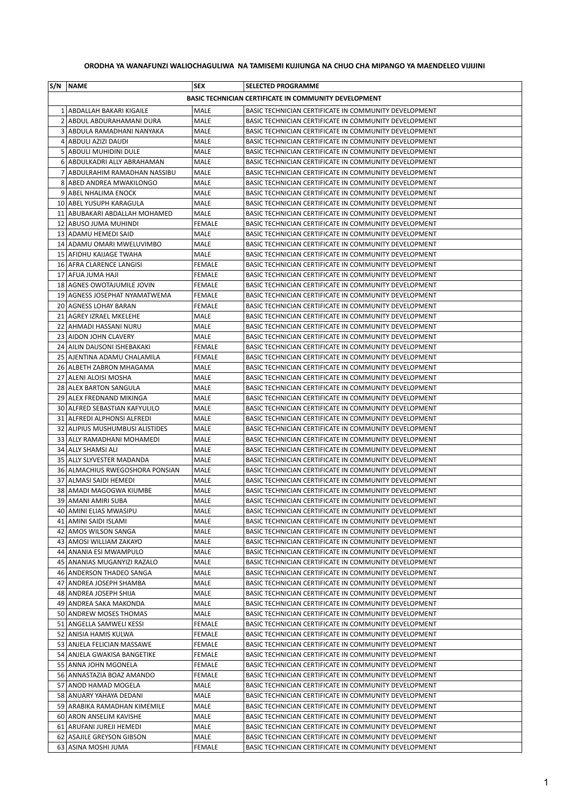## **ORODHA YA WANAFUNZI WALIOCHAGULIWA NA TAMISEMI KUJIUNGA NA CHUO CHA MIPANGO YA MAENDELEO VIJIJINI**

| S/N   NAME                      | <b>SEX</b>    | <b>SELECTED PROGRAMME</b>                                    |
|---------------------------------|---------------|--------------------------------------------------------------|
|                                 |               | <b>BASIC TECHNICIAN CERTIFICATE IN COMMUNITY DEVELOPMENT</b> |
| 1 ABDALLAH BAKARI KIGAILE       | MALE          | BASIC TECHNICIAN CERTIFICATE IN COMMUNITY DEVELOPMENT        |
| 2 ABDUL ABDURAHAMANI DURA       | <b>MALE</b>   | BASIC TECHNICIAN CERTIFICATE IN COMMUNITY DEVELOPMENT        |
| 3 ABDULA RAMADHANI NANYAKA      | MALE          | BASIC TECHNICIAN CERTIFICATE IN COMMUNITY DEVELOPMENT        |
| 4 ABDULI AZIZI DAUDI            | MALE          | BASIC TECHNICIAN CERTIFICATE IN COMMUNITY DEVELOPMENT        |
| 5 ABDULI MUHIDINI DULE          | MALE          | BASIC TECHNICIAN CERTIFICATE IN COMMUNITY DEVELOPMENT        |
| 6 ABDULKADRI ALLY ABRAHAMAN     | <b>MALE</b>   | BASIC TECHNICIAN CERTIFICATE IN COMMUNITY DEVELOPMENT        |
| 7 ABDULRAHIM RAMADHAN NASSIBU   | MALE          | BASIC TECHNICIAN CERTIFICATE IN COMMUNITY DEVELOPMENT        |
| 8 ABED ANDREA MWAKILONGO        | MALE          | BASIC TECHNICIAN CERTIFICATE IN COMMUNITY DEVELOPMENT        |
| 9 ABEL NHALIMA ENOCK            | MALE          | BASIC TECHNICIAN CERTIFICATE IN COMMUNITY DEVELOPMENT        |
| 10 ABEL YUSUPH KARAGULA         | MALE          | BASIC TECHNICIAN CERTIFICATE IN COMMUNITY DEVELOPMENT        |
| 11 ABUBAKARI ABDALLAH MOHAMED   | MALE          | BASIC TECHNICIAN CERTIFICATE IN COMMUNITY DEVELOPMENT        |
| 12 ABUSO JUMA MUHINDI           | <b>FEMALE</b> | BASIC TECHNICIAN CERTIFICATE IN COMMUNITY DEVELOPMENT        |
| 13 ADAMU HEMEDI SAID            | MALE          | BASIC TECHNICIAN CERTIFICATE IN COMMUNITY DEVELOPMENT        |
| 14 ADAMU OMARI MWELUVIMBO       | MALE          | BASIC TECHNICIAN CERTIFICATE IN COMMUNITY DEVELOPMENT        |
| 15 AFIDHU KAIJAGE TWAHA         | MALE          | BASIC TECHNICIAN CERTIFICATE IN COMMUNITY DEVELOPMENT        |
| 16 AFRA CLARENCE LANGISI        | <b>FEMALE</b> | BASIC TECHNICIAN CERTIFICATE IN COMMUNITY DEVELOPMENT        |
| 17 AFUA JUMA HAJI               | <b>FEMALE</b> | BASIC TECHNICIAN CERTIFICATE IN COMMUNITY DEVELOPMENT        |
| 18 AGNES OWOTAJUMILE JOVIN      | <b>FEMALE</b> | BASIC TECHNICIAN CERTIFICATE IN COMMUNITY DEVELOPMENT        |
| 19 AGNESS JOSEPHAT NYAMATWEMA   | FEMALE        | BASIC TECHNICIAN CERTIFICATE IN COMMUNITY DEVELOPMENT        |
| 20 AGNESS LOHAY BARAN           | <b>FEMALE</b> | BASIC TECHNICIAN CERTIFICATE IN COMMUNITY DEVELOPMENT        |
| 21   AGREY IZRAEL MKELEHE       | MALE          | BASIC TECHNICIAN CERTIFICATE IN COMMUNITY DEVELOPMENT        |
| 22 AHMADI HASSANI NURU          | MALE          | BASIC TECHNICIAN CERTIFICATE IN COMMUNITY DEVELOPMENT        |
| 23 AIDON JOHN CLAVERY           | MALE          | BASIC TECHNICIAN CERTIFICATE IN COMMUNITY DEVELOPMENT        |
| 24 AILIN DAUSONI ISHEBAKAKI     | <b>FEMALE</b> | BASIC TECHNICIAN CERTIFICATE IN COMMUNITY DEVELOPMENT        |
| 25 AJENTINA ADAMU CHALAMILA     | <b>FEMALE</b> | BASIC TECHNICIAN CERTIFICATE IN COMMUNITY DEVELOPMENT        |
| 26 ALBETH ZABRON MHAGAMA        | MALE          | BASIC TECHNICIAN CERTIFICATE IN COMMUNITY DEVELOPMENT        |
| 27 ALENI ALOISI MOSHA           | MALE          | BASIC TECHNICIAN CERTIFICATE IN COMMUNITY DEVELOPMENT        |
| 28 ALEX BARTON SANGULA          | MALE          | BASIC TECHNICIAN CERTIFICATE IN COMMUNITY DEVELOPMENT        |
| 29 ALEX FREDNAND MIKINGA        | MALE          | BASIC TECHNICIAN CERTIFICATE IN COMMUNITY DEVELOPMENT        |
| 30 ALFRED SEBASTIAN KAFYULILO   | MALE          | BASIC TECHNICIAN CERTIFICATE IN COMMUNITY DEVELOPMENT        |
| 31   ALFREDI ALPHONSI ALFREDI   | MALE          | BASIC TECHNICIAN CERTIFICATE IN COMMUNITY DEVELOPMENT        |
| 32 ALIPIUS MUSHUMBUSI ALISTIDES | MALE          | BASIC TECHNICIAN CERTIFICATE IN COMMUNITY DEVELOPMENT        |
| 33 ALLY RAMADHANI MOHAMEDI      | MALE          | BASIC TECHNICIAN CERTIFICATE IN COMMUNITY DEVELOPMENT        |
| 34 ALLY SHAMSI ALI              | <b>MALE</b>   | BASIC TECHNICIAN CERTIFICATE IN COMMUNITY DEVELOPMENT        |
| 35 ALLY SLYVESTER MADANDA       | MALE          | BASIC TECHNICIAN CERTIFICATE IN COMMUNITY DEVELOPMENT        |
| 36 ALMACHIUS RWEGOSHORA PONSIAN | MALE          | BASIC TECHNICIAN CERTIFICATE IN COMMUNITY DEVELOPMENT        |
| 37 ALMASI SAIDI HEMEDI          | MALE          | BASIC TECHNICIAN CERTIFICATE IN COMMUNITY DEVELOPMENT        |
| 38 AMADI MAGOGWA KIUMBE         | MALE          | BASIC TECHNICIAN CERTIFICATE IN COMMUNITY DEVELOPMENT        |
| 39 AMANI AMIRI SUBA             | MALE          | BASIC TECHNICIAN CERTIFICATE IN COMMUNITY DEVELOPMENT        |
| 40   AMINI ELIAS MWASIPU        | MALE          | BASIC TECHNICIAN CERTIFICATE IN COMMUNITY DEVELOPMENT        |
| 41 AMINI SAIDI ISLAMI           | MALE          | BASIC TECHNICIAN CERTIFICATE IN COMMUNITY DEVELOPMENT        |
| 42   AMOS WILSON SANGA          | MALE          | BASIC TECHNICIAN CERTIFICATE IN COMMUNITY DEVELOPMENT        |
| 43   AMOSI WILLIAM ZAKAYO       | MALE          | BASIC TECHNICIAN CERTIFICATE IN COMMUNITY DEVELOPMENT        |
| 44   ANANIA ESI MWAMPULO        | MALE          | BASIC TECHNICIAN CERTIFICATE IN COMMUNITY DEVELOPMENT        |
| 45   ANANIAS MUGANYIZI RAZALO   | MALE          | BASIC TECHNICIAN CERTIFICATE IN COMMUNITY DEVELOPMENT        |
| 46 ANDERSON THADEO SANGA        | MALE          | BASIC TECHNICIAN CERTIFICATE IN COMMUNITY DEVELOPMENT        |
| 47   ANDREA JOSEPH SHAMBA       | MALE          | BASIC TECHNICIAN CERTIFICATE IN COMMUNITY DEVELOPMENT        |
| 48 ANDREA JOSEPH SHIJA          | MALE          | BASIC TECHNICIAN CERTIFICATE IN COMMUNITY DEVELOPMENT        |
| 49   ANDREA SAKA MAKONDA        | MALE          | BASIC TECHNICIAN CERTIFICATE IN COMMUNITY DEVELOPMENT        |
| 50 ANDREW MOSES THOMAS          | MALE          | BASIC TECHNICIAN CERTIFICATE IN COMMUNITY DEVELOPMENT        |
| 51   ANGELLA SAMWELI KESSI      | FEMALE        | BASIC TECHNICIAN CERTIFICATE IN COMMUNITY DEVELOPMENT        |
| 52 ANISIA HAMIS KULWA           | FEMALE        | BASIC TECHNICIAN CERTIFICATE IN COMMUNITY DEVELOPMENT        |
| 53 ANJELA FELICIAN MASSAWE      | FEMALE        | BASIC TECHNICIAN CERTIFICATE IN COMMUNITY DEVELOPMENT        |
| 54 ANJELA GWAKISA BANGETIKE     | FEMALE        | BASIC TECHNICIAN CERTIFICATE IN COMMUNITY DEVELOPMENT        |
| 55 ANNA JOHN MGONELA            | FEMALE        | BASIC TECHNICIAN CERTIFICATE IN COMMUNITY DEVELOPMENT        |
| 56   ANNASTAZIA BOAZ AMANDO     | FEMALE        | BASIC TECHNICIAN CERTIFICATE IN COMMUNITY DEVELOPMENT        |
| 57 ANOD HAMAD MOGELA            | MALE          | BASIC TECHNICIAN CERTIFICATE IN COMMUNITY DEVELOPMENT        |
| 58 ANUARY YAHAYA DEDANI         | MALE          | BASIC TECHNICIAN CERTIFICATE IN COMMUNITY DEVELOPMENT        |
| 59 ARABIKA RAMADHAN KIMEMILE    | MALE          | BASIC TECHNICIAN CERTIFICATE IN COMMUNITY DEVELOPMENT        |
| 60 ARON ANSELIM KAVISHE         | MALE          | BASIC TECHNICIAN CERTIFICATE IN COMMUNITY DEVELOPMENT        |
| 61   ARUFANI JUREJI HEMEDI      | MALE          | BASIC TECHNICIAN CERTIFICATE IN COMMUNITY DEVELOPMENT        |
| 62   ASAJILE GREYSON GIBSON     | MALE          | BASIC TECHNICIAN CERTIFICATE IN COMMUNITY DEVELOPMENT        |
| 63 ASINA MOSHI JUMA             | <b>FEMALE</b> | BASIC TECHNICIAN CERTIFICATE IN COMMUNITY DEVELOPMENT        |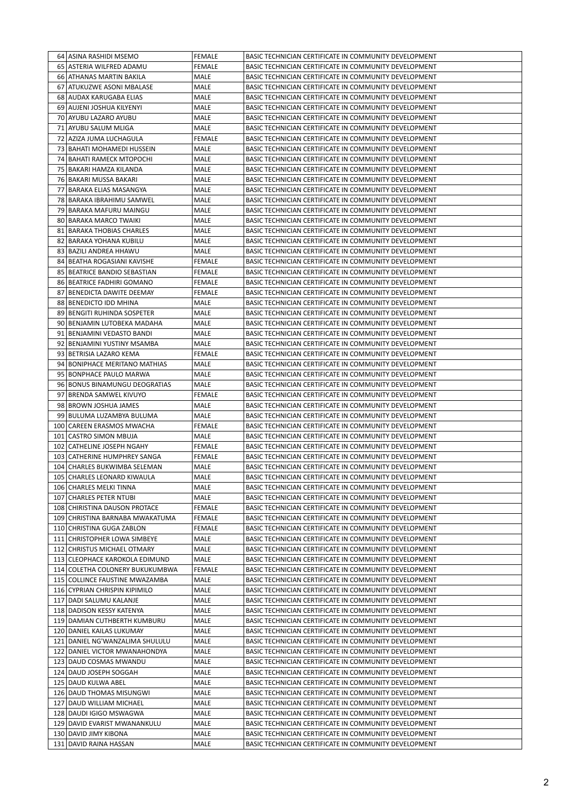| 64   ASINA RASHIDI MSEMO          | <b>FEMALE</b> | BASIC TECHNICIAN CERTIFICATE IN COMMUNITY DEVELOPMENT |
|-----------------------------------|---------------|-------------------------------------------------------|
| 65   ASTERIA WILFRED ADAMU        | FEMALE        | BASIC TECHNICIAN CERTIFICATE IN COMMUNITY DEVELOPMENT |
| 66 ATHANAS MARTIN BAKILA          | MALE          | BASIC TECHNICIAN CERTIFICATE IN COMMUNITY DEVELOPMENT |
| 67 ATUKUZWE ASONI MBALASE         | MALE          | BASIC TECHNICIAN CERTIFICATE IN COMMUNITY DEVELOPMENT |
| 68 AUDAX KARUGABA ELIAS           | MALE          | BASIC TECHNICIAN CERTIFICATE IN COMMUNITY DEVELOPMENT |
| 69 AUJENI JOSHUA KILYENYI         | MALE          | BASIC TECHNICIAN CERTIFICATE IN COMMUNITY DEVELOPMENT |
| 70 AYUBU LAZARO AYUBU             | MALE          | BASIC TECHNICIAN CERTIFICATE IN COMMUNITY DEVELOPMENT |
| 71 AYUBU SALUM MLIGA              | MALE          | BASIC TECHNICIAN CERTIFICATE IN COMMUNITY DEVELOPMENT |
| 72   AZIZA JUMA LUCHAGULA         | FEMALE        | BASIC TECHNICIAN CERTIFICATE IN COMMUNITY DEVELOPMENT |
| 73 BAHATI MOHAMEDI HUSSEIN        | MALE          | BASIC TECHNICIAN CERTIFICATE IN COMMUNITY DEVELOPMENT |
| 74 BAHATI RAMECK MTOPOCHI         | MALE          | BASIC TECHNICIAN CERTIFICATE IN COMMUNITY DEVELOPMENT |
| 75   BAKARI HAMZA KILANDA         | MALE          | BASIC TECHNICIAN CERTIFICATE IN COMMUNITY DEVELOPMENT |
| 76   BAKARI MUSSA BAKARI          | MALE          | BASIC TECHNICIAN CERTIFICATE IN COMMUNITY DEVELOPMENT |
| 77 BARAKA ELIAS MASANGYA          | MALE          | BASIC TECHNICIAN CERTIFICATE IN COMMUNITY DEVELOPMENT |
| 78 BARAKA IBRAHIMU SAMWEL         | MALE          | BASIC TECHNICIAN CERTIFICATE IN COMMUNITY DEVELOPMENT |
| 79   BARAKA MAFURU MAINGU         | MALE          | BASIC TECHNICIAN CERTIFICATE IN COMMUNITY DEVELOPMENT |
| 80 BARAKA MARCO TWAIKI            | MALE          | BASIC TECHNICIAN CERTIFICATE IN COMMUNITY DEVELOPMENT |
| 81 BARAKA THOBIAS CHARLES         | MALE          | BASIC TECHNICIAN CERTIFICATE IN COMMUNITY DEVELOPMENT |
| 82   BARAKA YOHANA KUBILU         | MALE          | BASIC TECHNICIAN CERTIFICATE IN COMMUNITY DEVELOPMENT |
| 83   BAZILI ANDREA HHAWU          | MALE          | BASIC TECHNICIAN CERTIFICATE IN COMMUNITY DEVELOPMENT |
| 84   BEATHA ROGASIANI KAVISHE     | FEMALE        | BASIC TECHNICIAN CERTIFICATE IN COMMUNITY DEVELOPMENT |
| 85   BEATRICE BANDIO SEBASTIAN    | <b>FEMALE</b> | BASIC TECHNICIAN CERTIFICATE IN COMMUNITY DEVELOPMENT |
| 86   BEATRICE FADHIRI GOMANO      | FEMALE        | BASIC TECHNICIAN CERTIFICATE IN COMMUNITY DEVELOPMENT |
| 87 BENEDICTA DAWITE DEEMAY        | <b>FEMALE</b> | BASIC TECHNICIAN CERTIFICATE IN COMMUNITY DEVELOPMENT |
| 88 BENEDICTO IDD MHINA            | MALE          | BASIC TECHNICIAN CERTIFICATE IN COMMUNITY DEVELOPMENT |
| 89 BENGITI RUHINDA SOSPETER       | MALE          | BASIC TECHNICIAN CERTIFICATE IN COMMUNITY DEVELOPMENT |
|                                   | MALE          |                                                       |
| 90 BENJAMIN LUTOBEKA MADAHA       |               | BASIC TECHNICIAN CERTIFICATE IN COMMUNITY DEVELOPMENT |
| 91   BENJAMINI VEDASTO BANDI      | MALE          | BASIC TECHNICIAN CERTIFICATE IN COMMUNITY DEVELOPMENT |
| 92 BENJAMINI YUSTINY MSAMBA       | <b>MALE</b>   | BASIC TECHNICIAN CERTIFICATE IN COMMUNITY DEVELOPMENT |
| 93   BETRISIA LAZARO KEMA         | FEMALE        | BASIC TECHNICIAN CERTIFICATE IN COMMUNITY DEVELOPMENT |
| 94 BONIPHACE MERITANO MATHIAS     | MALE          | BASIC TECHNICIAN CERTIFICATE IN COMMUNITY DEVELOPMENT |
| 95 BONPHACE PAULO MARWA           | MALE          | BASIC TECHNICIAN CERTIFICATE IN COMMUNITY DEVELOPMENT |
| 96 BONUS BINAMUNGU DEOGRATIAS     | MALE          | BASIC TECHNICIAN CERTIFICATE IN COMMUNITY DEVELOPMENT |
| 97 BRENDA SAMWEL KIVUYO           | FEMALE        | BASIC TECHNICIAN CERTIFICATE IN COMMUNITY DEVELOPMENT |
| 98 BROWN JOSHUA JAMES             | MALE          | BASIC TECHNICIAN CERTIFICATE IN COMMUNITY DEVELOPMENT |
| 99   BULUMA LUZAMBYA BULUMA       | <b>MALE</b>   | BASIC TECHNICIAN CERTIFICATE IN COMMUNITY DEVELOPMENT |
| 100 CAREEN ERASMOS MWACHA         | FEMALE        | BASIC TECHNICIAN CERTIFICATE IN COMMUNITY DEVELOPMENT |
| 101 CASTRO SIMON MBUJA            | MALE          | BASIC TECHNICIAN CERTIFICATE IN COMMUNITY DEVELOPMENT |
| 102 CATHELINE JOSEPH NGAHY        | <b>FEMALE</b> | BASIC TECHNICIAN CERTIFICATE IN COMMUNITY DEVELOPMENT |
| 103 CATHERINE HUMPHREY SANGA      | <b>FEMALE</b> | BASIC TECHNICIAN CERTIFICATE IN COMMUNITY DEVELOPMENT |
| 104 CHARLES BUKWIMBA SELEMAN      | MALE          | BASIC TECHNICIAN CERTIFICATE IN COMMUNITY DEVELOPMENT |
| 105 CHARLES LEONARD KIWAULA       | MALE          | BASIC TECHNICIAN CERTIFICATE IN COMMUNITY DEVELOPMENT |
| 106 CHARLES MELKI TINNA           | MALE          | BASIC TECHNICIAN CERTIFICATE IN COMMUNITY DEVELOPMENT |
| 107 CHARLES PETER NTUBI           | MALE          | BASIC TECHNICIAN CERTIFICATE IN COMMUNITY DEVELOPMENT |
| 108 CHIRISTINA DAUSON PROTACE     | <b>FEMALE</b> | BASIC TECHNICIAN CERTIFICATE IN COMMUNITY DEVELOPMENT |
| 109 CHRISTINA BARNABA MWAKATUMA   | <b>FEMALE</b> | BASIC TECHNICIAN CERTIFICATE IN COMMUNITY DEVELOPMENT |
| 110 CHRISTINA GUGA ZABLON         | FEMALE        | BASIC TECHNICIAN CERTIFICATE IN COMMUNITY DEVELOPMENT |
| 111 CHRISTOPHER LOWA SIMBEYE      | MALE          | BASIC TECHNICIAN CERTIFICATE IN COMMUNITY DEVELOPMENT |
| 112 CHRISTUS MICHAEL OTMARY       | MALE          | BASIC TECHNICIAN CERTIFICATE IN COMMUNITY DEVELOPMENT |
| 113 CLEOPHACE KAROKOLA EDIMUND    | MALE          | BASIC TECHNICIAN CERTIFICATE IN COMMUNITY DEVELOPMENT |
| 114 COLETHA COLONERY BUKUKUMBWA   | <b>FEMALE</b> | BASIC TECHNICIAN CERTIFICATE IN COMMUNITY DEVELOPMENT |
| 115 COLLINCE FAUSTINE MWAZAMBA    | MALE          | BASIC TECHNICIAN CERTIFICATE IN COMMUNITY DEVELOPMENT |
| 116 CYPRIAN CHRISPIN KIPIMILO     | MALE          | BASIC TECHNICIAN CERTIFICATE IN COMMUNITY DEVELOPMENT |
| 117 DADI SALUMU KALANJE           | MALE          | BASIC TECHNICIAN CERTIFICATE IN COMMUNITY DEVELOPMENT |
| 118 DADISON KESSY KATENYA         | MALE          | BASIC TECHNICIAN CERTIFICATE IN COMMUNITY DEVELOPMENT |
| 119 DAMIAN CUTHBERTH KUMBURU      | MALE          | BASIC TECHNICIAN CERTIFICATE IN COMMUNITY DEVELOPMENT |
| 120 DANIEL KAILAS LUKUMAY         | MALE          | BASIC TECHNICIAN CERTIFICATE IN COMMUNITY DEVELOPMENT |
| 121   DANIEL NG'WANZALIMA SHULULU | MALE          | BASIC TECHNICIAN CERTIFICATE IN COMMUNITY DEVELOPMENT |
| 122   DANIEL VICTOR MWANAHONDYA   | MALE          | BASIC TECHNICIAN CERTIFICATE IN COMMUNITY DEVELOPMENT |
| 123 DAUD COSMAS MWANDU            | MALE          | BASIC TECHNICIAN CERTIFICATE IN COMMUNITY DEVELOPMENT |
| 124 DAUD JOSEPH SOGGAH            | MALE          | BASIC TECHNICIAN CERTIFICATE IN COMMUNITY DEVELOPMENT |
| 125 DAUD KULWA ABEL               | MALE          | BASIC TECHNICIAN CERTIFICATE IN COMMUNITY DEVELOPMENT |
| 126 DAUD THOMAS MISUNGWI          | MALE          | BASIC TECHNICIAN CERTIFICATE IN COMMUNITY DEVELOPMENT |
| 127 DAUD WILLIAM MICHAEL          | MALE          | BASIC TECHNICIAN CERTIFICATE IN COMMUNITY DEVELOPMENT |
| 128 DAUDI IGIGO MSWAGWA           | MALE          | BASIC TECHNICIAN CERTIFICATE IN COMMUNITY DEVELOPMENT |
| 129 DAVID EVARIST MWANANKULU      | MALE          | BASIC TECHNICIAN CERTIFICATE IN COMMUNITY DEVELOPMENT |
| 130 DAVID JIMY KIBONA             | MALE          | BASIC TECHNICIAN CERTIFICATE IN COMMUNITY DEVELOPMENT |
| 131 DAVID RAINA HASSAN            | MALE          | BASIC TECHNICIAN CERTIFICATE IN COMMUNITY DEVELOPMENT |
|                                   |               |                                                       |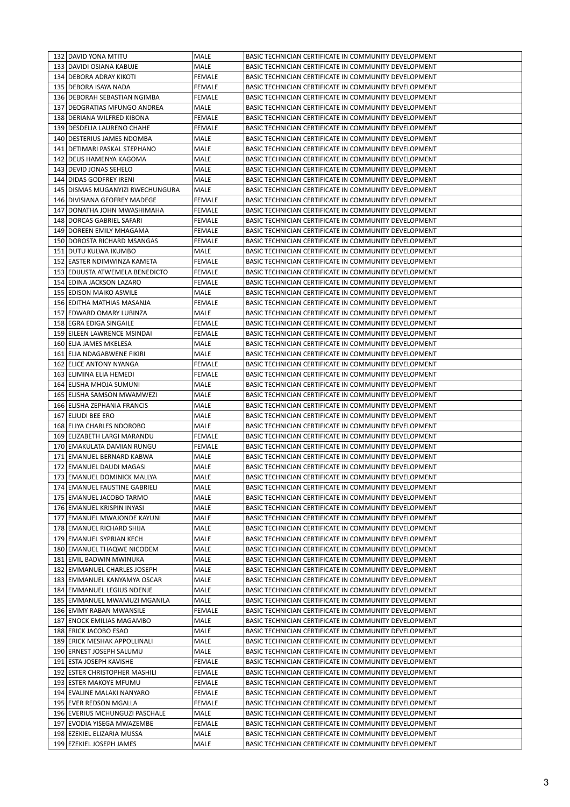| 132   DAVID YONA MTITU             | MALE          | BASIC TECHNICIAN CERTIFICATE IN COMMUNITY DEVELOPMENT |
|------------------------------------|---------------|-------------------------------------------------------|
| 133   DAVIDI OSIANA KABUJE         | MALE          | BASIC TECHNICIAN CERTIFICATE IN COMMUNITY DEVELOPMENT |
| 134 DEBORA ADRAY KIKOTI            | FEMALE        | BASIC TECHNICIAN CERTIFICATE IN COMMUNITY DEVELOPMENT |
| 135   DEBORA ISAYA NADA            | FEMALE        | BASIC TECHNICIAN CERTIFICATE IN COMMUNITY DEVELOPMENT |
| 136   DEBORAH SEBASTIAN NGIMBA     | FEMALE        | BASIC TECHNICIAN CERTIFICATE IN COMMUNITY DEVELOPMENT |
| 137   DEOGRATIAS MFUNGO ANDREA     | MALE          | BASIC TECHNICIAN CERTIFICATE IN COMMUNITY DEVELOPMENT |
| 138 DERIANA WILFRED KIBONA         | FEMALE        | BASIC TECHNICIAN CERTIFICATE IN COMMUNITY DEVELOPMENT |
| 139   DESDELIA LAURENO CHAHE       | FEMALE        | BASIC TECHNICIAN CERTIFICATE IN COMMUNITY DEVELOPMENT |
| 140   DESTERIUS JAMES NDOMBA       | MALE          | BASIC TECHNICIAN CERTIFICATE IN COMMUNITY DEVELOPMENT |
| 141   DETIMARI PASKAL STEPHANO     | MALE          | BASIC TECHNICIAN CERTIFICATE IN COMMUNITY DEVELOPMENT |
| 142 DEUS HAMENYA KAGOMA            | MALE          | BASIC TECHNICIAN CERTIFICATE IN COMMUNITY DEVELOPMENT |
| 143   DEVID JONAS SEHELO           | MALE          | BASIC TECHNICIAN CERTIFICATE IN COMMUNITY DEVELOPMENT |
| 144 DIDAS GODFREY IRENI            | MALE          | BASIC TECHNICIAN CERTIFICATE IN COMMUNITY DEVELOPMENT |
| 145   DISMAS MUGANYIZI RWECHUNGURA | MALE          | BASIC TECHNICIAN CERTIFICATE IN COMMUNITY DEVELOPMENT |
|                                    |               |                                                       |
| 146 DIVISIANA GEOFREY MADEGE       | FEMALE        | BASIC TECHNICIAN CERTIFICATE IN COMMUNITY DEVELOPMENT |
| 147   DONATHA JOHN MWASHIMAHA      | FEMALE        | BASIC TECHNICIAN CERTIFICATE IN COMMUNITY DEVELOPMENT |
| 148 DORCAS GABRIEL SAFARI          | FEMALE        | BASIC TECHNICIAN CERTIFICATE IN COMMUNITY DEVELOPMENT |
| 149   DOREEN EMILY MHAGAMA         | <b>FEMALE</b> | BASIC TECHNICIAN CERTIFICATE IN COMMUNITY DEVELOPMENT |
| 150   DOROSTA RICHARD MSANGAS      | FEMALE        | BASIC TECHNICIAN CERTIFICATE IN COMMUNITY DEVELOPMENT |
| 151 DUTU KULWA IKUMBO              | MALE          | BASIC TECHNICIAN CERTIFICATE IN COMMUNITY DEVELOPMENT |
| 152 EASTER NDIMWINZA KAMETA        | FEMALE        | BASIC TECHNICIAN CERTIFICATE IN COMMUNITY DEVELOPMENT |
| 153 EDIJUSTA ATWEMELA BENEDICTO    | FEMALE        | BASIC TECHNICIAN CERTIFICATE IN COMMUNITY DEVELOPMENT |
| 154 EDINA JACKSON LAZARO           | <b>FEMALE</b> | BASIC TECHNICIAN CERTIFICATE IN COMMUNITY DEVELOPMENT |
| 155 EDISON MAIKO ASWILE            | MALE          | BASIC TECHNICIAN CERTIFICATE IN COMMUNITY DEVELOPMENT |
| 156 EDITHA MATHIAS MASANJA         | <b>FEMALE</b> | BASIC TECHNICIAN CERTIFICATE IN COMMUNITY DEVELOPMENT |
| 157 EDWARD OMARY LUBINZA           | MALE          | BASIC TECHNICIAN CERTIFICATE IN COMMUNITY DEVELOPMENT |
| 158 EGRA EDIGA SINGAILE            | FEMALE        | BASIC TECHNICIAN CERTIFICATE IN COMMUNITY DEVELOPMENT |
| 159 EILEEN LAWRENCE MSINDAI        | FEMALE        | BASIC TECHNICIAN CERTIFICATE IN COMMUNITY DEVELOPMENT |
| 160 ELIA JAMES MKELESA             | MALE          | BASIC TECHNICIAN CERTIFICATE IN COMMUNITY DEVELOPMENT |
| 161 ELIA NDAGABWENE FIKIRI         | MALE          | BASIC TECHNICIAN CERTIFICATE IN COMMUNITY DEVELOPMENT |
| 162 ELICE ANTONY NYANGA            | FEMALE        | BASIC TECHNICIAN CERTIFICATE IN COMMUNITY DEVELOPMENT |
|                                    |               |                                                       |
| 163 ELIMINA ELIA HEMEDI            | FEMALE        | BASIC TECHNICIAN CERTIFICATE IN COMMUNITY DEVELOPMENT |
| 164 ELISHA MHOJA SUMUNI            | MALE          | BASIC TECHNICIAN CERTIFICATE IN COMMUNITY DEVELOPMENT |
| 165 ELISHA SAMSON MWAMWEZI         | MALE          | BASIC TECHNICIAN CERTIFICATE IN COMMUNITY DEVELOPMENT |
| 166 ELISHA ZEPHANIA FRANCIS        | MALE          | BASIC TECHNICIAN CERTIFICATE IN COMMUNITY DEVELOPMENT |
| 167 ELIUDI BEE ERO                 | MALE          | BASIC TECHNICIAN CERTIFICATE IN COMMUNITY DEVELOPMENT |
| 168 ELIYA CHARLES NDOROBO          | MALE          | BASIC TECHNICIAN CERTIFICATE IN COMMUNITY DEVELOPMENT |
| 169 ELIZABETH LARGI MARANDU        | FEMALE        | BASIC TECHNICIAN CERTIFICATE IN COMMUNITY DEVELOPMENT |
| 170 EMAKULATA DAMIAN RUNGU         | FEMALE        | BASIC TECHNICIAN CERTIFICATE IN COMMUNITY DEVELOPMENT |
| 171 EMANUEL BERNARD KABWA          | MALE          | BASIC TECHNICIAN CERTIFICATE IN COMMUNITY DEVELOPMENT |
| 172 EMANUEL DAUDI MAGASI           | MALE          | BASIC TECHNICIAN CERTIFICATE IN COMMUNITY DEVELOPMENT |
| 173 EMANUEL DOMINICK MALLYA        | <b>MALE</b>   | BASIC TECHNICIAN CERTIFICATE IN COMMUNITY DEVELOPMENT |
| 174 EMANUEL FAUSTINE GABRIELI      | MALE          | BASIC TECHNICIAN CERTIFICATE IN COMMUNITY DEVELOPMENT |
| 175 EMANUEL JACOBO TARMO           | MALE          | BASIC TECHNICIAN CERTIFICATE IN COMMUNITY DEVELOPMENT |
| 176 EMANUEL KRISPIN INYASI         | MALE          | BASIC TECHNICIAN CERTIFICATE IN COMMUNITY DEVELOPMENT |
| 177 EMANUEL MWAJONDE KAYUNI        | MALE          | BASIC TECHNICIAN CERTIFICATE IN COMMUNITY DEVELOPMENT |
| 178 EMANUEL RICHARD SHIJA          | MALE          | BASIC TECHNICIAN CERTIFICATE IN COMMUNITY DEVELOPMENT |
| 179 EMANUEL SYPRIAN KECH           | MALE          | BASIC TECHNICIAN CERTIFICATE IN COMMUNITY DEVELOPMENT |
|                                    | MALE          | BASIC TECHNICIAN CERTIFICATE IN COMMUNITY DEVELOPMENT |
| 180 EMANUEL THAQWE NICODEM         |               |                                                       |
| 181 EMIL BADWIN MWINUKA            | MALE          | BASIC TECHNICIAN CERTIFICATE IN COMMUNITY DEVELOPMENT |
| 182 EMMANUEL CHARLES JOSEPH        | MALE          | BASIC TECHNICIAN CERTIFICATE IN COMMUNITY DEVELOPMENT |
| 183   EMMANUEL KANYAMYA OSCAR      | MALE          | BASIC TECHNICIAN CERTIFICATE IN COMMUNITY DEVELOPMENT |
| 184 EMMANUEL LEGIUS NDENJE         | MALE          | BASIC TECHNICIAN CERTIFICATE IN COMMUNITY DEVELOPMENT |
| 185   EMMANUEL MWAMUZI MGANILA     | MALE          | BASIC TECHNICIAN CERTIFICATE IN COMMUNITY DEVELOPMENT |
| 186 EMMY RABAN MWANSILE            | <b>FEMALE</b> | BASIC TECHNICIAN CERTIFICATE IN COMMUNITY DEVELOPMENT |
| 187 ENOCK EMILIAS MAGAMBO          | MALE          | BASIC TECHNICIAN CERTIFICATE IN COMMUNITY DEVELOPMENT |
| 188 ERICK JACOBO ESAO              | MALE          | BASIC TECHNICIAN CERTIFICATE IN COMMUNITY DEVELOPMENT |
| 189 ERICK MESHAK APPOLLINALI       | MALE          | BASIC TECHNICIAN CERTIFICATE IN COMMUNITY DEVELOPMENT |
| 190 ERNEST JOSEPH SALUMU           | MALE          | BASIC TECHNICIAN CERTIFICATE IN COMMUNITY DEVELOPMENT |
| 191 ESTA JOSEPH KAVISHE            | <b>FEMALE</b> | BASIC TECHNICIAN CERTIFICATE IN COMMUNITY DEVELOPMENT |
| 192 ESTER CHRISTOPHER MASHILI      | FEMALE        | BASIC TECHNICIAN CERTIFICATE IN COMMUNITY DEVELOPMENT |
| 193 ESTER MAKOYE MFUMU             | <b>FEMALE</b> | BASIC TECHNICIAN CERTIFICATE IN COMMUNITY DEVELOPMENT |
| 194 EVALINE MALAKI NANYARO         | <b>FEMALE</b> | BASIC TECHNICIAN CERTIFICATE IN COMMUNITY DEVELOPMENT |
| 195 EVER REDSON MGALLA             | <b>FEMALE</b> | BASIC TECHNICIAN CERTIFICATE IN COMMUNITY DEVELOPMENT |
|                                    |               |                                                       |
| 196 EVERIUS MCHUNGUZI PASCHALE     | MALE          | BASIC TECHNICIAN CERTIFICATE IN COMMUNITY DEVELOPMENT |
| 197 EVODIA YISEGA MWAZEMBE         | FEMALE        | BASIC TECHNICIAN CERTIFICATE IN COMMUNITY DEVELOPMENT |
| 198 EZEKIEL ELIZARIA MUSSA         | MALE          | BASIC TECHNICIAN CERTIFICATE IN COMMUNITY DEVELOPMENT |
| 199 EZEKIEL JOSEPH JAMES           | MALE          | BASIC TECHNICIAN CERTIFICATE IN COMMUNITY DEVELOPMENT |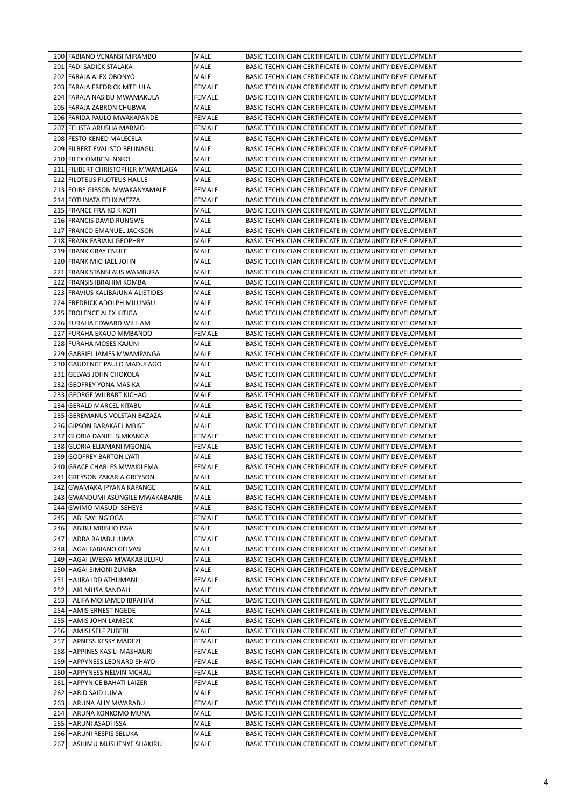| 200 FABIANO VENANSI MIRAMBO                                   | MALE          | BASIC TECHNICIAN CERTIFICATE IN COMMUNITY DEVELOPMENT                                                          |
|---------------------------------------------------------------|---------------|----------------------------------------------------------------------------------------------------------------|
| 201   FADI SADICK STALAKA                                     | MALE          | BASIC TECHNICIAN CERTIFICATE IN COMMUNITY DEVELOPMENT                                                          |
| 202 FARAJA ALEX OBONYO                                        | MALE          | BASIC TECHNICIAN CERTIFICATE IN COMMUNITY DEVELOPMENT                                                          |
| 203 FARAJA FREDRICK MTELULA                                   | <b>FEMALE</b> | BASIC TECHNICIAN CERTIFICATE IN COMMUNITY DEVELOPMENT                                                          |
| 204 FARAJA NASIBU MWAMAKULA                                   | FEMALE        | BASIC TECHNICIAN CERTIFICATE IN COMMUNITY DEVELOPMENT                                                          |
| 205 FARAJA ZABRON CHUBWA                                      | MALE          | BASIC TECHNICIAN CERTIFICATE IN COMMUNITY DEVELOPMENT                                                          |
| 206   FARIDA PAULO MWAKAPANDE                                 | <b>FEMALE</b> | BASIC TECHNICIAN CERTIFICATE IN COMMUNITY DEVELOPMENT                                                          |
| 207   FELISTA ARUSHA MARMO                                    | FEMALE        | BASIC TECHNICIAN CERTIFICATE IN COMMUNITY DEVELOPMENT                                                          |
| 208 FESTO KENED MALECELA                                      | MALE          | BASIC TECHNICIAN CERTIFICATE IN COMMUNITY DEVELOPMENT                                                          |
| 209 FILBERT EVALISTO BELINAGU                                 | MALE          | BASIC TECHNICIAN CERTIFICATE IN COMMUNITY DEVELOPMENT                                                          |
| 210 FILEX OMBENI NNKO                                         | MALE          | BASIC TECHNICIAN CERTIFICATE IN COMMUNITY DEVELOPMENT                                                          |
| 211 FILIBERT CHRISTOPHER MWAMLAGA                             | MALE          | BASIC TECHNICIAN CERTIFICATE IN COMMUNITY DEVELOPMENT                                                          |
| 212   FILOTEUS FILOTEUS HAULE                                 | MALE          | BASIC TECHNICIAN CERTIFICATE IN COMMUNITY DEVELOPMENT                                                          |
| 213 FOIBE GIBSON MWAKANYAMALE                                 | FEMALE        | BASIC TECHNICIAN CERTIFICATE IN COMMUNITY DEVELOPMENT                                                          |
| 214   FOTUNATA FELIX MEZZA                                    | <b>FEMALE</b> | BASIC TECHNICIAN CERTIFICATE IN COMMUNITY DEVELOPMENT                                                          |
| 215 FRANCE FRAIKO KIKOTI                                      | MALE          | BASIC TECHNICIAN CERTIFICATE IN COMMUNITY DEVELOPMENT                                                          |
| 216 FRANCIS DAVID RUNGWE                                      | MALE          | BASIC TECHNICIAN CERTIFICATE IN COMMUNITY DEVELOPMENT                                                          |
| 217 FRANCO EMANUEL JACKSON                                    | MALE          | BASIC TECHNICIAN CERTIFICATE IN COMMUNITY DEVELOPMENT                                                          |
| 218 FRANK FABIANI GEOPHRY                                     | MALE          | BASIC TECHNICIAN CERTIFICATE IN COMMUNITY DEVELOPMENT                                                          |
| 219 FRANK GRAY ENULE                                          | <b>MALE</b>   | BASIC TECHNICIAN CERTIFICATE IN COMMUNITY DEVELOPMENT                                                          |
| 220 FRANK MICHAEL JOHN                                        | MALE<br>MALE  | BASIC TECHNICIAN CERTIFICATE IN COMMUNITY DEVELOPMENT                                                          |
| 221 FRANK STANSLAUS WAMBURA                                   |               | BASIC TECHNICIAN CERTIFICATE IN COMMUNITY DEVELOPMENT                                                          |
| 222 FRANSIS IBRAHIM KOMBA<br>223 FRAVIUS KALIBAJUNA ALISTIDES | MALE<br>MALE  | BASIC TECHNICIAN CERTIFICATE IN COMMUNITY DEVELOPMENT<br>BASIC TECHNICIAN CERTIFICATE IN COMMUNITY DEVELOPMENT |
| 224 FREDRICK ADOLPH MILUNGU                                   | MALE          | BASIC TECHNICIAN CERTIFICATE IN COMMUNITY DEVELOPMENT                                                          |
| 225 FROLENCE ALEX KITIGA                                      | MALE          | BASIC TECHNICIAN CERTIFICATE IN COMMUNITY DEVELOPMENT                                                          |
| 226 FURAHA EDWARD WILLIAM                                     | MALE          | BASIC TECHNICIAN CERTIFICATE IN COMMUNITY DEVELOPMENT                                                          |
| 227 FURAHA EXAUD MMBANDO                                      | <b>FEMALE</b> | BASIC TECHNICIAN CERTIFICATE IN COMMUNITY DEVELOPMENT                                                          |
| 228 FURAHA MOSES KAJUNI                                       | MALE          | BASIC TECHNICIAN CERTIFICATE IN COMMUNITY DEVELOPMENT                                                          |
| 229 GABRIEL JAMES MWAMPANGA                                   | MALE          | BASIC TECHNICIAN CERTIFICATE IN COMMUNITY DEVELOPMENT                                                          |
| 230 GAUDENCE PAULO MADULAGO                                   | MALE          | BASIC TECHNICIAN CERTIFICATE IN COMMUNITY DEVELOPMENT                                                          |
| 231 GELVAS JOHN CHOKOLA                                       | MALE          | BASIC TECHNICIAN CERTIFICATE IN COMMUNITY DEVELOPMENT                                                          |
| 232 GEOFREY YONA MASIKA                                       | MALE          | BASIC TECHNICIAN CERTIFICATE IN COMMUNITY DEVELOPMENT                                                          |
| 233 GEORGE WILBART KICHAO                                     | MALE          | BASIC TECHNICIAN CERTIFICATE IN COMMUNITY DEVELOPMENT                                                          |
| 234 GERALD MARCEL KITABU                                      | MALE          | BASIC TECHNICIAN CERTIFICATE IN COMMUNITY DEVELOPMENT                                                          |
| 235   GEREMANUS VOLSTAN BAZAZA                                | MALE          | BASIC TECHNICIAN CERTIFICATE IN COMMUNITY DEVELOPMENT                                                          |
| 236 GIPSON BARAKAEL MBISE                                     | MALE          | BASIC TECHNICIAN CERTIFICATE IN COMMUNITY DEVELOPMENT                                                          |
| 237 GLORIA DANIEL SIMKANGA                                    | <b>FEMALE</b> | BASIC TECHNICIAN CERTIFICATE IN COMMUNITY DEVELOPMENT                                                          |
| 238 GLORIA ELIAMANI MGONJA                                    | FEMALE        | BASIC TECHNICIAN CERTIFICATE IN COMMUNITY DEVELOPMENT                                                          |
| 239 GODFREY BARTON LYATI                                      | MALE          | BASIC TECHNICIAN CERTIFICATE IN COMMUNITY DEVELOPMENT                                                          |
| 240 GRACE CHARLES MWAKILEMA                                   | <b>FEMALE</b> | BASIC TECHNICIAN CERTIFICATE IN COMMUNITY DEVELOPMENT                                                          |
| 241 GREYSON ZAKARIA GREYSON                                   | MALE          | BASIC TECHNICIAN CERTIFICATE IN COMMUNITY DEVELOPMENT                                                          |
| 242   GWAMAKA IPYANA KAPANGE                                  | MALE          | BASIC TECHNICIAN CERTIFICATE IN COMMUNITY DEVELOPMENT                                                          |
| 243 GWANDUMI ASUNGILE MWAKABANJE                              | MALE          | BASIC TECHNICIAN CERTIFICATE IN COMMUNITY DEVELOPMENT                                                          |
| 244 GWIMO MASUDI SEHEYE                                       | MALE          | BASIC TECHNICIAN CERTIFICATE IN COMMUNITY DEVELOPMENT                                                          |
| 245 HABI SAYI NG'OGA                                          | FEMALE        | BASIC TECHNICIAN CERTIFICATE IN COMMUNITY DEVELOPMENT                                                          |
| 246 HABIBU MRISHO ISSA                                        | MALE          | BASIC TECHNICIAN CERTIFICATE IN COMMUNITY DEVELOPMENT                                                          |
| 247 HADRA RAJABU JUMA                                         | <b>FEMALE</b> | BASIC TECHNICIAN CERTIFICATE IN COMMUNITY DEVELOPMENT                                                          |
| 248 HAGAI FABIANO GELVASI                                     | MALE          | BASIC TECHNICIAN CERTIFICATE IN COMMUNITY DEVELOPMENT                                                          |
| 249 HAGAI LWESYA MWAKABULUFU                                  | MALE          | BASIC TECHNICIAN CERTIFICATE IN COMMUNITY DEVELOPMENT                                                          |
| 250 HAGAI SIMONI ZUMBA                                        | MALE          | BASIC TECHNICIAN CERTIFICATE IN COMMUNITY DEVELOPMENT                                                          |
| 251 HAJIRA IDD ATHUMANI                                       | <b>FEMALE</b> | BASIC TECHNICIAN CERTIFICATE IN COMMUNITY DEVELOPMENT                                                          |
| 252 HAKI MUSA SANDALI                                         | MALE          | BASIC TECHNICIAN CERTIFICATE IN COMMUNITY DEVELOPMENT                                                          |
| 253 HALIFA MOHAMED IBRAHIM                                    | MALE          | BASIC TECHNICIAN CERTIFICATE IN COMMUNITY DEVELOPMENT                                                          |
| 254 HAMIS ERNEST NGEDE                                        | MALE          | BASIC TECHNICIAN CERTIFICATE IN COMMUNITY DEVELOPMENT                                                          |
| 255 HAMIS JOHN LAMECK                                         | MALE          | BASIC TECHNICIAN CERTIFICATE IN COMMUNITY DEVELOPMENT                                                          |
| 256 HAMISI SELF ZUBERI                                        | MALE          | BASIC TECHNICIAN CERTIFICATE IN COMMUNITY DEVELOPMENT                                                          |
| 257 HAPNESS KESSY MADEZI                                      | FEMALE        | BASIC TECHNICIAN CERTIFICATE IN COMMUNITY DEVELOPMENT                                                          |
| 258 HAPPINES KASILI MASHAURI                                  | <b>FEMALE</b> | BASIC TECHNICIAN CERTIFICATE IN COMMUNITY DEVELOPMENT                                                          |
| 259 HAPPYNESS LEONARD SHAYO                                   | FEMALE        | BASIC TECHNICIAN CERTIFICATE IN COMMUNITY DEVELOPMENT                                                          |
| 260 HAPPYNESS NELVIN MCHAU                                    | FEMALE        | BASIC TECHNICIAN CERTIFICATE IN COMMUNITY DEVELOPMENT                                                          |
| 261 HAPPYNICE BAHATI LAIZER                                   | <b>FEMALE</b> | BASIC TECHNICIAN CERTIFICATE IN COMMUNITY DEVELOPMENT                                                          |
| 262 HARID SAID JUMA                                           | MALE          | BASIC TECHNICIAN CERTIFICATE IN COMMUNITY DEVELOPMENT                                                          |
| 263 HARUNA ALLY MWARABU                                       | <b>FEMALE</b> | BASIC TECHNICIAN CERTIFICATE IN COMMUNITY DEVELOPMENT                                                          |
| 264 HARUNA KONKOMO MUNA                                       | MALE          | BASIC TECHNICIAN CERTIFICATE IN COMMUNITY DEVELOPMENT                                                          |
| 265 HARUNI ASADI ISSA<br>266 HARUNI RESPIS SELUKA             | MALE<br>MALE  | BASIC TECHNICIAN CERTIFICATE IN COMMUNITY DEVELOPMENT<br>BASIC TECHNICIAN CERTIFICATE IN COMMUNITY DEVELOPMENT |
| 267 HASHIMU MUSHENYE SHAKIRU                                  | MALE          | BASIC TECHNICIAN CERTIFICATE IN COMMUNITY DEVELOPMENT                                                          |
|                                                               |               |                                                                                                                |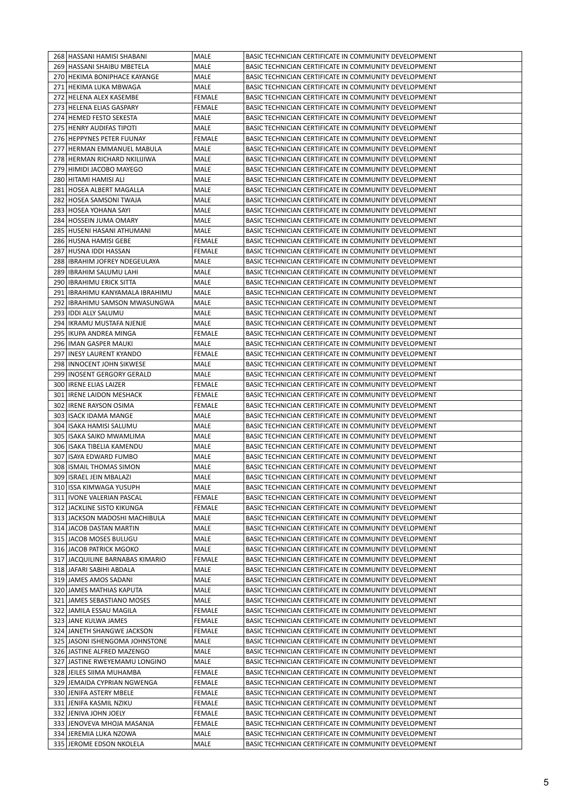|     | 268 HASSANI HAMISI SHABANI        | MALE          | BASIC TECHNICIAN CERTIFICATE IN COMMUNITY DEVELOPMENT |
|-----|-----------------------------------|---------------|-------------------------------------------------------|
|     | 269 HASSANI SHAIBU MBETELA        | MALE          | BASIC TECHNICIAN CERTIFICATE IN COMMUNITY DEVELOPMENT |
|     | 270 HEKIMA BONIPHACE KAYANGE      | MALE          | BASIC TECHNICIAN CERTIFICATE IN COMMUNITY DEVELOPMENT |
|     | 271 HEKIMA LUKA MBWAGA            | MALE          | BASIC TECHNICIAN CERTIFICATE IN COMMUNITY DEVELOPMENT |
|     | 272 HELENA ALEX KASEMBE           | FEMALE        | BASIC TECHNICIAN CERTIFICATE IN COMMUNITY DEVELOPMENT |
|     | 273 HELENA ELIAS GASPARY          | FEMALE        | BASIC TECHNICIAN CERTIFICATE IN COMMUNITY DEVELOPMENT |
|     | 274 HEMED FESTO SEKESTA           | MALE          | BASIC TECHNICIAN CERTIFICATE IN COMMUNITY DEVELOPMENT |
|     | 275 HENRY AUDIFAS TIPOTI          | MALE          | BASIC TECHNICIAN CERTIFICATE IN COMMUNITY DEVELOPMENT |
|     | 276 HEPPYNES PETER FUUNAY         | FEMALE        | BASIC TECHNICIAN CERTIFICATE IN COMMUNITY DEVELOPMENT |
|     |                                   |               |                                                       |
|     | 277 HERMAN EMMANUEL MABULA        | MALE          | BASIC TECHNICIAN CERTIFICATE IN COMMUNITY DEVELOPMENT |
|     | 278 HERMAN RICHARD NKILIJIWA      | MALE          | BASIC TECHNICIAN CERTIFICATE IN COMMUNITY DEVELOPMENT |
|     | 279 HIMIDI JACOBO MAYEGO          | MALE          | BASIC TECHNICIAN CERTIFICATE IN COMMUNITY DEVELOPMENT |
|     | 280   HITAMI HAMISI ALI           | MALE          | BASIC TECHNICIAN CERTIFICATE IN COMMUNITY DEVELOPMENT |
|     | 281 HOSEA ALBERT MAGALLA          | MALE          | BASIC TECHNICIAN CERTIFICATE IN COMMUNITY DEVELOPMENT |
|     | 282 HOSEA SAMSONI TWAJA           | MALE          | BASIC TECHNICIAN CERTIFICATE IN COMMUNITY DEVELOPMENT |
|     | 283 HOSEA YOHANA SAYI             | MALE          | BASIC TECHNICIAN CERTIFICATE IN COMMUNITY DEVELOPMENT |
|     | 284 HOSSEIN JUMA OMARY            | MALE          | BASIC TECHNICIAN CERTIFICATE IN COMMUNITY DEVELOPMENT |
|     | 285 HUSENI HASANI ATHUMANI        | MALE          | BASIC TECHNICIAN CERTIFICATE IN COMMUNITY DEVELOPMENT |
|     | 286 HUSNA HAMISI GEBE             | FEMALE        | BASIC TECHNICIAN CERTIFICATE IN COMMUNITY DEVELOPMENT |
|     | 287 HUSNA IDDI HASSAN             | <b>FEMALE</b> | BASIC TECHNICIAN CERTIFICATE IN COMMUNITY DEVELOPMENT |
|     | 288 I IBRAHIM JOFREY NDEGEULAYA   | MALE          | BASIC TECHNICIAN CERTIFICATE IN COMMUNITY DEVELOPMENT |
|     | 289   IBRAHIM SALUMU LAHI         | MALE          | BASIC TECHNICIAN CERTIFICATE IN COMMUNITY DEVELOPMENT |
|     | 290   IBRAHIMU ERICK SITTA        | MALE          | BASIC TECHNICIAN CERTIFICATE IN COMMUNITY DEVELOPMENT |
|     | 291   IBRAHIMU KANYAMALA IBRAHIMU |               | BASIC TECHNICIAN CERTIFICATE IN COMMUNITY DEVELOPMENT |
|     |                                   | MALE          |                                                       |
|     | 292   IBRAHIMU SAMSON MWASUNGWA   | MALE          | BASIC TECHNICIAN CERTIFICATE IN COMMUNITY DEVELOPMENT |
|     | 293   IDDI ALLY SALUMU            | MALE          | BASIC TECHNICIAN CERTIFICATE IN COMMUNITY DEVELOPMENT |
|     | 294   IKRAMU MUSTAFA NJENJE       | MALE          | BASIC TECHNICIAN CERTIFICATE IN COMMUNITY DEVELOPMENT |
|     | 295   IKUPA ANDREA MINGA          | FEMALE        | BASIC TECHNICIAN CERTIFICATE IN COMMUNITY DEVELOPMENT |
|     | 296   IMAN GASPER MAUKI           | MALE          | BASIC TECHNICIAN CERTIFICATE IN COMMUNITY DEVELOPMENT |
| 297 | <b>INESY LAURENT KYANDO</b>       | FEMALE        | BASIC TECHNICIAN CERTIFICATE IN COMMUNITY DEVELOPMENT |
|     | 298 INNOCENT JOHN SIKWESE         | MALE          | BASIC TECHNICIAN CERTIFICATE IN COMMUNITY DEVELOPMENT |
|     | 299 INOSENT GERGORY GERALD        | MALE          | BASIC TECHNICIAN CERTIFICATE IN COMMUNITY DEVELOPMENT |
|     | 300   IRENE ELIAS LAIZER          | FEMALE        | BASIC TECHNICIAN CERTIFICATE IN COMMUNITY DEVELOPMENT |
|     | 301   IRENE LAIDON MESHACK        | FEMALE        | BASIC TECHNICIAN CERTIFICATE IN COMMUNITY DEVELOPMENT |
| 302 | IRENE RAYSON OSIMA                | FEMALE        | BASIC TECHNICIAN CERTIFICATE IN COMMUNITY DEVELOPMENT |
|     | 303   ISACK IDAMA MANGE           | MALE          | BASIC TECHNICIAN CERTIFICATE IN COMMUNITY DEVELOPMENT |
|     | 304   ISAKA HAMISI SALUMU         | MALE          | BASIC TECHNICIAN CERTIFICATE IN COMMUNITY DEVELOPMENT |
|     | 305 ISAKA SAIKO MWAMLIMA          |               | BASIC TECHNICIAN CERTIFICATE IN COMMUNITY DEVELOPMENT |
|     |                                   | MALE          |                                                       |
|     | 306 ISAKA TIBELIA KAMENDU         | MALE          | BASIC TECHNICIAN CERTIFICATE IN COMMUNITY DEVELOPMENT |
| 307 | ISAYA EDWARD FUMBO                | MALE          | BASIC TECHNICIAN CERTIFICATE IN COMMUNITY DEVELOPMENT |
|     | 308 ISMAIL THOMAS SIMON           | MALE          | BASIC TECHNICIAN CERTIFICATE IN COMMUNITY DEVELOPMENT |
|     | 309 ISRAEL JEIN MBALAZI           | <b>MALE</b>   | BASIC TECHNICIAN CERTIFICATE IN COMMUNITY DEVELOPMENT |
|     | 310 ISSA KIMWAGA YUSUPH           | MALE          | BASIC TECHNICIAN CERTIFICATE IN COMMUNITY DEVELOPMENT |
|     | 311   IVONE VALERIAN PASCAL       | <b>FEMALE</b> | BASIC TECHNICIAN CERTIFICATE IN COMMUNITY DEVELOPMENT |
|     | 312 JACKLINE SISTO KIKUNGA        | <b>FEMALE</b> | BASIC TECHNICIAN CERTIFICATE IN COMMUNITY DEVELOPMENT |
|     | 313 JACKSON MADOSHI MACHIBULA     | MALE          | BASIC TECHNICIAN CERTIFICATE IN COMMUNITY DEVELOPMENT |
|     | 314 JACOB DASTAN MARTIN           | MALE          | BASIC TECHNICIAN CERTIFICATE IN COMMUNITY DEVELOPMENT |
|     | 315 JACOB MOSES BULUGU            | MALE          | BASIC TECHNICIAN CERTIFICATE IN COMMUNITY DEVELOPMENT |
|     | 316 JACOB PATRICK MGOKO           | MALE          | BASIC TECHNICIAN CERTIFICATE IN COMMUNITY DEVELOPMENT |
|     | 317 JACQUILINE BARNABAS KIMARIO   | <b>FEMALE</b> | BASIC TECHNICIAN CERTIFICATE IN COMMUNITY DEVELOPMENT |
|     | 318 JAFARI SABIHI ABDALA          | MALE          | BASIC TECHNICIAN CERTIFICATE IN COMMUNITY DEVELOPMENT |
|     |                                   |               | BASIC TECHNICIAN CERTIFICATE IN COMMUNITY DEVELOPMENT |
|     | 319 JAMES AMOS SADANI             | MALE          |                                                       |
|     | 320 JAMES MATHIAS KAPUTA          | MALE          | BASIC TECHNICIAN CERTIFICATE IN COMMUNITY DEVELOPMENT |
|     | 321 JAMES SEBASTIANO MOSES        | MALE          | BASIC TECHNICIAN CERTIFICATE IN COMMUNITY DEVELOPMENT |
|     | 322 JAMILA ESSAU MAGILA           | <b>FEMALE</b> | BASIC TECHNICIAN CERTIFICATE IN COMMUNITY DEVELOPMENT |
|     | 323 JANE KULWA JAMES              | FEMALE        | BASIC TECHNICIAN CERTIFICATE IN COMMUNITY DEVELOPMENT |
|     | 324 JANETH SHANGWE JACKSON        | FEMALE        | BASIC TECHNICIAN CERTIFICATE IN COMMUNITY DEVELOPMENT |
|     | 325 JASONI ISHENGOMA JOHNSTONE    | MALE          | BASIC TECHNICIAN CERTIFICATE IN COMMUNITY DEVELOPMENT |
|     | 326 JASTINE ALFRED MAZENGO        | MALE          | BASIC TECHNICIAN CERTIFICATE IN COMMUNITY DEVELOPMENT |
|     | 327 JASTINE RWEYEMAMU LONGINO     | MALE          | BASIC TECHNICIAN CERTIFICATE IN COMMUNITY DEVELOPMENT |
|     | 328 JEILES SIIMA MUHAMBA          | FEMALE        | BASIC TECHNICIAN CERTIFICATE IN COMMUNITY DEVELOPMENT |
|     | 329 JEMAIDA CYPRIAN NGWENGA       | <b>FEMALE</b> | BASIC TECHNICIAN CERTIFICATE IN COMMUNITY DEVELOPMENT |
|     | 330 JENIFA ASTERY MBELE           | <b>FEMALE</b> | BASIC TECHNICIAN CERTIFICATE IN COMMUNITY DEVELOPMENT |
|     | 331 JENIFA KASMIL NZIKU           | <b>FEMALE</b> | BASIC TECHNICIAN CERTIFICATE IN COMMUNITY DEVELOPMENT |
|     | 332 JENIVA JOHN JOELY             | FEMALE        | BASIC TECHNICIAN CERTIFICATE IN COMMUNITY DEVELOPMENT |
|     |                                   |               | BASIC TECHNICIAN CERTIFICATE IN COMMUNITY DEVELOPMENT |
|     | 333 JENOVEVA MHOJA MASANJA        | FEMALE        |                                                       |
|     | 334 JEREMIA LUKA NZOWA            | MALE          | BASIC TECHNICIAN CERTIFICATE IN COMMUNITY DEVELOPMENT |
|     | 335 JEROME EDSON NKOLELA          | MALE          | BASIC TECHNICIAN CERTIFICATE IN COMMUNITY DEVELOPMENT |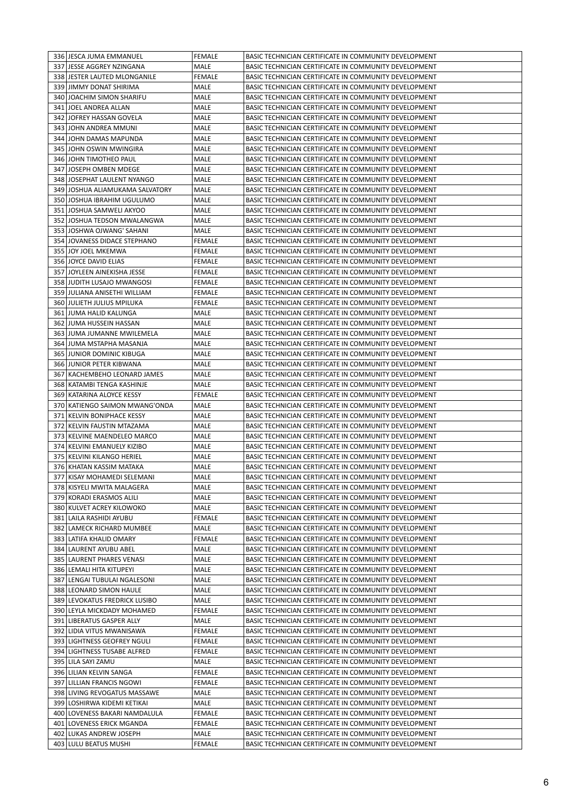|     | 336 JESCA JUMA EMMANUEL                          | <b>FEMALE</b>         | BASIC TECHNICIAN CERTIFICATE IN COMMUNITY DEVELOPMENT                                                          |
|-----|--------------------------------------------------|-----------------------|----------------------------------------------------------------------------------------------------------------|
|     | 337 JESSE AGGREY NZINGANA                        | MALE                  | BASIC TECHNICIAN CERTIFICATE IN COMMUNITY DEVELOPMENT                                                          |
|     | 338 JESTER LAUTED MLONGANILE                     | <b>FEMALE</b>         | BASIC TECHNICIAN CERTIFICATE IN COMMUNITY DEVELOPMENT                                                          |
|     |                                                  |                       |                                                                                                                |
|     | 339 JIMMY DONAT SHIRIMA                          | MALE                  | BASIC TECHNICIAN CERTIFICATE IN COMMUNITY DEVELOPMENT                                                          |
|     | 340 JOACHIM SIMON SHARIFU                        | MALE                  | BASIC TECHNICIAN CERTIFICATE IN COMMUNITY DEVELOPMENT                                                          |
|     | 341 JOEL ANDREA ALLAN                            | MALE                  | BASIC TECHNICIAN CERTIFICATE IN COMMUNITY DEVELOPMENT                                                          |
|     | 342 JOFREY HASSAN GOVELA                         | MALE                  | BASIC TECHNICIAN CERTIFICATE IN COMMUNITY DEVELOPMENT                                                          |
|     | 343 JOHN ANDREA MMUNI                            | MALE                  | BASIC TECHNICIAN CERTIFICATE IN COMMUNITY DEVELOPMENT                                                          |
|     | 344 JOHN DAMAS MAPUNDA                           | MALE                  | BASIC TECHNICIAN CERTIFICATE IN COMMUNITY DEVELOPMENT                                                          |
|     | 345 JJOHN OSWIN MWINGIRA                         | MALE                  | BASIC TECHNICIAN CERTIFICATE IN COMMUNITY DEVELOPMENT                                                          |
|     | 346 JOHN TIMOTHEO PAUL                           | MALE                  | BASIC TECHNICIAN CERTIFICATE IN COMMUNITY DEVELOPMENT                                                          |
|     | <b>JOSEPH OMBEN MDEGE</b>                        |                       |                                                                                                                |
| 347 |                                                  | MALE                  | BASIC TECHNICIAN CERTIFICATE IN COMMUNITY DEVELOPMENT                                                          |
| 348 | JOSEPHAT LAULENT NYANGO                          | MALE                  | BASIC TECHNICIAN CERTIFICATE IN COMMUNITY DEVELOPMENT                                                          |
|     | 349 JOSHUA ALIAMUKAMA SALVATORY                  | MALE                  | BASIC TECHNICIAN CERTIFICATE IN COMMUNITY DEVELOPMENT                                                          |
|     | 350 JOSHUA IBRAHIM UGULUMO                       | MALE                  | BASIC TECHNICIAN CERTIFICATE IN COMMUNITY DEVELOPMENT                                                          |
|     | 351 JOSHUA SAMWELI AKYOO                         | MALE                  | BASIC TECHNICIAN CERTIFICATE IN COMMUNITY DEVELOPMENT                                                          |
|     | 352 JJOSHUA TEDSON MWALANGWA                     | MALE                  | BASIC TECHNICIAN CERTIFICATE IN COMMUNITY DEVELOPMENT                                                          |
|     | 353 JOSHWA OJWANG' SAHANI                        | MALE                  | BASIC TECHNICIAN CERTIFICATE IN COMMUNITY DEVELOPMENT                                                          |
|     | 354 JOVANESS DIDACE STEPHANO                     | FEMALE                | BASIC TECHNICIAN CERTIFICATE IN COMMUNITY DEVELOPMENT                                                          |
|     |                                                  |                       |                                                                                                                |
|     | 355 JOY JOEL MKEMWA                              | FEMALE                | BASIC TECHNICIAN CERTIFICATE IN COMMUNITY DEVELOPMENT                                                          |
|     | 356 JOYCE DAVID ELIAS                            | FEMALE                | BASIC TECHNICIAN CERTIFICATE IN COMMUNITY DEVELOPMENT                                                          |
| 357 | JOYLEEN AINEKISHA JESSE                          | FEMALE                | BASIC TECHNICIAN CERTIFICATE IN COMMUNITY DEVELOPMENT                                                          |
|     | 358 JUDITH LUSAJO MWANGOSI                       | FEMALE                | BASIC TECHNICIAN CERTIFICATE IN COMMUNITY DEVELOPMENT                                                          |
|     | 359 JULIANA ANISETHI WILLIAM                     | FEMALE                | BASIC TECHNICIAN CERTIFICATE IN COMMUNITY DEVELOPMENT                                                          |
|     | 360 JULIETH JULIUS MPILUKA                       | FEMALE                | BASIC TECHNICIAN CERTIFICATE IN COMMUNITY DEVELOPMENT                                                          |
|     | 361 JUMA HALID KALUNGA                           | MALE                  | BASIC TECHNICIAN CERTIFICATE IN COMMUNITY DEVELOPMENT                                                          |
|     | 362 JUMA HUSSEIN HASSAN                          | MALE                  | BASIC TECHNICIAN CERTIFICATE IN COMMUNITY DEVELOPMENT                                                          |
|     | 363 JUMA JUMANNE MWILEMELA                       | MALE                  | BASIC TECHNICIAN CERTIFICATE IN COMMUNITY DEVELOPMENT                                                          |
|     |                                                  | MALE                  |                                                                                                                |
|     | 364 JUMA MSTAPHA MASANJA                         |                       | BASIC TECHNICIAN CERTIFICATE IN COMMUNITY DEVELOPMENT                                                          |
|     | 365 JUNIOR DOMINIC KIBUGA                        | MALE                  | BASIC TECHNICIAN CERTIFICATE IN COMMUNITY DEVELOPMENT                                                          |
|     | 366 JUNIOR PETER KIBWANA                         | MALE                  | BASIC TECHNICIAN CERTIFICATE IN COMMUNITY DEVELOPMENT                                                          |
|     | 367   KACHEMBEHO LEONARD JAMES                   | MALE                  | BASIC TECHNICIAN CERTIFICATE IN COMMUNITY DEVELOPMENT                                                          |
|     | 368   KATAMBI TENGA KASHINJE                     | MALE                  | BASIC TECHNICIAN CERTIFICATE IN COMMUNITY DEVELOPMENT                                                          |
|     | 369 KATARINA ALOYCE KESSY                        | FEMALE                | BASIC TECHNICIAN CERTIFICATE IN COMMUNITY DEVELOPMENT                                                          |
|     | 370 KATIENGO SAIMON MWANG'ONDA                   | MALE                  | BASIC TECHNICIAN CERTIFICATE IN COMMUNITY DEVELOPMENT                                                          |
|     | 371 KELVIN BONIPHACE KESSY                       | MALE                  | BASIC TECHNICIAN CERTIFICATE IN COMMUNITY DEVELOPMENT                                                          |
|     | 372   KELVIN FAUSTIN MTAZAMA                     | MALE                  | BASIC TECHNICIAN CERTIFICATE IN COMMUNITY DEVELOPMENT                                                          |
|     |                                                  |                       |                                                                                                                |
|     | 373 KELVINE MAENDELEO MARCO                      | MALE                  | BASIC TECHNICIAN CERTIFICATE IN COMMUNITY DEVELOPMENT                                                          |
|     | 374 KELVINI EMANUELY KIZIBO                      | MALE                  | BASIC TECHNICIAN CERTIFICATE IN COMMUNITY DEVELOPMENT                                                          |
|     | 375 KELVINI KILANGO HERIEL                       | MALE                  | BASIC TECHNICIAN CERTIFICATE IN COMMUNITY DEVELOPMENT                                                          |
|     | 376 KHATAN KASSIM MATAKA                         | MALE                  | BASIC TECHNICIAN CERTIFICATE IN COMMUNITY DEVELOPMENT                                                          |
|     | 377 KISAY MOHAMEDI SELEMANI                      | <b>MALE</b>           | BASIC TECHNICIAN CERTIFICATE IN COMMUNITY DEVELOPMENT                                                          |
|     | 378 KISYELI MWITA MALAGERA                       | MALE                  | BASIC TECHNICIAN CERTIFICATE IN COMMUNITY DEVELOPMENT                                                          |
|     | 379 KORADI ERASMOS ALILI                         | MALE                  | BASIC TECHNICIAN CERTIFICATE IN COMMUNITY DEVELOPMENT                                                          |
|     | 380 KULVET ACREY KILOWOKO                        | MALE                  | BASIC TECHNICIAN CERTIFICATE IN COMMUNITY DEVELOPMENT                                                          |
|     | 381 LAILA RASHIDI AYUBU                          | <b>FEMALE</b>         | BASIC TECHNICIAN CERTIFICATE IN COMMUNITY DEVELOPMENT                                                          |
|     |                                                  |                       |                                                                                                                |
|     | 382 LAMECK RICHARD MUMBEE                        | MALE                  | BASIC TECHNICIAN CERTIFICATE IN COMMUNITY DEVELOPMENT                                                          |
|     | 383 LATIFA KHALID OMARY                          | <b>FEMALE</b>         | BASIC TECHNICIAN CERTIFICATE IN COMMUNITY DEVELOPMENT                                                          |
|     | 384 LAURENT AYUBU ABEL                           | MALE                  | BASIC TECHNICIAN CERTIFICATE IN COMMUNITY DEVELOPMENT                                                          |
|     | 385 LAURENT PHARES VENASI                        | MALE                  | BASIC TECHNICIAN CERTIFICATE IN COMMUNITY DEVELOPMENT                                                          |
|     | 386 LEMALI HITA KITUPEYI                         | MALE                  | BASIC TECHNICIAN CERTIFICATE IN COMMUNITY DEVELOPMENT                                                          |
|     | 387 LENGAI TUBULAI NGALESONI                     | MALE                  | BASIC TECHNICIAN CERTIFICATE IN COMMUNITY DEVELOPMENT                                                          |
|     |                                                  |                       |                                                                                                                |
|     | 388 LEONARD SIMON HAULE                          | MALE                  | BASIC TECHNICIAN CERTIFICATE IN COMMUNITY DEVELOPMENT                                                          |
|     |                                                  |                       |                                                                                                                |
|     | 389 LEVOKATUS FREDRICK LUSIBO                    | MALE                  | BASIC TECHNICIAN CERTIFICATE IN COMMUNITY DEVELOPMENT                                                          |
|     | 390 LEYLA MICKDADY MOHAMED                       | <b>FEMALE</b>         | BASIC TECHNICIAN CERTIFICATE IN COMMUNITY DEVELOPMENT                                                          |
|     | 391   LIBERATUS GASPER ALLY                      | MALE                  | BASIC TECHNICIAN CERTIFICATE IN COMMUNITY DEVELOPMENT                                                          |
|     | 392 LIDIA VITUS MWANISAWA                        | <b>FEMALE</b>         | BASIC TECHNICIAN CERTIFICATE IN COMMUNITY DEVELOPMENT                                                          |
|     | 393 LIGHTNESS GEOFREY NGULI                      | <b>FEMALE</b>         | BASIC TECHNICIAN CERTIFICATE IN COMMUNITY DEVELOPMENT                                                          |
|     | 394 LIGHTNESS TUSABE ALFRED                      | <b>FEMALE</b>         | BASIC TECHNICIAN CERTIFICATE IN COMMUNITY DEVELOPMENT                                                          |
|     | 395 LILA SAYI ZAMU                               | MALE                  | BASIC TECHNICIAN CERTIFICATE IN COMMUNITY DEVELOPMENT                                                          |
|     | 396   LILIAN KELVIN SANGA                        | FEMALE                | BASIC TECHNICIAN CERTIFICATE IN COMMUNITY DEVELOPMENT                                                          |
|     | 397 LILLIAN FRANCIS NGOWI                        | <b>FEMALE</b>         | BASIC TECHNICIAN CERTIFICATE IN COMMUNITY DEVELOPMENT                                                          |
|     |                                                  |                       |                                                                                                                |
|     | 398 LIVING REVOGATUS MASSAWE                     | MALE                  | BASIC TECHNICIAN CERTIFICATE IN COMMUNITY DEVELOPMENT                                                          |
|     | 399 LOSHIRWA KIDEMI KETIKAI                      | MALE                  | BASIC TECHNICIAN CERTIFICATE IN COMMUNITY DEVELOPMENT                                                          |
|     | 400 LOVENESS BAKARI NAMDALULA                    | <b>FEMALE</b>         | BASIC TECHNICIAN CERTIFICATE IN COMMUNITY DEVELOPMENT                                                          |
|     | 401 LOVENESS ERICK MGANDA                        | FEMALE                | BASIC TECHNICIAN CERTIFICATE IN COMMUNITY DEVELOPMENT                                                          |
|     | 402 LUKAS ANDREW JOSEPH<br>403 LULU BEATUS MUSHI | MALE<br><b>FEMALE</b> | BASIC TECHNICIAN CERTIFICATE IN COMMUNITY DEVELOPMENT<br>BASIC TECHNICIAN CERTIFICATE IN COMMUNITY DEVELOPMENT |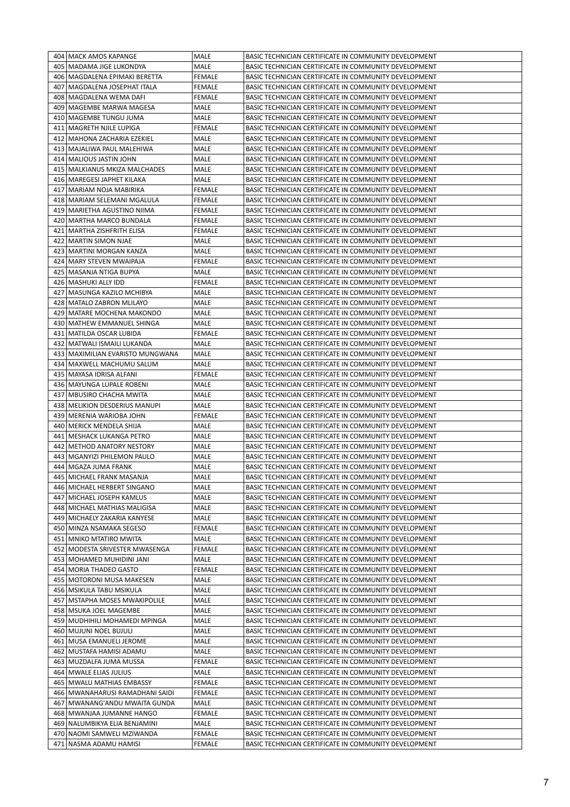| 404   MACK AMOS KAPANGE                              | MALE                           | BASIC TECHNICIAN CERTIFICATE IN COMMUNITY DEVELOPMENT                                                          |
|------------------------------------------------------|--------------------------------|----------------------------------------------------------------------------------------------------------------|
| 405   MADAMA JIGE LUKONDYA                           | MALE                           | BASIC TECHNICIAN CERTIFICATE IN COMMUNITY DEVELOPMENT                                                          |
| 406   MAGDALENA EPIMAKI BERETTA                      | <b>FEMALE</b>                  | BASIC TECHNICIAN CERTIFICATE IN COMMUNITY DEVELOPMENT                                                          |
| 407   MAGDALENA JOSEPHAT ITALA                       | <b>FEMALE</b>                  | BASIC TECHNICIAN CERTIFICATE IN COMMUNITY DEVELOPMENT                                                          |
| 408   MAGDALENA WEMA DAFI                            | <b>FEMALE</b>                  | BASIC TECHNICIAN CERTIFICATE IN COMMUNITY DEVELOPMENT                                                          |
| 409   MAGEMBE MARWA MAGESA                           | MALE                           | BASIC TECHNICIAN CERTIFICATE IN COMMUNITY DEVELOPMENT                                                          |
|                                                      |                                |                                                                                                                |
| 410   MAGEMBE TUNGU JUMA                             | MALE                           | BASIC TECHNICIAN CERTIFICATE IN COMMUNITY DEVELOPMENT                                                          |
| 411   MAGRETH NJILE LUPIGA                           | <b>FEMALE</b>                  | BASIC TECHNICIAN CERTIFICATE IN COMMUNITY DEVELOPMENT                                                          |
| 412   MAHONA ZACHARIA EZEKIEL                        | MALE                           | BASIC TECHNICIAN CERTIFICATE IN COMMUNITY DEVELOPMENT                                                          |
| 413   MAJALIWA PAUL MALEHIWA                         | MALE                           | BASIC TECHNICIAN CERTIFICATE IN COMMUNITY DEVELOPMENT                                                          |
| 414   MALIOUS JASTIN JOHN                            | MALE                           | BASIC TECHNICIAN CERTIFICATE IN COMMUNITY DEVELOPMENT                                                          |
| 415   MALKIANUS MKIZA MALCHADES                      | MALE                           | BASIC TECHNICIAN CERTIFICATE IN COMMUNITY DEVELOPMENT                                                          |
| 416   MAREGESI JAPHET KILAKA                         | MALE                           | BASIC TECHNICIAN CERTIFICATE IN COMMUNITY DEVELOPMENT                                                          |
| 417 MARIAM NOJA MABIRIKA                             | <b>FEMALE</b>                  |                                                                                                                |
|                                                      |                                | BASIC TECHNICIAN CERTIFICATE IN COMMUNITY DEVELOPMENT                                                          |
| 418   MARIAM SELEMANI MGALULA                        | FEMALE                         | BASIC TECHNICIAN CERTIFICATE IN COMMUNITY DEVELOPMENT                                                          |
| 419   MARIETHA AGUSTINO NIIMA                        | FEMALE                         | BASIC TECHNICIAN CERTIFICATE IN COMMUNITY DEVELOPMENT                                                          |
| 420   MARTHA MARCO BUNDALA                           | FEMALE                         | BASIC TECHNICIAN CERTIFICATE IN COMMUNITY DEVELOPMENT                                                          |
| 421   MARTHA ZISHFRITH ELISA                         | FEMALE                         | BASIC TECHNICIAN CERTIFICATE IN COMMUNITY DEVELOPMENT                                                          |
| 422   MARTIN SIMON NJAE                              | MALE                           | BASIC TECHNICIAN CERTIFICATE IN COMMUNITY DEVELOPMENT                                                          |
| 423   MARTINI MORGAN KANZA                           | MALE                           | BASIC TECHNICIAN CERTIFICATE IN COMMUNITY DEVELOPMENT                                                          |
| 424   MARY STEVEN MWAIPAJA                           | <b>FEMALE</b>                  | BASIC TECHNICIAN CERTIFICATE IN COMMUNITY DEVELOPMENT                                                          |
|                                                      |                                |                                                                                                                |
| 425   MASANJA NTIGA BUPYA                            | MALE                           | BASIC TECHNICIAN CERTIFICATE IN COMMUNITY DEVELOPMENT                                                          |
| 426   MASHUKI ALLY IDD                               | <b>FEMALE</b>                  | BASIC TECHNICIAN CERTIFICATE IN COMMUNITY DEVELOPMENT                                                          |
| 427   MASUNGA KAZILO MCHIBYA                         | MALE                           | BASIC TECHNICIAN CERTIFICATE IN COMMUNITY DEVELOPMENT                                                          |
| 428   MATALO ZABRON MLILAYO                          | MALE                           | BASIC TECHNICIAN CERTIFICATE IN COMMUNITY DEVELOPMENT                                                          |
| 429   MATARE MOCHENA MAKONDO                         | MALE                           | BASIC TECHNICIAN CERTIFICATE IN COMMUNITY DEVELOPMENT                                                          |
| 430 MATHEW EMMANUEL SHINGA                           | MALE                           | BASIC TECHNICIAN CERTIFICATE IN COMMUNITY DEVELOPMENT                                                          |
| 431   MATILDA OSCAR LUBIDA                           | FEMALE                         | BASIC TECHNICIAN CERTIFICATE IN COMMUNITY DEVELOPMENT                                                          |
| 432   MATWALI ISMAILI LUKANDA                        | MALE                           | BASIC TECHNICIAN CERTIFICATE IN COMMUNITY DEVELOPMENT                                                          |
| 433   MAXIMILIAN EVARISTO MUNGWANA                   | MALE                           | BASIC TECHNICIAN CERTIFICATE IN COMMUNITY DEVELOPMENT                                                          |
|                                                      |                                |                                                                                                                |
| 434   MAXWELL MACHUMU SALUM                          | MALE                           | BASIC TECHNICIAN CERTIFICATE IN COMMUNITY DEVELOPMENT                                                          |
| 435   MAYASA IDRISA ALFANI                           | FEMALE                         | BASIC TECHNICIAN CERTIFICATE IN COMMUNITY DEVELOPMENT                                                          |
| 436   MAYUNGA LUPALE ROBENI                          | MALE                           | BASIC TECHNICIAN CERTIFICATE IN COMMUNITY DEVELOPMENT                                                          |
| 437   MBUSIRO CHACHA MWITA                           | MALE                           | BASIC TECHNICIAN CERTIFICATE IN COMMUNITY DEVELOPMENT                                                          |
| 438   MELIKION DESDERIUS MANUPI                      | MALE                           | BASIC TECHNICIAN CERTIFICATE IN COMMUNITY DEVELOPMENT                                                          |
| 439   MERENIA WARIOBA JOHN                           | <b>FEMALE</b>                  | BASIC TECHNICIAN CERTIFICATE IN COMMUNITY DEVELOPMENT                                                          |
| 440   MERICK MENDELA SHIJA                           | MALE                           | BASIC TECHNICIAN CERTIFICATE IN COMMUNITY DEVELOPMENT                                                          |
| 441   MESHACK LUKANGA PETRO                          | MALE                           | BASIC TECHNICIAN CERTIFICATE IN COMMUNITY DEVELOPMENT                                                          |
| 442   METHOD ANATORY NESTORY                         | MALE                           | BASIC TECHNICIAN CERTIFICATE IN COMMUNITY DEVELOPMENT                                                          |
|                                                      |                                |                                                                                                                |
| 443   MGANYIZI PHILEMON PAULO                        | MALE                           | BASIC TECHNICIAN CERTIFICATE IN COMMUNITY DEVELOPMENT                                                          |
| 444   MGAZA JUMA FRANK                               | <b>MALE</b>                    | BASIC TECHNICIAN CERTIFICATE IN COMMUNITY DEVELOPMENT                                                          |
|                                                      |                                |                                                                                                                |
| 445   MICHAEL FRANK MASANJA                          | <b>MALE</b>                    | BASIC TECHNICIAN CERTIFICATE IN COMMUNITY DEVELOPMENT                                                          |
| 446 MICHAEL HERBERT SINGANO                          | MALE                           | BASIC TECHNICIAN CERTIFICATE IN COMMUNITY DEVELOPMENT                                                          |
| 447 MICHAEL JOSEPH KAMLUS                            | MALE                           | BASIC TECHNICIAN CERTIFICATE IN COMMUNITY DEVELOPMENT                                                          |
| 448 MICHAEL MATHIAS MALIGISA                         | MALE                           | BASIC TECHNICIAN CERTIFICATE IN COMMUNITY DEVELOPMENT                                                          |
|                                                      |                                |                                                                                                                |
| 449   MICHAELY ZAKARIA KANYESE                       | MALE                           | BASIC TECHNICIAN CERTIFICATE IN COMMUNITY DEVELOPMENT                                                          |
| 450   MINZA NSAMAKA SEGESO                           | FEMALE                         | BASIC TECHNICIAN CERTIFICATE IN COMMUNITY DEVELOPMENT                                                          |
| 451 MNIKO MTATIRO MWITA                              | MALE                           | BASIC TECHNICIAN CERTIFICATE IN COMMUNITY DEVELOPMENT                                                          |
| 452   MODESTA SRIVESTER MWASENGA                     | <b>FEMALE</b>                  | BASIC TECHNICIAN CERTIFICATE IN COMMUNITY DEVELOPMENT                                                          |
| 453   MOHAMED MUHIDINI JANI                          | MALE                           | BASIC TECHNICIAN CERTIFICATE IN COMMUNITY DEVELOPMENT                                                          |
| 454   MORIA THADEO GASTO                             | <b>FEMALE</b>                  | BASIC TECHNICIAN CERTIFICATE IN COMMUNITY DEVELOPMENT                                                          |
| 455   MOTORONI MUSA MAKESEN                          | MALE                           | BASIC TECHNICIAN CERTIFICATE IN COMMUNITY DEVELOPMENT                                                          |
| 456   MSIKULA TABU MSIKULA                           | MALE                           | BASIC TECHNICIAN CERTIFICATE IN COMMUNITY DEVELOPMENT                                                          |
| 457   MSTAPHA MOSES MWAKIPOLILE                      | MALE                           | BASIC TECHNICIAN CERTIFICATE IN COMMUNITY DEVELOPMENT                                                          |
| 458   MSUKA JOEL MAGEMBE                             | MALE                           | BASIC TECHNICIAN CERTIFICATE IN COMMUNITY DEVELOPMENT                                                          |
|                                                      |                                |                                                                                                                |
| 459   MUDHIHILI MOHAMEDI MPINGA                      | MALE                           | BASIC TECHNICIAN CERTIFICATE IN COMMUNITY DEVELOPMENT                                                          |
| 460   MUJUNI NOEL BUJULI                             | MALE                           | BASIC TECHNICIAN CERTIFICATE IN COMMUNITY DEVELOPMENT                                                          |
| 461   MUSA EMANUELI JEROME                           | MALE                           | BASIC TECHNICIAN CERTIFICATE IN COMMUNITY DEVELOPMENT                                                          |
| 462   MUSTAFA HAMISI ADAMU                           | MALE                           | BASIC TECHNICIAN CERTIFICATE IN COMMUNITY DEVELOPMENT                                                          |
| 463   MUZDALFA JUMA MUSSA                            | <b>FEMALE</b>                  | BASIC TECHNICIAN CERTIFICATE IN COMMUNITY DEVELOPMENT                                                          |
| 464   MWALE ELIAS JULIUS                             | MALE                           | BASIC TECHNICIAN CERTIFICATE IN COMMUNITY DEVELOPMENT                                                          |
| 465   MWALU MATHIAS EMBASSY                          | <b>FEMALE</b>                  | BASIC TECHNICIAN CERTIFICATE IN COMMUNITY DEVELOPMENT                                                          |
| 466   MWANAHARUSI RAMADHANI SAIDI                    | <b>FEMALE</b>                  | BASIC TECHNICIAN CERTIFICATE IN COMMUNITY DEVELOPMENT                                                          |
| 467   MWANANG'ANDU MWAITA GUNDA                      | MALE                           | BASIC TECHNICIAN CERTIFICATE IN COMMUNITY DEVELOPMENT                                                          |
| 468   MWANJAA JUMANNE HANGO                          | <b>FEMALE</b>                  | BASIC TECHNICIAN CERTIFICATE IN COMMUNITY DEVELOPMENT                                                          |
|                                                      |                                |                                                                                                                |
| 469   NALUMBIKYA ELIA BENJAMINI                      | MALE                           | BASIC TECHNICIAN CERTIFICATE IN COMMUNITY DEVELOPMENT                                                          |
| 470 NAOMI SAMWELI MZIWANDA<br>471 NASMA ADAMU HAMISI | <b>FEMALE</b><br><b>FEMALE</b> | BASIC TECHNICIAN CERTIFICATE IN COMMUNITY DEVELOPMENT<br>BASIC TECHNICIAN CERTIFICATE IN COMMUNITY DEVELOPMENT |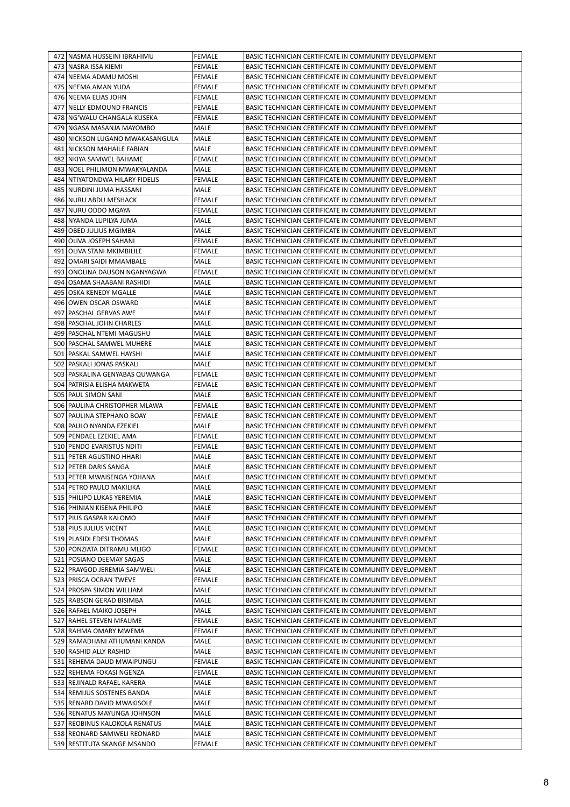|      | 472   NASMA HUSSEINI IBRAHIMU     | <b>FEMALE</b> | BASIC TECHNICIAN CERTIFICATE IN COMMUNITY DEVELOPMENT |
|------|-----------------------------------|---------------|-------------------------------------------------------|
|      | 473 NASRA ISSA KIEMI              | <b>FEMALE</b> | BASIC TECHNICIAN CERTIFICATE IN COMMUNITY DEVELOPMENT |
|      | 474 NEEMA ADAMU MOSHI             | <b>FEMALE</b> | BASIC TECHNICIAN CERTIFICATE IN COMMUNITY DEVELOPMENT |
|      | 475 INEEMA AMAN YUDA              | FEMALE        | BASIC TECHNICIAN CERTIFICATE IN COMMUNITY DEVELOPMENT |
|      | 476 NEEMA ELIAS JOHN              | FEMALE        | BASIC TECHNICIAN CERTIFICATE IN COMMUNITY DEVELOPMENT |
| 477  | <b>NELLY EDMOUND FRANCIS</b>      | FEMALE        | BASIC TECHNICIAN CERTIFICATE IN COMMUNITY DEVELOPMENT |
|      |                                   |               |                                                       |
|      | 478 NG'WALU CHANGALA KUSEKA       | FEMALE        | BASIC TECHNICIAN CERTIFICATE IN COMMUNITY DEVELOPMENT |
|      | 479   NGASA MASANJA MAYOMBO       | MALE          | BASIC TECHNICIAN CERTIFICATE IN COMMUNITY DEVELOPMENT |
|      | 480   NICKSON LUGANO MWAKASANGULA | MALE          | BASIC TECHNICIAN CERTIFICATE IN COMMUNITY DEVELOPMENT |
|      | 481 NICKSON MAHAILE FABIAN        | MALE          | BASIC TECHNICIAN CERTIFICATE IN COMMUNITY DEVELOPMENT |
|      | 482 NKIYA SAMWEL BAHAME           | FEMALE        | BASIC TECHNICIAN CERTIFICATE IN COMMUNITY DEVELOPMENT |
|      | 483 NOEL PHILIMON MWAKYALANDA     | MALE          | BASIC TECHNICIAN CERTIFICATE IN COMMUNITY DEVELOPMENT |
| 4841 | NTIYATONDWA HILARY FIDELIS        | <b>FEMALE</b> | BASIC TECHNICIAN CERTIFICATE IN COMMUNITY DEVELOPMENT |
|      | 485   NURDINI JUMA HASSANI        | MALE          | BASIC TECHNICIAN CERTIFICATE IN COMMUNITY DEVELOPMENT |
|      | 486 NURU ABDU MESHACK             | FEMALE        | BASIC TECHNICIAN CERTIFICATE IN COMMUNITY DEVELOPMENT |
|      | 487 NURU ODDO MGAYA               | FEMALE        | BASIC TECHNICIAN CERTIFICATE IN COMMUNITY DEVELOPMENT |
|      |                                   |               |                                                       |
|      | 488 NYANDA LUPILYA JUMA           | MALE          | BASIC TECHNICIAN CERTIFICATE IN COMMUNITY DEVELOPMENT |
|      | 489   OBED JULIUS MGIMBA          | MALE          | BASIC TECHNICIAN CERTIFICATE IN COMMUNITY DEVELOPMENT |
|      | 490 OLIVA JOSEPH SAHANI           | FEMALE        | BASIC TECHNICIAN CERTIFICATE IN COMMUNITY DEVELOPMENT |
| 491  | OLIVA STANI MKIMBILILE            | FEMALE        | BASIC TECHNICIAN CERTIFICATE IN COMMUNITY DEVELOPMENT |
|      | 492   OMARI SAIDI MMAMBALE        | MALE          | BASIC TECHNICIAN CERTIFICATE IN COMMUNITY DEVELOPMENT |
|      | 493   ONOLINA DAUSON NGANYAGWA    | FEMALE        | BASIC TECHNICIAN CERTIFICATE IN COMMUNITY DEVELOPMENT |
|      | 494 OSAMA SHAABANI RASHIDI        | MALE          | BASIC TECHNICIAN CERTIFICATE IN COMMUNITY DEVELOPMENT |
|      | 495 OSKA KENEDY MGALLE            | MALE          | BASIC TECHNICIAN CERTIFICATE IN COMMUNITY DEVELOPMENT |
|      | 496 OWEN OSCAR OSWARD             | MALE          | BASIC TECHNICIAN CERTIFICATE IN COMMUNITY DEVELOPMENT |
| 497  | PASCHAL GERVAS AWE                | MALE          | BASIC TECHNICIAN CERTIFICATE IN COMMUNITY DEVELOPMENT |
|      |                                   |               |                                                       |
|      | 498   PASCHAL JOHN CHARLES        | MALE          | BASIC TECHNICIAN CERTIFICATE IN COMMUNITY DEVELOPMENT |
|      | 499   PASCHAL NTEMI MAGUSHU       | MALE          | BASIC TECHNICIAN CERTIFICATE IN COMMUNITY DEVELOPMENT |
|      | 500   PASCHAL SAMWEL MUHERE       | MALE          | BASIC TECHNICIAN CERTIFICATE IN COMMUNITY DEVELOPMENT |
| 501  | PASKAL SAMWEL HAYSHI              | MALE          | BASIC TECHNICIAN CERTIFICATE IN COMMUNITY DEVELOPMENT |
| 502  | PASKALI JONAS PASKALI             | MALE          | BASIC TECHNICIAN CERTIFICATE IN COMMUNITY DEVELOPMENT |
|      | 503   PASKALINA GENYABAS QUWANGA  | FEMALE        | BASIC TECHNICIAN CERTIFICATE IN COMMUNITY DEVELOPMENT |
|      | 504   PATRISIA ELISHA MAKWETA     | FEMALE        | BASIC TECHNICIAN CERTIFICATE IN COMMUNITY DEVELOPMENT |
|      | 505   PAUL SIMON SANI             | MALE          | BASIC TECHNICIAN CERTIFICATE IN COMMUNITY DEVELOPMENT |
|      | 506   PAULINA CHRISTOPHER MLAWA   | FEMALE        | BASIC TECHNICIAN CERTIFICATE IN COMMUNITY DEVELOPMENT |
|      |                                   |               |                                                       |
| 507  | PAULINA STEPHANO BOAY             | FEMALE        | BASIC TECHNICIAN CERTIFICATE IN COMMUNITY DEVELOPMENT |
|      | 508   PAULO NYANDA EZEKIEL        | MALE          | BASIC TECHNICIAN CERTIFICATE IN COMMUNITY DEVELOPMENT |
|      | 509   PENDAEL EZEKIEL AMA         | FEMALE        | BASIC TECHNICIAN CERTIFICATE IN COMMUNITY DEVELOPMENT |
|      | 510 PENDO EVARISTUS NDITI         | <b>FEMALE</b> | BASIC TECHNICIAN CERTIFICATE IN COMMUNITY DEVELOPMENT |
|      | 511 PETER AGUSTINO HHARI          | MALE          | BASIC TECHNICIAN CERTIFICATE IN COMMUNITY DEVELOPMENT |
|      | 512 PETER DARIS SANGA             | MALE          | BASIC TECHNICIAN CERTIFICATE IN COMMUNITY DEVELOPMENT |
|      | 513 PETER MWAISENGA YOHANA        | <b>MALE</b>   | BASIC TECHNICIAN CERTIFICATE IN COMMUNITY DEVELOPMENT |
|      | 514 PETRO PAULO MAKILIKA          | MALE          | BASIC TECHNICIAN CERTIFICATE IN COMMUNITY DEVELOPMENT |
|      | 515 PHILIPO LUKAS YEREMIA         | MALE          | BASIC TECHNICIAN CERTIFICATE IN COMMUNITY DEVELOPMENT |
|      | 516 PHINIAN KISENA PHILIPO        | MALE          | BASIC TECHNICIAN CERTIFICATE IN COMMUNITY DEVELOPMENT |
|      | 517 PIUS GASPAR KALOMO            | MALE          | BASIC TECHNICIAN CERTIFICATE IN COMMUNITY DEVELOPMENT |
|      |                                   |               |                                                       |
|      | 518 PIUS JULIUS VICENT            | MALE          | BASIC TECHNICIAN CERTIFICATE IN COMMUNITY DEVELOPMENT |
|      | 519 PLASIDI EDESI THOMAS          | MALE          | BASIC TECHNICIAN CERTIFICATE IN COMMUNITY DEVELOPMENT |
|      | 520 PONZIATA DITRAMU MLIGO        | <b>FEMALE</b> | BASIC TECHNICIAN CERTIFICATE IN COMMUNITY DEVELOPMENT |
|      | 521 POSIANO DEEMAY SAGAS          | MALE          | BASIC TECHNICIAN CERTIFICATE IN COMMUNITY DEVELOPMENT |
|      | 522 PRAYGOD JEREMIA SAMWELI       | MALE          | BASIC TECHNICIAN CERTIFICATE IN COMMUNITY DEVELOPMENT |
|      | 523 PRISCA OCRAN TWEVE            | FEMALE        | BASIC TECHNICIAN CERTIFICATE IN COMMUNITY DEVELOPMENT |
|      | 524 PROSPA SIMON WILLIAM          | MALE          | BASIC TECHNICIAN CERTIFICATE IN COMMUNITY DEVELOPMENT |
|      | 525 RABSON GERAD BISIMBA          | MALE          | BASIC TECHNICIAN CERTIFICATE IN COMMUNITY DEVELOPMENT |
|      | 526 RAFAEL MAIKO JOSEPH           | MALE          | BASIC TECHNICIAN CERTIFICATE IN COMMUNITY DEVELOPMENT |
|      | 527 RAHEL STEVEN MFAUME           | FEMALE        | BASIC TECHNICIAN CERTIFICATE IN COMMUNITY DEVELOPMENT |
|      | 528 RAHMA OMARY MWEMA             | FEMALE        | BASIC TECHNICIAN CERTIFICATE IN COMMUNITY DEVELOPMENT |
|      |                                   |               |                                                       |
|      | 529 RAMADHANI ATHUMANI KANDA      | MALE          | BASIC TECHNICIAN CERTIFICATE IN COMMUNITY DEVELOPMENT |
|      | 530 RASHID ALLY RASHID            | MALE          | BASIC TECHNICIAN CERTIFICATE IN COMMUNITY DEVELOPMENT |
|      | 531 REHEMA DAUD MWAIPUNGU         | FEMALE        | BASIC TECHNICIAN CERTIFICATE IN COMMUNITY DEVELOPMENT |
|      | 532   REHEMA FOKASI NGENZA        | FEMALE        | BASIC TECHNICIAN CERTIFICATE IN COMMUNITY DEVELOPMENT |
|      | 533 REJINALD RAFAEL KARERA        | MALE          | BASIC TECHNICIAN CERTIFICATE IN COMMUNITY DEVELOPMENT |
|      | 534 REMIJUS SOSTENES BANDA        | MALE          | BASIC TECHNICIAN CERTIFICATE IN COMMUNITY DEVELOPMENT |
|      | 535 RENARD DAVID MWAKISOLE        | MALE          | BASIC TECHNICIAN CERTIFICATE IN COMMUNITY DEVELOPMENT |
|      | 536 RENATUS MAYUNGA JOHNSON       | MALE          | BASIC TECHNICIAN CERTIFICATE IN COMMUNITY DEVELOPMENT |
|      | 537 REOBINUS KALOKOLA RENATUS     | MALE          | BASIC TECHNICIAN CERTIFICATE IN COMMUNITY DEVELOPMENT |
|      | 538 REONARD SAMWELI REONARD       | MALE          | BASIC TECHNICIAN CERTIFICATE IN COMMUNITY DEVELOPMENT |
|      | 539 RESTITUTA SKANGE MSANDO       | <b>FEMALE</b> | BASIC TECHNICIAN CERTIFICATE IN COMMUNITY DEVELOPMENT |
|      |                                   |               |                                                       |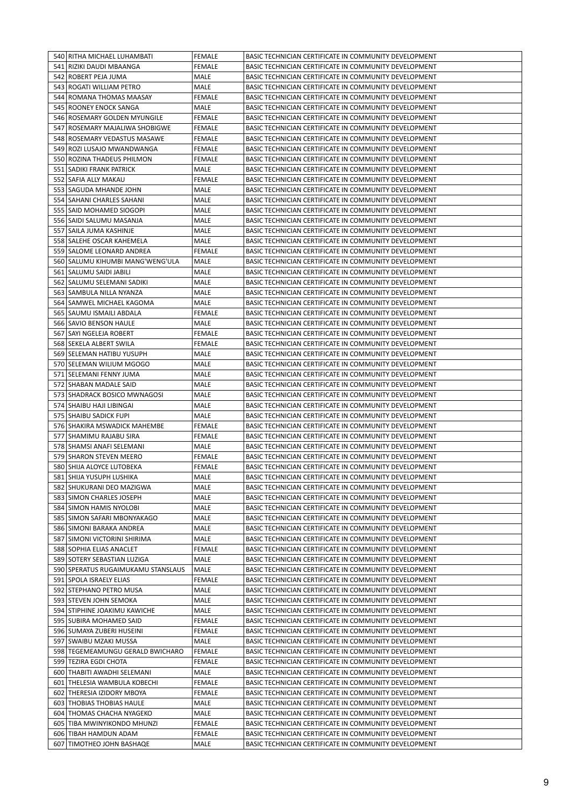|     | 540   RITHA MICHAEL LUHAMBATI                        | <b>FEMALE</b>         | BASIC TECHNICIAN CERTIFICATE IN COMMUNITY DEVELOPMENT                                                          |
|-----|------------------------------------------------------|-----------------------|----------------------------------------------------------------------------------------------------------------|
|     | 541 RIZIKI DAUDI MBAANGA                             | <b>FEMALE</b>         | BASIC TECHNICIAN CERTIFICATE IN COMMUNITY DEVELOPMENT                                                          |
|     | 542   ROBERT PEJA JUMA                               | MALE                  | BASIC TECHNICIAN CERTIFICATE IN COMMUNITY DEVELOPMENT                                                          |
|     | 543 ROGATI WILLIAM PETRO                             | MALE                  | BASIC TECHNICIAN CERTIFICATE IN COMMUNITY DEVELOPMENT                                                          |
|     | 544 ROMANA THOMAS MAASAY                             | FEMALE                | BASIC TECHNICIAN CERTIFICATE IN COMMUNITY DEVELOPMENT                                                          |
|     | 545 ROONEY ENOCK SANGA                               | MALE                  | BASIC TECHNICIAN CERTIFICATE IN COMMUNITY DEVELOPMENT                                                          |
|     | 546 ROSEMARY GOLDEN MYUNGILE                         | <b>FEMALE</b>         | BASIC TECHNICIAN CERTIFICATE IN COMMUNITY DEVELOPMENT                                                          |
| 547 | ROSEMARY MAJALIWA SHOBIGWE                           | FEMALE                | BASIC TECHNICIAN CERTIFICATE IN COMMUNITY DEVELOPMENT                                                          |
|     | 548   ROSEMARY VEDASTUS MASAWE                       | FEMALE                | BASIC TECHNICIAN CERTIFICATE IN COMMUNITY DEVELOPMENT                                                          |
|     | 549 ROZI LUSAJO MWANDWANGA                           | <b>FEMALE</b>         | BASIC TECHNICIAN CERTIFICATE IN COMMUNITY DEVELOPMENT                                                          |
|     |                                                      |                       |                                                                                                                |
|     | 550 ROZINA THADEUS PHILMON                           | FEMALE                | BASIC TECHNICIAN CERTIFICATE IN COMMUNITY DEVELOPMENT                                                          |
|     | 551   SADIKI FRANK PATRICK                           | MALE                  | BASIC TECHNICIAN CERTIFICATE IN COMMUNITY DEVELOPMENT                                                          |
|     | 552   SAFIA ALLY MAKAU                               | FEMALE                | BASIC TECHNICIAN CERTIFICATE IN COMMUNITY DEVELOPMENT                                                          |
|     | 553   SAGUDA MHANDE JOHN                             | MALE                  | BASIC TECHNICIAN CERTIFICATE IN COMMUNITY DEVELOPMENT                                                          |
|     | 554   SAHANI CHARLES SAHANI                          | MALE                  | BASIC TECHNICIAN CERTIFICATE IN COMMUNITY DEVELOPMENT                                                          |
|     | 555   SAID MOHAMED SIOGOPI                           | MALE                  | BASIC TECHNICIAN CERTIFICATE IN COMMUNITY DEVELOPMENT                                                          |
|     | 556   SAIDI SALUMU MASANJA                           | MALE                  | BASIC TECHNICIAN CERTIFICATE IN COMMUNITY DEVELOPMENT                                                          |
|     | 557   SAILA JUMA KASHINJE                            | MALE                  | BASIC TECHNICIAN CERTIFICATE IN COMMUNITY DEVELOPMENT                                                          |
|     | 558 SALEHE OSCAR KAHEMELA                            | MALE                  | BASIC TECHNICIAN CERTIFICATE IN COMMUNITY DEVELOPMENT                                                          |
|     | 559   SALOME LEONARD ANDREA                          | <b>FEMALE</b>         | BASIC TECHNICIAN CERTIFICATE IN COMMUNITY DEVELOPMENT                                                          |
|     | 560 SALUMU KIHUMBI MANG'WENG'ULA                     | MALE                  | BASIC TECHNICIAN CERTIFICATE IN COMMUNITY DEVELOPMENT                                                          |
|     | 561   SALUMU SAIDI JABILI                            | MALE                  | BASIC TECHNICIAN CERTIFICATE IN COMMUNITY DEVELOPMENT                                                          |
|     | 562 SALUMU SELEMANI SADIKI                           | MALE                  | BASIC TECHNICIAN CERTIFICATE IN COMMUNITY DEVELOPMENT                                                          |
|     | 563   SAMBULA NILLA NYANZA                           | MALE                  | BASIC TECHNICIAN CERTIFICATE IN COMMUNITY DEVELOPMENT                                                          |
|     | 564   SAMWEL MICHAEL KAGOMA                          | MALE                  | BASIC TECHNICIAN CERTIFICATE IN COMMUNITY DEVELOPMENT                                                          |
|     | 565   SAUMU ISMAILI ABDALA                           | FEMALE                | BASIC TECHNICIAN CERTIFICATE IN COMMUNITY DEVELOPMENT                                                          |
|     | 566 SAVIO BENSON HAULE                               | MALE                  | BASIC TECHNICIAN CERTIFICATE IN COMMUNITY DEVELOPMENT                                                          |
|     | 567   SAYI NGELEJA ROBERT                            | <b>FEMALE</b>         | BASIC TECHNICIAN CERTIFICATE IN COMMUNITY DEVELOPMENT                                                          |
|     | 568 SEKELA ALBERT SWILA                              | FEMALE                | BASIC TECHNICIAN CERTIFICATE IN COMMUNITY DEVELOPMENT                                                          |
|     | 569 SELEMAN HATIBU YUSUPH                            | MALE                  | BASIC TECHNICIAN CERTIFICATE IN COMMUNITY DEVELOPMENT                                                          |
|     | 570 SELEMAN WILIUM MGOGO                             | MALE                  | BASIC TECHNICIAN CERTIFICATE IN COMMUNITY DEVELOPMENT                                                          |
|     | 571   SELEMANI FENNY JUMA                            | MALE                  | BASIC TECHNICIAN CERTIFICATE IN COMMUNITY DEVELOPMENT                                                          |
|     | 572   SHABAN MADALE SAID                             | MALE                  | BASIC TECHNICIAN CERTIFICATE IN COMMUNITY DEVELOPMENT                                                          |
|     | 573 SHADRACK BOSICO MWNAGOSI                         | MALE                  | BASIC TECHNICIAN CERTIFICATE IN COMMUNITY DEVELOPMENT                                                          |
|     | 574   SHAIBU HAJI LIBINGAI                           | MALE                  | BASIC TECHNICIAN CERTIFICATE IN COMMUNITY DEVELOPMENT                                                          |
|     |                                                      |                       |                                                                                                                |
|     | 575   SHAIBU SADICK FUPI                             | MALE                  | BASIC TECHNICIAN CERTIFICATE IN COMMUNITY DEVELOPMENT                                                          |
|     | 576 SHAKIRA MSWADICK MAHEMBE                         | FEMALE                | BASIC TECHNICIAN CERTIFICATE IN COMMUNITY DEVELOPMENT                                                          |
|     | 577   SHAMIMU RAJABU SIRA                            | FEMALE                | BASIC TECHNICIAN CERTIFICATE IN COMMUNITY DEVELOPMENT                                                          |
|     | 578   SHAMSI ANAFI SELEMANI                          | MALE                  | BASIC TECHNICIAN CERTIFICATE IN COMMUNITY DEVELOPMENT                                                          |
|     | 579 SHARON STEVEN MEERO                              | FEMALE                | BASIC TECHNICIAN CERTIFICATE IN COMMUNITY DEVELOPMENT                                                          |
|     | 580 SHIJA ALOYCE LUTOBEKA                            | FEMALE                | BASIC TECHNICIAN CERTIFICATE IN COMMUNITY DEVELOPMENT                                                          |
|     | 581 SHIJA YUSUPH LUSHIKA                             | MALE                  | BASIC TECHNICIAN CERTIFICATE IN COMMUNITY DEVELOPMENT                                                          |
|     | 582 SHUKURANI DEO MAZIGWA                            | MALE                  | BASIC TECHNICIAN CERTIFICATE IN COMMUNITY DEVELOPMENT                                                          |
|     | 583 SIMON CHARLES JOSEPH                             | MALE                  | BASIC TECHNICIAN CERTIFICATE IN COMMUNITY DEVELOPMENT                                                          |
|     | 584 SIMON HAMIS NYOLOBI                              | MALE                  | BASIC TECHNICIAN CERTIFICATE IN COMMUNITY DEVELOPMENT                                                          |
|     | 585 SIMON SAFARI MBONYAKAGO                          | MALE                  | BASIC TECHNICIAN CERTIFICATE IN COMMUNITY DEVELOPMENT                                                          |
|     | 586 SIMONI BARAKA ANDREA                             | MALE                  | BASIC TECHNICIAN CERTIFICATE IN COMMUNITY DEVELOPMENT                                                          |
|     | 587 SIMONI VICTORINI SHIRIMA                         | MALE                  | BASIC TECHNICIAN CERTIFICATE IN COMMUNITY DEVELOPMENT                                                          |
|     | 588 SOPHIA ELIAS ANACLET                             | <b>FEMALE</b>         | BASIC TECHNICIAN CERTIFICATE IN COMMUNITY DEVELOPMENT                                                          |
|     | 589 SOTERY SEBASTIAN LUZIGA                          | MALE                  | BASIC TECHNICIAN CERTIFICATE IN COMMUNITY DEVELOPMENT                                                          |
|     | 590 SPERATUS RUGAIMUKAMU STANSLAUS                   | MALE                  | BASIC TECHNICIAN CERTIFICATE IN COMMUNITY DEVELOPMENT                                                          |
|     | 591 SPOLA ISRAELY ELIAS                              | <b>FEMALE</b>         | BASIC TECHNICIAN CERTIFICATE IN COMMUNITY DEVELOPMENT                                                          |
|     | 592 STEPHANO PETRO MUSA                              | MALE                  | BASIC TECHNICIAN CERTIFICATE IN COMMUNITY DEVELOPMENT                                                          |
|     | 593 STEVEN JOHN SEMOKA                               | MALE                  | BASIC TECHNICIAN CERTIFICATE IN COMMUNITY DEVELOPMENT                                                          |
|     | 594 STIPHINE JOAKIMU KAWICHE                         | MALE                  | BASIC TECHNICIAN CERTIFICATE IN COMMUNITY DEVELOPMENT                                                          |
|     | 595   SUBIRA MOHAMED SAID                            | FEMALE                | BASIC TECHNICIAN CERTIFICATE IN COMMUNITY DEVELOPMENT                                                          |
|     |                                                      | <b>FEMALE</b>         | BASIC TECHNICIAN CERTIFICATE IN COMMUNITY DEVELOPMENT                                                          |
|     | 596   SUMAYA ZUBERI HUSEINI                          |                       |                                                                                                                |
|     | 597   SWAIBU MZAKI MUSSA                             | MALE                  | BASIC TECHNICIAN CERTIFICATE IN COMMUNITY DEVELOPMENT                                                          |
|     |                                                      |                       |                                                                                                                |
|     | 598 TEGEMEAMUNGU GERALD BWICHARO                     | <b>FEMALE</b>         | BASIC TECHNICIAN CERTIFICATE IN COMMUNITY DEVELOPMENT                                                          |
|     | 599 TEZIRA EGDI CHOTA                                | FEMALE                | BASIC TECHNICIAN CERTIFICATE IN COMMUNITY DEVELOPMENT                                                          |
|     | 600   THABITI AWADHI SELEMANI                        | MALE                  | BASIC TECHNICIAN CERTIFICATE IN COMMUNITY DEVELOPMENT                                                          |
|     | 601 THELESIA WAMBULA KOBECHI                         | <b>FEMALE</b>         | BASIC TECHNICIAN CERTIFICATE IN COMMUNITY DEVELOPMENT                                                          |
|     | 602 THERESIA IZIDORY MBOYA                           | <b>FEMALE</b>         | BASIC TECHNICIAN CERTIFICATE IN COMMUNITY DEVELOPMENT                                                          |
|     | 603 THOBIAS THOBIAS HAULE                            | MALE                  | BASIC TECHNICIAN CERTIFICATE IN COMMUNITY DEVELOPMENT                                                          |
|     | 604   THOMAS CHACHA NYAGEKO                          | MALE                  | BASIC TECHNICIAN CERTIFICATE IN COMMUNITY DEVELOPMENT                                                          |
|     | 605   TIBA MWINYIKONDO MHUNZI                        | FEMALE                | BASIC TECHNICIAN CERTIFICATE IN COMMUNITY DEVELOPMENT                                                          |
|     | 606 TIBAH HAMDUN ADAM<br>607   TIMOTHEO JOHN BASHAQE | <b>FEMALE</b><br>MALE | BASIC TECHNICIAN CERTIFICATE IN COMMUNITY DEVELOPMENT<br>BASIC TECHNICIAN CERTIFICATE IN COMMUNITY DEVELOPMENT |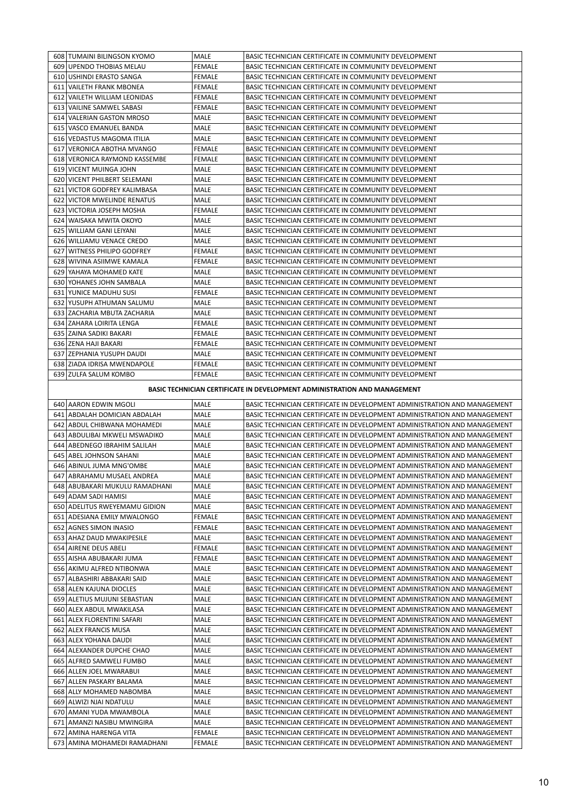| 608 TUMAINI BILINGSON KYOMO                                               | <b>MALE</b>   | BASIC TECHNICIAN CERTIFICATE IN COMMUNITY DEVELOPMENT |  |  |  |
|---------------------------------------------------------------------------|---------------|-------------------------------------------------------|--|--|--|
| 609 UPENDO THOBIAS MELAU                                                  | FEMALE        | BASIC TECHNICIAN CERTIFICATE IN COMMUNITY DEVELOPMENT |  |  |  |
| 610 USHINDI ERASTO SANGA                                                  | FEMALE        | BASIC TECHNICIAN CERTIFICATE IN COMMUNITY DEVELOPMENT |  |  |  |
| 611 VAILETH FRANK MBONEA                                                  | <b>FEMALE</b> | BASIC TECHNICIAN CERTIFICATE IN COMMUNITY DEVELOPMENT |  |  |  |
| 612 VAILETH WILLIAM LEONIDAS                                              | FEMALE        | BASIC TECHNICIAN CERTIFICATE IN COMMUNITY DEVELOPMENT |  |  |  |
| 613 VAILINE SAMWEL SABASI                                                 | FEMALE        | BASIC TECHNICIAN CERTIFICATE IN COMMUNITY DEVELOPMENT |  |  |  |
| 614 VALERIAN GASTON MROSO                                                 | MALE          | BASIC TECHNICIAN CERTIFICATE IN COMMUNITY DEVELOPMENT |  |  |  |
| 615 VASCO EMANUEL BANDA                                                   | MALE          | BASIC TECHNICIAN CERTIFICATE IN COMMUNITY DEVELOPMENT |  |  |  |
| 616 VEDASTUS MAGOMA ITILIA                                                | MALE          | BASIC TECHNICIAN CERTIFICATE IN COMMUNITY DEVELOPMENT |  |  |  |
| 617 VERONICA ABOTHA MVANGO                                                | <b>FEMALE</b> | BASIC TECHNICIAN CERTIFICATE IN COMMUNITY DEVELOPMENT |  |  |  |
| 618 VERONICA RAYMOND KASSEMBE                                             | FEMALE        | BASIC TECHNICIAN CERTIFICATE IN COMMUNITY DEVELOPMENT |  |  |  |
| 619 VICENT MUINGA JOHN                                                    | MALE          | BASIC TECHNICIAN CERTIFICATE IN COMMUNITY DEVELOPMENT |  |  |  |
| 620 VICENT PHILBERT SELEMANI                                              | <b>MALE</b>   | BASIC TECHNICIAN CERTIFICATE IN COMMUNITY DEVELOPMENT |  |  |  |
| 621 VICTOR GODFREY KALIMBASA                                              | <b>MALE</b>   | BASIC TECHNICIAN CERTIFICATE IN COMMUNITY DEVELOPMENT |  |  |  |
| <b>622 I VICTOR MWELINDE RENATUS</b>                                      | MALE          | BASIC TECHNICIAN CERTIFICATE IN COMMUNITY DEVELOPMENT |  |  |  |
| 623 VICTORIA JOSEPH MOSHA                                                 | FEMALE        | BASIC TECHNICIAN CERTIFICATE IN COMMUNITY DEVELOPMENT |  |  |  |
| 624 WAISAKA MWITA OKOYO                                                   | MALE          | BASIC TECHNICIAN CERTIFICATE IN COMMUNITY DEVELOPMENT |  |  |  |
| 625 WILLIAM GANI LEIYANI                                                  | MALE          | BASIC TECHNICIAN CERTIFICATE IN COMMUNITY DEVELOPMENT |  |  |  |
| 626 WILLIAMU VENACE CREDO                                                 | MALE          | BASIC TECHNICIAN CERTIFICATE IN COMMUNITY DEVELOPMENT |  |  |  |
| 627 WITNESS PHILIPO GODFREY                                               | FEMALE        | BASIC TECHNICIAN CERTIFICATE IN COMMUNITY DEVELOPMENT |  |  |  |
| 628 WIVINA ASIIMWE KAMALA                                                 | FEMALE        | BASIC TECHNICIAN CERTIFICATE IN COMMUNITY DEVELOPMENT |  |  |  |
| 629 YAHAYA MOHAMED KATE                                                   | MALE          | BASIC TECHNICIAN CERTIFICATE IN COMMUNITY DEVELOPMENT |  |  |  |
| 630 YOHANES JOHN SAMBALA                                                  | MALE          | BASIC TECHNICIAN CERTIFICATE IN COMMUNITY DEVELOPMENT |  |  |  |
| 631 YUNICE MADUHU SUSI                                                    | FEMALE        | BASIC TECHNICIAN CERTIFICATE IN COMMUNITY DEVELOPMENT |  |  |  |
| 632 YUSUPH ATHUMAN SALUMU                                                 | MALE          | BASIC TECHNICIAN CERTIFICATE IN COMMUNITY DEVELOPMENT |  |  |  |
| 633 IZACHARIA MBUTA ZACHARIA                                              | MALE          | BASIC TECHNICIAN CERTIFICATE IN COMMUNITY DEVELOPMENT |  |  |  |
| 634 ZAHARA LOIRITA LENGA                                                  | FEMALE        | BASIC TECHNICIAN CERTIFICATE IN COMMUNITY DEVELOPMENT |  |  |  |
| 635 ZAINA SADIKI BAKARI                                                   | FEMALE        | BASIC TECHNICIAN CERTIFICATE IN COMMUNITY DEVELOPMENT |  |  |  |
| 636 ZENA HAJI BAKARI                                                      | <b>FEMALE</b> | BASIC TECHNICIAN CERTIFICATE IN COMMUNITY DEVELOPMENT |  |  |  |
| 637 ZEPHANIA YUSUPH DAUDI                                                 | MALE          | BASIC TECHNICIAN CERTIFICATE IN COMMUNITY DEVELOPMENT |  |  |  |
| 638 ZIADA IDRISA MWENDAPOLE                                               | <b>FEMALE</b> | BASIC TECHNICIAN CERTIFICATE IN COMMUNITY DEVELOPMENT |  |  |  |
| 639 ZULFA SALUM KOMBO                                                     | <b>FEMALE</b> | BASIC TECHNICIAN CERTIFICATE IN COMMUNITY DEVELOPMENT |  |  |  |
| BASIC TECHNICIAN CERTIFICATE IN DEVELOPMENT ADMINISTRATION AND MANAGEMENT |               |                                                       |  |  |  |

|     | 640 AARON EDWIN MGOLI          | <b>MALE</b>   | BASIC TECHNICIAN CERTIFICATE IN DEVELOPMENT ADMINISTRATION AND MANAGEMENT |
|-----|--------------------------------|---------------|---------------------------------------------------------------------------|
|     | 641 ABDALAH DOMICIAN ABDALAH   | MALE          | BASIC TECHNICIAN CERTIFICATE IN DEVELOPMENT ADMINISTRATION AND MANAGEMENT |
|     | 642 ABDUL CHIBWANA MOHAMEDI    | <b>MALE</b>   | BASIC TECHNICIAN CERTIFICATE IN DEVELOPMENT ADMINISTRATION AND MANAGEMENT |
|     | 643 ABDULIBAI MKWELI MSWADIKO  | <b>MALE</b>   | BASIC TECHNICIAN CERTIFICATE IN DEVELOPMENT ADMINISTRATION AND MANAGEMENT |
| 644 | ABEDNEGO IBRAHIM SALILAH       | <b>MALE</b>   | BASIC TECHNICIAN CERTIFICATE IN DEVELOPMENT ADMINISTRATION AND MANAGEMENT |
| 645 | ABEL JOHNSON SAHANI            | MALE          | BASIC TECHNICIAN CERTIFICATE IN DEVELOPMENT ADMINISTRATION AND MANAGEMENT |
| 646 | ABINUL JUMA MNG'OMBE           | MALE          | BASIC TECHNICIAN CERTIFICATE IN DEVELOPMENT ADMINISTRATION AND MANAGEMENT |
| 647 | ABRAHAMU MUSAEL ANDREA         | <b>MALE</b>   | BASIC TECHNICIAN CERTIFICATE IN DEVELOPMENT ADMINISTRATION AND MANAGEMENT |
|     | 648 ABUBAKARI MUKULU RAMADHANI | <b>MALE</b>   | BASIC TECHNICIAN CERTIFICATE IN DEVELOPMENT ADMINISTRATION AND MANAGEMENT |
|     | 649 ADAM SADI HAMISI           | <b>MALE</b>   | BASIC TECHNICIAN CERTIFICATE IN DEVELOPMENT ADMINISTRATION AND MANAGEMENT |
| 650 | ADELITUS RWEYEMAMU GIDION      | MALE          | BASIC TECHNICIAN CERTIFICATE IN DEVELOPMENT ADMINISTRATION AND MANAGEMENT |
|     | 651 ADESIANA EMILY MWALONGO    | <b>FEMALE</b> | BASIC TECHNICIAN CERTIFICATE IN DEVELOPMENT ADMINISTRATION AND MANAGEMENT |
| 652 | LAGNES SIMON INASIO            | <b>FEMALE</b> | BASIC TECHNICIAN CERTIFICATE IN DEVELOPMENT ADMINISTRATION AND MANAGEMENT |
|     | 653 AHAZ DAUD MWAKIPESILE      | <b>MALE</b>   | BASIC TECHNICIAN CERTIFICATE IN DEVELOPMENT ADMINISTRATION AND MANAGEMENT |
|     | 654 AIRENE DEUS ABELI          | <b>FEMALE</b> | BASIC TECHNICIAN CERTIFICATE IN DEVELOPMENT ADMINISTRATION AND MANAGEMENT |
| 655 | l AISHA ABUBAKARI JUMA         | <b>FEMALE</b> | BASIC TECHNICIAN CERTIFICATE IN DEVELOPMENT ADMINISTRATION AND MANAGEMENT |
|     | 656 AKIMU ALFRED NTIBONWA      | MALE          | BASIC TECHNICIAN CERTIFICATE IN DEVELOPMENT ADMINISTRATION AND MANAGEMENT |
| 657 | ALBASHIRI ABBAKARI SAID        | MALE          | BASIC TECHNICIAN CERTIFICATE IN DEVELOPMENT ADMINISTRATION AND MANAGEMENT |
|     | 658 ALEN KAJUNA DIOCLES        | <b>MALE</b>   | BASIC TECHNICIAN CERTIFICATE IN DEVELOPMENT ADMINISTRATION AND MANAGEMENT |
|     | 659 ALETIUS MUJUNI SEBASTIAN   | MALE          | BASIC TECHNICIAN CERTIFICATE IN DEVELOPMENT ADMINISTRATION AND MANAGEMENT |
| 660 | ALEX ABDUL MWAKILASA           | MALE          | BASIC TECHNICIAN CERTIFICATE IN DEVELOPMENT ADMINISTRATION AND MANAGEMENT |
| 661 | ALEX FLORENTINI SAFARI         | <b>MALE</b>   | BASIC TECHNICIAN CERTIFICATE IN DEVELOPMENT ADMINISTRATION AND MANAGEMENT |
|     | 662 ALEX FRANCIS MUSA          | <b>MALE</b>   | BASIC TECHNICIAN CERTIFICATE IN DEVELOPMENT ADMINISTRATION AND MANAGEMENT |
|     | 663 ALEX YOHANA DAUDI          | <b>MALE</b>   | BASIC TECHNICIAN CERTIFICATE IN DEVELOPMENT ADMINISTRATION AND MANAGEMENT |
| 664 | ALEXANDER DUPCHE CHAO          | MALE          | BASIC TECHNICIAN CERTIFICATE IN DEVELOPMENT ADMINISTRATION AND MANAGEMENT |
| 665 | ALFRED SAMWELI FUMBO           | MALE          | BASIC TECHNICIAN CERTIFICATE IN DEVELOPMENT ADMINISTRATION AND MANAGEMENT |
|     | 666 ALLEN JOEL MWARABUI        | MALE          | BASIC TECHNICIAN CERTIFICATE IN DEVELOPMENT ADMINISTRATION AND MANAGEMENT |
| 667 | ALLEN PASKARY BALAMA           | <b>MALE</b>   | BASIC TECHNICIAN CERTIFICATE IN DEVELOPMENT ADMINISTRATION AND MANAGEMENT |
|     | 668 ALLY MOHAMED NABOMBA       | MALE          | BASIC TECHNICIAN CERTIFICATE IN DEVELOPMENT ADMINISTRATION AND MANAGEMENT |
|     | 669 ALWIZI NJAI NDATULU        | MALE          | BASIC TECHNICIAN CERTIFICATE IN DEVELOPMENT ADMINISTRATION AND MANAGEMENT |
|     | 670   AMANI YUDA MWAMBOLA      | MALE          | BASIC TECHNICIAN CERTIFICATE IN DEVELOPMENT ADMINISTRATION AND MANAGEMENT |
| 671 | AMANZI NASIBU MWINGIRA         | MALE          | BASIC TECHNICIAN CERTIFICATE IN DEVELOPMENT ADMINISTRATION AND MANAGEMENT |
|     | 672   AMINA HARENGA VITA       | <b>FEMALE</b> | BASIC TECHNICIAN CERTIFICATE IN DEVELOPMENT ADMINISTRATION AND MANAGEMENT |
|     | 673   AMINA MOHAMEDI RAMADHANI | <b>FEMALE</b> | BASIC TECHNICIAN CERTIFICATE IN DEVELOPMENT ADMINISTRATION AND MANAGEMENT |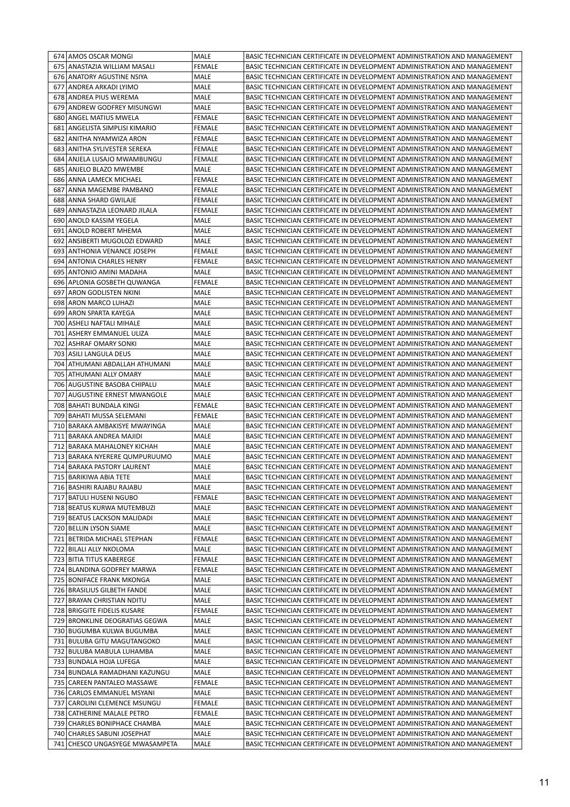| <b>FEMALE</b><br>675 ANASTAZIA WILLIAM MASALI<br>BASIC TECHNICIAN CERTIFICATE IN DEVELOPMENT ADMINISTRATION AND MANAGEMENT<br>MALE<br>676 ANATORY AGUSTINE NSIYA<br>BASIC TECHNICIAN CERTIFICATE IN DEVELOPMENT ADMINISTRATION AND MANAGEMENT<br>ANDREA ARKADI LYIMO<br>MALE<br>BASIC TECHNICIAN CERTIFICATE IN DEVELOPMENT ADMINISTRATION AND MANAGEMENT<br>677<br>678 ANDREA PIUS WEREMA<br>MALE<br>BASIC TECHNICIAN CERTIFICATE IN DEVELOPMENT ADMINISTRATION AND MANAGEMENT<br>679 ANDREW GODFREY MISUNGWI<br>MALE<br>BASIC TECHNICIAN CERTIFICATE IN DEVELOPMENT ADMINISTRATION AND MANAGEMENT<br>680 ANGEL MATIUS MWELA<br><b>FEMALE</b><br>BASIC TECHNICIAN CERTIFICATE IN DEVELOPMENT ADMINISTRATION AND MANAGEMENT<br>ANGELISTA SIMPLISI KIMARIO<br><b>FEMALE</b><br>BASIC TECHNICIAN CERTIFICATE IN DEVELOPMENT ADMINISTRATION AND MANAGEMENT<br>681<br>682   ANITHA NYAMWIZA ARON<br><b>FEMALE</b><br>BASIC TECHNICIAN CERTIFICATE IN DEVELOPMENT ADMINISTRATION AND MANAGEMENT<br>683   ANITHA SYLIVESTER SEREKA<br><b>FEMALE</b><br>BASIC TECHNICIAN CERTIFICATE IN DEVELOPMENT ADMINISTRATION AND MANAGEMENT<br>684 ANJELA LUSAJO MWAMBUNGU<br><b>FEMALE</b><br>BASIC TECHNICIAN CERTIFICATE IN DEVELOPMENT ADMINISTRATION AND MANAGEMENT<br>685<br>ANJELO BLAZO MWEMBE<br>MALE<br>BASIC TECHNICIAN CERTIFICATE IN DEVELOPMENT ADMINISTRATION AND MANAGEMENT<br>686 ANNA LAMECK MICHAEL<br>FEMALE<br>BASIC TECHNICIAN CERTIFICATE IN DEVELOPMENT ADMINISTRATION AND MANAGEMENT<br>687<br> ANNA MAGEMBE PAMBANO<br><b>FEMALE</b><br>BASIC TECHNICIAN CERTIFICATE IN DEVELOPMENT ADMINISTRATION AND MANAGEMENT<br>688 ANNA SHARD GWILAJE<br><b>FEMALE</b><br>BASIC TECHNICIAN CERTIFICATE IN DEVELOPMENT ADMINISTRATION AND MANAGEMENT<br>689   ANNASTAZIA LEONARD JILALA<br><b>FEMALE</b><br>BASIC TECHNICIAN CERTIFICATE IN DEVELOPMENT ADMINISTRATION AND MANAGEMENT<br>690 ANOLD KASSIM YEGELA<br>MALE<br>BASIC TECHNICIAN CERTIFICATE IN DEVELOPMENT ADMINISTRATION AND MANAGEMENT<br>691<br><b>ANOLD ROBERT MHEMA</b><br>MALE<br>BASIC TECHNICIAN CERTIFICATE IN DEVELOPMENT ADMINISTRATION AND MANAGEMENT<br>692   ANSIBERTI MUGOLOZI EDWARD<br>MALE<br>BASIC TECHNICIAN CERTIFICATE IN DEVELOPMENT ADMINISTRATION AND MANAGEMENT<br>693 ANTHONIA VENANCE JOSEPH<br>BASIC TECHNICIAN CERTIFICATE IN DEVELOPMENT ADMINISTRATION AND MANAGEMENT<br><b>FEMALE</b><br>694<br>ANTONIA CHARLES HENRY<br><b>FEMALE</b><br>BASIC TECHNICIAN CERTIFICATE IN DEVELOPMENT ADMINISTRATION AND MANAGEMENT<br>695<br>ANTONIO AMINI MADAHA<br>MALE<br>BASIC TECHNICIAN CERTIFICATE IN DEVELOPMENT ADMINISTRATION AND MANAGEMENT<br>696 APLONIA GOSBETH QUWANGA<br><b>FEMALE</b><br>BASIC TECHNICIAN CERTIFICATE IN DEVELOPMENT ADMINISTRATION AND MANAGEMENT<br>697<br> ARON GODLISTEN NKINI<br>MALE<br>BASIC TECHNICIAN CERTIFICATE IN DEVELOPMENT ADMINISTRATION AND MANAGEMENT<br>698 ARON MARCO LUHAZI<br>MALE<br>BASIC TECHNICIAN CERTIFICATE IN DEVELOPMENT ADMINISTRATION AND MANAGEMENT<br>699   ARON SPARTA KAYEGA<br>MALE<br>BASIC TECHNICIAN CERTIFICATE IN DEVELOPMENT ADMINISTRATION AND MANAGEMENT<br>700 ASHELI NAFTALI MIHALE<br>MALE<br>BASIC TECHNICIAN CERTIFICATE IN DEVELOPMENT ADMINISTRATION AND MANAGEMENT<br>701   ASHERY EMMANUEL ULIZA<br>BASIC TECHNICIAN CERTIFICATE IN DEVELOPMENT ADMINISTRATION AND MANAGEMENT<br>MALE<br>702   ASHRAF OMARY SONKI<br>MALE<br>BASIC TECHNICIAN CERTIFICATE IN DEVELOPMENT ADMINISTRATION AND MANAGEMENT<br>703   ASILI LANGULA DEUS<br>MALE<br>BASIC TECHNICIAN CERTIFICATE IN DEVELOPMENT ADMINISTRATION AND MANAGEMENT<br>ATHUMANI ABDALLAH ATHUMANI<br>704<br>MALE<br>BASIC TECHNICIAN CERTIFICATE IN DEVELOPMENT ADMINISTRATION AND MANAGEMENT<br>705   ATHUMANI ALLY OMARY<br>MALE<br>BASIC TECHNICIAN CERTIFICATE IN DEVELOPMENT ADMINISTRATION AND MANAGEMENT<br>706   AUGUSTINE BASOBA CHIPALU<br>MALE<br>BASIC TECHNICIAN CERTIFICATE IN DEVELOPMENT ADMINISTRATION AND MANAGEMENT<br>707<br>AUGUSTINE ERNEST MWANGOLE<br>MALE<br>BASIC TECHNICIAN CERTIFICATE IN DEVELOPMENT ADMINISTRATION AND MANAGEMENT<br>708   BAHATI BUNDALA KINGI<br><b>FEMALE</b><br>BASIC TECHNICIAN CERTIFICATE IN DEVELOPMENT ADMINISTRATION AND MANAGEMENT<br>709   BAHATI MUSSA SELEMANI<br><b>FEMALE</b><br>BASIC TECHNICIAN CERTIFICATE IN DEVELOPMENT ADMINISTRATION AND MANAGEMENT<br>710 BARAKA AMBAKISYE MWAYINGA<br>MALE<br>BASIC TECHNICIAN CERTIFICATE IN DEVELOPMENT ADMINISTRATION AND MANAGEMENT<br>MALE<br>711 BARAKA ANDREA MAJIDI<br>BASIC TECHNICIAN CERTIFICATE IN DEVELOPMENT ADMINISTRATION AND MANAGEMENT<br>MALE<br>712<br>BARAKA MAHALONEY KICHAH<br>BASIC TECHNICIAN CERTIFICATE IN DEVELOPMENT ADMINISTRATION AND MANAGEMENT<br>MALE<br>713<br> BARAKA NYERERE QUMPURUUMO<br>BASIC TECHNICIAN CERTIFICATE IN DEVELOPMENT ADMINISTRATION AND MANAGEMENT<br>714 BARAKA PASTORY LAURENT<br>MALE<br>BASIC TECHNICIAN CERTIFICATE IN DEVELOPMENT ADMINISTRATION AND MANAGEMENT<br>715 BARIKIWA ABIA TETE<br>MALE<br>BASIC TECHNICIAN CERTIFICATE IN DEVELOPMENT ADMINISTRATION AND MANAGEMENT<br>716 BASHIRI RAJABU RAJABU<br>MALE<br>BASIC TECHNICIAN CERTIFICATE IN DEVELOPMENT ADMINISTRATION AND MANAGEMENT<br>717 BATULI HUSENI NGUBO<br><b>FEMALE</b><br>BASIC TECHNICIAN CERTIFICATE IN DEVELOPMENT ADMINISTRATION AND MANAGEMENT<br>718 BEATUS KURWA MUTEMBUZI<br>MALE<br>BASIC TECHNICIAN CERTIFICATE IN DEVELOPMENT ADMINISTRATION AND MANAGEMENT<br>MALE<br>BASIC TECHNICIAN CERTIFICATE IN DEVELOPMENT ADMINISTRATION AND MANAGEMENT<br>719 BEATUS LACKSON MALIDADI<br>MALE<br>720 BELLIN LYSON SIAME<br>BASIC TECHNICIAN CERTIFICATE IN DEVELOPMENT ADMINISTRATION AND MANAGEMENT<br><b>FEMALE</b><br>BASIC TECHNICIAN CERTIFICATE IN DEVELOPMENT ADMINISTRATION AND MANAGEMENT<br>721 BETRIDA MICHAEL STEPHAN<br>722 BILALI ALLY NKOLOMA<br>MALE<br>BASIC TECHNICIAN CERTIFICATE IN DEVELOPMENT ADMINISTRATION AND MANAGEMENT<br>723 BITIA TITUS KABEREGE<br><b>FEMALE</b><br>BASIC TECHNICIAN CERTIFICATE IN DEVELOPMENT ADMINISTRATION AND MANAGEMENT<br>724 BLANDINA GODFREY MARWA<br><b>FEMALE</b><br>BASIC TECHNICIAN CERTIFICATE IN DEVELOPMENT ADMINISTRATION AND MANAGEMENT<br>725 BONIFACE FRANK MKONGA<br>MALE<br>BASIC TECHNICIAN CERTIFICATE IN DEVELOPMENT ADMINISTRATION AND MANAGEMENT<br>726 BRASILIUS GILBETH FANDE<br>MALE<br>BASIC TECHNICIAN CERTIFICATE IN DEVELOPMENT ADMINISTRATION AND MANAGEMENT<br><b>BRAYAN CHRISTIAN NDITU</b><br>MALE<br>BASIC TECHNICIAN CERTIFICATE IN DEVELOPMENT ADMINISTRATION AND MANAGEMENT<br>727<br>728 BRIGGITE FIDELIS KUSARE<br><b>FEMALE</b><br>BASIC TECHNICIAN CERTIFICATE IN DEVELOPMENT ADMINISTRATION AND MANAGEMENT<br>729 BRONKLINE DEOGRATIAS GEGWA<br>MALE<br>BASIC TECHNICIAN CERTIFICATE IN DEVELOPMENT ADMINISTRATION AND MANAGEMENT<br>730 BUGUMBA KULWA BUGUMBA<br>MALE<br>BASIC TECHNICIAN CERTIFICATE IN DEVELOPMENT ADMINISTRATION AND MANAGEMENT<br>731 BULUBA GITU MAGUTANGOKO<br>MALE<br>BASIC TECHNICIAN CERTIFICATE IN DEVELOPMENT ADMINISTRATION AND MANAGEMENT<br>732 BULUBA MABULA LUHAMBA<br>MALE<br>BASIC TECHNICIAN CERTIFICATE IN DEVELOPMENT ADMINISTRATION AND MANAGEMENT<br>733 BUNDALA HOJA LUFEGA<br>MALE<br>BASIC TECHNICIAN CERTIFICATE IN DEVELOPMENT ADMINISTRATION AND MANAGEMENT<br>734 BUNDALA RAMADHANI KAZUNGU<br>MALE<br>BASIC TECHNICIAN CERTIFICATE IN DEVELOPMENT ADMINISTRATION AND MANAGEMENT<br>735   CAREEN PANTALEO MASSAWE<br><b>FEMALE</b><br>BASIC TECHNICIAN CERTIFICATE IN DEVELOPMENT ADMINISTRATION AND MANAGEMENT<br>736 CARLOS EMMANUEL MSYANI<br>MALE<br>BASIC TECHNICIAN CERTIFICATE IN DEVELOPMENT ADMINISTRATION AND MANAGEMENT<br>CAROLINI CLEMENCE MSUNGU<br>FEMALE<br>737<br>BASIC TECHNICIAN CERTIFICATE IN DEVELOPMENT ADMINISTRATION AND MANAGEMENT<br>738 CATHERINE MALALE PETRO<br><b>FEMALE</b><br>BASIC TECHNICIAN CERTIFICATE IN DEVELOPMENT ADMINISTRATION AND MANAGEMENT<br>739 CHARLES BONIPHACE CHAMBA<br>MALE<br>BASIC TECHNICIAN CERTIFICATE IN DEVELOPMENT ADMINISTRATION AND MANAGEMENT<br>740 CHARLES SABUNI JOSEPHAT<br>MALE<br>BASIC TECHNICIAN CERTIFICATE IN DEVELOPMENT ADMINISTRATION AND MANAGEMENT<br>741 CHESCO UNGASYEGE MWASAMPETA<br>MALE<br>BASIC TECHNICIAN CERTIFICATE IN DEVELOPMENT ADMINISTRATION AND MANAGEMENT | 674   AMOS OSCAR MONGI | <b>MALE</b> | BASIC TECHNICIAN CERTIFICATE IN DEVELOPMENT ADMINISTRATION AND MANAGEMENT |
|-------------------------------------------------------------------------------------------------------------------------------------------------------------------------------------------------------------------------------------------------------------------------------------------------------------------------------------------------------------------------------------------------------------------------------------------------------------------------------------------------------------------------------------------------------------------------------------------------------------------------------------------------------------------------------------------------------------------------------------------------------------------------------------------------------------------------------------------------------------------------------------------------------------------------------------------------------------------------------------------------------------------------------------------------------------------------------------------------------------------------------------------------------------------------------------------------------------------------------------------------------------------------------------------------------------------------------------------------------------------------------------------------------------------------------------------------------------------------------------------------------------------------------------------------------------------------------------------------------------------------------------------------------------------------------------------------------------------------------------------------------------------------------------------------------------------------------------------------------------------------------------------------------------------------------------------------------------------------------------------------------------------------------------------------------------------------------------------------------------------------------------------------------------------------------------------------------------------------------------------------------------------------------------------------------------------------------------------------------------------------------------------------------------------------------------------------------------------------------------------------------------------------------------------------------------------------------------------------------------------------------------------------------------------------------------------------------------------------------------------------------------------------------------------------------------------------------------------------------------------------------------------------------------------------------------------------------------------------------------------------------------------------------------------------------------------------------------------------------------------------------------------------------------------------------------------------------------------------------------------------------------------------------------------------------------------------------------------------------------------------------------------------------------------------------------------------------------------------------------------------------------------------------------------------------------------------------------------------------------------------------------------------------------------------------------------------------------------------------------------------------------------------------------------------------------------------------------------------------------------------------------------------------------------------------------------------------------------------------------------------------------------------------------------------------------------------------------------------------------------------------------------------------------------------------------------------------------------------------------------------------------------------------------------------------------------------------------------------------------------------------------------------------------------------------------------------------------------------------------------------------------------------------------------------------------------------------------------------------------------------------------------------------------------------------------------------------------------------------------------------------------------------------------------------------------------------------------------------------------------------------------------------------------------------------------------------------------------------------------------------------------------------------------------------------------------------------------------------------------------------------------------------------------------------------------------------------------------------------------------------------------------------------------------------------------------------------------------------------------------------------------------------------------------------------------------------------------------------------------------------------------------------------------------------------------------------------------------------------------------------------------------------------------------------------------------------------------------------------------------------------------------------------------------------------------------------------------------------------------------------------------------------------------------------------------------------------------------------------------------------------------------------------------------------------------------------------------------------------------------------------------------------------------------------------------------------------------------------------------------------------------------------------------------------------------------------------------------------------------------------------------------------------------------------------------------------------------------------------------------------------------------------------------------------------------------------------------------------------------------------------------------------------------------------------------------------------------------------------------------------------------------------------------------------------------------------------------------------------------------------------------------------------------------------------------------------------------------------------------------------------------------------------------------------------------------------------------------------------------------------------------------------------------------------------------------------------------------------------------------------------------------------------------------------------------------------------------------------------------------------------------------------------------------------------------------------------------------------------------------------------------------------------------------------------------------------------------------------------------------------------------------------------------------------------------------------------------------------------------------------------------------------------------------------------------------------------------------------------------------------------------------------------------------------------------------------------------------------------------------------------------------------------------------------------------------------------------------------------------------------------------------------------------------------------------------------------------------------------------------------------------------------------|------------------------|-------------|---------------------------------------------------------------------------|
|                                                                                                                                                                                                                                                                                                                                                                                                                                                                                                                                                                                                                                                                                                                                                                                                                                                                                                                                                                                                                                                                                                                                                                                                                                                                                                                                                                                                                                                                                                                                                                                                                                                                                                                                                                                                                                                                                                                                                                                                                                                                                                                                                                                                                                                                                                                                                                                                                                                                                                                                                                                                                                                                                                                                                                                                                                                                                                                                                                                                                                                                                                                                                                                                                                                                                                                                                                                                                                                                                                                                                                                                                                                                                                                                                                                                                                                                                                                                                                                                                                                                                                                                                                                                                                                                                                                                                                                                                                                                                                                                                                                                                                                                                                                                                                                                                                                                                                                                                                                                                                                                                                                                                                                                                                                                                                                                                                                                                                                                                                                                                                                                                                                                                                                                                                                                                                                                                                                                                                                                                                                                                                                                                                                                                                                                                                                                                                                                                                                                                                                                                                                                                                                                                                                                                                                                                                                                                                                                                                                                                                                                                                                                                                                                                                                                                                                                                                                                                                                                                                                                                                                                                                                                                                                                                                                                                                                                                                                                                                                                                                                                                                                                                                                                                                                                               |                        |             |                                                                           |
|                                                                                                                                                                                                                                                                                                                                                                                                                                                                                                                                                                                                                                                                                                                                                                                                                                                                                                                                                                                                                                                                                                                                                                                                                                                                                                                                                                                                                                                                                                                                                                                                                                                                                                                                                                                                                                                                                                                                                                                                                                                                                                                                                                                                                                                                                                                                                                                                                                                                                                                                                                                                                                                                                                                                                                                                                                                                                                                                                                                                                                                                                                                                                                                                                                                                                                                                                                                                                                                                                                                                                                                                                                                                                                                                                                                                                                                                                                                                                                                                                                                                                                                                                                                                                                                                                                                                                                                                                                                                                                                                                                                                                                                                                                                                                                                                                                                                                                                                                                                                                                                                                                                                                                                                                                                                                                                                                                                                                                                                                                                                                                                                                                                                                                                                                                                                                                                                                                                                                                                                                                                                                                                                                                                                                                                                                                                                                                                                                                                                                                                                                                                                                                                                                                                                                                                                                                                                                                                                                                                                                                                                                                                                                                                                                                                                                                                                                                                                                                                                                                                                                                                                                                                                                                                                                                                                                                                                                                                                                                                                                                                                                                                                                                                                                                                                               |                        |             |                                                                           |
|                                                                                                                                                                                                                                                                                                                                                                                                                                                                                                                                                                                                                                                                                                                                                                                                                                                                                                                                                                                                                                                                                                                                                                                                                                                                                                                                                                                                                                                                                                                                                                                                                                                                                                                                                                                                                                                                                                                                                                                                                                                                                                                                                                                                                                                                                                                                                                                                                                                                                                                                                                                                                                                                                                                                                                                                                                                                                                                                                                                                                                                                                                                                                                                                                                                                                                                                                                                                                                                                                                                                                                                                                                                                                                                                                                                                                                                                                                                                                                                                                                                                                                                                                                                                                                                                                                                                                                                                                                                                                                                                                                                                                                                                                                                                                                                                                                                                                                                                                                                                                                                                                                                                                                                                                                                                                                                                                                                                                                                                                                                                                                                                                                                                                                                                                                                                                                                                                                                                                                                                                                                                                                                                                                                                                                                                                                                                                                                                                                                                                                                                                                                                                                                                                                                                                                                                                                                                                                                                                                                                                                                                                                                                                                                                                                                                                                                                                                                                                                                                                                                                                                                                                                                                                                                                                                                                                                                                                                                                                                                                                                                                                                                                                                                                                                                                               |                        |             |                                                                           |
|                                                                                                                                                                                                                                                                                                                                                                                                                                                                                                                                                                                                                                                                                                                                                                                                                                                                                                                                                                                                                                                                                                                                                                                                                                                                                                                                                                                                                                                                                                                                                                                                                                                                                                                                                                                                                                                                                                                                                                                                                                                                                                                                                                                                                                                                                                                                                                                                                                                                                                                                                                                                                                                                                                                                                                                                                                                                                                                                                                                                                                                                                                                                                                                                                                                                                                                                                                                                                                                                                                                                                                                                                                                                                                                                                                                                                                                                                                                                                                                                                                                                                                                                                                                                                                                                                                                                                                                                                                                                                                                                                                                                                                                                                                                                                                                                                                                                                                                                                                                                                                                                                                                                                                                                                                                                                                                                                                                                                                                                                                                                                                                                                                                                                                                                                                                                                                                                                                                                                                                                                                                                                                                                                                                                                                                                                                                                                                                                                                                                                                                                                                                                                                                                                                                                                                                                                                                                                                                                                                                                                                                                                                                                                                                                                                                                                                                                                                                                                                                                                                                                                                                                                                                                                                                                                                                                                                                                                                                                                                                                                                                                                                                                                                                                                                                                               |                        |             |                                                                           |
|                                                                                                                                                                                                                                                                                                                                                                                                                                                                                                                                                                                                                                                                                                                                                                                                                                                                                                                                                                                                                                                                                                                                                                                                                                                                                                                                                                                                                                                                                                                                                                                                                                                                                                                                                                                                                                                                                                                                                                                                                                                                                                                                                                                                                                                                                                                                                                                                                                                                                                                                                                                                                                                                                                                                                                                                                                                                                                                                                                                                                                                                                                                                                                                                                                                                                                                                                                                                                                                                                                                                                                                                                                                                                                                                                                                                                                                                                                                                                                                                                                                                                                                                                                                                                                                                                                                                                                                                                                                                                                                                                                                                                                                                                                                                                                                                                                                                                                                                                                                                                                                                                                                                                                                                                                                                                                                                                                                                                                                                                                                                                                                                                                                                                                                                                                                                                                                                                                                                                                                                                                                                                                                                                                                                                                                                                                                                                                                                                                                                                                                                                                                                                                                                                                                                                                                                                                                                                                                                                                                                                                                                                                                                                                                                                                                                                                                                                                                                                                                                                                                                                                                                                                                                                                                                                                                                                                                                                                                                                                                                                                                                                                                                                                                                                                                                               |                        |             |                                                                           |
|                                                                                                                                                                                                                                                                                                                                                                                                                                                                                                                                                                                                                                                                                                                                                                                                                                                                                                                                                                                                                                                                                                                                                                                                                                                                                                                                                                                                                                                                                                                                                                                                                                                                                                                                                                                                                                                                                                                                                                                                                                                                                                                                                                                                                                                                                                                                                                                                                                                                                                                                                                                                                                                                                                                                                                                                                                                                                                                                                                                                                                                                                                                                                                                                                                                                                                                                                                                                                                                                                                                                                                                                                                                                                                                                                                                                                                                                                                                                                                                                                                                                                                                                                                                                                                                                                                                                                                                                                                                                                                                                                                                                                                                                                                                                                                                                                                                                                                                                                                                                                                                                                                                                                                                                                                                                                                                                                                                                                                                                                                                                                                                                                                                                                                                                                                                                                                                                                                                                                                                                                                                                                                                                                                                                                                                                                                                                                                                                                                                                                                                                                                                                                                                                                                                                                                                                                                                                                                                                                                                                                                                                                                                                                                                                                                                                                                                                                                                                                                                                                                                                                                                                                                                                                                                                                                                                                                                                                                                                                                                                                                                                                                                                                                                                                                                                               |                        |             |                                                                           |
|                                                                                                                                                                                                                                                                                                                                                                                                                                                                                                                                                                                                                                                                                                                                                                                                                                                                                                                                                                                                                                                                                                                                                                                                                                                                                                                                                                                                                                                                                                                                                                                                                                                                                                                                                                                                                                                                                                                                                                                                                                                                                                                                                                                                                                                                                                                                                                                                                                                                                                                                                                                                                                                                                                                                                                                                                                                                                                                                                                                                                                                                                                                                                                                                                                                                                                                                                                                                                                                                                                                                                                                                                                                                                                                                                                                                                                                                                                                                                                                                                                                                                                                                                                                                                                                                                                                                                                                                                                                                                                                                                                                                                                                                                                                                                                                                                                                                                                                                                                                                                                                                                                                                                                                                                                                                                                                                                                                                                                                                                                                                                                                                                                                                                                                                                                                                                                                                                                                                                                                                                                                                                                                                                                                                                                                                                                                                                                                                                                                                                                                                                                                                                                                                                                                                                                                                                                                                                                                                                                                                                                                                                                                                                                                                                                                                                                                                                                                                                                                                                                                                                                                                                                                                                                                                                                                                                                                                                                                                                                                                                                                                                                                                                                                                                                                                               |                        |             |                                                                           |
|                                                                                                                                                                                                                                                                                                                                                                                                                                                                                                                                                                                                                                                                                                                                                                                                                                                                                                                                                                                                                                                                                                                                                                                                                                                                                                                                                                                                                                                                                                                                                                                                                                                                                                                                                                                                                                                                                                                                                                                                                                                                                                                                                                                                                                                                                                                                                                                                                                                                                                                                                                                                                                                                                                                                                                                                                                                                                                                                                                                                                                                                                                                                                                                                                                                                                                                                                                                                                                                                                                                                                                                                                                                                                                                                                                                                                                                                                                                                                                                                                                                                                                                                                                                                                                                                                                                                                                                                                                                                                                                                                                                                                                                                                                                                                                                                                                                                                                                                                                                                                                                                                                                                                                                                                                                                                                                                                                                                                                                                                                                                                                                                                                                                                                                                                                                                                                                                                                                                                                                                                                                                                                                                                                                                                                                                                                                                                                                                                                                                                                                                                                                                                                                                                                                                                                                                                                                                                                                                                                                                                                                                                                                                                                                                                                                                                                                                                                                                                                                                                                                                                                                                                                                                                                                                                                                                                                                                                                                                                                                                                                                                                                                                                                                                                                                                               |                        |             |                                                                           |
|                                                                                                                                                                                                                                                                                                                                                                                                                                                                                                                                                                                                                                                                                                                                                                                                                                                                                                                                                                                                                                                                                                                                                                                                                                                                                                                                                                                                                                                                                                                                                                                                                                                                                                                                                                                                                                                                                                                                                                                                                                                                                                                                                                                                                                                                                                                                                                                                                                                                                                                                                                                                                                                                                                                                                                                                                                                                                                                                                                                                                                                                                                                                                                                                                                                                                                                                                                                                                                                                                                                                                                                                                                                                                                                                                                                                                                                                                                                                                                                                                                                                                                                                                                                                                                                                                                                                                                                                                                                                                                                                                                                                                                                                                                                                                                                                                                                                                                                                                                                                                                                                                                                                                                                                                                                                                                                                                                                                                                                                                                                                                                                                                                                                                                                                                                                                                                                                                                                                                                                                                                                                                                                                                                                                                                                                                                                                                                                                                                                                                                                                                                                                                                                                                                                                                                                                                                                                                                                                                                                                                                                                                                                                                                                                                                                                                                                                                                                                                                                                                                                                                                                                                                                                                                                                                                                                                                                                                                                                                                                                                                                                                                                                                                                                                                                                               |                        |             |                                                                           |
|                                                                                                                                                                                                                                                                                                                                                                                                                                                                                                                                                                                                                                                                                                                                                                                                                                                                                                                                                                                                                                                                                                                                                                                                                                                                                                                                                                                                                                                                                                                                                                                                                                                                                                                                                                                                                                                                                                                                                                                                                                                                                                                                                                                                                                                                                                                                                                                                                                                                                                                                                                                                                                                                                                                                                                                                                                                                                                                                                                                                                                                                                                                                                                                                                                                                                                                                                                                                                                                                                                                                                                                                                                                                                                                                                                                                                                                                                                                                                                                                                                                                                                                                                                                                                                                                                                                                                                                                                                                                                                                                                                                                                                                                                                                                                                                                                                                                                                                                                                                                                                                                                                                                                                                                                                                                                                                                                                                                                                                                                                                                                                                                                                                                                                                                                                                                                                                                                                                                                                                                                                                                                                                                                                                                                                                                                                                                                                                                                                                                                                                                                                                                                                                                                                                                                                                                                                                                                                                                                                                                                                                                                                                                                                                                                                                                                                                                                                                                                                                                                                                                                                                                                                                                                                                                                                                                                                                                                                                                                                                                                                                                                                                                                                                                                                                                               |                        |             |                                                                           |
|                                                                                                                                                                                                                                                                                                                                                                                                                                                                                                                                                                                                                                                                                                                                                                                                                                                                                                                                                                                                                                                                                                                                                                                                                                                                                                                                                                                                                                                                                                                                                                                                                                                                                                                                                                                                                                                                                                                                                                                                                                                                                                                                                                                                                                                                                                                                                                                                                                                                                                                                                                                                                                                                                                                                                                                                                                                                                                                                                                                                                                                                                                                                                                                                                                                                                                                                                                                                                                                                                                                                                                                                                                                                                                                                                                                                                                                                                                                                                                                                                                                                                                                                                                                                                                                                                                                                                                                                                                                                                                                                                                                                                                                                                                                                                                                                                                                                                                                                                                                                                                                                                                                                                                                                                                                                                                                                                                                                                                                                                                                                                                                                                                                                                                                                                                                                                                                                                                                                                                                                                                                                                                                                                                                                                                                                                                                                                                                                                                                                                                                                                                                                                                                                                                                                                                                                                                                                                                                                                                                                                                                                                                                                                                                                                                                                                                                                                                                                                                                                                                                                                                                                                                                                                                                                                                                                                                                                                                                                                                                                                                                                                                                                                                                                                                                                               |                        |             |                                                                           |
|                                                                                                                                                                                                                                                                                                                                                                                                                                                                                                                                                                                                                                                                                                                                                                                                                                                                                                                                                                                                                                                                                                                                                                                                                                                                                                                                                                                                                                                                                                                                                                                                                                                                                                                                                                                                                                                                                                                                                                                                                                                                                                                                                                                                                                                                                                                                                                                                                                                                                                                                                                                                                                                                                                                                                                                                                                                                                                                                                                                                                                                                                                                                                                                                                                                                                                                                                                                                                                                                                                                                                                                                                                                                                                                                                                                                                                                                                                                                                                                                                                                                                                                                                                                                                                                                                                                                                                                                                                                                                                                                                                                                                                                                                                                                                                                                                                                                                                                                                                                                                                                                                                                                                                                                                                                                                                                                                                                                                                                                                                                                                                                                                                                                                                                                                                                                                                                                                                                                                                                                                                                                                                                                                                                                                                                                                                                                                                                                                                                                                                                                                                                                                                                                                                                                                                                                                                                                                                                                                                                                                                                                                                                                                                                                                                                                                                                                                                                                                                                                                                                                                                                                                                                                                                                                                                                                                                                                                                                                                                                                                                                                                                                                                                                                                                                                               |                        |             |                                                                           |
|                                                                                                                                                                                                                                                                                                                                                                                                                                                                                                                                                                                                                                                                                                                                                                                                                                                                                                                                                                                                                                                                                                                                                                                                                                                                                                                                                                                                                                                                                                                                                                                                                                                                                                                                                                                                                                                                                                                                                                                                                                                                                                                                                                                                                                                                                                                                                                                                                                                                                                                                                                                                                                                                                                                                                                                                                                                                                                                                                                                                                                                                                                                                                                                                                                                                                                                                                                                                                                                                                                                                                                                                                                                                                                                                                                                                                                                                                                                                                                                                                                                                                                                                                                                                                                                                                                                                                                                                                                                                                                                                                                                                                                                                                                                                                                                                                                                                                                                                                                                                                                                                                                                                                                                                                                                                                                                                                                                                                                                                                                                                                                                                                                                                                                                                                                                                                                                                                                                                                                                                                                                                                                                                                                                                                                                                                                                                                                                                                                                                                                                                                                                                                                                                                                                                                                                                                                                                                                                                                                                                                                                                                                                                                                                                                                                                                                                                                                                                                                                                                                                                                                                                                                                                                                                                                                                                                                                                                                                                                                                                                                                                                                                                                                                                                                                                               |                        |             |                                                                           |
|                                                                                                                                                                                                                                                                                                                                                                                                                                                                                                                                                                                                                                                                                                                                                                                                                                                                                                                                                                                                                                                                                                                                                                                                                                                                                                                                                                                                                                                                                                                                                                                                                                                                                                                                                                                                                                                                                                                                                                                                                                                                                                                                                                                                                                                                                                                                                                                                                                                                                                                                                                                                                                                                                                                                                                                                                                                                                                                                                                                                                                                                                                                                                                                                                                                                                                                                                                                                                                                                                                                                                                                                                                                                                                                                                                                                                                                                                                                                                                                                                                                                                                                                                                                                                                                                                                                                                                                                                                                                                                                                                                                                                                                                                                                                                                                                                                                                                                                                                                                                                                                                                                                                                                                                                                                                                                                                                                                                                                                                                                                                                                                                                                                                                                                                                                                                                                                                                                                                                                                                                                                                                                                                                                                                                                                                                                                                                                                                                                                                                                                                                                                                                                                                                                                                                                                                                                                                                                                                                                                                                                                                                                                                                                                                                                                                                                                                                                                                                                                                                                                                                                                                                                                                                                                                                                                                                                                                                                                                                                                                                                                                                                                                                                                                                                                                               |                        |             |                                                                           |
|                                                                                                                                                                                                                                                                                                                                                                                                                                                                                                                                                                                                                                                                                                                                                                                                                                                                                                                                                                                                                                                                                                                                                                                                                                                                                                                                                                                                                                                                                                                                                                                                                                                                                                                                                                                                                                                                                                                                                                                                                                                                                                                                                                                                                                                                                                                                                                                                                                                                                                                                                                                                                                                                                                                                                                                                                                                                                                                                                                                                                                                                                                                                                                                                                                                                                                                                                                                                                                                                                                                                                                                                                                                                                                                                                                                                                                                                                                                                                                                                                                                                                                                                                                                                                                                                                                                                                                                                                                                                                                                                                                                                                                                                                                                                                                                                                                                                                                                                                                                                                                                                                                                                                                                                                                                                                                                                                                                                                                                                                                                                                                                                                                                                                                                                                                                                                                                                                                                                                                                                                                                                                                                                                                                                                                                                                                                                                                                                                                                                                                                                                                                                                                                                                                                                                                                                                                                                                                                                                                                                                                                                                                                                                                                                                                                                                                                                                                                                                                                                                                                                                                                                                                                                                                                                                                                                                                                                                                                                                                                                                                                                                                                                                                                                                                                                               |                        |             |                                                                           |
|                                                                                                                                                                                                                                                                                                                                                                                                                                                                                                                                                                                                                                                                                                                                                                                                                                                                                                                                                                                                                                                                                                                                                                                                                                                                                                                                                                                                                                                                                                                                                                                                                                                                                                                                                                                                                                                                                                                                                                                                                                                                                                                                                                                                                                                                                                                                                                                                                                                                                                                                                                                                                                                                                                                                                                                                                                                                                                                                                                                                                                                                                                                                                                                                                                                                                                                                                                                                                                                                                                                                                                                                                                                                                                                                                                                                                                                                                                                                                                                                                                                                                                                                                                                                                                                                                                                                                                                                                                                                                                                                                                                                                                                                                                                                                                                                                                                                                                                                                                                                                                                                                                                                                                                                                                                                                                                                                                                                                                                                                                                                                                                                                                                                                                                                                                                                                                                                                                                                                                                                                                                                                                                                                                                                                                                                                                                                                                                                                                                                                                                                                                                                                                                                                                                                                                                                                                                                                                                                                                                                                                                                                                                                                                                                                                                                                                                                                                                                                                                                                                                                                                                                                                                                                                                                                                                                                                                                                                                                                                                                                                                                                                                                                                                                                                                                               |                        |             |                                                                           |
|                                                                                                                                                                                                                                                                                                                                                                                                                                                                                                                                                                                                                                                                                                                                                                                                                                                                                                                                                                                                                                                                                                                                                                                                                                                                                                                                                                                                                                                                                                                                                                                                                                                                                                                                                                                                                                                                                                                                                                                                                                                                                                                                                                                                                                                                                                                                                                                                                                                                                                                                                                                                                                                                                                                                                                                                                                                                                                                                                                                                                                                                                                                                                                                                                                                                                                                                                                                                                                                                                                                                                                                                                                                                                                                                                                                                                                                                                                                                                                                                                                                                                                                                                                                                                                                                                                                                                                                                                                                                                                                                                                                                                                                                                                                                                                                                                                                                                                                                                                                                                                                                                                                                                                                                                                                                                                                                                                                                                                                                                                                                                                                                                                                                                                                                                                                                                                                                                                                                                                                                                                                                                                                                                                                                                                                                                                                                                                                                                                                                                                                                                                                                                                                                                                                                                                                                                                                                                                                                                                                                                                                                                                                                                                                                                                                                                                                                                                                                                                                                                                                                                                                                                                                                                                                                                                                                                                                                                                                                                                                                                                                                                                                                                                                                                                                                               |                        |             |                                                                           |
|                                                                                                                                                                                                                                                                                                                                                                                                                                                                                                                                                                                                                                                                                                                                                                                                                                                                                                                                                                                                                                                                                                                                                                                                                                                                                                                                                                                                                                                                                                                                                                                                                                                                                                                                                                                                                                                                                                                                                                                                                                                                                                                                                                                                                                                                                                                                                                                                                                                                                                                                                                                                                                                                                                                                                                                                                                                                                                                                                                                                                                                                                                                                                                                                                                                                                                                                                                                                                                                                                                                                                                                                                                                                                                                                                                                                                                                                                                                                                                                                                                                                                                                                                                                                                                                                                                                                                                                                                                                                                                                                                                                                                                                                                                                                                                                                                                                                                                                                                                                                                                                                                                                                                                                                                                                                                                                                                                                                                                                                                                                                                                                                                                                                                                                                                                                                                                                                                                                                                                                                                                                                                                                                                                                                                                                                                                                                                                                                                                                                                                                                                                                                                                                                                                                                                                                                                                                                                                                                                                                                                                                                                                                                                                                                                                                                                                                                                                                                                                                                                                                                                                                                                                                                                                                                                                                                                                                                                                                                                                                                                                                                                                                                                                                                                                                                               |                        |             |                                                                           |
|                                                                                                                                                                                                                                                                                                                                                                                                                                                                                                                                                                                                                                                                                                                                                                                                                                                                                                                                                                                                                                                                                                                                                                                                                                                                                                                                                                                                                                                                                                                                                                                                                                                                                                                                                                                                                                                                                                                                                                                                                                                                                                                                                                                                                                                                                                                                                                                                                                                                                                                                                                                                                                                                                                                                                                                                                                                                                                                                                                                                                                                                                                                                                                                                                                                                                                                                                                                                                                                                                                                                                                                                                                                                                                                                                                                                                                                                                                                                                                                                                                                                                                                                                                                                                                                                                                                                                                                                                                                                                                                                                                                                                                                                                                                                                                                                                                                                                                                                                                                                                                                                                                                                                                                                                                                                                                                                                                                                                                                                                                                                                                                                                                                                                                                                                                                                                                                                                                                                                                                                                                                                                                                                                                                                                                                                                                                                                                                                                                                                                                                                                                                                                                                                                                                                                                                                                                                                                                                                                                                                                                                                                                                                                                                                                                                                                                                                                                                                                                                                                                                                                                                                                                                                                                                                                                                                                                                                                                                                                                                                                                                                                                                                                                                                                                                                               |                        |             |                                                                           |
|                                                                                                                                                                                                                                                                                                                                                                                                                                                                                                                                                                                                                                                                                                                                                                                                                                                                                                                                                                                                                                                                                                                                                                                                                                                                                                                                                                                                                                                                                                                                                                                                                                                                                                                                                                                                                                                                                                                                                                                                                                                                                                                                                                                                                                                                                                                                                                                                                                                                                                                                                                                                                                                                                                                                                                                                                                                                                                                                                                                                                                                                                                                                                                                                                                                                                                                                                                                                                                                                                                                                                                                                                                                                                                                                                                                                                                                                                                                                                                                                                                                                                                                                                                                                                                                                                                                                                                                                                                                                                                                                                                                                                                                                                                                                                                                                                                                                                                                                                                                                                                                                                                                                                                                                                                                                                                                                                                                                                                                                                                                                                                                                                                                                                                                                                                                                                                                                                                                                                                                                                                                                                                                                                                                                                                                                                                                                                                                                                                                                                                                                                                                                                                                                                                                                                                                                                                                                                                                                                                                                                                                                                                                                                                                                                                                                                                                                                                                                                                                                                                                                                                                                                                                                                                                                                                                                                                                                                                                                                                                                                                                                                                                                                                                                                                                                               |                        |             |                                                                           |
|                                                                                                                                                                                                                                                                                                                                                                                                                                                                                                                                                                                                                                                                                                                                                                                                                                                                                                                                                                                                                                                                                                                                                                                                                                                                                                                                                                                                                                                                                                                                                                                                                                                                                                                                                                                                                                                                                                                                                                                                                                                                                                                                                                                                                                                                                                                                                                                                                                                                                                                                                                                                                                                                                                                                                                                                                                                                                                                                                                                                                                                                                                                                                                                                                                                                                                                                                                                                                                                                                                                                                                                                                                                                                                                                                                                                                                                                                                                                                                                                                                                                                                                                                                                                                                                                                                                                                                                                                                                                                                                                                                                                                                                                                                                                                                                                                                                                                                                                                                                                                                                                                                                                                                                                                                                                                                                                                                                                                                                                                                                                                                                                                                                                                                                                                                                                                                                                                                                                                                                                                                                                                                                                                                                                                                                                                                                                                                                                                                                                                                                                                                                                                                                                                                                                                                                                                                                                                                                                                                                                                                                                                                                                                                                                                                                                                                                                                                                                                                                                                                                                                                                                                                                                                                                                                                                                                                                                                                                                                                                                                                                                                                                                                                                                                                                                               |                        |             |                                                                           |
|                                                                                                                                                                                                                                                                                                                                                                                                                                                                                                                                                                                                                                                                                                                                                                                                                                                                                                                                                                                                                                                                                                                                                                                                                                                                                                                                                                                                                                                                                                                                                                                                                                                                                                                                                                                                                                                                                                                                                                                                                                                                                                                                                                                                                                                                                                                                                                                                                                                                                                                                                                                                                                                                                                                                                                                                                                                                                                                                                                                                                                                                                                                                                                                                                                                                                                                                                                                                                                                                                                                                                                                                                                                                                                                                                                                                                                                                                                                                                                                                                                                                                                                                                                                                                                                                                                                                                                                                                                                                                                                                                                                                                                                                                                                                                                                                                                                                                                                                                                                                                                                                                                                                                                                                                                                                                                                                                                                                                                                                                                                                                                                                                                                                                                                                                                                                                                                                                                                                                                                                                                                                                                                                                                                                                                                                                                                                                                                                                                                                                                                                                                                                                                                                                                                                                                                                                                                                                                                                                                                                                                                                                                                                                                                                                                                                                                                                                                                                                                                                                                                                                                                                                                                                                                                                                                                                                                                                                                                                                                                                                                                                                                                                                                                                                                                                               |                        |             |                                                                           |
|                                                                                                                                                                                                                                                                                                                                                                                                                                                                                                                                                                                                                                                                                                                                                                                                                                                                                                                                                                                                                                                                                                                                                                                                                                                                                                                                                                                                                                                                                                                                                                                                                                                                                                                                                                                                                                                                                                                                                                                                                                                                                                                                                                                                                                                                                                                                                                                                                                                                                                                                                                                                                                                                                                                                                                                                                                                                                                                                                                                                                                                                                                                                                                                                                                                                                                                                                                                                                                                                                                                                                                                                                                                                                                                                                                                                                                                                                                                                                                                                                                                                                                                                                                                                                                                                                                                                                                                                                                                                                                                                                                                                                                                                                                                                                                                                                                                                                                                                                                                                                                                                                                                                                                                                                                                                                                                                                                                                                                                                                                                                                                                                                                                                                                                                                                                                                                                                                                                                                                                                                                                                                                                                                                                                                                                                                                                                                                                                                                                                                                                                                                                                                                                                                                                                                                                                                                                                                                                                                                                                                                                                                                                                                                                                                                                                                                                                                                                                                                                                                                                                                                                                                                                                                                                                                                                                                                                                                                                                                                                                                                                                                                                                                                                                                                                                               |                        |             |                                                                           |
|                                                                                                                                                                                                                                                                                                                                                                                                                                                                                                                                                                                                                                                                                                                                                                                                                                                                                                                                                                                                                                                                                                                                                                                                                                                                                                                                                                                                                                                                                                                                                                                                                                                                                                                                                                                                                                                                                                                                                                                                                                                                                                                                                                                                                                                                                                                                                                                                                                                                                                                                                                                                                                                                                                                                                                                                                                                                                                                                                                                                                                                                                                                                                                                                                                                                                                                                                                                                                                                                                                                                                                                                                                                                                                                                                                                                                                                                                                                                                                                                                                                                                                                                                                                                                                                                                                                                                                                                                                                                                                                                                                                                                                                                                                                                                                                                                                                                                                                                                                                                                                                                                                                                                                                                                                                                                                                                                                                                                                                                                                                                                                                                                                                                                                                                                                                                                                                                                                                                                                                                                                                                                                                                                                                                                                                                                                                                                                                                                                                                                                                                                                                                                                                                                                                                                                                                                                                                                                                                                                                                                                                                                                                                                                                                                                                                                                                                                                                                                                                                                                                                                                                                                                                                                                                                                                                                                                                                                                                                                                                                                                                                                                                                                                                                                                                                               |                        |             |                                                                           |
|                                                                                                                                                                                                                                                                                                                                                                                                                                                                                                                                                                                                                                                                                                                                                                                                                                                                                                                                                                                                                                                                                                                                                                                                                                                                                                                                                                                                                                                                                                                                                                                                                                                                                                                                                                                                                                                                                                                                                                                                                                                                                                                                                                                                                                                                                                                                                                                                                                                                                                                                                                                                                                                                                                                                                                                                                                                                                                                                                                                                                                                                                                                                                                                                                                                                                                                                                                                                                                                                                                                                                                                                                                                                                                                                                                                                                                                                                                                                                                                                                                                                                                                                                                                                                                                                                                                                                                                                                                                                                                                                                                                                                                                                                                                                                                                                                                                                                                                                                                                                                                                                                                                                                                                                                                                                                                                                                                                                                                                                                                                                                                                                                                                                                                                                                                                                                                                                                                                                                                                                                                                                                                                                                                                                                                                                                                                                                                                                                                                                                                                                                                                                                                                                                                                                                                                                                                                                                                                                                                                                                                                                                                                                                                                                                                                                                                                                                                                                                                                                                                                                                                                                                                                                                                                                                                                                                                                                                                                                                                                                                                                                                                                                                                                                                                                                               |                        |             |                                                                           |
|                                                                                                                                                                                                                                                                                                                                                                                                                                                                                                                                                                                                                                                                                                                                                                                                                                                                                                                                                                                                                                                                                                                                                                                                                                                                                                                                                                                                                                                                                                                                                                                                                                                                                                                                                                                                                                                                                                                                                                                                                                                                                                                                                                                                                                                                                                                                                                                                                                                                                                                                                                                                                                                                                                                                                                                                                                                                                                                                                                                                                                                                                                                                                                                                                                                                                                                                                                                                                                                                                                                                                                                                                                                                                                                                                                                                                                                                                                                                                                                                                                                                                                                                                                                                                                                                                                                                                                                                                                                                                                                                                                                                                                                                                                                                                                                                                                                                                                                                                                                                                                                                                                                                                                                                                                                                                                                                                                                                                                                                                                                                                                                                                                                                                                                                                                                                                                                                                                                                                                                                                                                                                                                                                                                                                                                                                                                                                                                                                                                                                                                                                                                                                                                                                                                                                                                                                                                                                                                                                                                                                                                                                                                                                                                                                                                                                                                                                                                                                                                                                                                                                                                                                                                                                                                                                                                                                                                                                                                                                                                                                                                                                                                                                                                                                                                                               |                        |             |                                                                           |
|                                                                                                                                                                                                                                                                                                                                                                                                                                                                                                                                                                                                                                                                                                                                                                                                                                                                                                                                                                                                                                                                                                                                                                                                                                                                                                                                                                                                                                                                                                                                                                                                                                                                                                                                                                                                                                                                                                                                                                                                                                                                                                                                                                                                                                                                                                                                                                                                                                                                                                                                                                                                                                                                                                                                                                                                                                                                                                                                                                                                                                                                                                                                                                                                                                                                                                                                                                                                                                                                                                                                                                                                                                                                                                                                                                                                                                                                                                                                                                                                                                                                                                                                                                                                                                                                                                                                                                                                                                                                                                                                                                                                                                                                                                                                                                                                                                                                                                                                                                                                                                                                                                                                                                                                                                                                                                                                                                                                                                                                                                                                                                                                                                                                                                                                                                                                                                                                                                                                                                                                                                                                                                                                                                                                                                                                                                                                                                                                                                                                                                                                                                                                                                                                                                                                                                                                                                                                                                                                                                                                                                                                                                                                                                                                                                                                                                                                                                                                                                                                                                                                                                                                                                                                                                                                                                                                                                                                                                                                                                                                                                                                                                                                                                                                                                                                               |                        |             |                                                                           |
|                                                                                                                                                                                                                                                                                                                                                                                                                                                                                                                                                                                                                                                                                                                                                                                                                                                                                                                                                                                                                                                                                                                                                                                                                                                                                                                                                                                                                                                                                                                                                                                                                                                                                                                                                                                                                                                                                                                                                                                                                                                                                                                                                                                                                                                                                                                                                                                                                                                                                                                                                                                                                                                                                                                                                                                                                                                                                                                                                                                                                                                                                                                                                                                                                                                                                                                                                                                                                                                                                                                                                                                                                                                                                                                                                                                                                                                                                                                                                                                                                                                                                                                                                                                                                                                                                                                                                                                                                                                                                                                                                                                                                                                                                                                                                                                                                                                                                                                                                                                                                                                                                                                                                                                                                                                                                                                                                                                                                                                                                                                                                                                                                                                                                                                                                                                                                                                                                                                                                                                                                                                                                                                                                                                                                                                                                                                                                                                                                                                                                                                                                                                                                                                                                                                                                                                                                                                                                                                                                                                                                                                                                                                                                                                                                                                                                                                                                                                                                                                                                                                                                                                                                                                                                                                                                                                                                                                                                                                                                                                                                                                                                                                                                                                                                                                                               |                        |             |                                                                           |
|                                                                                                                                                                                                                                                                                                                                                                                                                                                                                                                                                                                                                                                                                                                                                                                                                                                                                                                                                                                                                                                                                                                                                                                                                                                                                                                                                                                                                                                                                                                                                                                                                                                                                                                                                                                                                                                                                                                                                                                                                                                                                                                                                                                                                                                                                                                                                                                                                                                                                                                                                                                                                                                                                                                                                                                                                                                                                                                                                                                                                                                                                                                                                                                                                                                                                                                                                                                                                                                                                                                                                                                                                                                                                                                                                                                                                                                                                                                                                                                                                                                                                                                                                                                                                                                                                                                                                                                                                                                                                                                                                                                                                                                                                                                                                                                                                                                                                                                                                                                                                                                                                                                                                                                                                                                                                                                                                                                                                                                                                                                                                                                                                                                                                                                                                                                                                                                                                                                                                                                                                                                                                                                                                                                                                                                                                                                                                                                                                                                                                                                                                                                                                                                                                                                                                                                                                                                                                                                                                                                                                                                                                                                                                                                                                                                                                                                                                                                                                                                                                                                                                                                                                                                                                                                                                                                                                                                                                                                                                                                                                                                                                                                                                                                                                                                                               |                        |             |                                                                           |
|                                                                                                                                                                                                                                                                                                                                                                                                                                                                                                                                                                                                                                                                                                                                                                                                                                                                                                                                                                                                                                                                                                                                                                                                                                                                                                                                                                                                                                                                                                                                                                                                                                                                                                                                                                                                                                                                                                                                                                                                                                                                                                                                                                                                                                                                                                                                                                                                                                                                                                                                                                                                                                                                                                                                                                                                                                                                                                                                                                                                                                                                                                                                                                                                                                                                                                                                                                                                                                                                                                                                                                                                                                                                                                                                                                                                                                                                                                                                                                                                                                                                                                                                                                                                                                                                                                                                                                                                                                                                                                                                                                                                                                                                                                                                                                                                                                                                                                                                                                                                                                                                                                                                                                                                                                                                                                                                                                                                                                                                                                                                                                                                                                                                                                                                                                                                                                                                                                                                                                                                                                                                                                                                                                                                                                                                                                                                                                                                                                                                                                                                                                                                                                                                                                                                                                                                                                                                                                                                                                                                                                                                                                                                                                                                                                                                                                                                                                                                                                                                                                                                                                                                                                                                                                                                                                                                                                                                                                                                                                                                                                                                                                                                                                                                                                                                               |                        |             |                                                                           |
|                                                                                                                                                                                                                                                                                                                                                                                                                                                                                                                                                                                                                                                                                                                                                                                                                                                                                                                                                                                                                                                                                                                                                                                                                                                                                                                                                                                                                                                                                                                                                                                                                                                                                                                                                                                                                                                                                                                                                                                                                                                                                                                                                                                                                                                                                                                                                                                                                                                                                                                                                                                                                                                                                                                                                                                                                                                                                                                                                                                                                                                                                                                                                                                                                                                                                                                                                                                                                                                                                                                                                                                                                                                                                                                                                                                                                                                                                                                                                                                                                                                                                                                                                                                                                                                                                                                                                                                                                                                                                                                                                                                                                                                                                                                                                                                                                                                                                                                                                                                                                                                                                                                                                                                                                                                                                                                                                                                                                                                                                                                                                                                                                                                                                                                                                                                                                                                                                                                                                                                                                                                                                                                                                                                                                                                                                                                                                                                                                                                                                                                                                                                                                                                                                                                                                                                                                                                                                                                                                                                                                                                                                                                                                                                                                                                                                                                                                                                                                                                                                                                                                                                                                                                                                                                                                                                                                                                                                                                                                                                                                                                                                                                                                                                                                                                                               |                        |             |                                                                           |
|                                                                                                                                                                                                                                                                                                                                                                                                                                                                                                                                                                                                                                                                                                                                                                                                                                                                                                                                                                                                                                                                                                                                                                                                                                                                                                                                                                                                                                                                                                                                                                                                                                                                                                                                                                                                                                                                                                                                                                                                                                                                                                                                                                                                                                                                                                                                                                                                                                                                                                                                                                                                                                                                                                                                                                                                                                                                                                                                                                                                                                                                                                                                                                                                                                                                                                                                                                                                                                                                                                                                                                                                                                                                                                                                                                                                                                                                                                                                                                                                                                                                                                                                                                                                                                                                                                                                                                                                                                                                                                                                                                                                                                                                                                                                                                                                                                                                                                                                                                                                                                                                                                                                                                                                                                                                                                                                                                                                                                                                                                                                                                                                                                                                                                                                                                                                                                                                                                                                                                                                                                                                                                                                                                                                                                                                                                                                                                                                                                                                                                                                                                                                                                                                                                                                                                                                                                                                                                                                                                                                                                                                                                                                                                                                                                                                                                                                                                                                                                                                                                                                                                                                                                                                                                                                                                                                                                                                                                                                                                                                                                                                                                                                                                                                                                                                               |                        |             |                                                                           |
|                                                                                                                                                                                                                                                                                                                                                                                                                                                                                                                                                                                                                                                                                                                                                                                                                                                                                                                                                                                                                                                                                                                                                                                                                                                                                                                                                                                                                                                                                                                                                                                                                                                                                                                                                                                                                                                                                                                                                                                                                                                                                                                                                                                                                                                                                                                                                                                                                                                                                                                                                                                                                                                                                                                                                                                                                                                                                                                                                                                                                                                                                                                                                                                                                                                                                                                                                                                                                                                                                                                                                                                                                                                                                                                                                                                                                                                                                                                                                                                                                                                                                                                                                                                                                                                                                                                                                                                                                                                                                                                                                                                                                                                                                                                                                                                                                                                                                                                                                                                                                                                                                                                                                                                                                                                                                                                                                                                                                                                                                                                                                                                                                                                                                                                                                                                                                                                                                                                                                                                                                                                                                                                                                                                                                                                                                                                                                                                                                                                                                                                                                                                                                                                                                                                                                                                                                                                                                                                                                                                                                                                                                                                                                                                                                                                                                                                                                                                                                                                                                                                                                                                                                                                                                                                                                                                                                                                                                                                                                                                                                                                                                                                                                                                                                                                                               |                        |             |                                                                           |
|                                                                                                                                                                                                                                                                                                                                                                                                                                                                                                                                                                                                                                                                                                                                                                                                                                                                                                                                                                                                                                                                                                                                                                                                                                                                                                                                                                                                                                                                                                                                                                                                                                                                                                                                                                                                                                                                                                                                                                                                                                                                                                                                                                                                                                                                                                                                                                                                                                                                                                                                                                                                                                                                                                                                                                                                                                                                                                                                                                                                                                                                                                                                                                                                                                                                                                                                                                                                                                                                                                                                                                                                                                                                                                                                                                                                                                                                                                                                                                                                                                                                                                                                                                                                                                                                                                                                                                                                                                                                                                                                                                                                                                                                                                                                                                                                                                                                                                                                                                                                                                                                                                                                                                                                                                                                                                                                                                                                                                                                                                                                                                                                                                                                                                                                                                                                                                                                                                                                                                                                                                                                                                                                                                                                                                                                                                                                                                                                                                                                                                                                                                                                                                                                                                                                                                                                                                                                                                                                                                                                                                                                                                                                                                                                                                                                                                                                                                                                                                                                                                                                                                                                                                                                                                                                                                                                                                                                                                                                                                                                                                                                                                                                                                                                                                                                               |                        |             |                                                                           |
|                                                                                                                                                                                                                                                                                                                                                                                                                                                                                                                                                                                                                                                                                                                                                                                                                                                                                                                                                                                                                                                                                                                                                                                                                                                                                                                                                                                                                                                                                                                                                                                                                                                                                                                                                                                                                                                                                                                                                                                                                                                                                                                                                                                                                                                                                                                                                                                                                                                                                                                                                                                                                                                                                                                                                                                                                                                                                                                                                                                                                                                                                                                                                                                                                                                                                                                                                                                                                                                                                                                                                                                                                                                                                                                                                                                                                                                                                                                                                                                                                                                                                                                                                                                                                                                                                                                                                                                                                                                                                                                                                                                                                                                                                                                                                                                                                                                                                                                                                                                                                                                                                                                                                                                                                                                                                                                                                                                                                                                                                                                                                                                                                                                                                                                                                                                                                                                                                                                                                                                                                                                                                                                                                                                                                                                                                                                                                                                                                                                                                                                                                                                                                                                                                                                                                                                                                                                                                                                                                                                                                                                                                                                                                                                                                                                                                                                                                                                                                                                                                                                                                                                                                                                                                                                                                                                                                                                                                                                                                                                                                                                                                                                                                                                                                                                                               |                        |             |                                                                           |
|                                                                                                                                                                                                                                                                                                                                                                                                                                                                                                                                                                                                                                                                                                                                                                                                                                                                                                                                                                                                                                                                                                                                                                                                                                                                                                                                                                                                                                                                                                                                                                                                                                                                                                                                                                                                                                                                                                                                                                                                                                                                                                                                                                                                                                                                                                                                                                                                                                                                                                                                                                                                                                                                                                                                                                                                                                                                                                                                                                                                                                                                                                                                                                                                                                                                                                                                                                                                                                                                                                                                                                                                                                                                                                                                                                                                                                                                                                                                                                                                                                                                                                                                                                                                                                                                                                                                                                                                                                                                                                                                                                                                                                                                                                                                                                                                                                                                                                                                                                                                                                                                                                                                                                                                                                                                                                                                                                                                                                                                                                                                                                                                                                                                                                                                                                                                                                                                                                                                                                                                                                                                                                                                                                                                                                                                                                                                                                                                                                                                                                                                                                                                                                                                                                                                                                                                                                                                                                                                                                                                                                                                                                                                                                                                                                                                                                                                                                                                                                                                                                                                                                                                                                                                                                                                                                                                                                                                                                                                                                                                                                                                                                                                                                                                                                                                               |                        |             |                                                                           |
|                                                                                                                                                                                                                                                                                                                                                                                                                                                                                                                                                                                                                                                                                                                                                                                                                                                                                                                                                                                                                                                                                                                                                                                                                                                                                                                                                                                                                                                                                                                                                                                                                                                                                                                                                                                                                                                                                                                                                                                                                                                                                                                                                                                                                                                                                                                                                                                                                                                                                                                                                                                                                                                                                                                                                                                                                                                                                                                                                                                                                                                                                                                                                                                                                                                                                                                                                                                                                                                                                                                                                                                                                                                                                                                                                                                                                                                                                                                                                                                                                                                                                                                                                                                                                                                                                                                                                                                                                                                                                                                                                                                                                                                                                                                                                                                                                                                                                                                                                                                                                                                                                                                                                                                                                                                                                                                                                                                                                                                                                                                                                                                                                                                                                                                                                                                                                                                                                                                                                                                                                                                                                                                                                                                                                                                                                                                                                                                                                                                                                                                                                                                                                                                                                                                                                                                                                                                                                                                                                                                                                                                                                                                                                                                                                                                                                                                                                                                                                                                                                                                                                                                                                                                                                                                                                                                                                                                                                                                                                                                                                                                                                                                                                                                                                                                                               |                        |             |                                                                           |
|                                                                                                                                                                                                                                                                                                                                                                                                                                                                                                                                                                                                                                                                                                                                                                                                                                                                                                                                                                                                                                                                                                                                                                                                                                                                                                                                                                                                                                                                                                                                                                                                                                                                                                                                                                                                                                                                                                                                                                                                                                                                                                                                                                                                                                                                                                                                                                                                                                                                                                                                                                                                                                                                                                                                                                                                                                                                                                                                                                                                                                                                                                                                                                                                                                                                                                                                                                                                                                                                                                                                                                                                                                                                                                                                                                                                                                                                                                                                                                                                                                                                                                                                                                                                                                                                                                                                                                                                                                                                                                                                                                                                                                                                                                                                                                                                                                                                                                                                                                                                                                                                                                                                                                                                                                                                                                                                                                                                                                                                                                                                                                                                                                                                                                                                                                                                                                                                                                                                                                                                                                                                                                                                                                                                                                                                                                                                                                                                                                                                                                                                                                                                                                                                                                                                                                                                                                                                                                                                                                                                                                                                                                                                                                                                                                                                                                                                                                                                                                                                                                                                                                                                                                                                                                                                                                                                                                                                                                                                                                                                                                                                                                                                                                                                                                                                               |                        |             |                                                                           |
|                                                                                                                                                                                                                                                                                                                                                                                                                                                                                                                                                                                                                                                                                                                                                                                                                                                                                                                                                                                                                                                                                                                                                                                                                                                                                                                                                                                                                                                                                                                                                                                                                                                                                                                                                                                                                                                                                                                                                                                                                                                                                                                                                                                                                                                                                                                                                                                                                                                                                                                                                                                                                                                                                                                                                                                                                                                                                                                                                                                                                                                                                                                                                                                                                                                                                                                                                                                                                                                                                                                                                                                                                                                                                                                                                                                                                                                                                                                                                                                                                                                                                                                                                                                                                                                                                                                                                                                                                                                                                                                                                                                                                                                                                                                                                                                                                                                                                                                                                                                                                                                                                                                                                                                                                                                                                                                                                                                                                                                                                                                                                                                                                                                                                                                                                                                                                                                                                                                                                                                                                                                                                                                                                                                                                                                                                                                                                                                                                                                                                                                                                                                                                                                                                                                                                                                                                                                                                                                                                                                                                                                                                                                                                                                                                                                                                                                                                                                                                                                                                                                                                                                                                                                                                                                                                                                                                                                                                                                                                                                                                                                                                                                                                                                                                                                                               |                        |             |                                                                           |
|                                                                                                                                                                                                                                                                                                                                                                                                                                                                                                                                                                                                                                                                                                                                                                                                                                                                                                                                                                                                                                                                                                                                                                                                                                                                                                                                                                                                                                                                                                                                                                                                                                                                                                                                                                                                                                                                                                                                                                                                                                                                                                                                                                                                                                                                                                                                                                                                                                                                                                                                                                                                                                                                                                                                                                                                                                                                                                                                                                                                                                                                                                                                                                                                                                                                                                                                                                                                                                                                                                                                                                                                                                                                                                                                                                                                                                                                                                                                                                                                                                                                                                                                                                                                                                                                                                                                                                                                                                                                                                                                                                                                                                                                                                                                                                                                                                                                                                                                                                                                                                                                                                                                                                                                                                                                                                                                                                                                                                                                                                                                                                                                                                                                                                                                                                                                                                                                                                                                                                                                                                                                                                                                                                                                                                                                                                                                                                                                                                                                                                                                                                                                                                                                                                                                                                                                                                                                                                                                                                                                                                                                                                                                                                                                                                                                                                                                                                                                                                                                                                                                                                                                                                                                                                                                                                                                                                                                                                                                                                                                                                                                                                                                                                                                                                                                               |                        |             |                                                                           |
|                                                                                                                                                                                                                                                                                                                                                                                                                                                                                                                                                                                                                                                                                                                                                                                                                                                                                                                                                                                                                                                                                                                                                                                                                                                                                                                                                                                                                                                                                                                                                                                                                                                                                                                                                                                                                                                                                                                                                                                                                                                                                                                                                                                                                                                                                                                                                                                                                                                                                                                                                                                                                                                                                                                                                                                                                                                                                                                                                                                                                                                                                                                                                                                                                                                                                                                                                                                                                                                                                                                                                                                                                                                                                                                                                                                                                                                                                                                                                                                                                                                                                                                                                                                                                                                                                                                                                                                                                                                                                                                                                                                                                                                                                                                                                                                                                                                                                                                                                                                                                                                                                                                                                                                                                                                                                                                                                                                                                                                                                                                                                                                                                                                                                                                                                                                                                                                                                                                                                                                                                                                                                                                                                                                                                                                                                                                                                                                                                                                                                                                                                                                                                                                                                                                                                                                                                                                                                                                                                                                                                                                                                                                                                                                                                                                                                                                                                                                                                                                                                                                                                                                                                                                                                                                                                                                                                                                                                                                                                                                                                                                                                                                                                                                                                                                                               |                        |             |                                                                           |
|                                                                                                                                                                                                                                                                                                                                                                                                                                                                                                                                                                                                                                                                                                                                                                                                                                                                                                                                                                                                                                                                                                                                                                                                                                                                                                                                                                                                                                                                                                                                                                                                                                                                                                                                                                                                                                                                                                                                                                                                                                                                                                                                                                                                                                                                                                                                                                                                                                                                                                                                                                                                                                                                                                                                                                                                                                                                                                                                                                                                                                                                                                                                                                                                                                                                                                                                                                                                                                                                                                                                                                                                                                                                                                                                                                                                                                                                                                                                                                                                                                                                                                                                                                                                                                                                                                                                                                                                                                                                                                                                                                                                                                                                                                                                                                                                                                                                                                                                                                                                                                                                                                                                                                                                                                                                                                                                                                                                                                                                                                                                                                                                                                                                                                                                                                                                                                                                                                                                                                                                                                                                                                                                                                                                                                                                                                                                                                                                                                                                                                                                                                                                                                                                                                                                                                                                                                                                                                                                                                                                                                                                                                                                                                                                                                                                                                                                                                                                                                                                                                                                                                                                                                                                                                                                                                                                                                                                                                                                                                                                                                                                                                                                                                                                                                                                               |                        |             |                                                                           |
|                                                                                                                                                                                                                                                                                                                                                                                                                                                                                                                                                                                                                                                                                                                                                                                                                                                                                                                                                                                                                                                                                                                                                                                                                                                                                                                                                                                                                                                                                                                                                                                                                                                                                                                                                                                                                                                                                                                                                                                                                                                                                                                                                                                                                                                                                                                                                                                                                                                                                                                                                                                                                                                                                                                                                                                                                                                                                                                                                                                                                                                                                                                                                                                                                                                                                                                                                                                                                                                                                                                                                                                                                                                                                                                                                                                                                                                                                                                                                                                                                                                                                                                                                                                                                                                                                                                                                                                                                                                                                                                                                                                                                                                                                                                                                                                                                                                                                                                                                                                                                                                                                                                                                                                                                                                                                                                                                                                                                                                                                                                                                                                                                                                                                                                                                                                                                                                                                                                                                                                                                                                                                                                                                                                                                                                                                                                                                                                                                                                                                                                                                                                                                                                                                                                                                                                                                                                                                                                                                                                                                                                                                                                                                                                                                                                                                                                                                                                                                                                                                                                                                                                                                                                                                                                                                                                                                                                                                                                                                                                                                                                                                                                                                                                                                                                                               |                        |             |                                                                           |
|                                                                                                                                                                                                                                                                                                                                                                                                                                                                                                                                                                                                                                                                                                                                                                                                                                                                                                                                                                                                                                                                                                                                                                                                                                                                                                                                                                                                                                                                                                                                                                                                                                                                                                                                                                                                                                                                                                                                                                                                                                                                                                                                                                                                                                                                                                                                                                                                                                                                                                                                                                                                                                                                                                                                                                                                                                                                                                                                                                                                                                                                                                                                                                                                                                                                                                                                                                                                                                                                                                                                                                                                                                                                                                                                                                                                                                                                                                                                                                                                                                                                                                                                                                                                                                                                                                                                                                                                                                                                                                                                                                                                                                                                                                                                                                                                                                                                                                                                                                                                                                                                                                                                                                                                                                                                                                                                                                                                                                                                                                                                                                                                                                                                                                                                                                                                                                                                                                                                                                                                                                                                                                                                                                                                                                                                                                                                                                                                                                                                                                                                                                                                                                                                                                                                                                                                                                                                                                                                                                                                                                                                                                                                                                                                                                                                                                                                                                                                                                                                                                                                                                                                                                                                                                                                                                                                                                                                                                                                                                                                                                                                                                                                                                                                                                                                               |                        |             |                                                                           |
|                                                                                                                                                                                                                                                                                                                                                                                                                                                                                                                                                                                                                                                                                                                                                                                                                                                                                                                                                                                                                                                                                                                                                                                                                                                                                                                                                                                                                                                                                                                                                                                                                                                                                                                                                                                                                                                                                                                                                                                                                                                                                                                                                                                                                                                                                                                                                                                                                                                                                                                                                                                                                                                                                                                                                                                                                                                                                                                                                                                                                                                                                                                                                                                                                                                                                                                                                                                                                                                                                                                                                                                                                                                                                                                                                                                                                                                                                                                                                                                                                                                                                                                                                                                                                                                                                                                                                                                                                                                                                                                                                                                                                                                                                                                                                                                                                                                                                                                                                                                                                                                                                                                                                                                                                                                                                                                                                                                                                                                                                                                                                                                                                                                                                                                                                                                                                                                                                                                                                                                                                                                                                                                                                                                                                                                                                                                                                                                                                                                                                                                                                                                                                                                                                                                                                                                                                                                                                                                                                                                                                                                                                                                                                                                                                                                                                                                                                                                                                                                                                                                                                                                                                                                                                                                                                                                                                                                                                                                                                                                                                                                                                                                                                                                                                                                                               |                        |             |                                                                           |
|                                                                                                                                                                                                                                                                                                                                                                                                                                                                                                                                                                                                                                                                                                                                                                                                                                                                                                                                                                                                                                                                                                                                                                                                                                                                                                                                                                                                                                                                                                                                                                                                                                                                                                                                                                                                                                                                                                                                                                                                                                                                                                                                                                                                                                                                                                                                                                                                                                                                                                                                                                                                                                                                                                                                                                                                                                                                                                                                                                                                                                                                                                                                                                                                                                                                                                                                                                                                                                                                                                                                                                                                                                                                                                                                                                                                                                                                                                                                                                                                                                                                                                                                                                                                                                                                                                                                                                                                                                                                                                                                                                                                                                                                                                                                                                                                                                                                                                                                                                                                                                                                                                                                                                                                                                                                                                                                                                                                                                                                                                                                                                                                                                                                                                                                                                                                                                                                                                                                                                                                                                                                                                                                                                                                                                                                                                                                                                                                                                                                                                                                                                                                                                                                                                                                                                                                                                                                                                                                                                                                                                                                                                                                                                                                                                                                                                                                                                                                                                                                                                                                                                                                                                                                                                                                                                                                                                                                                                                                                                                                                                                                                                                                                                                                                                                                               |                        |             |                                                                           |
|                                                                                                                                                                                                                                                                                                                                                                                                                                                                                                                                                                                                                                                                                                                                                                                                                                                                                                                                                                                                                                                                                                                                                                                                                                                                                                                                                                                                                                                                                                                                                                                                                                                                                                                                                                                                                                                                                                                                                                                                                                                                                                                                                                                                                                                                                                                                                                                                                                                                                                                                                                                                                                                                                                                                                                                                                                                                                                                                                                                                                                                                                                                                                                                                                                                                                                                                                                                                                                                                                                                                                                                                                                                                                                                                                                                                                                                                                                                                                                                                                                                                                                                                                                                                                                                                                                                                                                                                                                                                                                                                                                                                                                                                                                                                                                                                                                                                                                                                                                                                                                                                                                                                                                                                                                                                                                                                                                                                                                                                                                                                                                                                                                                                                                                                                                                                                                                                                                                                                                                                                                                                                                                                                                                                                                                                                                                                                                                                                                                                                                                                                                                                                                                                                                                                                                                                                                                                                                                                                                                                                                                                                                                                                                                                                                                                                                                                                                                                                                                                                                                                                                                                                                                                                                                                                                                                                                                                                                                                                                                                                                                                                                                                                                                                                                                                               |                        |             |                                                                           |
|                                                                                                                                                                                                                                                                                                                                                                                                                                                                                                                                                                                                                                                                                                                                                                                                                                                                                                                                                                                                                                                                                                                                                                                                                                                                                                                                                                                                                                                                                                                                                                                                                                                                                                                                                                                                                                                                                                                                                                                                                                                                                                                                                                                                                                                                                                                                                                                                                                                                                                                                                                                                                                                                                                                                                                                                                                                                                                                                                                                                                                                                                                                                                                                                                                                                                                                                                                                                                                                                                                                                                                                                                                                                                                                                                                                                                                                                                                                                                                                                                                                                                                                                                                                                                                                                                                                                                                                                                                                                                                                                                                                                                                                                                                                                                                                                                                                                                                                                                                                                                                                                                                                                                                                                                                                                                                                                                                                                                                                                                                                                                                                                                                                                                                                                                                                                                                                                                                                                                                                                                                                                                                                                                                                                                                                                                                                                                                                                                                                                                                                                                                                                                                                                                                                                                                                                                                                                                                                                                                                                                                                                                                                                                                                                                                                                                                                                                                                                                                                                                                                                                                                                                                                                                                                                                                                                                                                                                                                                                                                                                                                                                                                                                                                                                                                                               |                        |             |                                                                           |
|                                                                                                                                                                                                                                                                                                                                                                                                                                                                                                                                                                                                                                                                                                                                                                                                                                                                                                                                                                                                                                                                                                                                                                                                                                                                                                                                                                                                                                                                                                                                                                                                                                                                                                                                                                                                                                                                                                                                                                                                                                                                                                                                                                                                                                                                                                                                                                                                                                                                                                                                                                                                                                                                                                                                                                                                                                                                                                                                                                                                                                                                                                                                                                                                                                                                                                                                                                                                                                                                                                                                                                                                                                                                                                                                                                                                                                                                                                                                                                                                                                                                                                                                                                                                                                                                                                                                                                                                                                                                                                                                                                                                                                                                                                                                                                                                                                                                                                                                                                                                                                                                                                                                                                                                                                                                                                                                                                                                                                                                                                                                                                                                                                                                                                                                                                                                                                                                                                                                                                                                                                                                                                                                                                                                                                                                                                                                                                                                                                                                                                                                                                                                                                                                                                                                                                                                                                                                                                                                                                                                                                                                                                                                                                                                                                                                                                                                                                                                                                                                                                                                                                                                                                                                                                                                                                                                                                                                                                                                                                                                                                                                                                                                                                                                                                                                               |                        |             |                                                                           |
|                                                                                                                                                                                                                                                                                                                                                                                                                                                                                                                                                                                                                                                                                                                                                                                                                                                                                                                                                                                                                                                                                                                                                                                                                                                                                                                                                                                                                                                                                                                                                                                                                                                                                                                                                                                                                                                                                                                                                                                                                                                                                                                                                                                                                                                                                                                                                                                                                                                                                                                                                                                                                                                                                                                                                                                                                                                                                                                                                                                                                                                                                                                                                                                                                                                                                                                                                                                                                                                                                                                                                                                                                                                                                                                                                                                                                                                                                                                                                                                                                                                                                                                                                                                                                                                                                                                                                                                                                                                                                                                                                                                                                                                                                                                                                                                                                                                                                                                                                                                                                                                                                                                                                                                                                                                                                                                                                                                                                                                                                                                                                                                                                                                                                                                                                                                                                                                                                                                                                                                                                                                                                                                                                                                                                                                                                                                                                                                                                                                                                                                                                                                                                                                                                                                                                                                                                                                                                                                                                                                                                                                                                                                                                                                                                                                                                                                                                                                                                                                                                                                                                                                                                                                                                                                                                                                                                                                                                                                                                                                                                                                                                                                                                                                                                                                                               |                        |             |                                                                           |
|                                                                                                                                                                                                                                                                                                                                                                                                                                                                                                                                                                                                                                                                                                                                                                                                                                                                                                                                                                                                                                                                                                                                                                                                                                                                                                                                                                                                                                                                                                                                                                                                                                                                                                                                                                                                                                                                                                                                                                                                                                                                                                                                                                                                                                                                                                                                                                                                                                                                                                                                                                                                                                                                                                                                                                                                                                                                                                                                                                                                                                                                                                                                                                                                                                                                                                                                                                                                                                                                                                                                                                                                                                                                                                                                                                                                                                                                                                                                                                                                                                                                                                                                                                                                                                                                                                                                                                                                                                                                                                                                                                                                                                                                                                                                                                                                                                                                                                                                                                                                                                                                                                                                                                                                                                                                                                                                                                                                                                                                                                                                                                                                                                                                                                                                                                                                                                                                                                                                                                                                                                                                                                                                                                                                                                                                                                                                                                                                                                                                                                                                                                                                                                                                                                                                                                                                                                                                                                                                                                                                                                                                                                                                                                                                                                                                                                                                                                                                                                                                                                                                                                                                                                                                                                                                                                                                                                                                                                                                                                                                                                                                                                                                                                                                                                                                               |                        |             |                                                                           |
|                                                                                                                                                                                                                                                                                                                                                                                                                                                                                                                                                                                                                                                                                                                                                                                                                                                                                                                                                                                                                                                                                                                                                                                                                                                                                                                                                                                                                                                                                                                                                                                                                                                                                                                                                                                                                                                                                                                                                                                                                                                                                                                                                                                                                                                                                                                                                                                                                                                                                                                                                                                                                                                                                                                                                                                                                                                                                                                                                                                                                                                                                                                                                                                                                                                                                                                                                                                                                                                                                                                                                                                                                                                                                                                                                                                                                                                                                                                                                                                                                                                                                                                                                                                                                                                                                                                                                                                                                                                                                                                                                                                                                                                                                                                                                                                                                                                                                                                                                                                                                                                                                                                                                                                                                                                                                                                                                                                                                                                                                                                                                                                                                                                                                                                                                                                                                                                                                                                                                                                                                                                                                                                                                                                                                                                                                                                                                                                                                                                                                                                                                                                                                                                                                                                                                                                                                                                                                                                                                                                                                                                                                                                                                                                                                                                                                                                                                                                                                                                                                                                                                                                                                                                                                                                                                                                                                                                                                                                                                                                                                                                                                                                                                                                                                                                                               |                        |             |                                                                           |
|                                                                                                                                                                                                                                                                                                                                                                                                                                                                                                                                                                                                                                                                                                                                                                                                                                                                                                                                                                                                                                                                                                                                                                                                                                                                                                                                                                                                                                                                                                                                                                                                                                                                                                                                                                                                                                                                                                                                                                                                                                                                                                                                                                                                                                                                                                                                                                                                                                                                                                                                                                                                                                                                                                                                                                                                                                                                                                                                                                                                                                                                                                                                                                                                                                                                                                                                                                                                                                                                                                                                                                                                                                                                                                                                                                                                                                                                                                                                                                                                                                                                                                                                                                                                                                                                                                                                                                                                                                                                                                                                                                                                                                                                                                                                                                                                                                                                                                                                                                                                                                                                                                                                                                                                                                                                                                                                                                                                                                                                                                                                                                                                                                                                                                                                                                                                                                                                                                                                                                                                                                                                                                                                                                                                                                                                                                                                                                                                                                                                                                                                                                                                                                                                                                                                                                                                                                                                                                                                                                                                                                                                                                                                                                                                                                                                                                                                                                                                                                                                                                                                                                                                                                                                                                                                                                                                                                                                                                                                                                                                                                                                                                                                                                                                                                                                               |                        |             |                                                                           |
|                                                                                                                                                                                                                                                                                                                                                                                                                                                                                                                                                                                                                                                                                                                                                                                                                                                                                                                                                                                                                                                                                                                                                                                                                                                                                                                                                                                                                                                                                                                                                                                                                                                                                                                                                                                                                                                                                                                                                                                                                                                                                                                                                                                                                                                                                                                                                                                                                                                                                                                                                                                                                                                                                                                                                                                                                                                                                                                                                                                                                                                                                                                                                                                                                                                                                                                                                                                                                                                                                                                                                                                                                                                                                                                                                                                                                                                                                                                                                                                                                                                                                                                                                                                                                                                                                                                                                                                                                                                                                                                                                                                                                                                                                                                                                                                                                                                                                                                                                                                                                                                                                                                                                                                                                                                                                                                                                                                                                                                                                                                                                                                                                                                                                                                                                                                                                                                                                                                                                                                                                                                                                                                                                                                                                                                                                                                                                                                                                                                                                                                                                                                                                                                                                                                                                                                                                                                                                                                                                                                                                                                                                                                                                                                                                                                                                                                                                                                                                                                                                                                                                                                                                                                                                                                                                                                                                                                                                                                                                                                                                                                                                                                                                                                                                                                                               |                        |             |                                                                           |
|                                                                                                                                                                                                                                                                                                                                                                                                                                                                                                                                                                                                                                                                                                                                                                                                                                                                                                                                                                                                                                                                                                                                                                                                                                                                                                                                                                                                                                                                                                                                                                                                                                                                                                                                                                                                                                                                                                                                                                                                                                                                                                                                                                                                                                                                                                                                                                                                                                                                                                                                                                                                                                                                                                                                                                                                                                                                                                                                                                                                                                                                                                                                                                                                                                                                                                                                                                                                                                                                                                                                                                                                                                                                                                                                                                                                                                                                                                                                                                                                                                                                                                                                                                                                                                                                                                                                                                                                                                                                                                                                                                                                                                                                                                                                                                                                                                                                                                                                                                                                                                                                                                                                                                                                                                                                                                                                                                                                                                                                                                                                                                                                                                                                                                                                                                                                                                                                                                                                                                                                                                                                                                                                                                                                                                                                                                                                                                                                                                                                                                                                                                                                                                                                                                                                                                                                                                                                                                                                                                                                                                                                                                                                                                                                                                                                                                                                                                                                                                                                                                                                                                                                                                                                                                                                                                                                                                                                                                                                                                                                                                                                                                                                                                                                                                                                               |                        |             |                                                                           |
|                                                                                                                                                                                                                                                                                                                                                                                                                                                                                                                                                                                                                                                                                                                                                                                                                                                                                                                                                                                                                                                                                                                                                                                                                                                                                                                                                                                                                                                                                                                                                                                                                                                                                                                                                                                                                                                                                                                                                                                                                                                                                                                                                                                                                                                                                                                                                                                                                                                                                                                                                                                                                                                                                                                                                                                                                                                                                                                                                                                                                                                                                                                                                                                                                                                                                                                                                                                                                                                                                                                                                                                                                                                                                                                                                                                                                                                                                                                                                                                                                                                                                                                                                                                                                                                                                                                                                                                                                                                                                                                                                                                                                                                                                                                                                                                                                                                                                                                                                                                                                                                                                                                                                                                                                                                                                                                                                                                                                                                                                                                                                                                                                                                                                                                                                                                                                                                                                                                                                                                                                                                                                                                                                                                                                                                                                                                                                                                                                                                                                                                                                                                                                                                                                                                                                                                                                                                                                                                                                                                                                                                                                                                                                                                                                                                                                                                                                                                                                                                                                                                                                                                                                                                                                                                                                                                                                                                                                                                                                                                                                                                                                                                                                                                                                                                                               |                        |             |                                                                           |
|                                                                                                                                                                                                                                                                                                                                                                                                                                                                                                                                                                                                                                                                                                                                                                                                                                                                                                                                                                                                                                                                                                                                                                                                                                                                                                                                                                                                                                                                                                                                                                                                                                                                                                                                                                                                                                                                                                                                                                                                                                                                                                                                                                                                                                                                                                                                                                                                                                                                                                                                                                                                                                                                                                                                                                                                                                                                                                                                                                                                                                                                                                                                                                                                                                                                                                                                                                                                                                                                                                                                                                                                                                                                                                                                                                                                                                                                                                                                                                                                                                                                                                                                                                                                                                                                                                                                                                                                                                                                                                                                                                                                                                                                                                                                                                                                                                                                                                                                                                                                                                                                                                                                                                                                                                                                                                                                                                                                                                                                                                                                                                                                                                                                                                                                                                                                                                                                                                                                                                                                                                                                                                                                                                                                                                                                                                                                                                                                                                                                                                                                                                                                                                                                                                                                                                                                                                                                                                                                                                                                                                                                                                                                                                                                                                                                                                                                                                                                                                                                                                                                                                                                                                                                                                                                                                                                                                                                                                                                                                                                                                                                                                                                                                                                                                                                               |                        |             |                                                                           |
|                                                                                                                                                                                                                                                                                                                                                                                                                                                                                                                                                                                                                                                                                                                                                                                                                                                                                                                                                                                                                                                                                                                                                                                                                                                                                                                                                                                                                                                                                                                                                                                                                                                                                                                                                                                                                                                                                                                                                                                                                                                                                                                                                                                                                                                                                                                                                                                                                                                                                                                                                                                                                                                                                                                                                                                                                                                                                                                                                                                                                                                                                                                                                                                                                                                                                                                                                                                                                                                                                                                                                                                                                                                                                                                                                                                                                                                                                                                                                                                                                                                                                                                                                                                                                                                                                                                                                                                                                                                                                                                                                                                                                                                                                                                                                                                                                                                                                                                                                                                                                                                                                                                                                                                                                                                                                                                                                                                                                                                                                                                                                                                                                                                                                                                                                                                                                                                                                                                                                                                                                                                                                                                                                                                                                                                                                                                                                                                                                                                                                                                                                                                                                                                                                                                                                                                                                                                                                                                                                                                                                                                                                                                                                                                                                                                                                                                                                                                                                                                                                                                                                                                                                                                                                                                                                                                                                                                                                                                                                                                                                                                                                                                                                                                                                                                                               |                        |             |                                                                           |
|                                                                                                                                                                                                                                                                                                                                                                                                                                                                                                                                                                                                                                                                                                                                                                                                                                                                                                                                                                                                                                                                                                                                                                                                                                                                                                                                                                                                                                                                                                                                                                                                                                                                                                                                                                                                                                                                                                                                                                                                                                                                                                                                                                                                                                                                                                                                                                                                                                                                                                                                                                                                                                                                                                                                                                                                                                                                                                                                                                                                                                                                                                                                                                                                                                                                                                                                                                                                                                                                                                                                                                                                                                                                                                                                                                                                                                                                                                                                                                                                                                                                                                                                                                                                                                                                                                                                                                                                                                                                                                                                                                                                                                                                                                                                                                                                                                                                                                                                                                                                                                                                                                                                                                                                                                                                                                                                                                                                                                                                                                                                                                                                                                                                                                                                                                                                                                                                                                                                                                                                                                                                                                                                                                                                                                                                                                                                                                                                                                                                                                                                                                                                                                                                                                                                                                                                                                                                                                                                                                                                                                                                                                                                                                                                                                                                                                                                                                                                                                                                                                                                                                                                                                                                                                                                                                                                                                                                                                                                                                                                                                                                                                                                                                                                                                                                               |                        |             |                                                                           |
|                                                                                                                                                                                                                                                                                                                                                                                                                                                                                                                                                                                                                                                                                                                                                                                                                                                                                                                                                                                                                                                                                                                                                                                                                                                                                                                                                                                                                                                                                                                                                                                                                                                                                                                                                                                                                                                                                                                                                                                                                                                                                                                                                                                                                                                                                                                                                                                                                                                                                                                                                                                                                                                                                                                                                                                                                                                                                                                                                                                                                                                                                                                                                                                                                                                                                                                                                                                                                                                                                                                                                                                                                                                                                                                                                                                                                                                                                                                                                                                                                                                                                                                                                                                                                                                                                                                                                                                                                                                                                                                                                                                                                                                                                                                                                                                                                                                                                                                                                                                                                                                                                                                                                                                                                                                                                                                                                                                                                                                                                                                                                                                                                                                                                                                                                                                                                                                                                                                                                                                                                                                                                                                                                                                                                                                                                                                                                                                                                                                                                                                                                                                                                                                                                                                                                                                                                                                                                                                                                                                                                                                                                                                                                                                                                                                                                                                                                                                                                                                                                                                                                                                                                                                                                                                                                                                                                                                                                                                                                                                                                                                                                                                                                                                                                                                                               |                        |             |                                                                           |
|                                                                                                                                                                                                                                                                                                                                                                                                                                                                                                                                                                                                                                                                                                                                                                                                                                                                                                                                                                                                                                                                                                                                                                                                                                                                                                                                                                                                                                                                                                                                                                                                                                                                                                                                                                                                                                                                                                                                                                                                                                                                                                                                                                                                                                                                                                                                                                                                                                                                                                                                                                                                                                                                                                                                                                                                                                                                                                                                                                                                                                                                                                                                                                                                                                                                                                                                                                                                                                                                                                                                                                                                                                                                                                                                                                                                                                                                                                                                                                                                                                                                                                                                                                                                                                                                                                                                                                                                                                                                                                                                                                                                                                                                                                                                                                                                                                                                                                                                                                                                                                                                                                                                                                                                                                                                                                                                                                                                                                                                                                                                                                                                                                                                                                                                                                                                                                                                                                                                                                                                                                                                                                                                                                                                                                                                                                                                                                                                                                                                                                                                                                                                                                                                                                                                                                                                                                                                                                                                                                                                                                                                                                                                                                                                                                                                                                                                                                                                                                                                                                                                                                                                                                                                                                                                                                                                                                                                                                                                                                                                                                                                                                                                                                                                                                                                               |                        |             |                                                                           |
|                                                                                                                                                                                                                                                                                                                                                                                                                                                                                                                                                                                                                                                                                                                                                                                                                                                                                                                                                                                                                                                                                                                                                                                                                                                                                                                                                                                                                                                                                                                                                                                                                                                                                                                                                                                                                                                                                                                                                                                                                                                                                                                                                                                                                                                                                                                                                                                                                                                                                                                                                                                                                                                                                                                                                                                                                                                                                                                                                                                                                                                                                                                                                                                                                                                                                                                                                                                                                                                                                                                                                                                                                                                                                                                                                                                                                                                                                                                                                                                                                                                                                                                                                                                                                                                                                                                                                                                                                                                                                                                                                                                                                                                                                                                                                                                                                                                                                                                                                                                                                                                                                                                                                                                                                                                                                                                                                                                                                                                                                                                                                                                                                                                                                                                                                                                                                                                                                                                                                                                                                                                                                                                                                                                                                                                                                                                                                                                                                                                                                                                                                                                                                                                                                                                                                                                                                                                                                                                                                                                                                                                                                                                                                                                                                                                                                                                                                                                                                                                                                                                                                                                                                                                                                                                                                                                                                                                                                                                                                                                                                                                                                                                                                                                                                                                                               |                        |             |                                                                           |
|                                                                                                                                                                                                                                                                                                                                                                                                                                                                                                                                                                                                                                                                                                                                                                                                                                                                                                                                                                                                                                                                                                                                                                                                                                                                                                                                                                                                                                                                                                                                                                                                                                                                                                                                                                                                                                                                                                                                                                                                                                                                                                                                                                                                                                                                                                                                                                                                                                                                                                                                                                                                                                                                                                                                                                                                                                                                                                                                                                                                                                                                                                                                                                                                                                                                                                                                                                                                                                                                                                                                                                                                                                                                                                                                                                                                                                                                                                                                                                                                                                                                                                                                                                                                                                                                                                                                                                                                                                                                                                                                                                                                                                                                                                                                                                                                                                                                                                                                                                                                                                                                                                                                                                                                                                                                                                                                                                                                                                                                                                                                                                                                                                                                                                                                                                                                                                                                                                                                                                                                                                                                                                                                                                                                                                                                                                                                                                                                                                                                                                                                                                                                                                                                                                                                                                                                                                                                                                                                                                                                                                                                                                                                                                                                                                                                                                                                                                                                                                                                                                                                                                                                                                                                                                                                                                                                                                                                                                                                                                                                                                                                                                                                                                                                                                                                               |                        |             |                                                                           |
|                                                                                                                                                                                                                                                                                                                                                                                                                                                                                                                                                                                                                                                                                                                                                                                                                                                                                                                                                                                                                                                                                                                                                                                                                                                                                                                                                                                                                                                                                                                                                                                                                                                                                                                                                                                                                                                                                                                                                                                                                                                                                                                                                                                                                                                                                                                                                                                                                                                                                                                                                                                                                                                                                                                                                                                                                                                                                                                                                                                                                                                                                                                                                                                                                                                                                                                                                                                                                                                                                                                                                                                                                                                                                                                                                                                                                                                                                                                                                                                                                                                                                                                                                                                                                                                                                                                                                                                                                                                                                                                                                                                                                                                                                                                                                                                                                                                                                                                                                                                                                                                                                                                                                                                                                                                                                                                                                                                                                                                                                                                                                                                                                                                                                                                                                                                                                                                                                                                                                                                                                                                                                                                                                                                                                                                                                                                                                                                                                                                                                                                                                                                                                                                                                                                                                                                                                                                                                                                                                                                                                                                                                                                                                                                                                                                                                                                                                                                                                                                                                                                                                                                                                                                                                                                                                                                                                                                                                                                                                                                                                                                                                                                                                                                                                                                                               |                        |             |                                                                           |
|                                                                                                                                                                                                                                                                                                                                                                                                                                                                                                                                                                                                                                                                                                                                                                                                                                                                                                                                                                                                                                                                                                                                                                                                                                                                                                                                                                                                                                                                                                                                                                                                                                                                                                                                                                                                                                                                                                                                                                                                                                                                                                                                                                                                                                                                                                                                                                                                                                                                                                                                                                                                                                                                                                                                                                                                                                                                                                                                                                                                                                                                                                                                                                                                                                                                                                                                                                                                                                                                                                                                                                                                                                                                                                                                                                                                                                                                                                                                                                                                                                                                                                                                                                                                                                                                                                                                                                                                                                                                                                                                                                                                                                                                                                                                                                                                                                                                                                                                                                                                                                                                                                                                                                                                                                                                                                                                                                                                                                                                                                                                                                                                                                                                                                                                                                                                                                                                                                                                                                                                                                                                                                                                                                                                                                                                                                                                                                                                                                                                                                                                                                                                                                                                                                                                                                                                                                                                                                                                                                                                                                                                                                                                                                                                                                                                                                                                                                                                                                                                                                                                                                                                                                                                                                                                                                                                                                                                                                                                                                                                                                                                                                                                                                                                                                                                               |                        |             |                                                                           |
|                                                                                                                                                                                                                                                                                                                                                                                                                                                                                                                                                                                                                                                                                                                                                                                                                                                                                                                                                                                                                                                                                                                                                                                                                                                                                                                                                                                                                                                                                                                                                                                                                                                                                                                                                                                                                                                                                                                                                                                                                                                                                                                                                                                                                                                                                                                                                                                                                                                                                                                                                                                                                                                                                                                                                                                                                                                                                                                                                                                                                                                                                                                                                                                                                                                                                                                                                                                                                                                                                                                                                                                                                                                                                                                                                                                                                                                                                                                                                                                                                                                                                                                                                                                                                                                                                                                                                                                                                                                                                                                                                                                                                                                                                                                                                                                                                                                                                                                                                                                                                                                                                                                                                                                                                                                                                                                                                                                                                                                                                                                                                                                                                                                                                                                                                                                                                                                                                                                                                                                                                                                                                                                                                                                                                                                                                                                                                                                                                                                                                                                                                                                                                                                                                                                                                                                                                                                                                                                                                                                                                                                                                                                                                                                                                                                                                                                                                                                                                                                                                                                                                                                                                                                                                                                                                                                                                                                                                                                                                                                                                                                                                                                                                                                                                                                                               |                        |             |                                                                           |
|                                                                                                                                                                                                                                                                                                                                                                                                                                                                                                                                                                                                                                                                                                                                                                                                                                                                                                                                                                                                                                                                                                                                                                                                                                                                                                                                                                                                                                                                                                                                                                                                                                                                                                                                                                                                                                                                                                                                                                                                                                                                                                                                                                                                                                                                                                                                                                                                                                                                                                                                                                                                                                                                                                                                                                                                                                                                                                                                                                                                                                                                                                                                                                                                                                                                                                                                                                                                                                                                                                                                                                                                                                                                                                                                                                                                                                                                                                                                                                                                                                                                                                                                                                                                                                                                                                                                                                                                                                                                                                                                                                                                                                                                                                                                                                                                                                                                                                                                                                                                                                                                                                                                                                                                                                                                                                                                                                                                                                                                                                                                                                                                                                                                                                                                                                                                                                                                                                                                                                                                                                                                                                                                                                                                                                                                                                                                                                                                                                                                                                                                                                                                                                                                                                                                                                                                                                                                                                                                                                                                                                                                                                                                                                                                                                                                                                                                                                                                                                                                                                                                                                                                                                                                                                                                                                                                                                                                                                                                                                                                                                                                                                                                                                                                                                                                               |                        |             |                                                                           |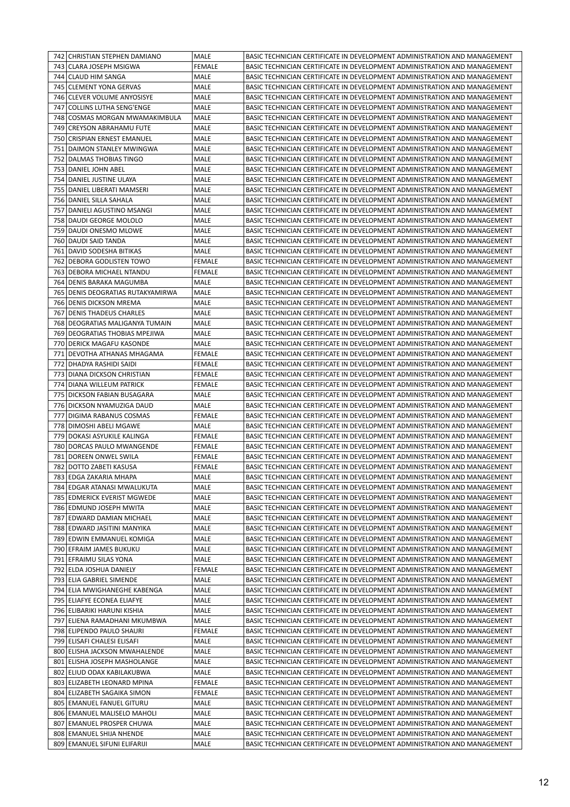|     | 742 CHRISTIAN STEPHEN DAMIANO     | MALE          | BASIC TECHNICIAN CERTIFICATE IN DEVELOPMENT ADMINISTRATION AND MANAGEMENT |
|-----|-----------------------------------|---------------|---------------------------------------------------------------------------|
|     | 743   CLARA JOSEPH MSIGWA         | <b>FEMALE</b> | BASIC TECHNICIAN CERTIFICATE IN DEVELOPMENT ADMINISTRATION AND MANAGEMENT |
|     | 744 CLAUD HIM SANGA               | MALE          | BASIC TECHNICIAN CERTIFICATE IN DEVELOPMENT ADMINISTRATION AND MANAGEMENT |
|     | 745 CLEMENT YONA GERVAS           | MALE          | BASIC TECHNICIAN CERTIFICATE IN DEVELOPMENT ADMINISTRATION AND MANAGEMENT |
|     | 746 CLEVER VOLUME ANYOSISYE       | MALE          | BASIC TECHNICIAN CERTIFICATE IN DEVELOPMENT ADMINISTRATION AND MANAGEMENT |
| 747 | COLLINS LUTHA SENG'ENGE           | MALE          | BASIC TECHNICIAN CERTIFICATE IN DEVELOPMENT ADMINISTRATION AND MANAGEMENT |
|     | 748   COSMAS MORGAN MWAMAKIMBULA  | MALE          | BASIC TECHNICIAN CERTIFICATE IN DEVELOPMENT ADMINISTRATION AND MANAGEMENT |
|     | 749 CREYSON ABRAHAMU FUTE         | MALE          | BASIC TECHNICIAN CERTIFICATE IN DEVELOPMENT ADMINISTRATION AND MANAGEMENT |
|     | 750 CRISPIAN ERNEST EMANUEL       | MALE          | BASIC TECHNICIAN CERTIFICATE IN DEVELOPMENT ADMINISTRATION AND MANAGEMENT |
|     | 751 DAIMON STANLEY MWINGWA        | MALE          | BASIC TECHNICIAN CERTIFICATE IN DEVELOPMENT ADMINISTRATION AND MANAGEMENT |
| 752 | DALMAS THOBIAS TINGO              | MALE          | BASIC TECHNICIAN CERTIFICATE IN DEVELOPMENT ADMINISTRATION AND MANAGEMENT |
|     | 753 DANIEL JOHN ABEL              | MALE          | BASIC TECHNICIAN CERTIFICATE IN DEVELOPMENT ADMINISTRATION AND MANAGEMENT |
|     | 754   DANIEL JUSTINE ULAYA        | MALE          | BASIC TECHNICIAN CERTIFICATE IN DEVELOPMENT ADMINISTRATION AND MANAGEMENT |
|     | 755   DANIEL LIBERATI MAMSERI     | MALE          | BASIC TECHNICIAN CERTIFICATE IN DEVELOPMENT ADMINISTRATION AND MANAGEMENT |
|     | 756   DANIEL SILLA SAHALA         | MALE          | BASIC TECHNICIAN CERTIFICATE IN DEVELOPMENT ADMINISTRATION AND MANAGEMENT |
|     | 757 DANIELI AGUSTINO MSANGI       | MALE          | BASIC TECHNICIAN CERTIFICATE IN DEVELOPMENT ADMINISTRATION AND MANAGEMENT |
|     | 758   DAUDI GEORGE MOLOLO         | MALE          | BASIC TECHNICIAN CERTIFICATE IN DEVELOPMENT ADMINISTRATION AND MANAGEMENT |
|     | 759   DAUDI ONESMO MLOWE          | MALE          | BASIC TECHNICIAN CERTIFICATE IN DEVELOPMENT ADMINISTRATION AND MANAGEMENT |
|     | 760   DAUDI SAID TANDA            | MALE          | BASIC TECHNICIAN CERTIFICATE IN DEVELOPMENT ADMINISTRATION AND MANAGEMENT |
|     | 761 DAVID SODESHA BITIKAS         | MALE          | BASIC TECHNICIAN CERTIFICATE IN DEVELOPMENT ADMINISTRATION AND MANAGEMENT |
| 762 | I DEBORA GODLISTEN TOWO           | <b>FEMALE</b> | BASIC TECHNICIAN CERTIFICATE IN DEVELOPMENT ADMINISTRATION AND MANAGEMENT |
| 763 | DEBORA MICHAEL NTANDU             | <b>FEMALE</b> | BASIC TECHNICIAN CERTIFICATE IN DEVELOPMENT ADMINISTRATION AND MANAGEMENT |
|     | 764   DENIS BARAKA MAGUMBA        | MALE          | BASIC TECHNICIAN CERTIFICATE IN DEVELOPMENT ADMINISTRATION AND MANAGEMENT |
|     | 765 DENIS DEOGRATIAS RUTAKYAMIRWA | MALE          | BASIC TECHNICIAN CERTIFICATE IN DEVELOPMENT ADMINISTRATION AND MANAGEMENT |
|     | 766 DENIS DICKSON MREMA           | MALE          | BASIC TECHNICIAN CERTIFICATE IN DEVELOPMENT ADMINISTRATION AND MANAGEMENT |
| 767 | DENIS THADEUS CHARLES             | MALE          | BASIC TECHNICIAN CERTIFICATE IN DEVELOPMENT ADMINISTRATION AND MANAGEMENT |
| 768 | DEOGRATIAS MALIGANYA TUMAIN       | MALE          | BASIC TECHNICIAN CERTIFICATE IN DEVELOPMENT ADMINISTRATION AND MANAGEMENT |
|     | 769   DEOGRATIAS THOBIAS MPEJIWA  | MALE          | BASIC TECHNICIAN CERTIFICATE IN DEVELOPMENT ADMINISTRATION AND MANAGEMENT |
|     | 770 DERICK MAGAFU KASONDE         | MALE          | BASIC TECHNICIAN CERTIFICATE IN DEVELOPMENT ADMINISTRATION AND MANAGEMENT |
| 771 | DEVOTHA ATHANAS MHAGAMA           | <b>FEMALE</b> | BASIC TECHNICIAN CERTIFICATE IN DEVELOPMENT ADMINISTRATION AND MANAGEMENT |
| 772 | DHADYA RASHIDI SAIDI              | <b>FEMALE</b> | BASIC TECHNICIAN CERTIFICATE IN DEVELOPMENT ADMINISTRATION AND MANAGEMENT |
|     | 773   DIANA DICKSON CHRISTIAN     | <b>FEMALE</b> | BASIC TECHNICIAN CERTIFICATE IN DEVELOPMENT ADMINISTRATION AND MANAGEMENT |
|     | 774 DIANA WILLEUM PATRICK         | <b>FEMALE</b> | BASIC TECHNICIAN CERTIFICATE IN DEVELOPMENT ADMINISTRATION AND MANAGEMENT |
|     | 775 DICKSON FABIAN BUSAGARA       | MALE          | BASIC TECHNICIAN CERTIFICATE IN DEVELOPMENT ADMINISTRATION AND MANAGEMENT |
|     | 776 DICKSON NYAMUZIGA DAUD        | MALE          | BASIC TECHNICIAN CERTIFICATE IN DEVELOPMENT ADMINISTRATION AND MANAGEMENT |
| 777 | DIGIMA RABANUS COSMAS             | <b>FEMALE</b> | BASIC TECHNICIAN CERTIFICATE IN DEVELOPMENT ADMINISTRATION AND MANAGEMENT |
|     | 778   DIMOSHI ABELI MGAWE         | MALE          | BASIC TECHNICIAN CERTIFICATE IN DEVELOPMENT ADMINISTRATION AND MANAGEMENT |
|     | 779 DOKASI ASYUKILE KALINGA       | <b>FEMALE</b> | BASIC TECHNICIAN CERTIFICATE IN DEVELOPMENT ADMINISTRATION AND MANAGEMENT |
|     | 780 DORCAS PAULO MWANGENDE        | <b>FEMALE</b> | BASIC TECHNICIAN CERTIFICATE IN DEVELOPMENT ADMINISTRATION AND MANAGEMENT |
| 781 | DOREEN ONWEL SWILA                | <b>FEMALE</b> | BASIC TECHNICIAN CERTIFICATE IN DEVELOPMENT ADMINISTRATION AND MANAGEMENT |
| 782 | DOTTO ZABETI KASUSA               | <b>FEMALE</b> | BASIC TECHNICIAN CERTIFICATE IN DEVELOPMENT ADMINISTRATION AND MANAGEMENT |
|     | 783 EDGA ZAKARIA MHAPA            | MALE          | BASIC TECHNICIAN CERTIFICATE IN DEVELOPMENT ADMINISTRATION AND MANAGEMENT |
|     | 784 EDGAR ATANASI MWALUKUTA       | MALE          | BASIC TECHNICIAN CERTIFICATE IN DEVELOPMENT ADMINISTRATION AND MANAGEMENT |
|     | 785 EDMERICK EVERIST MGWEDE       | MALE          | BASIC TECHNICIAN CERTIFICATE IN DEVELOPMENT ADMINISTRATION AND MANAGEMENT |
|     | 786 EDMUND JOSEPH MWITA           | MALE          | BASIC TECHNICIAN CERTIFICATE IN DEVELOPMENT ADMINISTRATION AND MANAGEMENT |
|     | 787 EDWARD DAMIAN MICHAEL         | MALE          | BASIC TECHNICIAN CERTIFICATE IN DEVELOPMENT ADMINISTRATION AND MANAGEMENT |
|     | 788 EDWARD JASITINI MANYIKA       | MALE          | BASIC TECHNICIAN CERTIFICATE IN DEVELOPMENT ADMINISTRATION AND MANAGEMENT |
|     | 789 EDWIN EMMANUEL KOMIGA         | MALE          | BASIC TECHNICIAN CERTIFICATE IN DEVELOPMENT ADMINISTRATION AND MANAGEMENT |
|     | 790 EFRAIM JAMES BUKUKU           | MALE          | BASIC TECHNICIAN CERTIFICATE IN DEVELOPMENT ADMINISTRATION AND MANAGEMENT |
|     | 791 EFRAIMU SILAS YONA            | MALE          | BASIC TECHNICIAN CERTIFICATE IN DEVELOPMENT ADMINISTRATION AND MANAGEMENT |
|     | 792 ELDA JOSHUA DANIELY           | <b>FEMALE</b> | BASIC TECHNICIAN CERTIFICATE IN DEVELOPMENT ADMINISTRATION AND MANAGEMENT |
|     | 793 ELIA GABRIEL SIMENDE          | MALE          | BASIC TECHNICIAN CERTIFICATE IN DEVELOPMENT ADMINISTRATION AND MANAGEMENT |
|     | 794 ELIA MWIGHANEGHE KABENGA      | MALE          | BASIC TECHNICIAN CERTIFICATE IN DEVELOPMENT ADMINISTRATION AND MANAGEMENT |
|     | 795 ELIAFYE ECONEA ELIAFYE        | MALE          | BASIC TECHNICIAN CERTIFICATE IN DEVELOPMENT ADMINISTRATION AND MANAGEMENT |
|     | 796 ELIBARIKI HARUNI KISHIA       | MALE          | BASIC TECHNICIAN CERTIFICATE IN DEVELOPMENT ADMINISTRATION AND MANAGEMENT |
|     | 797   ELIENA RAMADHANI MKUMBWA    | MALE          | BASIC TECHNICIAN CERTIFICATE IN DEVELOPMENT ADMINISTRATION AND MANAGEMENT |
|     | 798 ELIPENDO PAULO SHAURI         | FEMALE        | BASIC TECHNICIAN CERTIFICATE IN DEVELOPMENT ADMINISTRATION AND MANAGEMENT |
|     | 799 ELISAFI CHALESI ELISAFI       | MALE          | BASIC TECHNICIAN CERTIFICATE IN DEVELOPMENT ADMINISTRATION AND MANAGEMENT |
| 800 | <b>ELISHA JACKSON MWAHALENDE</b>  | MALE          | BASIC TECHNICIAN CERTIFICATE IN DEVELOPMENT ADMINISTRATION AND MANAGEMENT |
|     | 801 ELISHA JOSEPH MASHOLANGE      | MALE          | BASIC TECHNICIAN CERTIFICATE IN DEVELOPMENT ADMINISTRATION AND MANAGEMENT |
|     | 802 ELIUD ODAX KABILAKUBWA        | MALE          | BASIC TECHNICIAN CERTIFICATE IN DEVELOPMENT ADMINISTRATION AND MANAGEMENT |
|     | 803 ELIZABETH LEONARD MPINA       | <b>FEMALE</b> | BASIC TECHNICIAN CERTIFICATE IN DEVELOPMENT ADMINISTRATION AND MANAGEMENT |
| 804 | <b>ELIZABETH SAGAIKA SIMON</b>    | <b>FEMALE</b> | BASIC TECHNICIAN CERTIFICATE IN DEVELOPMENT ADMINISTRATION AND MANAGEMENT |
|     | 805   EMANUEL FANUEL GITURU       | MALE          | BASIC TECHNICIAN CERTIFICATE IN DEVELOPMENT ADMINISTRATION AND MANAGEMENT |
|     | 806 EMANUEL MALISELO MAHOLI       | MALE          | BASIC TECHNICIAN CERTIFICATE IN DEVELOPMENT ADMINISTRATION AND MANAGEMENT |
| 807 | <b>EMANUEL PROSPER CHUWA</b>      | MALE          | BASIC TECHNICIAN CERTIFICATE IN DEVELOPMENT ADMINISTRATION AND MANAGEMENT |
|     | 808 EMANUEL SHIJA NHENDE          | MALE          | BASIC TECHNICIAN CERTIFICATE IN DEVELOPMENT ADMINISTRATION AND MANAGEMENT |
|     | 809 EMANUEL SIFUNI ELIFARIJI      | MALE          | BASIC TECHNICIAN CERTIFICATE IN DEVELOPMENT ADMINISTRATION AND MANAGEMENT |
|     |                                   |               |                                                                           |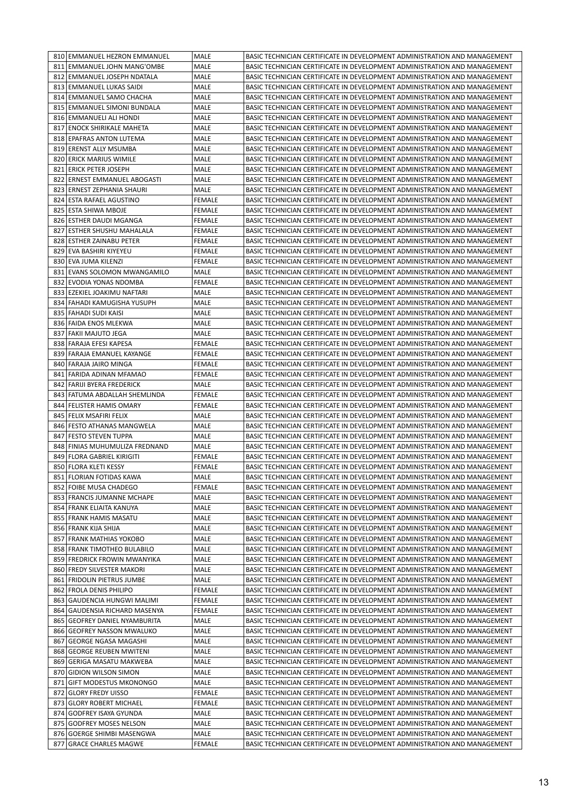|     | 810 EMMANUEL HEZRON EMMANUEL     | MALE          | BASIC TECHNICIAN CERTIFICATE IN DEVELOPMENT ADMINISTRATION AND MANAGEMENT |
|-----|----------------------------------|---------------|---------------------------------------------------------------------------|
|     | 811 EMMANUEL JOHN MANG'OMBE      | MALE          | BASIC TECHNICIAN CERTIFICATE IN DEVELOPMENT ADMINISTRATION AND MANAGEMENT |
| 812 | <b>EMMANUEL JOSEPH NDATALA</b>   | MALE          | BASIC TECHNICIAN CERTIFICATE IN DEVELOPMENT ADMINISTRATION AND MANAGEMENT |
| 813 | <b>LEMMANUEL LUKAS SAIDI</b>     | MALE          | BASIC TECHNICIAN CERTIFICATE IN DEVELOPMENT ADMINISTRATION AND MANAGEMENT |
|     | 814 EMMANUEL SAMO CHACHA         | MALE          | BASIC TECHNICIAN CERTIFICATE IN DEVELOPMENT ADMINISTRATION AND MANAGEMENT |
|     | 815 EMMANUEL SIMONI BUNDALA      | MALE          | BASIC TECHNICIAN CERTIFICATE IN DEVELOPMENT ADMINISTRATION AND MANAGEMENT |
|     | 816 EMMANUELI ALI HONDI          | MALE          | BASIC TECHNICIAN CERTIFICATE IN DEVELOPMENT ADMINISTRATION AND MANAGEMENT |
| 817 | ENOCK SHIRIKALE MAHETA           | MALE          | BASIC TECHNICIAN CERTIFICATE IN DEVELOPMENT ADMINISTRATION AND MANAGEMENT |
|     | 818 EPAFRAS ANTON LUTEMA         | MALE          | BASIC TECHNICIAN CERTIFICATE IN DEVELOPMENT ADMINISTRATION AND MANAGEMENT |
|     | 819 ERENST ALLY MSUMBA           | MALE          | BASIC TECHNICIAN CERTIFICATE IN DEVELOPMENT ADMINISTRATION AND MANAGEMENT |
|     | 820 ERICK MARIUS WIMILE          | MALE          | BASIC TECHNICIAN CERTIFICATE IN DEVELOPMENT ADMINISTRATION AND MANAGEMENT |
| 821 | <b>ERICK PETER JOSEPH</b>        | MALE          | BASIC TECHNICIAN CERTIFICATE IN DEVELOPMENT ADMINISTRATION AND MANAGEMENT |
| 822 | ERNEST EMMANUEL ABOGASTI         | MALE          | BASIC TECHNICIAN CERTIFICATE IN DEVELOPMENT ADMINISTRATION AND MANAGEMENT |
|     | 823 ERNEST ZEPHANIA SHAURI       | MALE          | BASIC TECHNICIAN CERTIFICATE IN DEVELOPMENT ADMINISTRATION AND MANAGEMENT |
|     | 824 ESTA RAFAEL AGUSTINO         | <b>FEMALE</b> | BASIC TECHNICIAN CERTIFICATE IN DEVELOPMENT ADMINISTRATION AND MANAGEMENT |
|     | 825 ESTA SHIWA MBOJE             | <b>FEMALE</b> | BASIC TECHNICIAN CERTIFICATE IN DEVELOPMENT ADMINISTRATION AND MANAGEMENT |
|     | 826 ESTHER DAUDI MGANGA          | <b>FEMALE</b> | BASIC TECHNICIAN CERTIFICATE IN DEVELOPMENT ADMINISTRATION AND MANAGEMENT |
| 827 | ESTHER SHUSHU MAHALALA           | FEMALE        | BASIC TECHNICIAN CERTIFICATE IN DEVELOPMENT ADMINISTRATION AND MANAGEMENT |
|     | 828 ESTHER ZAINABU PETER         | <b>FEMALE</b> | BASIC TECHNICIAN CERTIFICATE IN DEVELOPMENT ADMINISTRATION AND MANAGEMENT |
|     | 829 EVA BASHIRI KIYEYEU          | <b>FEMALE</b> | BASIC TECHNICIAN CERTIFICATE IN DEVELOPMENT ADMINISTRATION AND MANAGEMENT |
|     | 830 EVA JUMA KILENZI             | <b>FEMALE</b> | BASIC TECHNICIAN CERTIFICATE IN DEVELOPMENT ADMINISTRATION AND MANAGEMENT |
| 831 | <b>IEVANS SOLOMON MWANGAMILO</b> | MALE          | BASIC TECHNICIAN CERTIFICATE IN DEVELOPMENT ADMINISTRATION AND MANAGEMENT |
|     | 832 EVODIA YONAS NDOMBA          | <b>FEMALE</b> | BASIC TECHNICIAN CERTIFICATE IN DEVELOPMENT ADMINISTRATION AND MANAGEMENT |
|     | 833 EZEKIEL JOAKIMU NAFTARI      | MALE          | BASIC TECHNICIAN CERTIFICATE IN DEVELOPMENT ADMINISTRATION AND MANAGEMENT |
|     | 834   FAHADI KAMUGISHA YUSUPH    | MALE          | BASIC TECHNICIAN CERTIFICATE IN DEVELOPMENT ADMINISTRATION AND MANAGEMENT |
| 835 | <b>FAHADI SUDI KAISI</b>         | MALE          | BASIC TECHNICIAN CERTIFICATE IN DEVELOPMENT ADMINISTRATION AND MANAGEMENT |
|     | 836 FAIDA ENOS MLEKWA            | MALE          | BASIC TECHNICIAN CERTIFICATE IN DEVELOPMENT ADMINISTRATION AND MANAGEMENT |
| 837 | FAKII MAJUTO JEGA                | MALE          | BASIC TECHNICIAN CERTIFICATE IN DEVELOPMENT ADMINISTRATION AND MANAGEMENT |
|     | 838 FARAJA EFESI KAPESA          | FEMALE        | BASIC TECHNICIAN CERTIFICATE IN DEVELOPMENT ADMINISTRATION AND MANAGEMENT |
|     | 839 FARAJA EMANUEL KAYANGE       | <b>FEMALE</b> | BASIC TECHNICIAN CERTIFICATE IN DEVELOPMENT ADMINISTRATION AND MANAGEMENT |
| 840 | FARAJA JAIRO MINGA               | <b>FEMALE</b> | BASIC TECHNICIAN CERTIFICATE IN DEVELOPMENT ADMINISTRATION AND MANAGEMENT |
| 841 | FARIDA ADINAN MFAMAO             | FEMALE        | BASIC TECHNICIAN CERTIFICATE IN DEVELOPMENT ADMINISTRATION AND MANAGEMENT |
|     | 842 FARIJI BYERA FREDERICK       | MALE          | BASIC TECHNICIAN CERTIFICATE IN DEVELOPMENT ADMINISTRATION AND MANAGEMENT |
|     | 843   FATUMA ABDALLAH SHEMLINDA  | FEMALE        | BASIC TECHNICIAN CERTIFICATE IN DEVELOPMENT ADMINISTRATION AND MANAGEMENT |
|     | 844 FELISTER HAMIS OMARY         | <b>FEMALE</b> | BASIC TECHNICIAN CERTIFICATE IN DEVELOPMENT ADMINISTRATION AND MANAGEMENT |
| 845 | FELIX MSAFIRI FELIX              | MALE          | BASIC TECHNICIAN CERTIFICATE IN DEVELOPMENT ADMINISTRATION AND MANAGEMENT |
|     | 846 FESTO ATHANAS MANGWELA       | MALE          | BASIC TECHNICIAN CERTIFICATE IN DEVELOPMENT ADMINISTRATION AND MANAGEMENT |
| 847 | FESTO STEVEN TUPPA               | MALE          | BASIC TECHNICIAN CERTIFICATE IN DEVELOPMENT ADMINISTRATION AND MANAGEMENT |
|     | 848 FINIAS MUHUMULIZA FREDNAND   | MALE          | BASIC TECHNICIAN CERTIFICATE IN DEVELOPMENT ADMINISTRATION AND MANAGEMENT |
| 849 | FLORA GABRIEL KIRIGITI           | <b>FEMALE</b> | BASIC TECHNICIAN CERTIFICATE IN DEVELOPMENT ADMINISTRATION AND MANAGEMENT |
|     | 850 FLORA KLETI KESSY            | <b>FEMALE</b> | BASIC TECHNICIAN CERTIFICATE IN DEVELOPMENT ADMINISTRATION AND MANAGEMENT |
|     | 851 FLORIAN FOTIDAS KAWA         | MALE          | BASIC TECHNICIAN CERTIFICATE IN DEVELOPMENT ADMINISTRATION AND MANAGEMENT |
|     | 852 FOIBE MUSA CHADEGO           | FEMALE        | BASIC TECHNICIAN CERTIFICATE IN DEVELOPMENT ADMINISTRATION AND MANAGEMENT |
|     | 853 FRANCIS JUMANNE MCHAPE       | MALE          | BASIC TECHNICIAN CERTIFICATE IN DEVELOPMENT ADMINISTRATION AND MANAGEMENT |
|     | 854 FRANK ELIAITA KANUYA         | MALE          | BASIC TECHNICIAN CERTIFICATE IN DEVELOPMENT ADMINISTRATION AND MANAGEMENT |
|     | 855 FRANK HAMIS MASATU           | MALE          | BASIC TECHNICIAN CERTIFICATE IN DEVELOPMENT ADMINISTRATION AND MANAGEMENT |
|     | 856 FRANK KIJA SHIJA             | MALE          | BASIC TECHNICIAN CERTIFICATE IN DEVELOPMENT ADMINISTRATION AND MANAGEMENT |
|     | 857 FRANK MATHIAS YOKOBO         | MALE          | BASIC TECHNICIAN CERTIFICATE IN DEVELOPMENT ADMINISTRATION AND MANAGEMENT |
|     | 858 FRANK TIMOTHEO BULABILO      | MALE          | BASIC TECHNICIAN CERTIFICATE IN DEVELOPMENT ADMINISTRATION AND MANAGEMENT |
|     | 859 FREDRICK FROWIN MWANYIKA     | MALE          | BASIC TECHNICIAN CERTIFICATE IN DEVELOPMENT ADMINISTRATION AND MANAGEMENT |
|     | 860 FREDY SILVESTER MAKORI       | MALE          | BASIC TECHNICIAN CERTIFICATE IN DEVELOPMENT ADMINISTRATION AND MANAGEMENT |
| 861 | <b>FRIDOLIN PIETRUS JUMBE</b>    | MALE          | BASIC TECHNICIAN CERTIFICATE IN DEVELOPMENT ADMINISTRATION AND MANAGEMENT |
| 862 | <b>FROLA DENIS PHILIPO</b>       | <b>FEMALE</b> | BASIC TECHNICIAN CERTIFICATE IN DEVELOPMENT ADMINISTRATION AND MANAGEMENT |
| 863 | <b>GAUDENCIA HUNGWI MALIMI</b>   | <b>FEMALE</b> | BASIC TECHNICIAN CERTIFICATE IN DEVELOPMENT ADMINISTRATION AND MANAGEMENT |
|     | 864   GAUDENSIA RICHARD MASENYA  | <b>FEMALE</b> | BASIC TECHNICIAN CERTIFICATE IN DEVELOPMENT ADMINISTRATION AND MANAGEMENT |
|     | 865   GEOFREY DANIEL NYAMBURITA  | MALE          | BASIC TECHNICIAN CERTIFICATE IN DEVELOPMENT ADMINISTRATION AND MANAGEMENT |
|     | 866 GEOFREY NASSON MWALUKO       | MALE          | BASIC TECHNICIAN CERTIFICATE IN DEVELOPMENT ADMINISTRATION AND MANAGEMENT |
| 867 | GEORGE NGASA MAGASHI             | MALE          | BASIC TECHNICIAN CERTIFICATE IN DEVELOPMENT ADMINISTRATION AND MANAGEMENT |
|     | 868 GEORGE REUBEN MWITENI        | MALE          | BASIC TECHNICIAN CERTIFICATE IN DEVELOPMENT ADMINISTRATION AND MANAGEMENT |
|     | 869   GERIGA MASATU MAKWEBA      | <b>MALE</b>   | BASIC TECHNICIAN CERTIFICATE IN DEVELOPMENT ADMINISTRATION AND MANAGEMENT |
|     | 870 GIDION WILSON SIMON          | MALE          | BASIC TECHNICIAN CERTIFICATE IN DEVELOPMENT ADMINISTRATION AND MANAGEMENT |
|     | 871 GIFT MODESTUS MKONONGO       | MALE          | BASIC TECHNICIAN CERTIFICATE IN DEVELOPMENT ADMINISTRATION AND MANAGEMENT |
| 872 | <b>GLORY FREDY UISSO</b>         | <b>FEMALE</b> | BASIC TECHNICIAN CERTIFICATE IN DEVELOPMENT ADMINISTRATION AND MANAGEMENT |
| 873 | <b>GLORY ROBERT MICHAEL</b>      | <b>FEMALE</b> | BASIC TECHNICIAN CERTIFICATE IN DEVELOPMENT ADMINISTRATION AND MANAGEMENT |
|     | 874 GODFREY ISAYA GYUNDA         | MALE          | BASIC TECHNICIAN CERTIFICATE IN DEVELOPMENT ADMINISTRATION AND MANAGEMENT |
|     |                                  |               |                                                                           |
|     | 875 GODFREY MOSES NELSON         | MALE          | BASIC TECHNICIAN CERTIFICATE IN DEVELOPMENT ADMINISTRATION AND MANAGEMENT |
|     | 876 GOERGE SHIMBI MASENGWA       | MALE          | BASIC TECHNICIAN CERTIFICATE IN DEVELOPMENT ADMINISTRATION AND MANAGEMENT |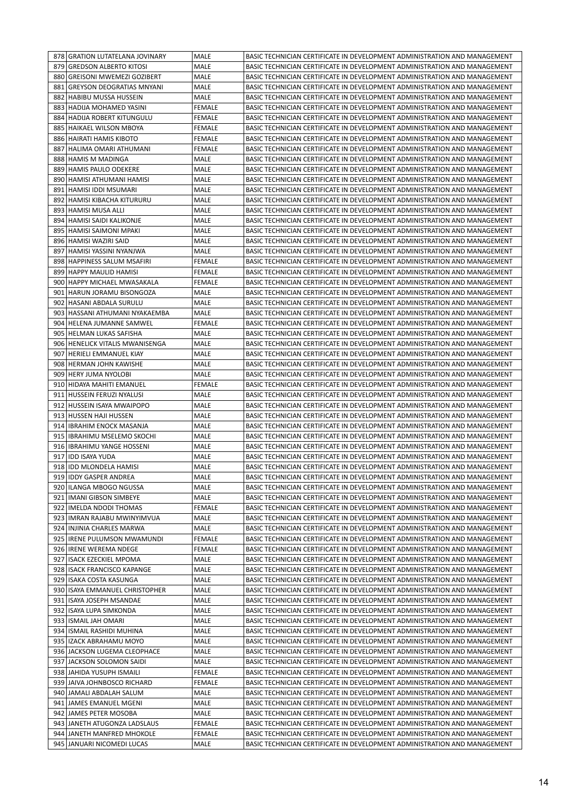|     | 878 GRATION LUTATELANA JOVINARY  | MALE          | BASIC TECHNICIAN CERTIFICATE IN DEVELOPMENT ADMINISTRATION AND MANAGEMENT |
|-----|----------------------------------|---------------|---------------------------------------------------------------------------|
|     | 879 GREDSON ALBERTO KITOSI       | <b>MALE</b>   | BASIC TECHNICIAN CERTIFICATE IN DEVELOPMENT ADMINISTRATION AND MANAGEMENT |
| 880 | GREISONI MWEMEZI GOZIBERT        | MALE          | BASIC TECHNICIAN CERTIFICATE IN DEVELOPMENT ADMINISTRATION AND MANAGEMENT |
| 881 | <b>GREYSON DEOGRATIAS MNYANI</b> | MALE          | BASIC TECHNICIAN CERTIFICATE IN DEVELOPMENT ADMINISTRATION AND MANAGEMENT |
| 882 | HABIBU MUSSA HUSSEIN             | MALE          | BASIC TECHNICIAN CERTIFICATE IN DEVELOPMENT ADMINISTRATION AND MANAGEMENT |
|     | 883 HADIJA MOHAMED YASINI        | FEMALE        | BASIC TECHNICIAN CERTIFICATE IN DEVELOPMENT ADMINISTRATION AND MANAGEMENT |
| 884 | HADIJA ROBERT KITUNGULU          | <b>FEMALE</b> | BASIC TECHNICIAN CERTIFICATE IN DEVELOPMENT ADMINISTRATION AND MANAGEMENT |
| 885 | <b>HAIKAEL WILSON MBOYA</b>      | <b>FEMALE</b> | BASIC TECHNICIAN CERTIFICATE IN DEVELOPMENT ADMINISTRATION AND MANAGEMENT |
|     | 886   HAIRATI HAMIS KIBOTO       | FEMALE        | BASIC TECHNICIAN CERTIFICATE IN DEVELOPMENT ADMINISTRATION AND MANAGEMENT |
| 887 | HALIMA OMARI ATHUMANI            | <b>FEMALE</b> | BASIC TECHNICIAN CERTIFICATE IN DEVELOPMENT ADMINISTRATION AND MANAGEMENT |
|     | 888 HAMIS M MADINGA              | MALE          | BASIC TECHNICIAN CERTIFICATE IN DEVELOPMENT ADMINISTRATION AND MANAGEMENT |
| 889 | HAMIS PAULO ODEKERE              | MALE          | BASIC TECHNICIAN CERTIFICATE IN DEVELOPMENT ADMINISTRATION AND MANAGEMENT |
| 890 | İHAMISI ATHUMANI HAMISI          | MALE          | BASIC TECHNICIAN CERTIFICATE IN DEVELOPMENT ADMINISTRATION AND MANAGEMENT |
| 891 | <b>HAMISI IDDI MSUMARI</b>       | MALE          | BASIC TECHNICIAN CERTIFICATE IN DEVELOPMENT ADMINISTRATION AND MANAGEMENT |
| 892 | HAMISI KIBACHA KITURURU          | MALE          | BASIC TECHNICIAN CERTIFICATE IN DEVELOPMENT ADMINISTRATION AND MANAGEMENT |
|     | 893   HAMISI MUSA ALLI           | MALE          | BASIC TECHNICIAN CERTIFICATE IN DEVELOPMENT ADMINISTRATION AND MANAGEMENT |
| 894 | HAMISI SAIDI KALIKONJE           | MALE          | BASIC TECHNICIAN CERTIFICATE IN DEVELOPMENT ADMINISTRATION AND MANAGEMENT |
| 895 | HAMISI SAIMONI MPAKI             | MALE          | BASIC TECHNICIAN CERTIFICATE IN DEVELOPMENT ADMINISTRATION AND MANAGEMENT |
|     | 896 HAMISI WAZIRI SAID           | MALE          | BASIC TECHNICIAN CERTIFICATE IN DEVELOPMENT ADMINISTRATION AND MANAGEMENT |
| 897 | HAMISI YASSINI NYANJWA           | <b>MALE</b>   | BASIC TECHNICIAN CERTIFICATE IN DEVELOPMENT ADMINISTRATION AND MANAGEMENT |
|     | 898 HAPPINESS SALUM MSAFIRI      | <b>FEMALE</b> | BASIC TECHNICIAN CERTIFICATE IN DEVELOPMENT ADMINISTRATION AND MANAGEMENT |
|     | 899 HAPPY MAULID HAMISI          | <b>FEMALE</b> | BASIC TECHNICIAN CERTIFICATE IN DEVELOPMENT ADMINISTRATION AND MANAGEMENT |
|     | 900 HAPPY MICHAEL MWASAKALA      | <b>FEMALE</b> | BASIC TECHNICIAN CERTIFICATE IN DEVELOPMENT ADMINISTRATION AND MANAGEMENT |
| 901 | HARUN JORAMU BISONGOZA           | MALE          | BASIC TECHNICIAN CERTIFICATE IN DEVELOPMENT ADMINISTRATION AND MANAGEMENT |
| 902 | HASANI ABDALA SURULU             | MALE          | BASIC TECHNICIAN CERTIFICATE IN DEVELOPMENT ADMINISTRATION AND MANAGEMENT |
| 903 | HASSANI ATHUMANI NYAKAEMBA       | MALE          | BASIC TECHNICIAN CERTIFICATE IN DEVELOPMENT ADMINISTRATION AND MANAGEMENT |
| 904 | <b>HELENA JUMANNE SAMWEL</b>     | <b>FEMALE</b> | BASIC TECHNICIAN CERTIFICATE IN DEVELOPMENT ADMINISTRATION AND MANAGEMENT |
|     | 905   HELMAN LUKAS SAFISHA       | MALE          | BASIC TECHNICIAN CERTIFICATE IN DEVELOPMENT ADMINISTRATION AND MANAGEMENT |
|     | 906 HENELICK VITALIS MWANISENGA  | MALE          | BASIC TECHNICIAN CERTIFICATE IN DEVELOPMENT ADMINISTRATION AND MANAGEMENT |
| 907 | <b>HERIELI EMMANUEL KIAY</b>     | MALE          | BASIC TECHNICIAN CERTIFICATE IN DEVELOPMENT ADMINISTRATION AND MANAGEMENT |
| 908 | HERMAN JOHN KAWISHE              | MALE          | BASIC TECHNICIAN CERTIFICATE IN DEVELOPMENT ADMINISTRATION AND MANAGEMENT |
| 909 | <b>HERY JUMA NYOLOBI</b>         | MALE          | BASIC TECHNICIAN CERTIFICATE IN DEVELOPMENT ADMINISTRATION AND MANAGEMENT |
|     | 910 HIDAYA MAHITI EMANUEL        | <b>FEMALE</b> | BASIC TECHNICIAN CERTIFICATE IN DEVELOPMENT ADMINISTRATION AND MANAGEMENT |
|     | 911 HUSSEIN FERUZI NYALUSI       | MALE          | BASIC TECHNICIAN CERTIFICATE IN DEVELOPMENT ADMINISTRATION AND MANAGEMENT |
|     | 912 HUSSEIN ISAYA MWAIPOPO       | MALE          | BASIC TECHNICIAN CERTIFICATE IN DEVELOPMENT ADMINISTRATION AND MANAGEMENT |
|     | 913 HUSSEN HAJI HUSSEN           | MALE          | BASIC TECHNICIAN CERTIFICATE IN DEVELOPMENT ADMINISTRATION AND MANAGEMENT |
|     | 914   IBRAHIM ENOCK MASANJA      | MALE          | BASIC TECHNICIAN CERTIFICATE IN DEVELOPMENT ADMINISTRATION AND MANAGEMENT |
|     | 915 IBRAHIMU MSELEMO SKOCHI      | MALE          | BASIC TECHNICIAN CERTIFICATE IN DEVELOPMENT ADMINISTRATION AND MANAGEMENT |
|     | 916   IBRAHIMU YANGE HOSSENI     | MALE          | BASIC TECHNICIAN CERTIFICATE IN DEVELOPMENT ADMINISTRATION AND MANAGEMENT |
| 917 | <b>IDD ISAYA YUDA</b>            | MALE          | BASIC TECHNICIAN CERTIFICATE IN DEVELOPMENT ADMINISTRATION AND MANAGEMENT |
|     | 918 IDD MLONDELA HAMISI          | MALE          | BASIC TECHNICIAN CERTIFICATE IN DEVELOPMENT ADMINISTRATION AND MANAGEMENT |
|     | 919 IDDY GASPER ANDREA           | MALE          | BASIC TECHNICIAN CERTIFICATE IN DEVELOPMENT ADMINISTRATION AND MANAGEMENT |
|     |                                  |               |                                                                           |
|     | 920   ILANGA MBOGO NGUSSA        | MALE          | BASIC TECHNICIAN CERTIFICATE IN DEVELOPMENT ADMINISTRATION AND MANAGEMENT |
| 921 | <b>IMANI GIBSON SIMBEYE</b>      | MALE          | BASIC TECHNICIAN CERTIFICATE IN DEVELOPMENT ADMINISTRATION AND MANAGEMENT |
| 922 | <b>IMELDA NDODI THOMAS</b>       | <b>FEMALE</b> | BASIC TECHNICIAN CERTIFICATE IN DEVELOPMENT ADMINISTRATION AND MANAGEMENT |
|     | 923   IMRAN RAJABU MWINYIMVUA    | MALE          | BASIC TECHNICIAN CERTIFICATE IN DEVELOPMENT ADMINISTRATION AND MANAGEMENT |
|     | 924 INJINIA CHARLES MARWA        | MALE          | BASIC TECHNICIAN CERTIFICATE IN DEVELOPMENT ADMINISTRATION AND MANAGEMENT |
|     | 925   IRENE PULUMSON MWAMUNDI    | <b>FEMALE</b> | BASIC TECHNICIAN CERTIFICATE IN DEVELOPMENT ADMINISTRATION AND MANAGEMENT |
|     | 926   IRENE WEREMA NDEGE         | <b>FEMALE</b> | BASIC TECHNICIAN CERTIFICATE IN DEVELOPMENT ADMINISTRATION AND MANAGEMENT |
| 927 | <b>ISACK EZECKIEL MPOMA</b>      | MALE          | BASIC TECHNICIAN CERTIFICATE IN DEVELOPMENT ADMINISTRATION AND MANAGEMENT |
|     | 928   ISACK FRANCISCO KAPANGE    | MALE          | BASIC TECHNICIAN CERTIFICATE IN DEVELOPMENT ADMINISTRATION AND MANAGEMENT |
|     | 929   ISAKA COSTA KASUNGA        | MALE          | BASIC TECHNICIAN CERTIFICATE IN DEVELOPMENT ADMINISTRATION AND MANAGEMENT |
|     | 930 ISAYA EMMANUEL CHRISTOPHER   | <b>MALE</b>   | BASIC TECHNICIAN CERTIFICATE IN DEVELOPMENT ADMINISTRATION AND MANAGEMENT |
| 931 | <b>ISAYA JOSEPH MSANDAE</b>      | MALE          | BASIC TECHNICIAN CERTIFICATE IN DEVELOPMENT ADMINISTRATION AND MANAGEMENT |
|     | 932   ISAYA LUPA SIMKONDA        | MALE          | BASIC TECHNICIAN CERTIFICATE IN DEVELOPMENT ADMINISTRATION AND MANAGEMENT |
|     | 933   ISMAIL JAH OMARI           | MALE          | BASIC TECHNICIAN CERTIFICATE IN DEVELOPMENT ADMINISTRATION AND MANAGEMENT |
|     | 934   ISMAIL RASHIDI MUHINA      | MALE          | BASIC TECHNICIAN CERTIFICATE IN DEVELOPMENT ADMINISTRATION AND MANAGEMENT |
|     | 935   IZACK ABRAHAMU MOYO        | MALE          | BASIC TECHNICIAN CERTIFICATE IN DEVELOPMENT ADMINISTRATION AND MANAGEMENT |
|     | 936 JACKSON LUGEMA CLEOPHACE     | MALE          | BASIC TECHNICIAN CERTIFICATE IN DEVELOPMENT ADMINISTRATION AND MANAGEMENT |
|     | 937 JACKSON SOLOMON SAIDI        | MALE          | BASIC TECHNICIAN CERTIFICATE IN DEVELOPMENT ADMINISTRATION AND MANAGEMENT |
|     | 938 JAHIDA YUSUPH ISMAILI        | <b>FEMALE</b> | BASIC TECHNICIAN CERTIFICATE IN DEVELOPMENT ADMINISTRATION AND MANAGEMENT |
|     | 939 JAIVA JOHNBOSCO RICHARD      | <b>FEMALE</b> | BASIC TECHNICIAN CERTIFICATE IN DEVELOPMENT ADMINISTRATION AND MANAGEMENT |
|     | 940 JAMALI ABDALAH SALUM         | MALE          | BASIC TECHNICIAN CERTIFICATE IN DEVELOPMENT ADMINISTRATION AND MANAGEMENT |
| 941 | JAMES EMANUEL MGENI              | MALE          | BASIC TECHNICIAN CERTIFICATE IN DEVELOPMENT ADMINISTRATION AND MANAGEMENT |
|     | 942 JAMES PETER MOSOBA           | MALE          | BASIC TECHNICIAN CERTIFICATE IN DEVELOPMENT ADMINISTRATION AND MANAGEMENT |
|     | 943 JANETH ATUGONZA LADSLAUS     | <b>FEMALE</b> | BASIC TECHNICIAN CERTIFICATE IN DEVELOPMENT ADMINISTRATION AND MANAGEMENT |
|     | 944 JANETH MANFRED MHOKOLE       | <b>FEMALE</b> | BASIC TECHNICIAN CERTIFICATE IN DEVELOPMENT ADMINISTRATION AND MANAGEMENT |
|     | 945 JANUARI NICOMEDI LUCAS       | MALE          | BASIC TECHNICIAN CERTIFICATE IN DEVELOPMENT ADMINISTRATION AND MANAGEMENT |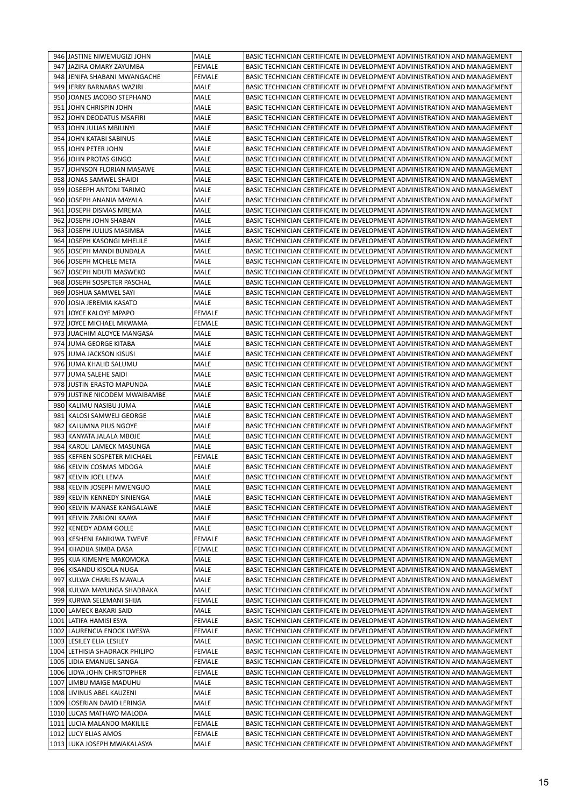|     | 946 JASTINE NIWEMUGIZI JOHN    | MALE          | BASIC TECHNICIAN CERTIFICATE IN DEVELOPMENT ADMINISTRATION AND MANAGEMENT |
|-----|--------------------------------|---------------|---------------------------------------------------------------------------|
|     | 947 JAZIRA OMARY ZAYUMBA       | <b>FEMALE</b> | BASIC TECHNICIAN CERTIFICATE IN DEVELOPMENT ADMINISTRATION AND MANAGEMENT |
|     | 948 JENIFA SHABANI MWANGACHE   | <b>FEMALE</b> | BASIC TECHNICIAN CERTIFICATE IN DEVELOPMENT ADMINISTRATION AND MANAGEMENT |
| 949 | JERRY BARNABAS WAZIRI          | MALE          | BASIC TECHNICIAN CERTIFICATE IN DEVELOPMENT ADMINISTRATION AND MANAGEMENT |
|     | 950 JOANES JACOBO STEPHANO     | MALE          | BASIC TECHNICIAN CERTIFICATE IN DEVELOPMENT ADMINISTRATION AND MANAGEMENT |
| 951 | <b>JOHN CHRISPIN JOHN</b>      | MALE          | BASIC TECHNICIAN CERTIFICATE IN DEVELOPMENT ADMINISTRATION AND MANAGEMENT |
|     | 952 JOHN DEODATUS MSAFIRI      | MALE          | BASIC TECHNICIAN CERTIFICATE IN DEVELOPMENT ADMINISTRATION AND MANAGEMENT |
| 953 | JOHN JULIAS MBILINYI           | MALE          | BASIC TECHNICIAN CERTIFICATE IN DEVELOPMENT ADMINISTRATION AND MANAGEMENT |
|     | 954 JOHN KATABI SABINUS        | MALE          | BASIC TECHNICIAN CERTIFICATE IN DEVELOPMENT ADMINISTRATION AND MANAGEMENT |
|     | 955 JOHN PETER JOHN            | MALE          | BASIC TECHNICIAN CERTIFICATE IN DEVELOPMENT ADMINISTRATION AND MANAGEMENT |
|     | 956 JOHN PROTAS GINGO          | MALE          | BASIC TECHNICIAN CERTIFICATE IN DEVELOPMENT ADMINISTRATION AND MANAGEMENT |
| 957 | JOHNSON FLORIAN MASAWE         | MALE          | BASIC TECHNICIAN CERTIFICATE IN DEVELOPMENT ADMINISTRATION AND MANAGEMENT |
|     | 958 JONAS SAMWEL SHAIDI        | MALE          | BASIC TECHNICIAN CERTIFICATE IN DEVELOPMENT ADMINISTRATION AND MANAGEMENT |
|     | 959 JOSEEPH ANTONI TARIMO      | MALE          | BASIC TECHNICIAN CERTIFICATE IN DEVELOPMENT ADMINISTRATION AND MANAGEMENT |
|     | 960 JOSEPH ANANIA MAYALA       | MALE          | BASIC TECHNICIAN CERTIFICATE IN DEVELOPMENT ADMINISTRATION AND MANAGEMENT |
|     | 961 JOSEPH DISMAS MREMA        | MALE          | BASIC TECHNICIAN CERTIFICATE IN DEVELOPMENT ADMINISTRATION AND MANAGEMENT |
| 962 | JOSEPH JOHN SHABAN             | MALE          | BASIC TECHNICIAN CERTIFICATE IN DEVELOPMENT ADMINISTRATION AND MANAGEMENT |
|     | 963 JOSEPH JULIUS MASIMBA      | MALE          | BASIC TECHNICIAN CERTIFICATE IN DEVELOPMENT ADMINISTRATION AND MANAGEMENT |
|     | 964 JOSEPH KASONGI MHELILE     | MALE          | BASIC TECHNICIAN CERTIFICATE IN DEVELOPMENT ADMINISTRATION AND MANAGEMENT |
|     | 965 JJOSEPH MANDI BUNDALA      | <b>MALE</b>   | BASIC TECHNICIAN CERTIFICATE IN DEVELOPMENT ADMINISTRATION AND MANAGEMENT |
|     | 966 JOSEPH MCHELE META         | <b>MALE</b>   | BASIC TECHNICIAN CERTIFICATE IN DEVELOPMENT ADMINISTRATION AND MANAGEMENT |
| 967 | JOSEPH NDUTI MASWEKO           | MALE          | BASIC TECHNICIAN CERTIFICATE IN DEVELOPMENT ADMINISTRATION AND MANAGEMENT |
|     | 968 JOSEPH SOSPETER PASCHAL    | MALE          | BASIC TECHNICIAN CERTIFICATE IN DEVELOPMENT ADMINISTRATION AND MANAGEMENT |
|     | 969 JOSHUA SAMWEL SAYI         | <b>MALE</b>   | BASIC TECHNICIAN CERTIFICATE IN DEVELOPMENT ADMINISTRATION AND MANAGEMENT |
|     | 970 JOSIA JEREMIA KASATO       | MALE          | BASIC TECHNICIAN CERTIFICATE IN DEVELOPMENT ADMINISTRATION AND MANAGEMENT |
| 971 | JOYCE KALOYE MPAPO             | <b>FEMALE</b> | BASIC TECHNICIAN CERTIFICATE IN DEVELOPMENT ADMINISTRATION AND MANAGEMENT |
| 972 | LJOYCE MICHAEL MKWAMA          | <b>FEMALE</b> | BASIC TECHNICIAN CERTIFICATE IN DEVELOPMENT ADMINISTRATION AND MANAGEMENT |
|     | 973 JUACHIM ALOYCE MANGASA     | MALE          | BASIC TECHNICIAN CERTIFICATE IN DEVELOPMENT ADMINISTRATION AND MANAGEMENT |
|     | 974 JUMA GEORGE KITABA         | MALE          | BASIC TECHNICIAN CERTIFICATE IN DEVELOPMENT ADMINISTRATION AND MANAGEMENT |
|     | 975 JUMA JACKSON KISUSI        | MALE          | BASIC TECHNICIAN CERTIFICATE IN DEVELOPMENT ADMINISTRATION AND MANAGEMENT |
|     | 976 JUMA KHALID SALUMU         | MALE          | BASIC TECHNICIAN CERTIFICATE IN DEVELOPMENT ADMINISTRATION AND MANAGEMENT |
|     | 977 JUMA SALEHE SAIDI          | MALE          | BASIC TECHNICIAN CERTIFICATE IN DEVELOPMENT ADMINISTRATION AND MANAGEMENT |
|     | 978 JUSTIN ERASTO MAPUNDA      | MALE          | BASIC TECHNICIAN CERTIFICATE IN DEVELOPMENT ADMINISTRATION AND MANAGEMENT |
|     | 979 JUSTINE NICODEM MWAIBAMBE  | MALE          | BASIC TECHNICIAN CERTIFICATE IN DEVELOPMENT ADMINISTRATION AND MANAGEMENT |
|     | 980 KALIMU NASIBU JUMA         | MALE          | BASIC TECHNICIAN CERTIFICATE IN DEVELOPMENT ADMINISTRATION AND MANAGEMENT |
| 981 | <b>KALOSI SAMWELI GEORGE</b>   | MALE          | BASIC TECHNICIAN CERTIFICATE IN DEVELOPMENT ADMINISTRATION AND MANAGEMENT |
|     | 982   KALUMNA PIUS NGOYE       | MALE          | BASIC TECHNICIAN CERTIFICATE IN DEVELOPMENT ADMINISTRATION AND MANAGEMENT |
|     | 983   KANYATA JALALA MBOJE     | MALE          | BASIC TECHNICIAN CERTIFICATE IN DEVELOPMENT ADMINISTRATION AND MANAGEMENT |
|     | 984 KAROLI LAMECK MASUNGA      | <b>MALE</b>   | BASIC TECHNICIAN CERTIFICATE IN DEVELOPMENT ADMINISTRATION AND MANAGEMENT |
| 985 | KEFREN SOSPETER MICHAEL        | <b>FEMALE</b> | BASIC TECHNICIAN CERTIFICATE IN DEVELOPMENT ADMINISTRATION AND MANAGEMENT |
|     | 986 KELVIN COSMAS MDOGA        | MALE          | BASIC TECHNICIAN CERTIFICATE IN DEVELOPMENT ADMINISTRATION AND MANAGEMENT |
|     | 987 KELVIN JOEL LEMA           | MALE          | BASIC TECHNICIAN CERTIFICATE IN DEVELOPMENT ADMINISTRATION AND MANAGEMENT |
|     | 988 KELVIN JOSEPH MWENGUO      | MALE          | BASIC TECHNICIAN CERTIFICATE IN DEVELOPMENT ADMINISTRATION AND MANAGEMENT |
|     | 989 KELVIN KENNEDY SINIENGA    | MALE          | BASIC TECHNICIAN CERTIFICATE IN DEVELOPMENT ADMINISTRATION AND MANAGEMENT |
|     | 990 KELVIN MANASE KANGALAWE    | MALE          | BASIC TECHNICIAN CERTIFICATE IN DEVELOPMENT ADMINISTRATION AND MANAGEMENT |
|     | 991   KELVIN ZABLONI KAAYA     | MALE          | BASIC TECHNICIAN CERTIFICATE IN DEVELOPMENT ADMINISTRATION AND MANAGEMENT |
|     | 992 KENEDY ADAM GOLLE          | MALE          | BASIC TECHNICIAN CERTIFICATE IN DEVELOPMENT ADMINISTRATION AND MANAGEMENT |
|     | 993   KESHENI FANIKIWA TWEVE   | FEMALE        | BASIC TECHNICIAN CERTIFICATE IN DEVELOPMENT ADMINISTRATION AND MANAGEMENT |
| 994 | KHADIJA SIMBA DASA             | FEMALE        | BASIC TECHNICIAN CERTIFICATE IN DEVELOPMENT ADMINISTRATION AND MANAGEMENT |
| 995 | KIJA KIMENYE MAKOMOKA          | MALE          | BASIC TECHNICIAN CERTIFICATE IN DEVELOPMENT ADMINISTRATION AND MANAGEMENT |
|     | 996   KISANDU KISOLA NUGA      | MALE          | BASIC TECHNICIAN CERTIFICATE IN DEVELOPMENT ADMINISTRATION AND MANAGEMENT |
| 997 | KULWA CHARLES MAYALA           | MALE          | BASIC TECHNICIAN CERTIFICATE IN DEVELOPMENT ADMINISTRATION AND MANAGEMENT |
|     | 998 KULWA MAYUNGA SHADRAKA     | MALE          | BASIC TECHNICIAN CERTIFICATE IN DEVELOPMENT ADMINISTRATION AND MANAGEMENT |
| 999 | KURWA SELEMANI SHIJA           | <b>FEMALE</b> | BASIC TECHNICIAN CERTIFICATE IN DEVELOPMENT ADMINISTRATION AND MANAGEMENT |
|     | 1000 LAMECK BAKARI SAID        | MALE          | BASIC TECHNICIAN CERTIFICATE IN DEVELOPMENT ADMINISTRATION AND MANAGEMENT |
|     | 1001   LATIFA HAMISI ESYA      | FEMALE        | BASIC TECHNICIAN CERTIFICATE IN DEVELOPMENT ADMINISTRATION AND MANAGEMENT |
|     | 1002 LAURENCIA ENOCK LWESYA    | FEMALE        | BASIC TECHNICIAN CERTIFICATE IN DEVELOPMENT ADMINISTRATION AND MANAGEMENT |
|     | 1003   LESILEY ELIA LESILEY    | MALE          | BASIC TECHNICIAN CERTIFICATE IN DEVELOPMENT ADMINISTRATION AND MANAGEMENT |
|     | 1004 LETHISIA SHADRACK PHILIPO | <b>FEMALE</b> | BASIC TECHNICIAN CERTIFICATE IN DEVELOPMENT ADMINISTRATION AND MANAGEMENT |
|     | 1005 LIDIA EMANUEL SANGA       | FEMALE        | BASIC TECHNICIAN CERTIFICATE IN DEVELOPMENT ADMINISTRATION AND MANAGEMENT |
|     | 1006 LIDYA JOHN CHRISTOPHER    | FEMALE        | BASIC TECHNICIAN CERTIFICATE IN DEVELOPMENT ADMINISTRATION AND MANAGEMENT |
|     | 1007 LIMBU MAIGE MADUHU        | MALE          | BASIC TECHNICIAN CERTIFICATE IN DEVELOPMENT ADMINISTRATION AND MANAGEMENT |
|     | 1008 LIVINUS ABEL KAUZENI      | MALE          | BASIC TECHNICIAN CERTIFICATE IN DEVELOPMENT ADMINISTRATION AND MANAGEMENT |
|     | 1009 LOSERIAN DAVID LERINGA    | MALE          | BASIC TECHNICIAN CERTIFICATE IN DEVELOPMENT ADMINISTRATION AND MANAGEMENT |
|     | 1010 LUCAS MATHAYO MALODA      | MALE          | BASIC TECHNICIAN CERTIFICATE IN DEVELOPMENT ADMINISTRATION AND MANAGEMENT |
|     | 1011 LUCIA MALANDO MAKILILE    | <b>FEMALE</b> | BASIC TECHNICIAN CERTIFICATE IN DEVELOPMENT ADMINISTRATION AND MANAGEMENT |
|     | 1012 LUCY ELIAS AMOS           | FEMALE        | BASIC TECHNICIAN CERTIFICATE IN DEVELOPMENT ADMINISTRATION AND MANAGEMENT |
|     | 1013 LUKA JOSEPH MWAKALASYA    | MALE          | BASIC TECHNICIAN CERTIFICATE IN DEVELOPMENT ADMINISTRATION AND MANAGEMENT |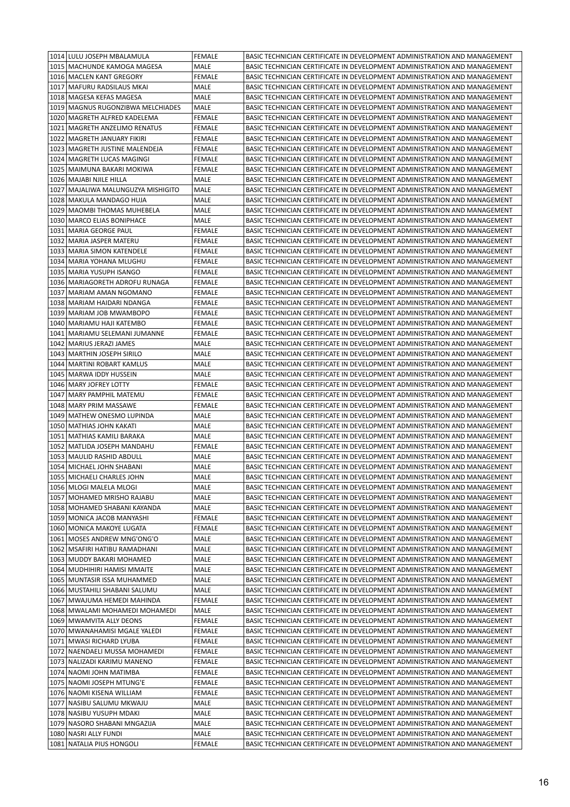|      | 1014 LULU JOSEPH MBALAMULA                               | <b>FEMALE</b> | BASIC TECHNICIAN CERTIFICATE IN DEVELOPMENT ADMINISTRATION AND MANAGEMENT                                                                              |
|------|----------------------------------------------------------|---------------|--------------------------------------------------------------------------------------------------------------------------------------------------------|
|      | 1015   MACHUNDE KAMOGA MAGESA                            | MALE          | BASIC TECHNICIAN CERTIFICATE IN DEVELOPMENT ADMINISTRATION AND MANAGEMENT                                                                              |
|      | 1016   MACLEN KANT GREGORY                               | FEMALE        | BASIC TECHNICIAN CERTIFICATE IN DEVELOPMENT ADMINISTRATION AND MANAGEMENT                                                                              |
|      | 1017   MAFURU RADSILAUS MKAI                             | <b>MALE</b>   | BASIC TECHNICIAN CERTIFICATE IN DEVELOPMENT ADMINISTRATION AND MANAGEMENT                                                                              |
|      | 1018   MAGESA KEFAS MAGESA                               | MALE          | BASIC TECHNICIAN CERTIFICATE IN DEVELOPMENT ADMINISTRATION AND MANAGEMENT                                                                              |
|      | 1019   MAGNUS RUGONZIBWA MELCHIADES                      | MALE          | BASIC TECHNICIAN CERTIFICATE IN DEVELOPMENT ADMINISTRATION AND MANAGEMENT                                                                              |
|      | 1020   MAGRETH ALFRED KADELEMA                           | <b>FEMALE</b> | BASIC TECHNICIAN CERTIFICATE IN DEVELOPMENT ADMINISTRATION AND MANAGEMENT                                                                              |
|      | 1021   MAGRETH ANZELIMO RENATUS                          | FEMALE        | BASIC TECHNICIAN CERTIFICATE IN DEVELOPMENT ADMINISTRATION AND MANAGEMENT                                                                              |
|      | 1022   MAGRETH JANUARY FIKIRI                            | FEMALE        | BASIC TECHNICIAN CERTIFICATE IN DEVELOPMENT ADMINISTRATION AND MANAGEMENT                                                                              |
|      | 1023   MAGRETH JUSTINE MALENDEJA                         | FEMALE        | BASIC TECHNICIAN CERTIFICATE IN DEVELOPMENT ADMINISTRATION AND MANAGEMENT                                                                              |
|      | 1024   MAGRETH LUCAS MAGINGI                             | <b>FEMALE</b> | BASIC TECHNICIAN CERTIFICATE IN DEVELOPMENT ADMINISTRATION AND MANAGEMENT                                                                              |
| 1025 | MAIMUNA BAKARI MOKIWA                                    | FEMALE        | BASIC TECHNICIAN CERTIFICATE IN DEVELOPMENT ADMINISTRATION AND MANAGEMENT                                                                              |
|      | 1026   MAJABI NJILE HILLA                                | MALE          | BASIC TECHNICIAN CERTIFICATE IN DEVELOPMENT ADMINISTRATION AND MANAGEMENT                                                                              |
| 1027 | MAJALIWA MALUNGUZYA MISHIGITO                            | MALE          | BASIC TECHNICIAN CERTIFICATE IN DEVELOPMENT ADMINISTRATION AND MANAGEMENT                                                                              |
|      | 1028   MAKULA MANDAGO HUJA                               | MALE          | BASIC TECHNICIAN CERTIFICATE IN DEVELOPMENT ADMINISTRATION AND MANAGEMENT                                                                              |
| 1029 | MAOMBI THOMAS MUHEBELA                                   | MALE          | BASIC TECHNICIAN CERTIFICATE IN DEVELOPMENT ADMINISTRATION AND MANAGEMENT                                                                              |
|      | 1030   MARCO ELIAS BONIPHACE                             | MALE          | BASIC TECHNICIAN CERTIFICATE IN DEVELOPMENT ADMINISTRATION AND MANAGEMENT                                                                              |
|      | 1031   MARIA GEORGE PAUL                                 | FEMALE        | BASIC TECHNICIAN CERTIFICATE IN DEVELOPMENT ADMINISTRATION AND MANAGEMENT                                                                              |
|      | 1032   MARIA JASPER MATERU                               | <b>FEMALE</b> | BASIC TECHNICIAN CERTIFICATE IN DEVELOPMENT ADMINISTRATION AND MANAGEMENT                                                                              |
|      | 1033   MARIA SIMON KATENDELE                             | FEMALE        | BASIC TECHNICIAN CERTIFICATE IN DEVELOPMENT ADMINISTRATION AND MANAGEMENT                                                                              |
| 1034 | MARIA YOHANA MLUGHU                                      | FEMALE        | BASIC TECHNICIAN CERTIFICATE IN DEVELOPMENT ADMINISTRATION AND MANAGEMENT                                                                              |
| 1035 | MARIA YUSUPH ISANGO                                      | FEMALE        | BASIC TECHNICIAN CERTIFICATE IN DEVELOPMENT ADMINISTRATION AND MANAGEMENT                                                                              |
|      | 1036   MARIAGORETH ADROFU RUNAGA                         | FEMALE        | BASIC TECHNICIAN CERTIFICATE IN DEVELOPMENT ADMINISTRATION AND MANAGEMENT                                                                              |
| 1037 | MARIAM AMAN NGOMANO                                      | <b>FEMALE</b> | BASIC TECHNICIAN CERTIFICATE IN DEVELOPMENT ADMINISTRATION AND MANAGEMENT                                                                              |
|      | 1038   MARIAM HAIDARI NDANGA                             | FEMALE        | BASIC TECHNICIAN CERTIFICATE IN DEVELOPMENT ADMINISTRATION AND MANAGEMENT                                                                              |
| 1039 | MARIAM JOB MWAMBOPO                                      | FEMALE        | BASIC TECHNICIAN CERTIFICATE IN DEVELOPMENT ADMINISTRATION AND MANAGEMENT                                                                              |
|      | 1040   MARIAMU HAJI KATEMBO                              | FEMALE        | BASIC TECHNICIAN CERTIFICATE IN DEVELOPMENT ADMINISTRATION AND MANAGEMENT                                                                              |
|      | 1041   MARIAMU SELEMANI JUMANNE                          | FEMALE        | BASIC TECHNICIAN CERTIFICATE IN DEVELOPMENT ADMINISTRATION AND MANAGEMENT                                                                              |
|      | 1042   MARIUS JERAZI JAMES                               | MALE          | BASIC TECHNICIAN CERTIFICATE IN DEVELOPMENT ADMINISTRATION AND MANAGEMENT                                                                              |
| 1043 | MARTHIN JOSEPH SIRILO                                    | MALE          | BASIC TECHNICIAN CERTIFICATE IN DEVELOPMENT ADMINISTRATION AND MANAGEMENT                                                                              |
| 1044 | <b>MARTINI ROBART KAMLUS</b>                             | MALE          | BASIC TECHNICIAN CERTIFICATE IN DEVELOPMENT ADMINISTRATION AND MANAGEMENT                                                                              |
|      | 1045   MARWA IDDY HUSSEIN                                | MALE          | BASIC TECHNICIAN CERTIFICATE IN DEVELOPMENT ADMINISTRATION AND MANAGEMENT                                                                              |
|      | 1046   MARY JOFREY LOTTY                                 | <b>FEMALE</b> | BASIC TECHNICIAN CERTIFICATE IN DEVELOPMENT ADMINISTRATION AND MANAGEMENT                                                                              |
|      | 1047   MARY PAMPHIL MATEMU                               | FEMALE        | BASIC TECHNICIAN CERTIFICATE IN DEVELOPMENT ADMINISTRATION AND MANAGEMENT                                                                              |
|      | 1048   MARY PRIM MASSAWE                                 | FEMALE        | BASIC TECHNICIAN CERTIFICATE IN DEVELOPMENT ADMINISTRATION AND MANAGEMENT                                                                              |
| 1049 | <b>MATHEW ONESMO LUPINDA</b>                             | MALE          | BASIC TECHNICIAN CERTIFICATE IN DEVELOPMENT ADMINISTRATION AND MANAGEMENT                                                                              |
|      | 1050   MATHIAS JOHN KAKATI                               | MALE          | BASIC TECHNICIAN CERTIFICATE IN DEVELOPMENT ADMINISTRATION AND MANAGEMENT                                                                              |
|      | 1051   MATHIAS KAMILI BARAKA                             | MALE          | BASIC TECHNICIAN CERTIFICATE IN DEVELOPMENT ADMINISTRATION AND MANAGEMENT                                                                              |
|      | 1052   MATLIDA JOSEPH MANDAHU                            | <b>FEMALE</b> | BASIC TECHNICIAN CERTIFICATE IN DEVELOPMENT ADMINISTRATION AND MANAGEMENT                                                                              |
|      | 1053   MAULID RASHID ABDULL                              | MALE          | BASIC TECHNICIAN CERTIFICATE IN DEVELOPMENT ADMINISTRATION AND MANAGEMENT                                                                              |
|      | 1054   MICHAEL JOHN SHABANI                              | MALE          | BASIC TECHNICIAN CERTIFICATE IN DEVELOPMENT ADMINISTRATION AND MANAGEMENT                                                                              |
|      | 1055 MICHAELI CHARLES JOHN                               | MALE          | BASIC TECHNICIAN CERTIFICATE IN DEVELOPMENT ADMINISTRATION AND MANAGEMENT                                                                              |
|      | 1056   MLOGI MALELA MLOGI                                | MALE          | BASIC TECHNICIAN CERTIFICATE IN DEVELOPMENT ADMINISTRATION AND MANAGEMENT                                                                              |
|      | 1057   MOHAMED MRISHO RAJABU                             | MALE          | BASIC TECHNICIAN CERTIFICATE IN DEVELOPMENT ADMINISTRATION AND MANAGEMENT                                                                              |
|      | 1058   MOHAMED SHABANI KAYANDA                           | MALE          | BASIC TECHNICIAN CERTIFICATE IN DEVELOPMENT ADMINISTRATION AND MANAGEMENT                                                                              |
|      | 1059   MONICA JACOB MANYASHI                             | FEMALE        | BASIC TECHNICIAN CERTIFICATE IN DEVELOPMENT ADMINISTRATION AND MANAGEMENT                                                                              |
|      | 1060   MONICA MAKOYE LUGATA                              | FEMALE        | BASIC TECHNICIAN CERTIFICATE IN DEVELOPMENT ADMINISTRATION AND MANAGEMENT                                                                              |
|      | 1061   MOSES ANDREW MNG'ONG'O                            | MALE          | BASIC TECHNICIAN CERTIFICATE IN DEVELOPMENT ADMINISTRATION AND MANAGEMENT                                                                              |
|      | 1062   MSAFIRI HATIBU RAMADHANI                          | MALE          | BASIC TECHNICIAN CERTIFICATE IN DEVELOPMENT ADMINISTRATION AND MANAGEMENT                                                                              |
|      | 1063   MUDDY BAKARI MOHAMED                              | MALE          | BASIC TECHNICIAN CERTIFICATE IN DEVELOPMENT ADMINISTRATION AND MANAGEMENT                                                                              |
|      | 1064   MUDHIHIRI HAMISI MMAITE                           | MALE          | BASIC TECHNICIAN CERTIFICATE IN DEVELOPMENT ADMINISTRATION AND MANAGEMENT                                                                              |
|      | 1065   MUNTASIR ISSA MUHAMMED                            | MALE          | BASIC TECHNICIAN CERTIFICATE IN DEVELOPMENT ADMINISTRATION AND MANAGEMENT                                                                              |
|      | 1066   MUSTAHILI SHABANI SALUMU                          | MALE          | BASIC TECHNICIAN CERTIFICATE IN DEVELOPMENT ADMINISTRATION AND MANAGEMENT                                                                              |
| 1067 | MWAJUMA HEMEDI MAHINDA                                   | <b>FEMALE</b> | BASIC TECHNICIAN CERTIFICATE IN DEVELOPMENT ADMINISTRATION AND MANAGEMENT                                                                              |
|      | 1068   MWALAMI MOHAMEDI MOHAMEDI                         | MALE          | BASIC TECHNICIAN CERTIFICATE IN DEVELOPMENT ADMINISTRATION AND MANAGEMENT                                                                              |
|      | 1069 MWAMVITA ALLY DEONS                                 | <b>FEMALE</b> | BASIC TECHNICIAN CERTIFICATE IN DEVELOPMENT ADMINISTRATION AND MANAGEMENT                                                                              |
|      | 1070   MWANAHAMISI MGALE YALEDI                          | FEMALE        | BASIC TECHNICIAN CERTIFICATE IN DEVELOPMENT ADMINISTRATION AND MANAGEMENT                                                                              |
|      | 1071   MWASI RICHARD LYUBA                               | FEMALE        | BASIC TECHNICIAN CERTIFICATE IN DEVELOPMENT ADMINISTRATION AND MANAGEMENT                                                                              |
|      | 1072 NAENDAELI MUSSA MOHAMEDI                            | FEMALE        | BASIC TECHNICIAN CERTIFICATE IN DEVELOPMENT ADMINISTRATION AND MANAGEMENT                                                                              |
|      | 1073 NALIZADI KARIMU MANENO                              | FEMALE        | BASIC TECHNICIAN CERTIFICATE IN DEVELOPMENT ADMINISTRATION AND MANAGEMENT                                                                              |
|      | 1074 NAOMI JOHN MATIMBA<br>1075 NAOMI JOSEPH MTUNG'E     | FEMALE        | BASIC TECHNICIAN CERTIFICATE IN DEVELOPMENT ADMINISTRATION AND MANAGEMENT<br>BASIC TECHNICIAN CERTIFICATE IN DEVELOPMENT ADMINISTRATION AND MANAGEMENT |
|      |                                                          | FEMALE        |                                                                                                                                                        |
|      | 1076 NAOMI KISENA WILLIAM                                | FEMALE        | BASIC TECHNICIAN CERTIFICATE IN DEVELOPMENT ADMINISTRATION AND MANAGEMENT                                                                              |
|      | 1077   NASIBU SALUMU MKWAJU                              | MALE          | BASIC TECHNICIAN CERTIFICATE IN DEVELOPMENT ADMINISTRATION AND MANAGEMENT                                                                              |
|      | 1078 NASIBU YUSUPH MDAKI<br>1079 NASORO SHABANI MNGAZIJA | MALE<br>MALE  | BASIC TECHNICIAN CERTIFICATE IN DEVELOPMENT ADMINISTRATION AND MANAGEMENT<br>BASIC TECHNICIAN CERTIFICATE IN DEVELOPMENT ADMINISTRATION AND MANAGEMENT |
|      | 1080 NASRI ALLY FUNDI                                    | MALE          | BASIC TECHNICIAN CERTIFICATE IN DEVELOPMENT ADMINISTRATION AND MANAGEMENT                                                                              |
|      | 1081 NATALIA PIUS HONGOLI                                | <b>FEMALE</b> | BASIC TECHNICIAN CERTIFICATE IN DEVELOPMENT ADMINISTRATION AND MANAGEMENT                                                                              |
|      |                                                          |               |                                                                                                                                                        |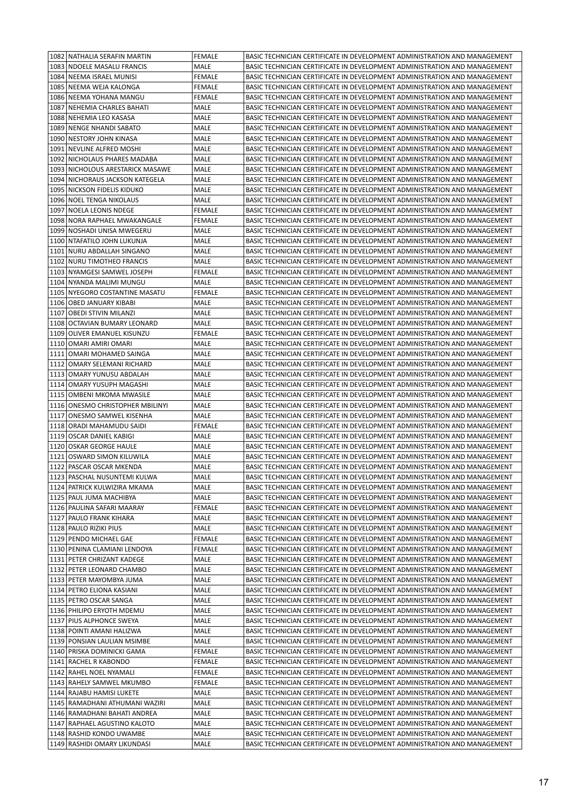|      | 1082 NATHALIA SERAFIN MARTIN       | <b>FEMALE</b> | BASIC TECHNICIAN CERTIFICATE IN DEVELOPMENT ADMINISTRATION AND MANAGEMENT |
|------|------------------------------------|---------------|---------------------------------------------------------------------------|
|      | 1083 NDOELE MASALU FRANCIS         | MALE          | BASIC TECHNICIAN CERTIFICATE IN DEVELOPMENT ADMINISTRATION AND MANAGEMENT |
|      | 1084 NEEMA ISRAEL MUNISI           | <b>FEMALE</b> | BASIC TECHNICIAN CERTIFICATE IN DEVELOPMENT ADMINISTRATION AND MANAGEMENT |
| 1085 | NEEMA WEJA KALONGA                 | FEMALE        | BASIC TECHNICIAN CERTIFICATE IN DEVELOPMENT ADMINISTRATION AND MANAGEMENT |
|      | 1086 NEEMA YOHANA MANGU            | FEMALE        | BASIC TECHNICIAN CERTIFICATE IN DEVELOPMENT ADMINISTRATION AND MANAGEMENT |
|      | 1087 NEHEMIA CHARLES BAHATI        | MALE          | BASIC TECHNICIAN CERTIFICATE IN DEVELOPMENT ADMINISTRATION AND MANAGEMENT |
|      | 1088 NEHEMIA LEO KASASA            | MALE          | BASIC TECHNICIAN CERTIFICATE IN DEVELOPMENT ADMINISTRATION AND MANAGEMENT |
| 1089 | NENGE NHANDI SABATO                | MALE          | BASIC TECHNICIAN CERTIFICATE IN DEVELOPMENT ADMINISTRATION AND MANAGEMENT |
| 1090 | NESTORY JOHN KINASA                | MALE          | BASIC TECHNICIAN CERTIFICATE IN DEVELOPMENT ADMINISTRATION AND MANAGEMENT |
|      | 1091 NEVLINE ALFRED MOSHI          | MALE          | BASIC TECHNICIAN CERTIFICATE IN DEVELOPMENT ADMINISTRATION AND MANAGEMENT |
|      | 1092 NICHOLAUS PHARES MADABA       | MALE          | BASIC TECHNICIAN CERTIFICATE IN DEVELOPMENT ADMINISTRATION AND MANAGEMENT |
| 1093 | NICHOLOUS ARESTARICK MASAWE        | MALE          | BASIC TECHNICIAN CERTIFICATE IN DEVELOPMENT ADMINISTRATION AND MANAGEMENT |
|      | 1094 NICHORAUS JACKSON KATEGELA    | MALE          | BASIC TECHNICIAN CERTIFICATE IN DEVELOPMENT ADMINISTRATION AND MANAGEMENT |
|      | 1095 NICKSON FIDELIS KIDUKO        | MALE          | BASIC TECHNICIAN CERTIFICATE IN DEVELOPMENT ADMINISTRATION AND MANAGEMENT |
|      | 1096 NOEL TENGA NIKOLAUS           | MALE          | BASIC TECHNICIAN CERTIFICATE IN DEVELOPMENT ADMINISTRATION AND MANAGEMENT |
|      | 1097 NOELA LEONIS NDEGE            | FEMALE        | BASIC TECHNICIAN CERTIFICATE IN DEVELOPMENT ADMINISTRATION AND MANAGEMENT |
| 1098 | NORA RAPHAEL MWAKANGALE            | FEMALE        | BASIC TECHNICIAN CERTIFICATE IN DEVELOPMENT ADMINISTRATION AND MANAGEMENT |
| 1099 | NOSHADI UNISA MWEGERU              | MALE          | BASIC TECHNICIAN CERTIFICATE IN DEVELOPMENT ADMINISTRATION AND MANAGEMENT |
| 1100 | NTAFATILO JOHN LUKUNJA             | MALE          | BASIC TECHNICIAN CERTIFICATE IN DEVELOPMENT ADMINISTRATION AND MANAGEMENT |
|      | 1101 NURU ABDALLAH SINGANO         | MALE          | BASIC TECHNICIAN CERTIFICATE IN DEVELOPMENT ADMINISTRATION AND MANAGEMENT |
| 1102 | NURU TIMOTHEO FRANCIS              | MALE          | BASIC TECHNICIAN CERTIFICATE IN DEVELOPMENT ADMINISTRATION AND MANAGEMENT |
| 1103 | NYAMGESI SAMWEL JOSEPH             | FEMALE        | BASIC TECHNICIAN CERTIFICATE IN DEVELOPMENT ADMINISTRATION AND MANAGEMENT |
|      | 1104 NYANDA MALIMI MUNGU           | MALE          | BASIC TECHNICIAN CERTIFICATE IN DEVELOPMENT ADMINISTRATION AND MANAGEMENT |
|      | 1105 NYEGORO COSTANTINE MASATU     | FEMALE        | BASIC TECHNICIAN CERTIFICATE IN DEVELOPMENT ADMINISTRATION AND MANAGEMENT |
|      | 1106   OBED JANUARY KIBABI         | MALE          | BASIC TECHNICIAN CERTIFICATE IN DEVELOPMENT ADMINISTRATION AND MANAGEMENT |
| 1107 | OBEDI STIVIN MILANZI               | MALE          | BASIC TECHNICIAN CERTIFICATE IN DEVELOPMENT ADMINISTRATION AND MANAGEMENT |
| 1108 | OCTAVIAN BUMARY LEONARD            | MALE          | BASIC TECHNICIAN CERTIFICATE IN DEVELOPMENT ADMINISTRATION AND MANAGEMENT |
|      | 1109 OLIVER EMANUEL KISUNZU        | FEMALE        | BASIC TECHNICIAN CERTIFICATE IN DEVELOPMENT ADMINISTRATION AND MANAGEMENT |
| 1110 | OMARI AMIRI OMARI                  | MALE          | BASIC TECHNICIAN CERTIFICATE IN DEVELOPMENT ADMINISTRATION AND MANAGEMENT |
| 1111 | OMARI MOHAMED SAINGA               | MALE          | BASIC TECHNICIAN CERTIFICATE IN DEVELOPMENT ADMINISTRATION AND MANAGEMENT |
| 1112 | OMARY SELEMANI RICHARD             | MALE          | BASIC TECHNICIAN CERTIFICATE IN DEVELOPMENT ADMINISTRATION AND MANAGEMENT |
| 1113 | OMARY YUNUSU ABDALAH               | MALE          | BASIC TECHNICIAN CERTIFICATE IN DEVELOPMENT ADMINISTRATION AND MANAGEMENT |
|      | 1114   OMARY YUSUPH MAGASHI        | MALE          | BASIC TECHNICIAN CERTIFICATE IN DEVELOPMENT ADMINISTRATION AND MANAGEMENT |
|      | 1115   OMBENI MKOMA MWASILE        | MALE          | BASIC TECHNICIAN CERTIFICATE IN DEVELOPMENT ADMINISTRATION AND MANAGEMENT |
|      | 1116   ONESMO CHRISTOPHER MBILINYI | MALE          | BASIC TECHNICIAN CERTIFICATE IN DEVELOPMENT ADMINISTRATION AND MANAGEMENT |
| 1117 | ONESMO SAMWEL KISENHA              | MALE          | BASIC TECHNICIAN CERTIFICATE IN DEVELOPMENT ADMINISTRATION AND MANAGEMENT |
|      | 1118   ORADI MAHAMUDU SAIDI        | <b>FEMALE</b> | BASIC TECHNICIAN CERTIFICATE IN DEVELOPMENT ADMINISTRATION AND MANAGEMENT |
|      | 1119 OSCAR DANIEL KABIGI           | MALE          | BASIC TECHNICIAN CERTIFICATE IN DEVELOPMENT ADMINISTRATION AND MANAGEMENT |
|      | 1120 OSKAR GEORGE HAULE            | MALE          | BASIC TECHNICIAN CERTIFICATE IN DEVELOPMENT ADMINISTRATION AND MANAGEMENT |
|      | 1121 OSWARD SIMON KILUWILA         | MALE          | BASIC TECHNICIAN CERTIFICATE IN DEVELOPMENT ADMINISTRATION AND MANAGEMENT |
|      | 1122 PASCAR OSCAR MKENDA           | MALE          | BASIC TECHNICIAN CERTIFICATE IN DEVELOPMENT ADMINISTRATION AND MANAGEMENT |
|      | 1123 PASCHAL NUSUNTEMI KULWA       | MALE          | BASIC TECHNICIAN CERTIFICATE IN DEVELOPMENT ADMINISTRATION AND MANAGEMENT |
|      | 1124 PATRICK KULWIZIRA MKAMA       | MALE          | BASIC TECHNICIAN CERTIFICATE IN DEVELOPMENT ADMINISTRATION AND MANAGEMENT |
|      | 1125   PAUL JUMA MACHIBYA          | MALE          | BASIC TECHNICIAN CERTIFICATE IN DEVELOPMENT ADMINISTRATION AND MANAGEMENT |
|      | 1126 PAULINA SAFARI MAARAY         | <b>FEMALE</b> | BASIC TECHNICIAN CERTIFICATE IN DEVELOPMENT ADMINISTRATION AND MANAGEMENT |
|      | 1127   PAULO FRANK KIHARA          | MALE          | BASIC TECHNICIAN CERTIFICATE IN DEVELOPMENT ADMINISTRATION AND MANAGEMENT |
|      | 1128 PAULO RIZIKI PIUS             | MALE          | BASIC TECHNICIAN CERTIFICATE IN DEVELOPMENT ADMINISTRATION AND MANAGEMENT |
|      | 1129 PENDO MICHAEL GAE             | FEMALE        | BASIC TECHNICIAN CERTIFICATE IN DEVELOPMENT ADMINISTRATION AND MANAGEMENT |
|      | 1130 PENINA CLAMIANI LENDOYA       | FEMALE        | BASIC TECHNICIAN CERTIFICATE IN DEVELOPMENT ADMINISTRATION AND MANAGEMENT |
|      | 1131 PETER CHRIZANT KADEGE         | MALE          | BASIC TECHNICIAN CERTIFICATE IN DEVELOPMENT ADMINISTRATION AND MANAGEMENT |
|      | 1132 PETER LEONARD CHAMBO          | MALE          | BASIC TECHNICIAN CERTIFICATE IN DEVELOPMENT ADMINISTRATION AND MANAGEMENT |
|      | 1133   PETER MAYOMBYA JUMA         | MALE          | BASIC TECHNICIAN CERTIFICATE IN DEVELOPMENT ADMINISTRATION AND MANAGEMENT |
|      | 1134 PETRO ELIONA KASIANI          | MALE          | BASIC TECHNICIAN CERTIFICATE IN DEVELOPMENT ADMINISTRATION AND MANAGEMENT |
|      | 1135   PETRO OSCAR SANGA           | MALE          | BASIC TECHNICIAN CERTIFICATE IN DEVELOPMENT ADMINISTRATION AND MANAGEMENT |
|      | 1136 PHILIPO ERYOTH MDEMU          | MALE          | BASIC TECHNICIAN CERTIFICATE IN DEVELOPMENT ADMINISTRATION AND MANAGEMENT |
|      | 1137   PIUS ALPHONCE SWEYA         | MALE          | BASIC TECHNICIAN CERTIFICATE IN DEVELOPMENT ADMINISTRATION AND MANAGEMENT |
|      | 1138   POINTI AMANI HALIZWA        | MALE          | BASIC TECHNICIAN CERTIFICATE IN DEVELOPMENT ADMINISTRATION AND MANAGEMENT |
|      | 1139 PONSIAN LAULIAN MSIMBE        | MALE          | BASIC TECHNICIAN CERTIFICATE IN DEVELOPMENT ADMINISTRATION AND MANAGEMENT |
|      | 1140 PRISKA DOMINICKI GAMA         | FEMALE        | BASIC TECHNICIAN CERTIFICATE IN DEVELOPMENT ADMINISTRATION AND MANAGEMENT |
|      | 1141 RACHEL R KABONDO              | FEMALE        | BASIC TECHNICIAN CERTIFICATE IN DEVELOPMENT ADMINISTRATION AND MANAGEMENT |
|      | 1142   RAHEL NOEL NYAMALI          | FEMALE        | BASIC TECHNICIAN CERTIFICATE IN DEVELOPMENT ADMINISTRATION AND MANAGEMENT |
|      | 1143 RAHELY SAMWEL MKUMBO          | FEMALE        | BASIC TECHNICIAN CERTIFICATE IN DEVELOPMENT ADMINISTRATION AND MANAGEMENT |
|      | 1144 RAJABU HAMISI LUKETE          | MALE          | BASIC TECHNICIAN CERTIFICATE IN DEVELOPMENT ADMINISTRATION AND MANAGEMENT |
|      | 1145   RAMADHANI ATHUMANI WAZIRI   | MALE          | BASIC TECHNICIAN CERTIFICATE IN DEVELOPMENT ADMINISTRATION AND MANAGEMENT |
|      | 1146 RAMADHANI BAHATI ANDREA       | MALE          | BASIC TECHNICIAN CERTIFICATE IN DEVELOPMENT ADMINISTRATION AND MANAGEMENT |
|      | 1147 RAPHAEL AGUSTINO KALOTO       | MALE          | BASIC TECHNICIAN CERTIFICATE IN DEVELOPMENT ADMINISTRATION AND MANAGEMENT |
|      |                                    |               |                                                                           |
|      | 1148 RASHID KONDO UWAMBE           | MALE          | BASIC TECHNICIAN CERTIFICATE IN DEVELOPMENT ADMINISTRATION AND MANAGEMENT |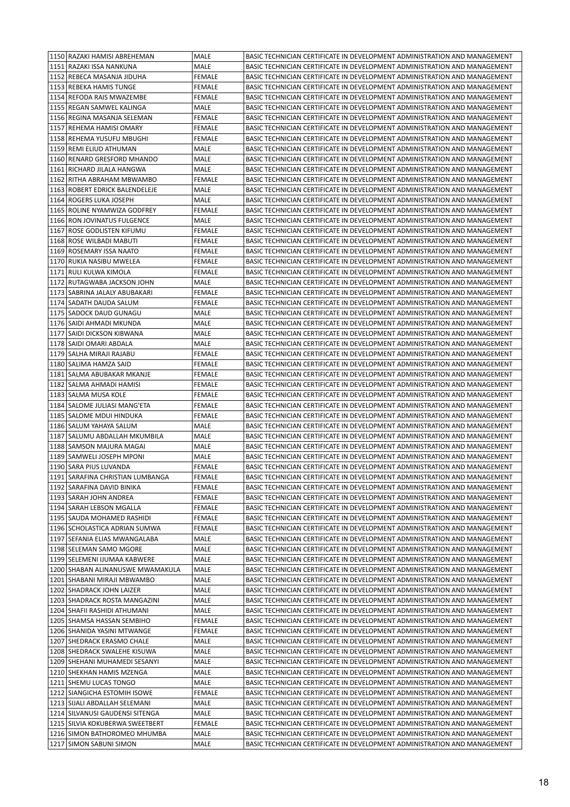| 1150 RAZAKI HAMISI ABREHEMAN                                    | MALE           | BASIC TECHNICIAN CERTIFICATE IN DEVELOPMENT ADMINISTRATION AND MANAGEMENT                                                                              |
|-----------------------------------------------------------------|----------------|--------------------------------------------------------------------------------------------------------------------------------------------------------|
| 1151 RAZAKI ISSA NANKUNA                                        | MALE           | BASIC TECHNICIAN CERTIFICATE IN DEVELOPMENT ADMINISTRATION AND MANAGEMENT                                                                              |
| 1152 REBECA MASANJA JIDUHA                                      | <b>FEMALE</b>  | BASIC TECHNICIAN CERTIFICATE IN DEVELOPMENT ADMINISTRATION AND MANAGEMENT                                                                              |
| 1153 REBEKA HAMIS TUNGE                                         | <b>FEMALE</b>  | BASIC TECHNICIAN CERTIFICATE IN DEVELOPMENT ADMINISTRATION AND MANAGEMENT                                                                              |
| 1154 REFODA RAIS MWAZEMBE                                       | <b>FEMALE</b>  | BASIC TECHNICIAN CERTIFICATE IN DEVELOPMENT ADMINISTRATION AND MANAGEMENT                                                                              |
| 1155 REGAN SAMWEL KALINGA                                       | MALE           | BASIC TECHNICIAN CERTIFICATE IN DEVELOPMENT ADMINISTRATION AND MANAGEMENT                                                                              |
| 1156 REGINA MASANJA SELEMAN                                     | <b>FEMALE</b>  | BASIC TECHNICIAN CERTIFICATE IN DEVELOPMENT ADMINISTRATION AND MANAGEMENT                                                                              |
| 1157 REHEMA HAMISI OMARY                                        | FEMALE         | BASIC TECHNICIAN CERTIFICATE IN DEVELOPMENT ADMINISTRATION AND MANAGEMENT                                                                              |
| 1158 REHEMA YUSUFU MBUGHI                                       | <b>FEMALE</b>  | BASIC TECHNICIAN CERTIFICATE IN DEVELOPMENT ADMINISTRATION AND MANAGEMENT                                                                              |
| 1159 REMI ELIUD ATHUMAN                                         | MALE           | BASIC TECHNICIAN CERTIFICATE IN DEVELOPMENT ADMINISTRATION AND MANAGEMENT                                                                              |
| 1160 RENARD GRESFORD MHANDO                                     | MALE           | BASIC TECHNICIAN CERTIFICATE IN DEVELOPMENT ADMINISTRATION AND MANAGEMENT                                                                              |
| 1161 RICHARD JILALA HANGWA                                      | MALE           | BASIC TECHNICIAN CERTIFICATE IN DEVELOPMENT ADMINISTRATION AND MANAGEMENT                                                                              |
| 1162 RITHA ABRAHAM MBWAMBO                                      | <b>FEMALE</b>  | BASIC TECHNICIAN CERTIFICATE IN DEVELOPMENT ADMINISTRATION AND MANAGEMENT                                                                              |
| 1163 ROBERT EDRICK BALENDELEJE                                  | MALE           | BASIC TECHNICIAN CERTIFICATE IN DEVELOPMENT ADMINISTRATION AND MANAGEMENT                                                                              |
| 1164 ROGERS LUKA JOSEPH                                         | MALE           | BASIC TECHNICIAN CERTIFICATE IN DEVELOPMENT ADMINISTRATION AND MANAGEMENT                                                                              |
| 1165 ROLINE NYAMWIZA GODFREY                                    | <b>FEMALE</b>  | BASIC TECHNICIAN CERTIFICATE IN DEVELOPMENT ADMINISTRATION AND MANAGEMENT                                                                              |
| 1166 RON JOVINATUS FULGENCE                                     | MALE           | BASIC TECHNICIAN CERTIFICATE IN DEVELOPMENT ADMINISTRATION AND MANAGEMENT                                                                              |
| 1167 ROSE GODLISTEN KIFUMU                                      | FEMALE         | BASIC TECHNICIAN CERTIFICATE IN DEVELOPMENT ADMINISTRATION AND MANAGEMENT                                                                              |
| 1168 ROSE WILBADI MABUTI                                        | FEMALE         | BASIC TECHNICIAN CERTIFICATE IN DEVELOPMENT ADMINISTRATION AND MANAGEMENT                                                                              |
| 1169 ROSEMARY ISSA NAATO                                        | <b>FEMALE</b>  | BASIC TECHNICIAN CERTIFICATE IN DEVELOPMENT ADMINISTRATION AND MANAGEMENT                                                                              |
| 1170 RUKIA NASIBU MWELEA                                        | <b>FEMALE</b>  | BASIC TECHNICIAN CERTIFICATE IN DEVELOPMENT ADMINISTRATION AND MANAGEMENT                                                                              |
| 1171 RULI KULWA KIMOLA                                          | <b>FEMALE</b>  | BASIC TECHNICIAN CERTIFICATE IN DEVELOPMENT ADMINISTRATION AND MANAGEMENT                                                                              |
| 1172 RUTAGWABA JACKSON JOHN                                     | MALE           | BASIC TECHNICIAN CERTIFICATE IN DEVELOPMENT ADMINISTRATION AND MANAGEMENT                                                                              |
| 1173   SABRINA JALALY ABUBAKARI                                 | FEMALE         | BASIC TECHNICIAN CERTIFICATE IN DEVELOPMENT ADMINISTRATION AND MANAGEMENT                                                                              |
| 1174   SADATH DAUDA SALUM                                       | FEMALE         | BASIC TECHNICIAN CERTIFICATE IN DEVELOPMENT ADMINISTRATION AND MANAGEMENT                                                                              |
| 1175 SADOCK DAUD GUNAGU                                         | MALE           | BASIC TECHNICIAN CERTIFICATE IN DEVELOPMENT ADMINISTRATION AND MANAGEMENT                                                                              |
| 1176   SAIDI AHMADI MKUNDA                                      | MALE           | BASIC TECHNICIAN CERTIFICATE IN DEVELOPMENT ADMINISTRATION AND MANAGEMENT                                                                              |
| 1177   SAIDI DICKSON KIBWANA                                    | MALE           | BASIC TECHNICIAN CERTIFICATE IN DEVELOPMENT ADMINISTRATION AND MANAGEMENT                                                                              |
| 1178   SAIDI OMARI ABDALA                                       | MALE           | BASIC TECHNICIAN CERTIFICATE IN DEVELOPMENT ADMINISTRATION AND MANAGEMENT                                                                              |
| 1179   SALHA MIRAJI RAJABU                                      | <b>FEMALE</b>  | BASIC TECHNICIAN CERTIFICATE IN DEVELOPMENT ADMINISTRATION AND MANAGEMENT                                                                              |
| 1180   SALIMA HAMZA SAID                                        | <b>FEMALE</b>  | BASIC TECHNICIAN CERTIFICATE IN DEVELOPMENT ADMINISTRATION AND MANAGEMENT                                                                              |
| 1181   SALMA ABUBAKAR MKANJE                                    | FEMALE         | BASIC TECHNICIAN CERTIFICATE IN DEVELOPMENT ADMINISTRATION AND MANAGEMENT                                                                              |
| 1182   SALMA AHMADI HAMISI                                      | FEMALE         | BASIC TECHNICIAN CERTIFICATE IN DEVELOPMENT ADMINISTRATION AND MANAGEMENT                                                                              |
| 1183 SALMA MUSA KOLE                                            | <b>FEMALE</b>  | BASIC TECHNICIAN CERTIFICATE IN DEVELOPMENT ADMINISTRATION AND MANAGEMENT                                                                              |
| 1184   SALOME JULIASI MANG'ETA                                  | <b>FEMALE</b>  | BASIC TECHNICIAN CERTIFICATE IN DEVELOPMENT ADMINISTRATION AND MANAGEMENT                                                                              |
| 1185   SALOME MDUI HINDUKA                                      | <b>FEMALE</b>  | BASIC TECHNICIAN CERTIFICATE IN DEVELOPMENT ADMINISTRATION AND MANAGEMENT                                                                              |
| 1186   SALUM YAHAYA SALUM                                       | MALE           | BASIC TECHNICIAN CERTIFICATE IN DEVELOPMENT ADMINISTRATION AND MANAGEMENT                                                                              |
| 1187 SALUMU ABDALLAH MKUMBILA                                   | MALE           | BASIC TECHNICIAN CERTIFICATE IN DEVELOPMENT ADMINISTRATION AND MANAGEMENT                                                                              |
| 1188   SAMSON MAJURA MAGAI                                      | MALE           | BASIC TECHNICIAN CERTIFICATE IN DEVELOPMENT ADMINISTRATION AND MANAGEMENT                                                                              |
| 1189 SAMWELI JOSEPH MPONI                                       | MALE           | BASIC TECHNICIAN CERTIFICATE IN DEVELOPMENT ADMINISTRATION AND MANAGEMENT                                                                              |
| 1190 SARA PIUS LUVANDA                                          | <b>FEMALE</b>  | BASIC TECHNICIAN CERTIFICATE IN DEVELOPMENT ADMINISTRATION AND MANAGEMENT                                                                              |
| 1191   SARAFINA CHRISTIAN LUMBANGA                              | FEMALE         | BASIC TECHNICIAN CERTIFICATE IN DEVELOPMENT ADMINISTRATION AND MANAGEMENT                                                                              |
| 1192 SARAFINA DAVID BINIKA                                      | <b>FEMALE</b>  | BASIC TECHNICIAN CERTIFICATE IN DEVELOPMENT ADMINISTRATION AND MANAGEMENT                                                                              |
| 1193 SARAH JOHN ANDREA                                          | FEMALE         | BASIC TECHNICIAN CERTIFICATE IN DEVELOPMENT ADMINISTRATION AND MANAGEMENT                                                                              |
| 1194 SARAH LEBSON MGALLA                                        | <b>FEMALE</b>  | BASIC TECHNICIAN CERTIFICATE IN DEVELOPMENT ADMINISTRATION AND MANAGEMENT                                                                              |
| 1195 SAUDA MOHAMED RASHIDI                                      | FEMALE         | BASIC TECHNICIAN CERTIFICATE IN DEVELOPMENT ADMINISTRATION AND MANAGEMENT                                                                              |
| 1196   SCHOLASTICA ADRIAN SUMWA                                 | FEMALE         | BASIC TECHNICIAN CERTIFICATE IN DEVELOPMENT ADMINISTRATION AND MANAGEMENT                                                                              |
| 1197   SEFANIA ELIAS MWANGALABA                                 | MALE           | BASIC TECHNICIAN CERTIFICATE IN DEVELOPMENT ADMINISTRATION AND MANAGEMENT                                                                              |
| 1198 SELEMAN SAMO MGORE                                         | MALE           | BASIC TECHNICIAN CERTIFICATE IN DEVELOPMENT ADMINISTRATION AND MANAGEMENT                                                                              |
| 1199 SELEMENI IJUMAA KABWERE                                    | MALE           | BASIC TECHNICIAN CERTIFICATE IN DEVELOPMENT ADMINISTRATION AND MANAGEMENT                                                                              |
| 1200 SHABAN ALINANUSWE MWAMAKULA                                | MALE           | BASIC TECHNICIAN CERTIFICATE IN DEVELOPMENT ADMINISTRATION AND MANAGEMENT                                                                              |
| 1201 SHABANI MIRAJI MBWAMBO<br>1202 SHADRACK JOHN LAIZER        | MALE           | BASIC TECHNICIAN CERTIFICATE IN DEVELOPMENT ADMINISTRATION AND MANAGEMENT                                                                              |
|                                                                 | MALE           | BASIC TECHNICIAN CERTIFICATE IN DEVELOPMENT ADMINISTRATION AND MANAGEMENT                                                                              |
| 1203 SHADRACK ROSTA MANGAZINI<br>1204   SHAFII RASHIDI ATHUMANI | MALE           | BASIC TECHNICIAN CERTIFICATE IN DEVELOPMENT ADMINISTRATION AND MANAGEMENT                                                                              |
| 1205   SHAMSA HASSAN SEMBIHO                                    | MALE<br>FEMALE | BASIC TECHNICIAN CERTIFICATE IN DEVELOPMENT ADMINISTRATION AND MANAGEMENT<br>BASIC TECHNICIAN CERTIFICATE IN DEVELOPMENT ADMINISTRATION AND MANAGEMENT |
| 1206 SHANIDA YASINI MTWANGE                                     | FEMALE         | BASIC TECHNICIAN CERTIFICATE IN DEVELOPMENT ADMINISTRATION AND MANAGEMENT                                                                              |
| 1207 SHEDRACK ERASMO CHALE                                      | MALE           | BASIC TECHNICIAN CERTIFICATE IN DEVELOPMENT ADMINISTRATION AND MANAGEMENT                                                                              |
| 1208 SHEDRACK SWALEHE KISUWA                                    | MALE           | BASIC TECHNICIAN CERTIFICATE IN DEVELOPMENT ADMINISTRATION AND MANAGEMENT                                                                              |
| 1209 SHEHANI MUHAMEDI SESANYI                                   | MALE           | BASIC TECHNICIAN CERTIFICATE IN DEVELOPMENT ADMINISTRATION AND MANAGEMENT                                                                              |
| 1210 SHEKHAN HAMIS MZENGA                                       | MALE           | BASIC TECHNICIAN CERTIFICATE IN DEVELOPMENT ADMINISTRATION AND MANAGEMENT                                                                              |
| 1211 SHEMU LUCAS TONGO                                          | MALE           | BASIC TECHNICIAN CERTIFICATE IN DEVELOPMENT ADMINISTRATION AND MANAGEMENT                                                                              |
| 1212 SIANGICHA ESTOMIH ISOWE                                    | FEMALE         | BASIC TECHNICIAN CERTIFICATE IN DEVELOPMENT ADMINISTRATION AND MANAGEMENT                                                                              |
| 1213 SIJALI ABDALLAH SELEMANI                                   | MALE           | BASIC TECHNICIAN CERTIFICATE IN DEVELOPMENT ADMINISTRATION AND MANAGEMENT                                                                              |
| 1214 SILVANUSI GAUDENSI SITENGA                                 | MALE           | BASIC TECHNICIAN CERTIFICATE IN DEVELOPMENT ADMINISTRATION AND MANAGEMENT                                                                              |
| 1215   SILVIA KOKUBERWA SWEETBERT                               | FEMALE         | BASIC TECHNICIAN CERTIFICATE IN DEVELOPMENT ADMINISTRATION AND MANAGEMENT                                                                              |
| 1216   SIMON BATHOROMEO MHUMBA                                  | MALE           | BASIC TECHNICIAN CERTIFICATE IN DEVELOPMENT ADMINISTRATION AND MANAGEMENT                                                                              |
| 1217 SIMON SABUNI SIMON                                         | MALE           | BASIC TECHNICIAN CERTIFICATE IN DEVELOPMENT ADMINISTRATION AND MANAGEMENT                                                                              |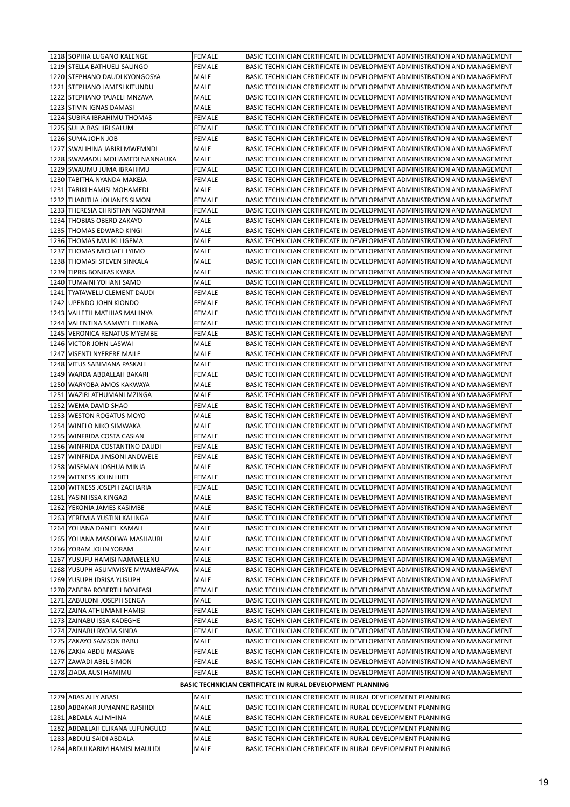|      | 1218 SOPHIA LUGANO KALENGE       | <b>FEMALE</b> | BASIC TECHNICIAN CERTIFICATE IN DEVELOPMENT ADMINISTRATION AND MANAGEMENT |
|------|----------------------------------|---------------|---------------------------------------------------------------------------|
|      | 1219 STELLA BATHUELI SALINGO     | <b>FEMALE</b> | BASIC TECHNICIAN CERTIFICATE IN DEVELOPMENT ADMINISTRATION AND MANAGEMENT |
|      | 1220 STEPHANO DAUDI KYONGOSYA    | MALE          | BASIC TECHNICIAN CERTIFICATE IN DEVELOPMENT ADMINISTRATION AND MANAGEMENT |
|      | 1221 STEPHANO JAMESI KITUNDU     | MALE          | BASIC TECHNICIAN CERTIFICATE IN DEVELOPMENT ADMINISTRATION AND MANAGEMENT |
|      | 1222 STEPHANO TAJAELI MNZAVA     | MALE          | BASIC TECHNICIAN CERTIFICATE IN DEVELOPMENT ADMINISTRATION AND MANAGEMENT |
|      | 1223 STIVIN IGNAS DAMASI         | MALE          | BASIC TECHNICIAN CERTIFICATE IN DEVELOPMENT ADMINISTRATION AND MANAGEMENT |
|      | 1224   SUBIRA IBRAHIMU THOMAS    | <b>FEMALE</b> | BASIC TECHNICIAN CERTIFICATE IN DEVELOPMENT ADMINISTRATION AND MANAGEMENT |
|      | 1225   SUHA BASHIRI SALUM        | FEMALE        | BASIC TECHNICIAN CERTIFICATE IN DEVELOPMENT ADMINISTRATION AND MANAGEMENT |
|      | 1226 SUMA JOHN JOB               | <b>FEMALE</b> | BASIC TECHNICIAN CERTIFICATE IN DEVELOPMENT ADMINISTRATION AND MANAGEMENT |
|      | 1227 SWALIHINA JABIRI MWEMNDI    | MALE          | BASIC TECHNICIAN CERTIFICATE IN DEVELOPMENT ADMINISTRATION AND MANAGEMENT |
|      | 1228 SWAMADU MOHAMEDI NANNAUKA   | MALE          | BASIC TECHNICIAN CERTIFICATE IN DEVELOPMENT ADMINISTRATION AND MANAGEMENT |
|      | 1229 SWAUMU JUMA IBRAHIMU        | <b>FEMALE</b> | BASIC TECHNICIAN CERTIFICATE IN DEVELOPMENT ADMINISTRATION AND MANAGEMENT |
|      | 1230 TABITHA NYANDA MAKEJA       | <b>FEMALE</b> | BASIC TECHNICIAN CERTIFICATE IN DEVELOPMENT ADMINISTRATION AND MANAGEMENT |
|      | 1231   TARIKI HAMISI MOHAMEDI    | MALE          | BASIC TECHNICIAN CERTIFICATE IN DEVELOPMENT ADMINISTRATION AND MANAGEMENT |
|      | 1232 THABITHA JOHANES SIMON      | <b>FEMALE</b> | BASIC TECHNICIAN CERTIFICATE IN DEVELOPMENT ADMINISTRATION AND MANAGEMENT |
|      | 1233 THERESIA CHRISTIAN NGONYANI | <b>FEMALE</b> | BASIC TECHNICIAN CERTIFICATE IN DEVELOPMENT ADMINISTRATION AND MANAGEMENT |
|      | 1234 THOBIAS OBERD ZAKAYO        | MALE          | BASIC TECHNICIAN CERTIFICATE IN DEVELOPMENT ADMINISTRATION AND MANAGEMENT |
|      | 1235   THOMAS EDWARD KINGI       | MALE          | BASIC TECHNICIAN CERTIFICATE IN DEVELOPMENT ADMINISTRATION AND MANAGEMENT |
|      | 1236 THOMAS MALIKI LIGEMA        | MALE          | BASIC TECHNICIAN CERTIFICATE IN DEVELOPMENT ADMINISTRATION AND MANAGEMENT |
|      | 1237 THOMAS MICHAEL LYIMO        | MALE          | BASIC TECHNICIAN CERTIFICATE IN DEVELOPMENT ADMINISTRATION AND MANAGEMENT |
| 1238 | THOMASI STEVEN SINKALA           | MALE          | BASIC TECHNICIAN CERTIFICATE IN DEVELOPMENT ADMINISTRATION AND MANAGEMENT |
|      | 1239 TIPRIS BONIFAS KYARA        | <b>MALE</b>   | BASIC TECHNICIAN CERTIFICATE IN DEVELOPMENT ADMINISTRATION AND MANAGEMENT |
|      | 1240 TUMAINI YOHANI SAMO         | MALE          | BASIC TECHNICIAN CERTIFICATE IN DEVELOPMENT ADMINISTRATION AND MANAGEMENT |
|      | 1241   TYATAWELU CLEMENT DAUDI   | <b>FEMALE</b> | BASIC TECHNICIAN CERTIFICATE IN DEVELOPMENT ADMINISTRATION AND MANAGEMENT |
|      | 1242 UPENDO JOHN KIONDO          | <b>FEMALE</b> | BASIC TECHNICIAN CERTIFICATE IN DEVELOPMENT ADMINISTRATION AND MANAGEMENT |
|      | 1243 VAILETH MATHIAS MAHINYA     | <b>FEMALE</b> | BASIC TECHNICIAN CERTIFICATE IN DEVELOPMENT ADMINISTRATION AND MANAGEMENT |
| 1244 | VALENTINA SAMWEL ELIKANA         | <b>FEMALE</b> | BASIC TECHNICIAN CERTIFICATE IN DEVELOPMENT ADMINISTRATION AND MANAGEMENT |
|      | 1245   VERONICA RENATUS MYEMBE   | FEMALE        | BASIC TECHNICIAN CERTIFICATE IN DEVELOPMENT ADMINISTRATION AND MANAGEMENT |
|      | 1246 VICTOR JOHN LASWAI          | MALE          | BASIC TECHNICIAN CERTIFICATE IN DEVELOPMENT ADMINISTRATION AND MANAGEMENT |
| 1247 | VISENTI NYERERE MAILE            | MALE          | BASIC TECHNICIAN CERTIFICATE IN DEVELOPMENT ADMINISTRATION AND MANAGEMENT |
|      | 1248 VITUS SABIMANA PASKALI      | MALE          | BASIC TECHNICIAN CERTIFICATE IN DEVELOPMENT ADMINISTRATION AND MANAGEMENT |
|      | 1249   WARDA ABDALLAH BAKARI     | FEMALE        | BASIC TECHNICIAN CERTIFICATE IN DEVELOPMENT ADMINISTRATION AND MANAGEMENT |
|      | 1250 WARYOBA AMOS KAKWAYA        | MALE          | BASIC TECHNICIAN CERTIFICATE IN DEVELOPMENT ADMINISTRATION AND MANAGEMENT |
|      | 1251   WAZIRI ATHUMANI MZINGA    | MALE          | BASIC TECHNICIAN CERTIFICATE IN DEVELOPMENT ADMINISTRATION AND MANAGEMENT |
|      | 1252   WEMA DAVID SHAO           | <b>FEMALE</b> | BASIC TECHNICIAN CERTIFICATE IN DEVELOPMENT ADMINISTRATION AND MANAGEMENT |
|      | 1253   WESTON ROGATUS MOYO       | MALE          | BASIC TECHNICIAN CERTIFICATE IN DEVELOPMENT ADMINISTRATION AND MANAGEMENT |
|      | 1254 WINELO NIKO SIMWAKA         | MALE          | BASIC TECHNICIAN CERTIFICATE IN DEVELOPMENT ADMINISTRATION AND MANAGEMENT |
|      | 1255   WINFRIDA COSTA CASIAN     | FEMALE        | BASIC TECHNICIAN CERTIFICATE IN DEVELOPMENT ADMINISTRATION AND MANAGEMENT |
|      | 1256   WINFRIDA COSTANTINO DAUDI | <b>FEMALE</b> | BASIC TECHNICIAN CERTIFICATE IN DEVELOPMENT ADMINISTRATION AND MANAGEMENT |
|      | 1257   WINFRIDA JIMSONI ANDWELE  | <b>FEMALE</b> | BASIC TECHNICIAN CERTIFICATE IN DEVELOPMENT ADMINISTRATION AND MANAGEMENT |
|      | 1258   WISEMAN JOSHUA MINJA      | MALE          | BASIC TECHNICIAN CERTIFICATE IN DEVELOPMENT ADMINISTRATION AND MANAGEMENT |
|      | 1259 WITNESS JOHN HIITI          | <b>FEMALE</b> | BASIC TECHNICIAN CERTIFICATE IN DEVELOPMENT ADMINISTRATION AND MANAGEMENT |
|      | 1260 WITNESS JOSEPH ZACHARIA     | FEMALE        | BASIC TECHNICIAN CERTIFICATE IN DEVELOPMENT ADMINISTRATION AND MANAGEMENT |
|      | 1261 YASINI ISSA KINGAZI         | MALE          | BASIC TECHNICIAN CERTIFICATE IN DEVELOPMENT ADMINISTRATION AND MANAGEMENT |
|      | 1262 YEKONIA JAMES KASIMBE       | MALE          | BASIC TECHNICIAN CERTIFICATE IN DEVELOPMENT ADMINISTRATION AND MANAGEMENT |
|      | 1263 YEREMIA YUSTINI KALINGA     | MALE          | BASIC TECHNICIAN CERTIFICATE IN DEVELOPMENT ADMINISTRATION AND MANAGEMENT |
|      | 1264 YOHANA DANIEL KAMALI        | MALE          | BASIC TECHNICIAN CERTIFICATE IN DEVELOPMENT ADMINISTRATION AND MANAGEMENT |
|      | 1265   YOHANA MASOLWA MASHAURI   | MALE          | BASIC TECHNICIAN CERTIFICATE IN DEVELOPMENT ADMINISTRATION AND MANAGEMENT |
|      | 1266 YORAM JOHN YORAM            | MALE          | BASIC TECHNICIAN CERTIFICATE IN DEVELOPMENT ADMINISTRATION AND MANAGEMENT |
|      | 1267 YUSUFU HAMISI NAMWELENU     | MALE          | BASIC TECHNICIAN CERTIFICATE IN DEVELOPMENT ADMINISTRATION AND MANAGEMENT |
|      | 1268 YUSUPH ASUMWISYE MWAMBAFWA  | MALE          | BASIC TECHNICIAN CERTIFICATE IN DEVELOPMENT ADMINISTRATION AND MANAGEMENT |
|      | 1269 YUSUPH IDRISA YUSUPH        | MALE          | BASIC TECHNICIAN CERTIFICATE IN DEVELOPMENT ADMINISTRATION AND MANAGEMENT |
|      | 1270 ZABERA ROBERTH BONIFASI     | <b>FEMALE</b> | BASIC TECHNICIAN CERTIFICATE IN DEVELOPMENT ADMINISTRATION AND MANAGEMENT |
|      | 1271 ZABULONI JOSEPH SENGA       | MALE          | BASIC TECHNICIAN CERTIFICATE IN DEVELOPMENT ADMINISTRATION AND MANAGEMENT |
|      | 1272 ZAINA ATHUMANI HAMISI       | FEMALE        | BASIC TECHNICIAN CERTIFICATE IN DEVELOPMENT ADMINISTRATION AND MANAGEMENT |
|      | 1273 ZAINABU ISSA KADEGHE        | FEMALE        | BASIC TECHNICIAN CERTIFICATE IN DEVELOPMENT ADMINISTRATION AND MANAGEMENT |
|      | 1274 ZAINABU RYOBA SINDA         | FEMALE        | BASIC TECHNICIAN CERTIFICATE IN DEVELOPMENT ADMINISTRATION AND MANAGEMENT |
|      | 1275 ZAKAYO SAMSON BABU          | MALE          | BASIC TECHNICIAN CERTIFICATE IN DEVELOPMENT ADMINISTRATION AND MANAGEMENT |
|      | 1276 ZAKIA ABDU MASAWE           | FEMALE        | BASIC TECHNICIAN CERTIFICATE IN DEVELOPMENT ADMINISTRATION AND MANAGEMENT |
|      | 1277 ZAWADI ABEL SIMON           | FEMALE        | BASIC TECHNICIAN CERTIFICATE IN DEVELOPMENT ADMINISTRATION AND MANAGEMENT |
|      | 1278 ZIADA AUSI HAMIMU           | <b>FEMALE</b> | BASIC TECHNICIAN CERTIFICATE IN DEVELOPMENT ADMINISTRATION AND MANAGEMENT |
|      |                                  |               | <b>BASIC TECHNICIAN CERTIFICATE IN RURAL DEVELOPMENT PLANNING</b>         |
|      | 1279 ABAS ALLY ABASI             | MALE          | BASIC TECHNICIAN CERTIFICATE IN RURAL DEVELOPMENT PLANNING                |
|      | 1280 ABBAKAR JUMANNE RASHIDI     | MALE          | BASIC TECHNICIAN CERTIFICATE IN RURAL DEVELOPMENT PLANNING                |
|      | 1281   ABDALA ALI MHINA          | MALE          | BASIC TECHNICIAN CERTIFICATE IN RURAL DEVELOPMENT PLANNING                |
|      | 1282 ABDALLAH ELIKANA LUFUNGULO  | MALE          | BASIC TECHNICIAN CERTIFICATE IN RURAL DEVELOPMENT PLANNING                |
|      | 1283 ABDULI SAIDI ABDALA         | MALE          | BASIC TECHNICIAN CERTIFICATE IN RURAL DEVELOPMENT PLANNING                |
|      | 1284 ABDULKARIM HAMISI MAULIDI   | MALE          | BASIC TECHNICIAN CERTIFICATE IN RURAL DEVELOPMENT PLANNING                |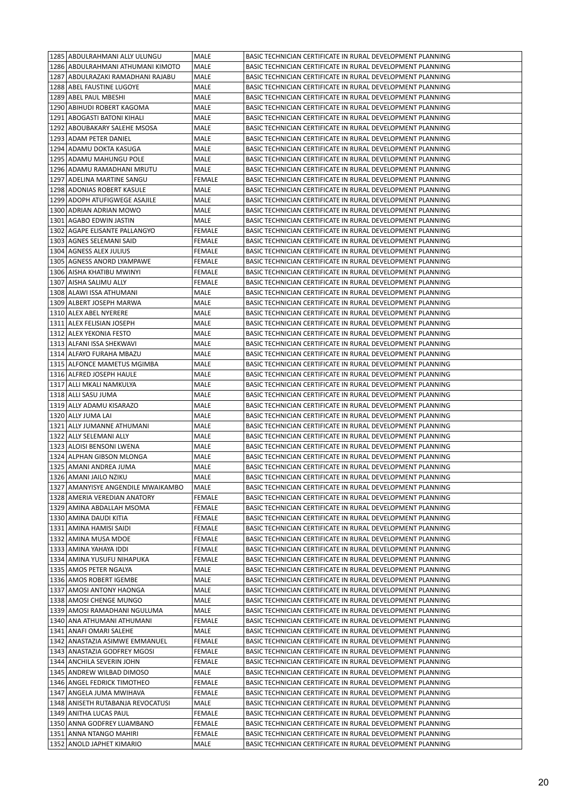|  | 1285 ABDULRAHMANI ALLY ULUNGU       | MALE          | BASIC TECHNICIAN CERTIFICATE IN RURAL DEVELOPMENT PLANNING |
|--|-------------------------------------|---------------|------------------------------------------------------------|
|  | 1286   ABDULRAHMANI ATHUMANI KIMOTO | MALE          | BASIC TECHNICIAN CERTIFICATE IN RURAL DEVELOPMENT PLANNING |
|  | 1287 ABDULRAZAKI RAMADHANI RAJABU   | MALE          | BASIC TECHNICIAN CERTIFICATE IN RURAL DEVELOPMENT PLANNING |
|  | 1288 ABEL FAUSTINE LUGOYE           | MALE          | BASIC TECHNICIAN CERTIFICATE IN RURAL DEVELOPMENT PLANNING |
|  | 1289 ABEL PAUL MBESHI               | MALE          | BASIC TECHNICIAN CERTIFICATE IN RURAL DEVELOPMENT PLANNING |
|  | 1290 ABIHUDI ROBERT KAGOMA          | MALE          | BASIC TECHNICIAN CERTIFICATE IN RURAL DEVELOPMENT PLANNING |
|  | 1291   ABOGASTI BATONI KIHALI       | <b>MALE</b>   | BASIC TECHNICIAN CERTIFICATE IN RURAL DEVELOPMENT PLANNING |
|  | 1292   ABOUBAKARY SALEHE MSOSA      | MALE          | BASIC TECHNICIAN CERTIFICATE IN RURAL DEVELOPMENT PLANNING |
|  | 1293 ADAM PETER DANIEL              | MALE          | BASIC TECHNICIAN CERTIFICATE IN RURAL DEVELOPMENT PLANNING |
|  | 1294   ADAMU DOKTA KASUGA           | MALE          | BASIC TECHNICIAN CERTIFICATE IN RURAL DEVELOPMENT PLANNING |
|  | 1295 ADAMU MAHUNGU POLE             | MALE          | BASIC TECHNICIAN CERTIFICATE IN RURAL DEVELOPMENT PLANNING |
|  | 1296 ADAMU RAMADHANI MRUTU          | MALE          | BASIC TECHNICIAN CERTIFICATE IN RURAL DEVELOPMENT PLANNING |
|  | 1297 ADELINA MARTINE SANGU          | FEMALE        | BASIC TECHNICIAN CERTIFICATE IN RURAL DEVELOPMENT PLANNING |
|  | 1298 ADONIAS ROBERT KASULE          | MALE          | BASIC TECHNICIAN CERTIFICATE IN RURAL DEVELOPMENT PLANNING |
|  | 1299 ADOPH ATUFIGWEGE ASAJILE       | MALE          | BASIC TECHNICIAN CERTIFICATE IN RURAL DEVELOPMENT PLANNING |
|  | 1300 ADRIAN ADRIAN MOWO             | MALE          | BASIC TECHNICIAN CERTIFICATE IN RURAL DEVELOPMENT PLANNING |
|  | 1301   AGABO EDWIN JASTIN           | MALE          | BASIC TECHNICIAN CERTIFICATE IN RURAL DEVELOPMENT PLANNING |
|  | 1302   AGAPE ELISANTE PALLANGYO     | FEMALE        | BASIC TECHNICIAN CERTIFICATE IN RURAL DEVELOPMENT PLANNING |
|  | 1303 AGNES SELEMANI SAID            | <b>FEMALE</b> | BASIC TECHNICIAN CERTIFICATE IN RURAL DEVELOPMENT PLANNING |
|  | 1304 AGNESS ALEX JULIUS             | FEMALE        | BASIC TECHNICIAN CERTIFICATE IN RURAL DEVELOPMENT PLANNING |
|  | 1305 AGNESS ANORD LYAMPAWE          | <b>FEMALE</b> | BASIC TECHNICIAN CERTIFICATE IN RURAL DEVELOPMENT PLANNING |
|  | 1306   AISHA KHATIBU MWINYI         | FEMALE        | BASIC TECHNICIAN CERTIFICATE IN RURAL DEVELOPMENT PLANNING |
|  | 1307   AISHA SALIMU ALLY            | FEMALE        | BASIC TECHNICIAN CERTIFICATE IN RURAL DEVELOPMENT PLANNING |
|  | 1308   ALAWI ISSA ATHUMANI          | MALE          | BASIC TECHNICIAN CERTIFICATE IN RURAL DEVELOPMENT PLANNING |
|  | 1309 ALBERT JOSEPH MARWA            | MALE          | BASIC TECHNICIAN CERTIFICATE IN RURAL DEVELOPMENT PLANNING |
|  | 1310 ALEX ABEL NYERERE              | MALE          | BASIC TECHNICIAN CERTIFICATE IN RURAL DEVELOPMENT PLANNING |
|  | 1311 ALEX FELISIAN JOSEPH           | MALE          | BASIC TECHNICIAN CERTIFICATE IN RURAL DEVELOPMENT PLANNING |
|  | 1312 ALEX YEKONIA FESTO             | MALE          | BASIC TECHNICIAN CERTIFICATE IN RURAL DEVELOPMENT PLANNING |
|  | 1313   ALFANI ISSA SHEKWAVI         | MALE          | BASIC TECHNICIAN CERTIFICATE IN RURAL DEVELOPMENT PLANNING |
|  | 1314   ALFAYO FURAHA MBAZU          | MALE          | BASIC TECHNICIAN CERTIFICATE IN RURAL DEVELOPMENT PLANNING |
|  | 1315 ALFONCE MAMETUS MGIMBA         | MALE          | BASIC TECHNICIAN CERTIFICATE IN RURAL DEVELOPMENT PLANNING |
|  | 1316 ALFRED JOSEPH HAULE            | MALE          | BASIC TECHNICIAN CERTIFICATE IN RURAL DEVELOPMENT PLANNING |
|  | 1317 ALLI MKALI NAMKULYA            | MALE          | BASIC TECHNICIAN CERTIFICATE IN RURAL DEVELOPMENT PLANNING |
|  | 1318 ALLI SASU JUMA                 | MALE          | BASIC TECHNICIAN CERTIFICATE IN RURAL DEVELOPMENT PLANNING |
|  | 1319 ALLY ADAMU KISARAZO            | MALE          | BASIC TECHNICIAN CERTIFICATE IN RURAL DEVELOPMENT PLANNING |
|  | 1320 ALLY JUMA LAI                  | MALE          | BASIC TECHNICIAN CERTIFICATE IN RURAL DEVELOPMENT PLANNING |
|  | 1321 ALLY JUMANNE ATHUMANI          | MALE          | BASIC TECHNICIAN CERTIFICATE IN RURAL DEVELOPMENT PLANNING |
|  | 1322 ALLY SELEMANI ALLY             | MALE          | BASIC TECHNICIAN CERTIFICATE IN RURAL DEVELOPMENT PLANNING |
|  | 1323 ALOISI BENSONI LWENA           | MALE          | BASIC TECHNICIAN CERTIFICATE IN RURAL DEVELOPMENT PLANNING |
|  | 1324 ALPHAN GIBSON MLONGA           | MALE          | BASIC TECHNICIAN CERTIFICATE IN RURAL DEVELOPMENT PLANNING |
|  | 1325 AMANI ANDREA JUMA              | MALE          | BASIC TECHNICIAN CERTIFICATE IN RURAL DEVELOPMENT PLANNING |
|  | 1326 AMANI JAILO NZIKU              | MALE          | BASIC TECHNICIAN CERTIFICATE IN RURAL DEVELOPMENT PLANNING |
|  | 1327 AMANYISYE ANGENDILE MWAIKAMBO  | MALE          | BASIC TECHNICIAN CERTIFICATE IN RURAL DEVELOPMENT PLANNING |
|  | 1328 AMERIA VEREDIAN ANATORY        | <b>FEMALE</b> | BASIC TECHNICIAN CERTIFICATE IN RURAL DEVELOPMENT PLANNING |
|  | 1329 AMINA ABDALLAH MSOMA           | <b>FEMALE</b> | BASIC TECHNICIAN CERTIFICATE IN RURAL DEVELOPMENT PLANNING |
|  | 1330   AMINA DAUDI KITIA            | FEMALE        | BASIC TECHNICIAN CERTIFICATE IN RURAL DEVELOPMENT PLANNING |
|  | 1331   AMINA HAMISI SAIDI           | FEMALE        | BASIC TECHNICIAN CERTIFICATE IN RURAL DEVELOPMENT PLANNING |
|  | 1332 AMINA MUSA MDOE                | FEMALE        | BASIC TECHNICIAN CERTIFICATE IN RURAL DEVELOPMENT PLANNING |
|  | 1333   AMINA YAHAYA IDDI            | FEMALE        | BASIC TECHNICIAN CERTIFICATE IN RURAL DEVELOPMENT PLANNING |
|  | 1334 AMINA YUSUFU NIHAPUKA          | FEMALE        | BASIC TECHNICIAN CERTIFICATE IN RURAL DEVELOPMENT PLANNING |
|  | 1335   AMOS PETER NGALYA            | MALE          | BASIC TECHNICIAN CERTIFICATE IN RURAL DEVELOPMENT PLANNING |
|  | 1336 AMOS ROBERT IGEMBE             | MALE          | BASIC TECHNICIAN CERTIFICATE IN RURAL DEVELOPMENT PLANNING |
|  | 1337 AMOSI ANTONY HAONGA            | MALE          | BASIC TECHNICIAN CERTIFICATE IN RURAL DEVELOPMENT PLANNING |
|  | 1338 AMOSI CHENGE MUNGO             | MALE          | BASIC TECHNICIAN CERTIFICATE IN RURAL DEVELOPMENT PLANNING |
|  | 1339 AMOSI RAMADHANI NGULUMA        | MALE          | BASIC TECHNICIAN CERTIFICATE IN RURAL DEVELOPMENT PLANNING |
|  | 1340   ANA ATHUMANI ATHUMANI        | FEMALE        | BASIC TECHNICIAN CERTIFICATE IN RURAL DEVELOPMENT PLANNING |
|  | 1341 ANAFI OMARI SALEHE             | MALE          | BASIC TECHNICIAN CERTIFICATE IN RURAL DEVELOPMENT PLANNING |
|  | 1342 ANASTAZIA ASIMWE EMMANUEL      | <b>FEMALE</b> | BASIC TECHNICIAN CERTIFICATE IN RURAL DEVELOPMENT PLANNING |
|  | 1343   ANASTAZIA GODFREY MGOSI      | FEMALE        | BASIC TECHNICIAN CERTIFICATE IN RURAL DEVELOPMENT PLANNING |
|  | 1344 ANCHILA SEVERIN JOHN           | FEMALE        | BASIC TECHNICIAN CERTIFICATE IN RURAL DEVELOPMENT PLANNING |
|  | 1345 ANDREW WILBAD DIMOSO           | MALE          | BASIC TECHNICIAN CERTIFICATE IN RURAL DEVELOPMENT PLANNING |
|  | 1346 ANGEL FEDRICK TIMOTHEO         | FEMALE        | BASIC TECHNICIAN CERTIFICATE IN RURAL DEVELOPMENT PLANNING |
|  | 1347 ANGELA JUMA MWIHAVA            | FEMALE        | BASIC TECHNICIAN CERTIFICATE IN RURAL DEVELOPMENT PLANNING |
|  | 1348   ANISETH RUTABANJA REVOCATUSI | MALE          | BASIC TECHNICIAN CERTIFICATE IN RURAL DEVELOPMENT PLANNING |
|  | 1349   ANITHA LUCAS PAUL            | FEMALE        | BASIC TECHNICIAN CERTIFICATE IN RURAL DEVELOPMENT PLANNING |
|  | 1350 ANNA GODFREY LUAMBANO          | FEMALE        | BASIC TECHNICIAN CERTIFICATE IN RURAL DEVELOPMENT PLANNING |
|  | 1351 ANNA NTANGO MAHIRI             | FEMALE        | BASIC TECHNICIAN CERTIFICATE IN RURAL DEVELOPMENT PLANNING |
|  | 1352 ANOLD JAPHET KIMARIO           | MALE          | BASIC TECHNICIAN CERTIFICATE IN RURAL DEVELOPMENT PLANNING |
|  |                                     |               |                                                            |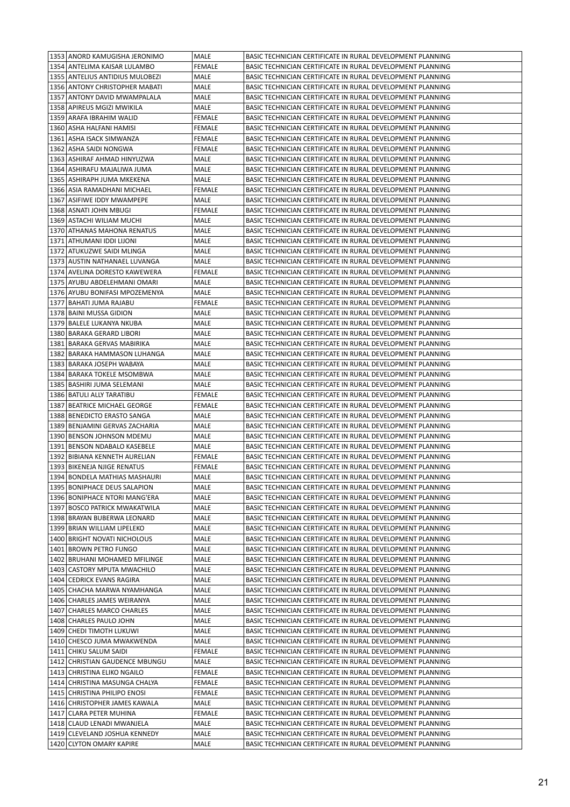| 1353 ANORD KAMUGISHA JERONIMO                        | MALE                  | BASIC TECHNICIAN CERTIFICATE IN RURAL DEVELOPMENT PLANNING                                                               |
|------------------------------------------------------|-----------------------|--------------------------------------------------------------------------------------------------------------------------|
| 1354 ANTELIMA KAISAR LULAMBO                         | <b>FEMALE</b>         | BASIC TECHNICIAN CERTIFICATE IN RURAL DEVELOPMENT PLANNING                                                               |
| 1355 ANTELIUS ANTIDIUS MULOBEZI                      | MALE                  | BASIC TECHNICIAN CERTIFICATE IN RURAL DEVELOPMENT PLANNING                                                               |
| 1356 ANTONY CHRISTOPHER MABATI                       | MALE                  | BASIC TECHNICIAN CERTIFICATE IN RURAL DEVELOPMENT PLANNING                                                               |
| 1357 ANTONY DAVID MWAMPALALA                         | MALE                  | BASIC TECHNICIAN CERTIFICATE IN RURAL DEVELOPMENT PLANNING                                                               |
| 1358 APIREUS MGIZI MWIKILA                           | MALE                  | BASIC TECHNICIAN CERTIFICATE IN RURAL DEVELOPMENT PLANNING                                                               |
| 1359 ARAFA IBRAHIM WALID                             | <b>FEMALE</b>         | BASIC TECHNICIAN CERTIFICATE IN RURAL DEVELOPMENT PLANNING                                                               |
| 1360   ASHA HALFANI HAMISI                           | FEMALE                | BASIC TECHNICIAN CERTIFICATE IN RURAL DEVELOPMENT PLANNING                                                               |
| 1361   ASHA ISACK SIMWANZA                           | FEMALE                | BASIC TECHNICIAN CERTIFICATE IN RURAL DEVELOPMENT PLANNING                                                               |
| 1362 ASHA SAIDI NONGWA                               | <b>FEMALE</b>         | BASIC TECHNICIAN CERTIFICATE IN RURAL DEVELOPMENT PLANNING                                                               |
| 1363   ASHIRAF AHMAD HINYUZWA                        | MALE                  | BASIC TECHNICIAN CERTIFICATE IN RURAL DEVELOPMENT PLANNING                                                               |
| 1364 ASHIRAFU MAJALIWA JUMA                          | MALE                  | BASIC TECHNICIAN CERTIFICATE IN RURAL DEVELOPMENT PLANNING                                                               |
| 1365   ASHIRAPH JUMA MKEKENA                         | MALE                  | BASIC TECHNICIAN CERTIFICATE IN RURAL DEVELOPMENT PLANNING                                                               |
| 1366   ASIA RAMADHANI MICHAEL                        | FEMALE                | BASIC TECHNICIAN CERTIFICATE IN RURAL DEVELOPMENT PLANNING                                                               |
| 1367   ASIFIWE IDDY MWAMPEPE                         | MALE                  | BASIC TECHNICIAN CERTIFICATE IN RURAL DEVELOPMENT PLANNING                                                               |
| 1368   ASNATI JOHN MBUGI                             | <b>FEMALE</b>         | BASIC TECHNICIAN CERTIFICATE IN RURAL DEVELOPMENT PLANNING                                                               |
| 1369   ASTACHI WILIAM MUCHI                          | MALE                  | BASIC TECHNICIAN CERTIFICATE IN RURAL DEVELOPMENT PLANNING                                                               |
| 1370 ATHANAS MAHONA RENATUS                          | MALE                  | BASIC TECHNICIAN CERTIFICATE IN RURAL DEVELOPMENT PLANNING                                                               |
| 1371   ATHUMANI IDDI LIJONI                          | MALE                  | BASIC TECHNICIAN CERTIFICATE IN RURAL DEVELOPMENT PLANNING                                                               |
| 1372 ATUKUZWE SAIDI MLINGA                           | MALE                  | BASIC TECHNICIAN CERTIFICATE IN RURAL DEVELOPMENT PLANNING                                                               |
| 1373 AUSTIN NATHANAEL LUVANGA                        | MALE                  | BASIC TECHNICIAN CERTIFICATE IN RURAL DEVELOPMENT PLANNING                                                               |
| 1374   AVELINA DORESTO KAWEWERA                      | FEMALE                | BASIC TECHNICIAN CERTIFICATE IN RURAL DEVELOPMENT PLANNING                                                               |
| 1375 AYUBU ABDELEHMANI OMARI                         | MALE                  | BASIC TECHNICIAN CERTIFICATE IN RURAL DEVELOPMENT PLANNING                                                               |
| 1376 AYUBU BONIFASI MPOZEMENYA                       | MALE                  | BASIC TECHNICIAN CERTIFICATE IN RURAL DEVELOPMENT PLANNING                                                               |
| 1377   BAHATI JUMA RAJABU                            | <b>FEMALE</b>         | BASIC TECHNICIAN CERTIFICATE IN RURAL DEVELOPMENT PLANNING                                                               |
| 1378 BAINI MUSSA GIDION                              | MALE                  | BASIC TECHNICIAN CERTIFICATE IN RURAL DEVELOPMENT PLANNING                                                               |
| 1379 BALELE LUKANYA NKUBA                            | MALE                  | BASIC TECHNICIAN CERTIFICATE IN RURAL DEVELOPMENT PLANNING                                                               |
| 1380 BARAKA GERARD LIBORI                            | MALE                  | BASIC TECHNICIAN CERTIFICATE IN RURAL DEVELOPMENT PLANNING                                                               |
| 1381   BARAKA GERVAS MABIRIKA                        | MALE                  | BASIC TECHNICIAN CERTIFICATE IN RURAL DEVELOPMENT PLANNING                                                               |
| 1382   BARAKA HAMMASON LUHANGA                       | MALE                  | BASIC TECHNICIAN CERTIFICATE IN RURAL DEVELOPMENT PLANNING                                                               |
| 1383 BARAKA JOSEPH WABAYA                            | MALE                  | BASIC TECHNICIAN CERTIFICATE IN RURAL DEVELOPMENT PLANNING                                                               |
| 1384 BARAKA TOKELE MSOMBWA                           | MALE                  | BASIC TECHNICIAN CERTIFICATE IN RURAL DEVELOPMENT PLANNING                                                               |
| 1385   BASHIRI JUMA SELEMANI                         | MALE                  | BASIC TECHNICIAN CERTIFICATE IN RURAL DEVELOPMENT PLANNING                                                               |
| 1386   BATULI ALLY TARATIBU                          | <b>FEMALE</b>         | BASIC TECHNICIAN CERTIFICATE IN RURAL DEVELOPMENT PLANNING                                                               |
| 1387   BEATRICE MICHAEL GEORGE                       | <b>FEMALE</b>         | BASIC TECHNICIAN CERTIFICATE IN RURAL DEVELOPMENT PLANNING                                                               |
| 1388 BENEDICTO ERASTO SANGA                          | MALE                  | BASIC TECHNICIAN CERTIFICATE IN RURAL DEVELOPMENT PLANNING                                                               |
| 1389 BENJAMINI GERVAS ZACHARIA                       | MALE                  | BASIC TECHNICIAN CERTIFICATE IN RURAL DEVELOPMENT PLANNING                                                               |
| 1390 BENSON JOHNSON MDEMU                            | MALE                  | BASIC TECHNICIAN CERTIFICATE IN RURAL DEVELOPMENT PLANNING                                                               |
| 1391 BENSON NDABALO KASEBELE                         | MALE                  | BASIC TECHNICIAN CERTIFICATE IN RURAL DEVELOPMENT PLANNING                                                               |
| 1392 BIBIANA KENNETH AURELIAN                        | <b>FEMALE</b>         | BASIC TECHNICIAN CERTIFICATE IN RURAL DEVELOPMENT PLANNING                                                               |
| 1393 BIKENEJA NJIGE RENATUS                          | <b>FEMALE</b>         | BASIC TECHNICIAN CERTIFICATE IN RURAL DEVELOPMENT PLANNING                                                               |
| 1394 BONDELA MATHIAS MASHAURI                        | MALE                  | BASIC TECHNICIAN CERTIFICATE IN RURAL DEVELOPMENT PLANNING                                                               |
| 1395 BONIPHACE DEUS SALAPION                         | MALE                  | BASIC TECHNICIAN CERTIFICATE IN RURAL DEVELOPMENT PLANNING                                                               |
| 1396 BONIPHACE NTORI MANG'ERA                        | MALE                  | BASIC TECHNICIAN CERTIFICATE IN RURAL DEVELOPMENT PLANNING                                                               |
| 1397 BOSCO PATRICK MWAKATWILA                        | MALE                  | BASIC TECHNICIAN CERTIFICATE IN RURAL DEVELOPMENT PLANNING                                                               |
| 1398 BRAYAN BUBERWA LEONARD                          | MALE                  | BASIC TECHNICIAN CERTIFICATE IN RURAL DEVELOPMENT PLANNING                                                               |
| 1399 BRIAN WILLIAM LIPELEKO                          | MALE                  | BASIC TECHNICIAN CERTIFICATE IN RURAL DEVELOPMENT PLANNING                                                               |
| 1400 BRIGHT NOVATI NICHOLOUS                         | MALE                  | BASIC TECHNICIAN CERTIFICATE IN RURAL DEVELOPMENT PLANNING                                                               |
| 1401 BROWN PETRO FUNGO                               | MALE                  | BASIC TECHNICIAN CERTIFICATE IN RURAL DEVELOPMENT PLANNING                                                               |
| 1402 BRUHANI MOHAMED MFILINGE                        | MALE                  | BASIC TECHNICIAN CERTIFICATE IN RURAL DEVELOPMENT PLANNING                                                               |
| 1403   CASTORY MPUTA MWACHILO                        | MALE                  | BASIC TECHNICIAN CERTIFICATE IN RURAL DEVELOPMENT PLANNING                                                               |
| 1404 CEDRICK EVANS RAGIRA                            | MALE                  | BASIC TECHNICIAN CERTIFICATE IN RURAL DEVELOPMENT PLANNING                                                               |
| 1405   CHACHA MARWA NYAMHANGA                        | MALE                  | BASIC TECHNICIAN CERTIFICATE IN RURAL DEVELOPMENT PLANNING                                                               |
| 1406 CHARLES JAMES WEIRANYA                          | MALE                  | BASIC TECHNICIAN CERTIFICATE IN RURAL DEVELOPMENT PLANNING                                                               |
| 1407   CHARLES MARCO CHARLES                         |                       | BASIC TECHNICIAN CERTIFICATE IN RURAL DEVELOPMENT PLANNING                                                               |
| 1408 CHARLES PAULO JOHN                              | MALE<br>MALE          | BASIC TECHNICIAN CERTIFICATE IN RURAL DEVELOPMENT PLANNING                                                               |
| 1409 CHEDI TIMOTH LUKUWI                             | MALE                  | BASIC TECHNICIAN CERTIFICATE IN RURAL DEVELOPMENT PLANNING                                                               |
|                                                      |                       |                                                                                                                          |
| 1410 CHESCO JUMA MWAKWENDA<br>1411 CHIKU SALUM SAIDI | MALE<br><b>FEMALE</b> | BASIC TECHNICIAN CERTIFICATE IN RURAL DEVELOPMENT PLANNING<br>BASIC TECHNICIAN CERTIFICATE IN RURAL DEVELOPMENT PLANNING |
| 1412 CHRISTIAN GAUDENCE MBUNGU                       |                       |                                                                                                                          |
| 1413 CHRISTINA ELIKO NGAILO                          | MALE<br>FEMALE        | BASIC TECHNICIAN CERTIFICATE IN RURAL DEVELOPMENT PLANNING<br>BASIC TECHNICIAN CERTIFICATE IN RURAL DEVELOPMENT PLANNING |
| 1414 CHRISTINA MASUNGA CHALYA                        |                       | BASIC TECHNICIAN CERTIFICATE IN RURAL DEVELOPMENT PLANNING                                                               |
| 1415 CHRISTINA PHILIPO ENOSI                         | FEMALE<br>FEMALE      | BASIC TECHNICIAN CERTIFICATE IN RURAL DEVELOPMENT PLANNING                                                               |
| 1416   CHRISTOPHER JAMES KAWALA                      | MALE                  | BASIC TECHNICIAN CERTIFICATE IN RURAL DEVELOPMENT PLANNING                                                               |
| 1417 CLARA PETER MUHINA                              | FEMALE                | BASIC TECHNICIAN CERTIFICATE IN RURAL DEVELOPMENT PLANNING                                                               |
| 1418 CLAUD LENADI MWANJELA                           | MALE                  | BASIC TECHNICIAN CERTIFICATE IN RURAL DEVELOPMENT PLANNING                                                               |
| 1419 CLEVELAND JOSHUA KENNEDY                        | MALE                  |                                                                                                                          |
|                                                      |                       | BASIC TECHNICIAN CERTIFICATE IN RURAL DEVELOPMENT PLANNING                                                               |
| 1420 CLYTON OMARY KAPIRE                             | MALE                  | BASIC TECHNICIAN CERTIFICATE IN RURAL DEVELOPMENT PLANNING                                                               |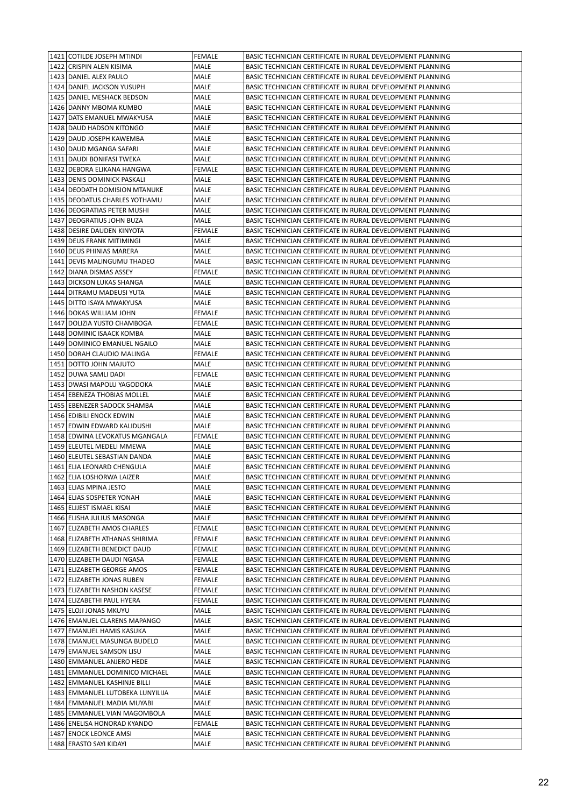| 1421 COTILDE JOSEPH MTINDI                        | <b>FEMALE</b> | BASIC TECHNICIAN CERTIFICATE IN RURAL DEVELOPMENT PLANNING                                                               |
|---------------------------------------------------|---------------|--------------------------------------------------------------------------------------------------------------------------|
| 1422 CRISPIN ALEN KISIMA                          | MALE          | BASIC TECHNICIAN CERTIFICATE IN RURAL DEVELOPMENT PLANNING                                                               |
| 1423 DANIEL ALEX PAULO                            | MALE          | BASIC TECHNICIAN CERTIFICATE IN RURAL DEVELOPMENT PLANNING                                                               |
| 1424 DANIEL JACKSON YUSUPH                        | MALE          | BASIC TECHNICIAN CERTIFICATE IN RURAL DEVELOPMENT PLANNING                                                               |
| 1425   DANIEL MESHACK BEDSON                      | MALE          | BASIC TECHNICIAN CERTIFICATE IN RURAL DEVELOPMENT PLANNING                                                               |
| 1426   DANNY MBOMA KUMBO                          | MALE          | BASIC TECHNICIAN CERTIFICATE IN RURAL DEVELOPMENT PLANNING                                                               |
| 1427   DATS EMANUEL MWAKYUSA                      | MALE          | BASIC TECHNICIAN CERTIFICATE IN RURAL DEVELOPMENT PLANNING                                                               |
| 1428 DAUD HADSON KITONGO                          | MALE          | BASIC TECHNICIAN CERTIFICATE IN RURAL DEVELOPMENT PLANNING                                                               |
| 1429   DAUD JOSEPH KAWEMBA                        | MALE          | BASIC TECHNICIAN CERTIFICATE IN RURAL DEVELOPMENT PLANNING                                                               |
| 1430 DAUD MGANGA SAFARI                           | MALE          | BASIC TECHNICIAN CERTIFICATE IN RURAL DEVELOPMENT PLANNING                                                               |
| 1431   DAUDI BONIFASI TWEKA                       | MALE          | BASIC TECHNICIAN CERTIFICATE IN RURAL DEVELOPMENT PLANNING                                                               |
| 1432 DEBORA ELIKANA HANGWA                        | <b>FEMALE</b> | BASIC TECHNICIAN CERTIFICATE IN RURAL DEVELOPMENT PLANNING                                                               |
| 1433   DENIS DOMINICK PASKALI                     | MALE          | BASIC TECHNICIAN CERTIFICATE IN RURAL DEVELOPMENT PLANNING                                                               |
| 1434 DEODATH DOMISION MTANUKE                     | MALE          | BASIC TECHNICIAN CERTIFICATE IN RURAL DEVELOPMENT PLANNING                                                               |
| 1435   DEODATUS CHARLES YOTHAMU                   | MALE          | BASIC TECHNICIAN CERTIFICATE IN RURAL DEVELOPMENT PLANNING                                                               |
| 1436   DEOGRATIAS PETER MUSHI                     | MALE          | BASIC TECHNICIAN CERTIFICATE IN RURAL DEVELOPMENT PLANNING                                                               |
| 1437   DEOGRATIUS JOHN BUZA                       | MALE          | BASIC TECHNICIAN CERTIFICATE IN RURAL DEVELOPMENT PLANNING                                                               |
| 1438 DESIRE DAUDEN KINYOTA                        | FEMALE        | BASIC TECHNICIAN CERTIFICATE IN RURAL DEVELOPMENT PLANNING                                                               |
| 1439 DEUS FRANK MITIMINGI                         | MALE          | BASIC TECHNICIAN CERTIFICATE IN RURAL DEVELOPMENT PLANNING                                                               |
| 1440 DEUS PHINIAS MARERA                          | MALE          | BASIC TECHNICIAN CERTIFICATE IN RURAL DEVELOPMENT PLANNING                                                               |
| 1441 DEVIS MALINGUMU THADEO                       | MALE          | BASIC TECHNICIAN CERTIFICATE IN RURAL DEVELOPMENT PLANNING                                                               |
| 1442   DIANA DISMAS ASSEY                         | <b>FEMALE</b> | BASIC TECHNICIAN CERTIFICATE IN RURAL DEVELOPMENT PLANNING                                                               |
| 1443   DICKSON LUKAS SHANGA                       | MALE          | BASIC TECHNICIAN CERTIFICATE IN RURAL DEVELOPMENT PLANNING                                                               |
| 1444   DITRAMU MADEUSI YUTA                       | MALE          | BASIC TECHNICIAN CERTIFICATE IN RURAL DEVELOPMENT PLANNING                                                               |
| 1445   DITTO ISAYA MWAKYUSA                       | MALE          | BASIC TECHNICIAN CERTIFICATE IN RURAL DEVELOPMENT PLANNING                                                               |
| 1446 DOKAS WILLIAM JOHN                           | <b>FEMALE</b> | BASIC TECHNICIAN CERTIFICATE IN RURAL DEVELOPMENT PLANNING                                                               |
| 1447   DOLIZIA YUSTO CHAMBOGA                     | FEMALE        | BASIC TECHNICIAN CERTIFICATE IN RURAL DEVELOPMENT PLANNING                                                               |
| 1448   DOMINIC ISAACK KOMBA                       | MALE          | BASIC TECHNICIAN CERTIFICATE IN RURAL DEVELOPMENT PLANNING                                                               |
| 1449 DOMINICO EMANUEL NGAILO                      | MALE          | BASIC TECHNICIAN CERTIFICATE IN RURAL DEVELOPMENT PLANNING                                                               |
| 1450 DORAH CLAUDIO MALINGA                        | FEMALE        | BASIC TECHNICIAN CERTIFICATE IN RURAL DEVELOPMENT PLANNING                                                               |
| 1451 DOTTO JOHN MAJUTO                            | MALE          | BASIC TECHNICIAN CERTIFICATE IN RURAL DEVELOPMENT PLANNING                                                               |
| 1452 DUWA SAMLI DADI                              | FEMALE        | BASIC TECHNICIAN CERTIFICATE IN RURAL DEVELOPMENT PLANNING                                                               |
| 1453 DWASI MAPOLU YAGODOKA                        | MALE          | BASIC TECHNICIAN CERTIFICATE IN RURAL DEVELOPMENT PLANNING                                                               |
| 1454 EBENEZA THOBIAS MOLLEL                       | MALE          | BASIC TECHNICIAN CERTIFICATE IN RURAL DEVELOPMENT PLANNING                                                               |
| 1455 EBENEZER SADOCK SHAMBA                       | MALE          | BASIC TECHNICIAN CERTIFICATE IN RURAL DEVELOPMENT PLANNING                                                               |
| 1456 EDIBILI ENOCK EDWIN                          | MALE          | BASIC TECHNICIAN CERTIFICATE IN RURAL DEVELOPMENT PLANNING                                                               |
| 1457 EDWIN EDWARD KALIDUSHI                       | MALE          | BASIC TECHNICIAN CERTIFICATE IN RURAL DEVELOPMENT PLANNING                                                               |
| 1458 EDWINA LEVOKATUS MGANGALA                    | FEMALE        | BASIC TECHNICIAN CERTIFICATE IN RURAL DEVELOPMENT PLANNING                                                               |
| 1459 ELEUTEL MEDELI MMEWA                         | MALE          | BASIC TECHNICIAN CERTIFICATE IN RURAL DEVELOPMENT PLANNING                                                               |
| 1460 ELEUTEL SEBASTIAN DANDA                      | MALE          | BASIC TECHNICIAN CERTIFICATE IN RURAL DEVELOPMENT PLANNING                                                               |
| 1461 ELIA LEONARD CHENGULA                        | MALE          | BASIC TECHNICIAN CERTIFICATE IN RURAL DEVELOPMENT PLANNING                                                               |
| 1462 ELIA LOSHORWA LAIZER                         | MALE          | BASIC TECHNICIAN CERTIFICATE IN RURAL DEVELOPMENT PLANNING                                                               |
| 1463 ELIAS MPINA JESTO                            | MALE          | BASIC TECHNICIAN CERTIFICATE IN RURAL DEVELOPMENT PLANNING                                                               |
| 1464 ELIAS SOSPETER YONAH                         | MALE          | BASIC TECHNICIAN CERTIFICATE IN RURAL DEVELOPMENT PLANNING                                                               |
| 1465 ELIJEST ISMAEL KISAI                         | MALE          | BASIC TECHNICIAN CERTIFICATE IN RURAL DEVELOPMENT PLANNING                                                               |
| 1466 ELISHA JULIUS MASONGA                        | MALE          | BASIC TECHNICIAN CERTIFICATE IN RURAL DEVELOPMENT PLANNING                                                               |
| 1467 ELIZABETH AMOS CHARLES                       | FEMALE        | BASIC TECHNICIAN CERTIFICATE IN RURAL DEVELOPMENT PLANNING                                                               |
| 1468 ELIZABETH ATHANAS SHIRIMA                    | FEMALE        | BASIC TECHNICIAN CERTIFICATE IN RURAL DEVELOPMENT PLANNING                                                               |
| 1469 ELIZABETH BENEDICT DAUD                      | FEMALE        | BASIC TECHNICIAN CERTIFICATE IN RURAL DEVELOPMENT PLANNING                                                               |
| 1470 ELIZABETH DAUDI NGASA                        | FEMALE        | BASIC TECHNICIAN CERTIFICATE IN RURAL DEVELOPMENT PLANNING                                                               |
| 1471 ELIZABETH GEORGE AMOS                        | FEMALE        | BASIC TECHNICIAN CERTIFICATE IN RURAL DEVELOPMENT PLANNING                                                               |
|                                                   |               |                                                                                                                          |
| 1472 ELIZABETH JONAS RUBEN                        | FEMALE        | BASIC TECHNICIAN CERTIFICATE IN RURAL DEVELOPMENT PLANNING                                                               |
| 1473 ELIZABETH NASHON KASESE                      | FEMALE        | BASIC TECHNICIAN CERTIFICATE IN RURAL DEVELOPMENT PLANNING                                                               |
| 1474 ELIZABETHI PAUL HYERA                        | FEMALE        | BASIC TECHNICIAN CERTIFICATE IN RURAL DEVELOPMENT PLANNING                                                               |
| 1475 ELOJI JONAS MKUYU                            | MALE          | BASIC TECHNICIAN CERTIFICATE IN RURAL DEVELOPMENT PLANNING                                                               |
| 1476   EMANUEL CLARENS MAPANGO                    | MALE          | BASIC TECHNICIAN CERTIFICATE IN RURAL DEVELOPMENT PLANNING                                                               |
| 1477 EMANUEL HAMIS KASUKA                         | MALE          | BASIC TECHNICIAN CERTIFICATE IN RURAL DEVELOPMENT PLANNING                                                               |
| 1478 EMANUEL MASUNGA BUDELO                       | MALE          | BASIC TECHNICIAN CERTIFICATE IN RURAL DEVELOPMENT PLANNING                                                               |
| 1479 EMANUEL SAMSON LISU                          | MALE          | BASIC TECHNICIAN CERTIFICATE IN RURAL DEVELOPMENT PLANNING                                                               |
| 1480 EMMANUEL ANJERO HEDE                         | MALE          | BASIC TECHNICIAN CERTIFICATE IN RURAL DEVELOPMENT PLANNING                                                               |
| 1481   EMMANUEL DOMINICO MICHAEL                  | MALE          | BASIC TECHNICIAN CERTIFICATE IN RURAL DEVELOPMENT PLANNING                                                               |
| 1482 EMMANUEL KASHINJE BILLI                      | MALE          | BASIC TECHNICIAN CERTIFICATE IN RURAL DEVELOPMENT PLANNING                                                               |
| 1483 EMMANUEL LUTOBEKA LUNYILIJA                  | MALE          | BASIC TECHNICIAN CERTIFICATE IN RURAL DEVELOPMENT PLANNING                                                               |
| 1484 EMMANUEL MADIA MUYABI                        | MALE          | BASIC TECHNICIAN CERTIFICATE IN RURAL DEVELOPMENT PLANNING                                                               |
| 1485   EMMANUEL VIAN MAGOMBOLA                    | MALE          | BASIC TECHNICIAN CERTIFICATE IN RURAL DEVELOPMENT PLANNING                                                               |
| 1486 ENELISA HONORAD KYANDO                       | FEMALE        | BASIC TECHNICIAN CERTIFICATE IN RURAL DEVELOPMENT PLANNING                                                               |
| 1487 ENOCK LEONCE AMSI<br>1488 ERASTO SAYI KIDAYI | MALE<br>MALE  | BASIC TECHNICIAN CERTIFICATE IN RURAL DEVELOPMENT PLANNING<br>BASIC TECHNICIAN CERTIFICATE IN RURAL DEVELOPMENT PLANNING |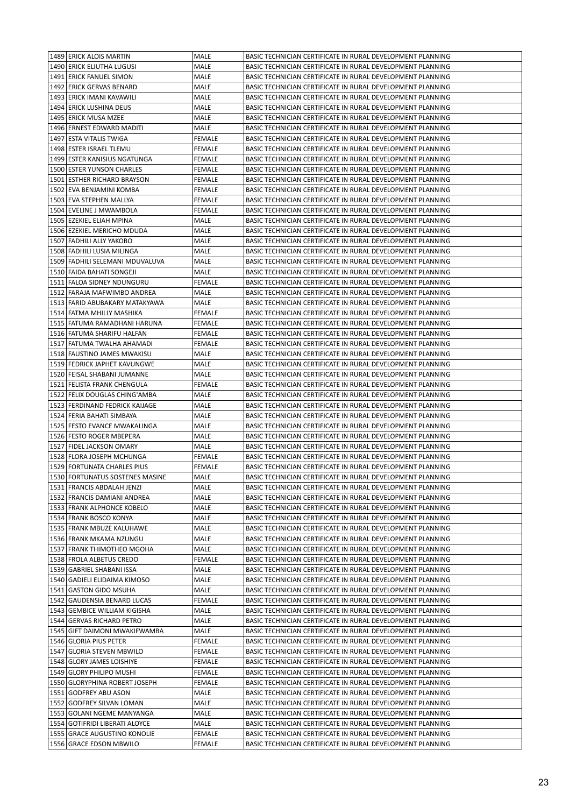| 1489 ERICK ALOIS MARTIN                                 | MALE             | BASIC TECHNICIAN CERTIFICATE IN RURAL DEVELOPMENT PLANNING                                                               |
|---------------------------------------------------------|------------------|--------------------------------------------------------------------------------------------------------------------------|
| 1490 ERICK ELIUTHA LUGUSI                               | MALE             | BASIC TECHNICIAN CERTIFICATE IN RURAL DEVELOPMENT PLANNING                                                               |
| 1491 ERICK FANUEL SIMON                                 | MALE             | BASIC TECHNICIAN CERTIFICATE IN RURAL DEVELOPMENT PLANNING                                                               |
| 1492 ERICK GERVAS BENARD                                | MALE             | BASIC TECHNICIAN CERTIFICATE IN RURAL DEVELOPMENT PLANNING                                                               |
| 1493 ERICK IMANI KAVAWILI                               | MALE             | BASIC TECHNICIAN CERTIFICATE IN RURAL DEVELOPMENT PLANNING                                                               |
| 1494 ERICK LUSHINA DEUS                                 | MALE             | BASIC TECHNICIAN CERTIFICATE IN RURAL DEVELOPMENT PLANNING                                                               |
| 1495 ERICK MUSA MZEE                                    | MALE             | BASIC TECHNICIAN CERTIFICATE IN RURAL DEVELOPMENT PLANNING                                                               |
| 1496 ERNEST EDWARD MADITI                               | MALE             | BASIC TECHNICIAN CERTIFICATE IN RURAL DEVELOPMENT PLANNING                                                               |
| 1497 ESTA VITALIS TWIGA                                 | FEMALE           | BASIC TECHNICIAN CERTIFICATE IN RURAL DEVELOPMENT PLANNING                                                               |
| 1498 ESTER ISRAEL TLEMU                                 | FEMALE           | BASIC TECHNICIAN CERTIFICATE IN RURAL DEVELOPMENT PLANNING                                                               |
| 1499 ESTER KANISIUS NGATUNGA                            | FEMALE           | BASIC TECHNICIAN CERTIFICATE IN RURAL DEVELOPMENT PLANNING                                                               |
| 1500 ESTER YUNSON CHARLES                               | <b>FEMALE</b>    | BASIC TECHNICIAN CERTIFICATE IN RURAL DEVELOPMENT PLANNING                                                               |
| 1501 ESTHER RICHARD BRAYSON                             | FEMALE           | BASIC TECHNICIAN CERTIFICATE IN RURAL DEVELOPMENT PLANNING                                                               |
| 1502 EVA BENJAMINI KOMBA                                | FEMALE           | BASIC TECHNICIAN CERTIFICATE IN RURAL DEVELOPMENT PLANNING                                                               |
| 1503 EVA STEPHEN MALLYA                                 | FEMALE           | BASIC TECHNICIAN CERTIFICATE IN RURAL DEVELOPMENT PLANNING                                                               |
| 1504 EVELINE J MWAMBOLA                                 | FEMALE           | BASIC TECHNICIAN CERTIFICATE IN RURAL DEVELOPMENT PLANNING                                                               |
| 1505 EZEKIEL ELIAH MPINA                                | MALE             | BASIC TECHNICIAN CERTIFICATE IN RURAL DEVELOPMENT PLANNING                                                               |
| 1506 EZEKIEL MERICHO MDUDA                              | MALE             | BASIC TECHNICIAN CERTIFICATE IN RURAL DEVELOPMENT PLANNING                                                               |
| 1507   FADHILI ALLY YAKOBO                              | MALE             | BASIC TECHNICIAN CERTIFICATE IN RURAL DEVELOPMENT PLANNING                                                               |
| 1508 FADHILI LUSIA MILINGA                              | MALE             | BASIC TECHNICIAN CERTIFICATE IN RURAL DEVELOPMENT PLANNING                                                               |
| 1509   FADHILI SELEMANI MDUVALUVA                       | MALE             | BASIC TECHNICIAN CERTIFICATE IN RURAL DEVELOPMENT PLANNING                                                               |
| 1510 FAIDA BAHATI SONGEJI                               | MALE             | BASIC TECHNICIAN CERTIFICATE IN RURAL DEVELOPMENT PLANNING                                                               |
| 1511 FALOA SIDNEY NDUNGURU                              | FEMALE           | BASIC TECHNICIAN CERTIFICATE IN RURAL DEVELOPMENT PLANNING                                                               |
| 1512 FARAJA MAFWIMBO ANDREA                             | MALE             | BASIC TECHNICIAN CERTIFICATE IN RURAL DEVELOPMENT PLANNING                                                               |
| 1513 FARID ABUBAKARY MATAKYAWA                          | MALE             | BASIC TECHNICIAN CERTIFICATE IN RURAL DEVELOPMENT PLANNING                                                               |
| 1514 FATMA MHILLY MASHIKA                               | <b>FEMALE</b>    | BASIC TECHNICIAN CERTIFICATE IN RURAL DEVELOPMENT PLANNING                                                               |
| 1515   FATUMA RAMADHANI HARUNA                          | FEMALE           | BASIC TECHNICIAN CERTIFICATE IN RURAL DEVELOPMENT PLANNING                                                               |
| 1516   FATUMA SHARIFU HALFAN                            | FEMALE           | BASIC TECHNICIAN CERTIFICATE IN RURAL DEVELOPMENT PLANNING                                                               |
| 1517   FATUMA TWALHA AHAMADI                            | FEMALE           | BASIC TECHNICIAN CERTIFICATE IN RURAL DEVELOPMENT PLANNING                                                               |
| 1518 FAUSTINO JAMES MWAKISU                             | MALE             | BASIC TECHNICIAN CERTIFICATE IN RURAL DEVELOPMENT PLANNING                                                               |
| 1519 FEDRICK JAPHET KAVUNGWE                            | MALE             | BASIC TECHNICIAN CERTIFICATE IN RURAL DEVELOPMENT PLANNING                                                               |
| 1520 FEISAL SHABANI JUMANNE                             | MALE             | BASIC TECHNICIAN CERTIFICATE IN RURAL DEVELOPMENT PLANNING                                                               |
| 1521 FELISTA FRANK CHENGULA                             | FEMALE           | BASIC TECHNICIAN CERTIFICATE IN RURAL DEVELOPMENT PLANNING                                                               |
| 1522 FELIX DOUGLAS CHING'AMBA                           | MALE             | BASIC TECHNICIAN CERTIFICATE IN RURAL DEVELOPMENT PLANNING                                                               |
| 1523 FERDINAND FEDRICK KAIJAGE                          | MALE             | BASIC TECHNICIAN CERTIFICATE IN RURAL DEVELOPMENT PLANNING                                                               |
| 1524 FERIA BAHATI SIMBAYA                               | MALE             | BASIC TECHNICIAN CERTIFICATE IN RURAL DEVELOPMENT PLANNING                                                               |
| 1525 FESTO EVANCE MWAKALINGA                            | MALE             | BASIC TECHNICIAN CERTIFICATE IN RURAL DEVELOPMENT PLANNING                                                               |
| 1526 FESTO ROGER MBEPERA                                | MALE             | BASIC TECHNICIAN CERTIFICATE IN RURAL DEVELOPMENT PLANNING                                                               |
| 1527 FIDEL JACKSON OMARY                                | MALE             | BASIC TECHNICIAN CERTIFICATE IN RURAL DEVELOPMENT PLANNING                                                               |
| 1528 FLORA JOSEPH MCHUNGA                               | <b>FEMALE</b>    | BASIC TECHNICIAN CERTIFICATE IN RURAL DEVELOPMENT PLANNING                                                               |
| 1529 FORTUNATA CHARLES PIUS                             | <b>FEMALE</b>    | BASIC TECHNICIAN CERTIFICATE IN RURAL DEVELOPMENT PLANNING                                                               |
| 1530 FORTUNATUS SOSTENES MASINE                         | <b>MALE</b>      | BASIC TECHNICIAN CERTIFICATE IN RURAL DEVELOPMENT PLANNING                                                               |
| 1531 FRANCIS ABDALAH JENZI                              | MALE             | BASIC TECHNICIAN CERTIFICATE IN RURAL DEVELOPMENT PLANNING                                                               |
| 1532 FRANCIS DAMIANI ANDREA                             | MALE             | BASIC TECHNICIAN CERTIFICATE IN RURAL DEVELOPMENT PLANNING                                                               |
| 1533 FRANK ALPHONCE KOBELO                              | MALE             |                                                                                                                          |
|                                                         |                  | BASIC TECHNICIAN CERTIFICATE IN RURAL DEVELOPMENT PLANNING                                                               |
| 1534 FRANK BOSCO KONYA                                  | MALE             | BASIC TECHNICIAN CERTIFICATE IN RURAL DEVELOPMENT PLANNING                                                               |
| 1535 FRANK MBUZE KALUHAWE                               | MALE             | BASIC TECHNICIAN CERTIFICATE IN RURAL DEVELOPMENT PLANNING                                                               |
| 1536 FRANK MKAMA NZUNGU                                 | MALE             | BASIC TECHNICIAN CERTIFICATE IN RURAL DEVELOPMENT PLANNING                                                               |
| 1537 FRANK THIMOTHEO MGOHA                              | MALE             | BASIC TECHNICIAN CERTIFICATE IN RURAL DEVELOPMENT PLANNING                                                               |
| 1538 FROLA ALBETUS CREDO                                | FEMALE           | BASIC TECHNICIAN CERTIFICATE IN RURAL DEVELOPMENT PLANNING                                                               |
| 1539   GABRIEL SHABANI ISSA                             | MALE             | BASIC TECHNICIAN CERTIFICATE IN RURAL DEVELOPMENT PLANNING                                                               |
| 1540 GADIELI ELIDAIMA KIMOSO                            | MALE             | BASIC TECHNICIAN CERTIFICATE IN RURAL DEVELOPMENT PLANNING                                                               |
| 1541 GASTON GIDO MSUHA                                  | MALE             | BASIC TECHNICIAN CERTIFICATE IN RURAL DEVELOPMENT PLANNING                                                               |
| 1542 GAUDENSIA BENARD LUCAS                             | FEMALE           | BASIC TECHNICIAN CERTIFICATE IN RURAL DEVELOPMENT PLANNING                                                               |
| 1543 GEMBICE WILLIAM KIGISHA                            | MALE             | BASIC TECHNICIAN CERTIFICATE IN RURAL DEVELOPMENT PLANNING                                                               |
| 1544 GERVAS RICHARD PETRO                               | MALE             | BASIC TECHNICIAN CERTIFICATE IN RURAL DEVELOPMENT PLANNING                                                               |
| 1545 GIFT DAIMONI MWAKIFWAMBA                           | MALE             | BASIC TECHNICIAN CERTIFICATE IN RURAL DEVELOPMENT PLANNING                                                               |
| 1546 GLORIA PIUS PETER                                  | FEMALE           | BASIC TECHNICIAN CERTIFICATE IN RURAL DEVELOPMENT PLANNING                                                               |
| 1547 GLORIA STEVEN MBWILO                               | FEMALE           | BASIC TECHNICIAN CERTIFICATE IN RURAL DEVELOPMENT PLANNING                                                               |
| 1548 GLORY JAMES LOISHIYE                               | FEMALE           | BASIC TECHNICIAN CERTIFICATE IN RURAL DEVELOPMENT PLANNING                                                               |
|                                                         |                  |                                                                                                                          |
| 1549 GLORY PHILIPO MUSHI                                | FEMALE           | BASIC TECHNICIAN CERTIFICATE IN RURAL DEVELOPMENT PLANNING                                                               |
| 1550 GLORYPHINA ROBERT JOSEPH                           | FEMALE           | BASIC TECHNICIAN CERTIFICATE IN RURAL DEVELOPMENT PLANNING                                                               |
| 1551 GODFREY ABU ASON                                   | MALE             | BASIC TECHNICIAN CERTIFICATE IN RURAL DEVELOPMENT PLANNING                                                               |
| 1552 GODFREY SILVAN LOMAN                               | MALE             | BASIC TECHNICIAN CERTIFICATE IN RURAL DEVELOPMENT PLANNING                                                               |
| 1553 GOLANI NGEME MANYANGA                              | MALE             | BASIC TECHNICIAN CERTIFICATE IN RURAL DEVELOPMENT PLANNING                                                               |
| 1554   GOTIFRIDI LIBERATI ALOYCE                        | MALE             | BASIC TECHNICIAN CERTIFICATE IN RURAL DEVELOPMENT PLANNING                                                               |
| 1555 GRACE AUGUSTINO KONOLIE<br>1556 GRACE EDSON MBWILO | FEMALE<br>FEMALE | BASIC TECHNICIAN CERTIFICATE IN RURAL DEVELOPMENT PLANNING<br>BASIC TECHNICIAN CERTIFICATE IN RURAL DEVELOPMENT PLANNING |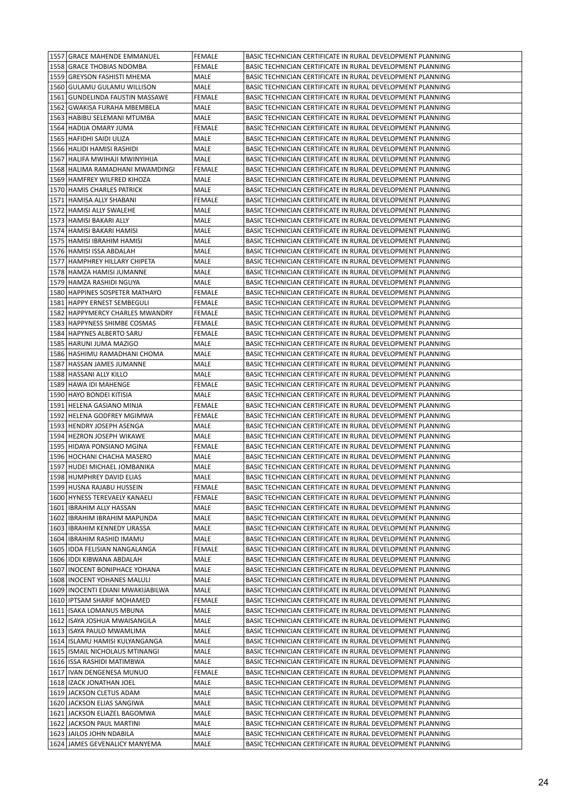| 1557 GRACE MAHENDE EMMANUEL         | <b>FEMALE</b> | BASIC TECHNICIAN CERTIFICATE IN RURAL DEVELOPMENT PLANNING |
|-------------------------------------|---------------|------------------------------------------------------------|
| 1558 GRACE THOBIAS NDOMBA           | <b>FEMALE</b> | BASIC TECHNICIAN CERTIFICATE IN RURAL DEVELOPMENT PLANNING |
| 1559 GREYSON FASHISTI MHEMA         | MALE          | BASIC TECHNICIAN CERTIFICATE IN RURAL DEVELOPMENT PLANNING |
| 1560 GULAMU GULAMU WILLISON         | MALE          | BASIC TECHNICIAN CERTIFICATE IN RURAL DEVELOPMENT PLANNING |
| 1561 GUNDELINDA FAUSTIN MASSAWE     | FEMALE        | BASIC TECHNICIAN CERTIFICATE IN RURAL DEVELOPMENT PLANNING |
| 1562   GWAKISA FURAHA MBEMBELA      | MALE          | BASIC TECHNICIAN CERTIFICATE IN RURAL DEVELOPMENT PLANNING |
| 1563 HABIBU SELEMANI MTUMBA         | MALE          | BASIC TECHNICIAN CERTIFICATE IN RURAL DEVELOPMENT PLANNING |
| 1564 HADIJA OMARY JUMA              | FEMALE        | BASIC TECHNICIAN CERTIFICATE IN RURAL DEVELOPMENT PLANNING |
| 1565   HAFIDHI SAIDI ULIZA          | MALE          | BASIC TECHNICIAN CERTIFICATE IN RURAL DEVELOPMENT PLANNING |
| 1566 HALIDI HAMISI RASHIDI          | MALE          | BASIC TECHNICIAN CERTIFICATE IN RURAL DEVELOPMENT PLANNING |
| 1567 HALIFA MWIHAJI MWINYIHIJA      | MALE          | BASIC TECHNICIAN CERTIFICATE IN RURAL DEVELOPMENT PLANNING |
| 1568   HALIMA RAMADHANI MWAMDINGI   | <b>FEMALE</b> | BASIC TECHNICIAN CERTIFICATE IN RURAL DEVELOPMENT PLANNING |
| 1569 HAMFREY WILFRED KIHOZA         | MALE          | BASIC TECHNICIAN CERTIFICATE IN RURAL DEVELOPMENT PLANNING |
| 1570 HAMIS CHARLES PATRICK          | MALE          | BASIC TECHNICIAN CERTIFICATE IN RURAL DEVELOPMENT PLANNING |
| 1571 HAMISA ALLY SHABANI            | FEMALE        | BASIC TECHNICIAN CERTIFICATE IN RURAL DEVELOPMENT PLANNING |
| 1572 HAMISI ALLY SWALEHE            | MALE          | BASIC TECHNICIAN CERTIFICATE IN RURAL DEVELOPMENT PLANNING |
| 1573   HAMISI BAKARI ALLY           | MALE          | BASIC TECHNICIAN CERTIFICATE IN RURAL DEVELOPMENT PLANNING |
| 1574   HAMISI BAKARI HAMISI         | MALE          | BASIC TECHNICIAN CERTIFICATE IN RURAL DEVELOPMENT PLANNING |
| 1575   HAMISI IBRAHIM HAMISI        | MALE          | BASIC TECHNICIAN CERTIFICATE IN RURAL DEVELOPMENT PLANNING |
| 1576   HAMISI ISSA ABDALAH          | MALE          | BASIC TECHNICIAN CERTIFICATE IN RURAL DEVELOPMENT PLANNING |
| 1577 HAMPHREY HILLARY CHIPETA       | MALE          | BASIC TECHNICIAN CERTIFICATE IN RURAL DEVELOPMENT PLANNING |
| 1578 HAMZA HAMISI JUMANNE           | MALE          | BASIC TECHNICIAN CERTIFICATE IN RURAL DEVELOPMENT PLANNING |
| 1579 HAMZA RASHIDI NGUYA            | MALE          | BASIC TECHNICIAN CERTIFICATE IN RURAL DEVELOPMENT PLANNING |
| 1580 HAPPINES SOSPETER MATHAYO      | FEMALE        | BASIC TECHNICIAN CERTIFICATE IN RURAL DEVELOPMENT PLANNING |
| 1581 HAPPY ERNEST SEMBEGULI         | FEMALE        | BASIC TECHNICIAN CERTIFICATE IN RURAL DEVELOPMENT PLANNING |
| 1582 HAPPYMERCY CHARLES MWANDRY     | <b>FEMALE</b> | BASIC TECHNICIAN CERTIFICATE IN RURAL DEVELOPMENT PLANNING |
| 1583 HAPPYNESS SHIMBE COSMAS        | FEMALE        | BASIC TECHNICIAN CERTIFICATE IN RURAL DEVELOPMENT PLANNING |
| 1584 HAPYNES ALBERTO SARU           | FEMALE        | BASIC TECHNICIAN CERTIFICATE IN RURAL DEVELOPMENT PLANNING |
| 1585 HARUNI JUMA MAZIGO             | MALE          | BASIC TECHNICIAN CERTIFICATE IN RURAL DEVELOPMENT PLANNING |
| 1586   HASHIMU RAMADHANI CHOMA      | MALE          | BASIC TECHNICIAN CERTIFICATE IN RURAL DEVELOPMENT PLANNING |
| 1587 HASSAN JAMES JUMANNE           | MALE          | BASIC TECHNICIAN CERTIFICATE IN RURAL DEVELOPMENT PLANNING |
| 1588 HASSANI ALLY KILLO             | MALE          | BASIC TECHNICIAN CERTIFICATE IN RURAL DEVELOPMENT PLANNING |
| 1589 HAWA IDI MAHENGE               | FEMALE        | BASIC TECHNICIAN CERTIFICATE IN RURAL DEVELOPMENT PLANNING |
| 1590 HAYO BONDEI KITISIA            | MALE          | BASIC TECHNICIAN CERTIFICATE IN RURAL DEVELOPMENT PLANNING |
| 1591 HELENA GASIANO MINJA           | <b>FEMALE</b> | BASIC TECHNICIAN CERTIFICATE IN RURAL DEVELOPMENT PLANNING |
| 1592 HELENA GODFREY MGIMWA          | FEMALE        | BASIC TECHNICIAN CERTIFICATE IN RURAL DEVELOPMENT PLANNING |
| 1593 HENDRY JOSEPH ASENGA           | MALE          | BASIC TECHNICIAN CERTIFICATE IN RURAL DEVELOPMENT PLANNING |
| 1594 HEZRON JOSEPH WIKAWE           | MALE          | BASIC TECHNICIAN CERTIFICATE IN RURAL DEVELOPMENT PLANNING |
| 1595 HIDAYA PONSIANO MGINA          | FEMALE        | BASIC TECHNICIAN CERTIFICATE IN RURAL DEVELOPMENT PLANNING |
| 1596 HOCHANI CHACHA MASERO          | MALE          | BASIC TECHNICIAN CERTIFICATE IN RURAL DEVELOPMENT PLANNING |
| 1597 HUDEI MICHAEL JOMBANIKA        | MALE          | BASIC TECHNICIAN CERTIFICATE IN RURAL DEVELOPMENT PLANNING |
| 1598 HUMPHREY DAVID ELIAS           | <b>MALE</b>   | BASIC TECHNICIAN CERTIFICATE IN RURAL DEVELOPMENT PLANNING |
| 1599 HUSNA RAJABU HUSSEIN           | <b>FEMALE</b> | BASIC TECHNICIAN CERTIFICATE IN RURAL DEVELOPMENT PLANNING |
| 1600 HYNESS TEREVAELY KANAELI       | <b>FEMALE</b> | BASIC TECHNICIAN CERTIFICATE IN RURAL DEVELOPMENT PLANNING |
| 1601   IBRAHIM ALLY HASSAN          | MALE          | BASIC TECHNICIAN CERTIFICATE IN RURAL DEVELOPMENT PLANNING |
| 1602   IBRAHIM IBRAHIM MAPUNDA      | MALE          | BASIC TECHNICIAN CERTIFICATE IN RURAL DEVELOPMENT PLANNING |
| 1603   IBRAHIM KENNEDY URASSA       | MALE          | BASIC TECHNICIAN CERTIFICATE IN RURAL DEVELOPMENT PLANNING |
| 1604   IBRAHIM RASHID IMAMU         | MALE          | BASIC TECHNICIAN CERTIFICATE IN RURAL DEVELOPMENT PLANNING |
| 1605   IDDA FELISIAN NANGALANGA     | FEMALE        | BASIC TECHNICIAN CERTIFICATE IN RURAL DEVELOPMENT PLANNING |
| 1606 IDDI KIBWANA ABDALAH           | MALE          | BASIC TECHNICIAN CERTIFICATE IN RURAL DEVELOPMENT PLANNING |
| 1607   INOCENT BONIPHACE YOHANA     | MALE          | BASIC TECHNICIAN CERTIFICATE IN RURAL DEVELOPMENT PLANNING |
| 1608   INOCENT YOHANES MALULI       | MALE          | BASIC TECHNICIAN CERTIFICATE IN RURAL DEVELOPMENT PLANNING |
| 1609   INOCENTI EDIANI MWAKIJABILWA | MALE          | BASIC TECHNICIAN CERTIFICATE IN RURAL DEVELOPMENT PLANNING |
| 1610 IPTSAM SHARIF MOHAMED          | FEMALE        | BASIC TECHNICIAN CERTIFICATE IN RURAL DEVELOPMENT PLANNING |
| 1611   ISAKA LOMANUS MBUNA          | MALE          | BASIC TECHNICIAN CERTIFICATE IN RURAL DEVELOPMENT PLANNING |
| 1612   ISAYA JOSHUA MWAISANGILA     | MALE          | BASIC TECHNICIAN CERTIFICATE IN RURAL DEVELOPMENT PLANNING |
| 1613   ISAYA PAULO MWAMLIMA         | MALE          | BASIC TECHNICIAN CERTIFICATE IN RURAL DEVELOPMENT PLANNING |
| 1614   ISLAMU HAMISI KULYANGANGA    | MALE          | BASIC TECHNICIAN CERTIFICATE IN RURAL DEVELOPMENT PLANNING |
| 1615   ISMAIL NICHOLAUS MTINANGI    | MALE          | BASIC TECHNICIAN CERTIFICATE IN RURAL DEVELOPMENT PLANNING |
| 1616   ISSA RASHIDI MATIMBWA        | MALE          | BASIC TECHNICIAN CERTIFICATE IN RURAL DEVELOPMENT PLANNING |
| 1617   IVAN DENGENESA MUNUO         | FEMALE        | BASIC TECHNICIAN CERTIFICATE IN RURAL DEVELOPMENT PLANNING |
| 1618   IZACK JONATHAN JOEL          | MALE          | BASIC TECHNICIAN CERTIFICATE IN RURAL DEVELOPMENT PLANNING |
| 1619 JACKSON CLETUS ADAM            | MALE          | BASIC TECHNICIAN CERTIFICATE IN RURAL DEVELOPMENT PLANNING |
| 1620 JACKSON ELIAS SANGIWA          | MALE          | BASIC TECHNICIAN CERTIFICATE IN RURAL DEVELOPMENT PLANNING |
| 1621 JACKSON ELIAZEL BAGOMWA        | MALE          | BASIC TECHNICIAN CERTIFICATE IN RURAL DEVELOPMENT PLANNING |
| 1622 JACKSON PAUL MARTINI           | MALE          | BASIC TECHNICIAN CERTIFICATE IN RURAL DEVELOPMENT PLANNING |
| 1623 JAILOS JOHN NDABILA            | MALE          | BASIC TECHNICIAN CERTIFICATE IN RURAL DEVELOPMENT PLANNING |
| 1624 JAMES GEVENALICY MANYEMA       | MALE          | BASIC TECHNICIAN CERTIFICATE IN RURAL DEVELOPMENT PLANNING |
|                                     |               |                                                            |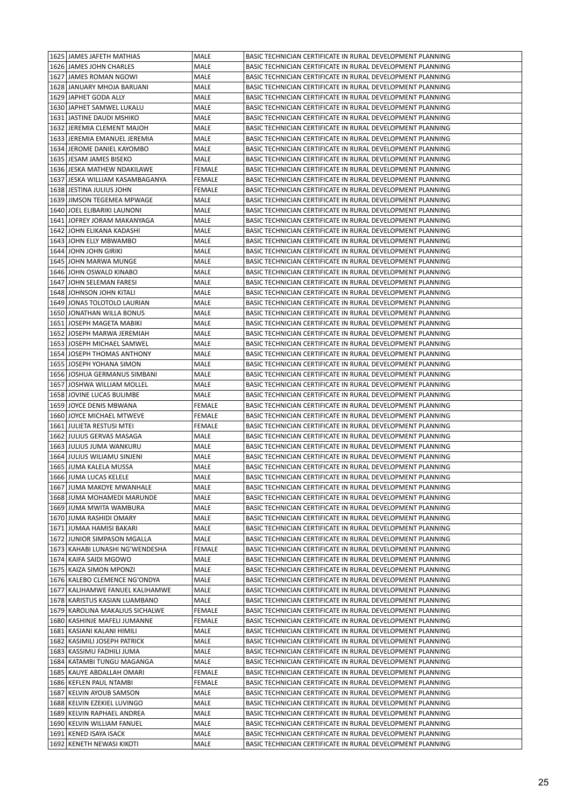| 1625 JAMES JAFETH MATHIAS                             | MALE          | BASIC TECHNICIAN CERTIFICATE IN RURAL DEVELOPMENT PLANNING                                                               |
|-------------------------------------------------------|---------------|--------------------------------------------------------------------------------------------------------------------------|
| 1626 JAMES JOHN CHARLES                               | MALE          | BASIC TECHNICIAN CERTIFICATE IN RURAL DEVELOPMENT PLANNING                                                               |
| 1627 JAMES ROMAN NGOWI                                | MALE          | BASIC TECHNICIAN CERTIFICATE IN RURAL DEVELOPMENT PLANNING                                                               |
| 1628 JANUARY MHOJA BARUANI                            | MALE          | BASIC TECHNICIAN CERTIFICATE IN RURAL DEVELOPMENT PLANNING                                                               |
| 1629 JAPHET GODA ALLY                                 | MALE          | BASIC TECHNICIAN CERTIFICATE IN RURAL DEVELOPMENT PLANNING                                                               |
| 1630 JAPHET SAMWEL LUKALU                             | MALE          | BASIC TECHNICIAN CERTIFICATE IN RURAL DEVELOPMENT PLANNING                                                               |
| 1631 JASTINE DAUDI MSHIKO                             | MALE          | BASIC TECHNICIAN CERTIFICATE IN RURAL DEVELOPMENT PLANNING                                                               |
| 1632 JEREMIA CLEMENT MAJOH                            | MALE          | BASIC TECHNICIAN CERTIFICATE IN RURAL DEVELOPMENT PLANNING                                                               |
| 1633 JEREMIA EMANUEL JEREMIA                          | MALE          | BASIC TECHNICIAN CERTIFICATE IN RURAL DEVELOPMENT PLANNING                                                               |
| 1634 JEROME DANIEL KAYOMBO                            | MALE          | BASIC TECHNICIAN CERTIFICATE IN RURAL DEVELOPMENT PLANNING                                                               |
| 1635   JESAM JAMES BISEKO                             | MALE          | BASIC TECHNICIAN CERTIFICATE IN RURAL DEVELOPMENT PLANNING                                                               |
| 1636 JESKA MATHEW NDAKILAWE                           | <b>FEMALE</b> | BASIC TECHNICIAN CERTIFICATE IN RURAL DEVELOPMENT PLANNING                                                               |
| 1637 JESKA WILLIAM KASAMBAGANYA                       | <b>FEMALE</b> | BASIC TECHNICIAN CERTIFICATE IN RURAL DEVELOPMENT PLANNING                                                               |
| 1638 JESTINA JULIUS JOHN                              | FEMALE        | BASIC TECHNICIAN CERTIFICATE IN RURAL DEVELOPMENT PLANNING                                                               |
| 1639 JIMSON TEGEMEA MPWAGE                            | MALE          | BASIC TECHNICIAN CERTIFICATE IN RURAL DEVELOPMENT PLANNING                                                               |
| 1640 JOEL ELIBARIKI LAUNONI                           | MALE          | BASIC TECHNICIAN CERTIFICATE IN RURAL DEVELOPMENT PLANNING                                                               |
|                                                       |               |                                                                                                                          |
| 1641 JOFREY JORAM MAKANYAGA                           | MALE          | BASIC TECHNICIAN CERTIFICATE IN RURAL DEVELOPMENT PLANNING                                                               |
| 1642 JOHN ELIKANA KADASHI                             | MALE          | BASIC TECHNICIAN CERTIFICATE IN RURAL DEVELOPMENT PLANNING                                                               |
| 1643 JOHN ELLY MBWAMBO                                | MALE          | BASIC TECHNICIAN CERTIFICATE IN RURAL DEVELOPMENT PLANNING                                                               |
| 1644 JOHN JOHN GIRIKI                                 | MALE          | BASIC TECHNICIAN CERTIFICATE IN RURAL DEVELOPMENT PLANNING                                                               |
| 1645 JOHN MARWA MUNGE                                 | MALE          | BASIC TECHNICIAN CERTIFICATE IN RURAL DEVELOPMENT PLANNING                                                               |
| 1646 JOHN OSWALD KINABO                               | MALE          | BASIC TECHNICIAN CERTIFICATE IN RURAL DEVELOPMENT PLANNING                                                               |
| 1647 JOHN SELEMAN FARESI                              | MALE          | BASIC TECHNICIAN CERTIFICATE IN RURAL DEVELOPMENT PLANNING                                                               |
| 1648 JOHNSON JOHN KITALI                              | MALE          | BASIC TECHNICIAN CERTIFICATE IN RURAL DEVELOPMENT PLANNING                                                               |
| 1649 JONAS TOLOTOLO LAURIAN                           | MALE          | BASIC TECHNICIAN CERTIFICATE IN RURAL DEVELOPMENT PLANNING                                                               |
| 1650 JONATHAN WILLA BONUS                             | MALE          | BASIC TECHNICIAN CERTIFICATE IN RURAL DEVELOPMENT PLANNING                                                               |
| 1651 JOSEPH MAGETA MABIKI                             | MALE          | BASIC TECHNICIAN CERTIFICATE IN RURAL DEVELOPMENT PLANNING                                                               |
| 1652 JOSEPH MARWA JEREMIAH                            | MALE          | BASIC TECHNICIAN CERTIFICATE IN RURAL DEVELOPMENT PLANNING                                                               |
| 1653 JOSEPH MICHAEL SAMWEL                            | MALE          | BASIC TECHNICIAN CERTIFICATE IN RURAL DEVELOPMENT PLANNING                                                               |
| 1654 JOSEPH THOMAS ANTHONY                            | MALE          | BASIC TECHNICIAN CERTIFICATE IN RURAL DEVELOPMENT PLANNING                                                               |
| 1655 JOSEPH YOHANA SIMON                              | MALE          | BASIC TECHNICIAN CERTIFICATE IN RURAL DEVELOPMENT PLANNING                                                               |
| 1656 JOSHUA GERMANUS SIMBANI                          | MALE          | BASIC TECHNICIAN CERTIFICATE IN RURAL DEVELOPMENT PLANNING                                                               |
| 1657 JOSHWA WILLIAM MOLLEL                            | MALE          | BASIC TECHNICIAN CERTIFICATE IN RURAL DEVELOPMENT PLANNING                                                               |
| 1658 JOVINE LUCAS BULIMBE                             | MALE          | BASIC TECHNICIAN CERTIFICATE IN RURAL DEVELOPMENT PLANNING                                                               |
| 1659 JOYCE DENIS MBWANA                               | <b>FEMALE</b> | BASIC TECHNICIAN CERTIFICATE IN RURAL DEVELOPMENT PLANNING                                                               |
| 1660 JOYCE MICHAEL MTWEVE                             | FEMALE        | BASIC TECHNICIAN CERTIFICATE IN RURAL DEVELOPMENT PLANNING                                                               |
|                                                       |               | BASIC TECHNICIAN CERTIFICATE IN RURAL DEVELOPMENT PLANNING                                                               |
| 1661 JULIETA RESTUSI MTEI                             | FEMALE        |                                                                                                                          |
| 1662 JULIUS GERVAS MASAGA                             | MALE          | BASIC TECHNICIAN CERTIFICATE IN RURAL DEVELOPMENT PLANNING                                                               |
| 1663 JULIUS JUMA WANKURU                              | MALE          | BASIC TECHNICIAN CERTIFICATE IN RURAL DEVELOPMENT PLANNING                                                               |
| 1664 JULIUS WILIAMU SINJENI                           | MALE          | BASIC TECHNICIAN CERTIFICATE IN RURAL DEVELOPMENT PLANNING                                                               |
| 1665 JUMA KALELA MUSSA                                | MALE          | BASIC TECHNICIAN CERTIFICATE IN RURAL DEVELOPMENT PLANNING                                                               |
| 1666 JUMA LUCAS KELELE                                | MALE          | BASIC TECHNICIAN CERTIFICATE IN RURAL DEVELOPMENT PLANNING                                                               |
| 1667 JUMA MAKOYE MWANHALE                             | MALE          | BASIC TECHNICIAN CERTIFICATE IN RURAL DEVELOPMENT PLANNING                                                               |
| 1668 JUMA MOHAMEDI MARUNDE                            | MALE          | BASIC TECHNICIAN CERTIFICATE IN RURAL DEVELOPMENT PLANNING                                                               |
| 1669 JUMA MWITA WAMBURA                               | MALE          | BASIC TECHNICIAN CERTIFICATE IN RURAL DEVELOPMENT PLANNING                                                               |
| 1670 JUMA RASHIDI OMARY                               | MALE          | BASIC TECHNICIAN CERTIFICATE IN RURAL DEVELOPMENT PLANNING                                                               |
| 1671 JUMAA HAMISI BAKARI                              | MALE          | BASIC TECHNICIAN CERTIFICATE IN RURAL DEVELOPMENT PLANNING                                                               |
| 1672 JUNIOR SIMPASON MGALLA                           | MALE          | BASIC TECHNICIAN CERTIFICATE IN RURAL DEVELOPMENT PLANNING                                                               |
| 1673 KAHABI LUNASHI NG'WENDESHA                       | FEMALE        | BASIC TECHNICIAN CERTIFICATE IN RURAL DEVELOPMENT PLANNING                                                               |
| 1674 KAIFA SAIDI MGOWO                                | MALE          | BASIC TECHNICIAN CERTIFICATE IN RURAL DEVELOPMENT PLANNING                                                               |
| 1675   KAIZA SIMON MPONZI                             | MALE          | BASIC TECHNICIAN CERTIFICATE IN RURAL DEVELOPMENT PLANNING                                                               |
| 1676 KALEBO CLEMENCE NG'ONDYA                         | MALE          | BASIC TECHNICIAN CERTIFICATE IN RURAL DEVELOPMENT PLANNING                                                               |
| 1677   KALIHAMWE FANUEL KALIHAMWE                     | MALE          | BASIC TECHNICIAN CERTIFICATE IN RURAL DEVELOPMENT PLANNING                                                               |
| 1678 KARISTUS KASIAN LUAMBANO                         | MALE          | BASIC TECHNICIAN CERTIFICATE IN RURAL DEVELOPMENT PLANNING                                                               |
| 1679 KAROLINA MAKALIUS SICHALWE                       | FEMALE        | BASIC TECHNICIAN CERTIFICATE IN RURAL DEVELOPMENT PLANNING                                                               |
|                                                       |               |                                                                                                                          |
| 1680 KASHINJE MAFELI JUMANNE                          | FEMALE        | BASIC TECHNICIAN CERTIFICATE IN RURAL DEVELOPMENT PLANNING                                                               |
| 1681   KASIANI KALANI HIMILI                          | MALE          | BASIC TECHNICIAN CERTIFICATE IN RURAL DEVELOPMENT PLANNING                                                               |
| 1682   KASIMILI JOSEPH PATRICK                        | MALE          | BASIC TECHNICIAN CERTIFICATE IN RURAL DEVELOPMENT PLANNING                                                               |
| 1683 KASSIMU FADHILI JUMA                             | MALE          | BASIC TECHNICIAN CERTIFICATE IN RURAL DEVELOPMENT PLANNING                                                               |
| 1684   KATAMBI TUNGU MAGANGA                          | MALE          | BASIC TECHNICIAN CERTIFICATE IN RURAL DEVELOPMENT PLANNING                                                               |
| 1685   KAUYE ABDALLAH OMARI                           | FEMALE        | BASIC TECHNICIAN CERTIFICATE IN RURAL DEVELOPMENT PLANNING                                                               |
| 1686 KEFLEN PAUL NTAMBI                               | FEMALE        | BASIC TECHNICIAN CERTIFICATE IN RURAL DEVELOPMENT PLANNING                                                               |
| 1687 KELVIN AYOUB SAMSON                              | MALE          | BASIC TECHNICIAN CERTIFICATE IN RURAL DEVELOPMENT PLANNING                                                               |
| 1688 KELVIN EZEKIEL LUVINGO                           | MALE          | BASIC TECHNICIAN CERTIFICATE IN RURAL DEVELOPMENT PLANNING                                                               |
| 1689 KELVIN RAPHAEL ANDREA                            | MALE          | BASIC TECHNICIAN CERTIFICATE IN RURAL DEVELOPMENT PLANNING                                                               |
| 1690 KELVIN WILLIAM FANUEL                            | MALE          | BASIC TECHNICIAN CERTIFICATE IN RURAL DEVELOPMENT PLANNING                                                               |
| 1691   KENED ISAYA ISACK<br>1692 KENETH NEWASI KIKOTI | MALE<br>MALE  | BASIC TECHNICIAN CERTIFICATE IN RURAL DEVELOPMENT PLANNING<br>BASIC TECHNICIAN CERTIFICATE IN RURAL DEVELOPMENT PLANNING |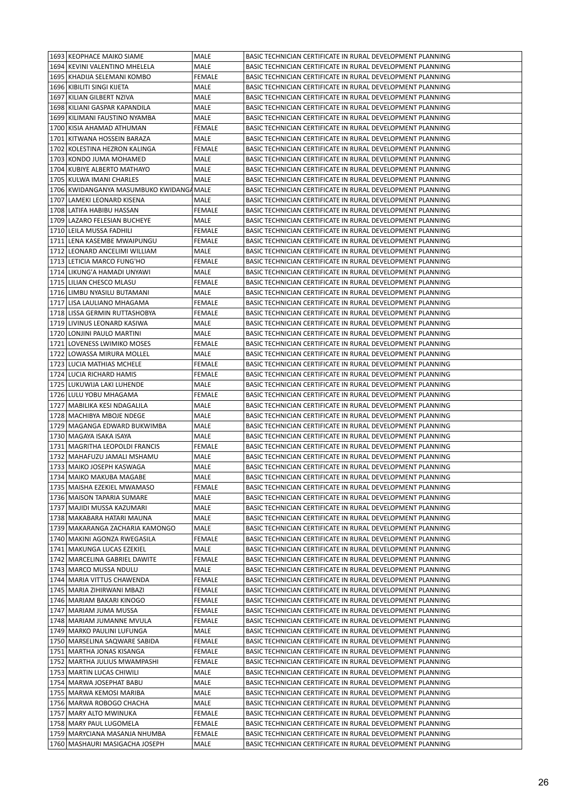| 1693 KEOPHACE MAIKO SIAME                | MALE          | BASIC TECHNICIAN CERTIFICATE IN RURAL DEVELOPMENT PLANNING |
|------------------------------------------|---------------|------------------------------------------------------------|
| 1694 KEVINI VALENTINO MHELELA            | MALE          | BASIC TECHNICIAN CERTIFICATE IN RURAL DEVELOPMENT PLANNING |
| 1695   KHADIJA SELEMANI KOMBO            | FEMALE        | BASIC TECHNICIAN CERTIFICATE IN RURAL DEVELOPMENT PLANNING |
| 1696   KIBILITI SINGI KIJETA             | MALE          | BASIC TECHNICIAN CERTIFICATE IN RURAL DEVELOPMENT PLANNING |
| 1697 KILIAN GILBERT NZIVA                | MALE          | BASIC TECHNICIAN CERTIFICATE IN RURAL DEVELOPMENT PLANNING |
| 1698 KILIANI GASPAR KAPANDILA            | MALE          | BASIC TECHNICIAN CERTIFICATE IN RURAL DEVELOPMENT PLANNING |
| 1699 KILIMANI FAUSTINO NYAMBA            | MALE          | BASIC TECHNICIAN CERTIFICATE IN RURAL DEVELOPMENT PLANNING |
| 1700 KISIA AHAMAD ATHUMAN                | FEMALE        | BASIC TECHNICIAN CERTIFICATE IN RURAL DEVELOPMENT PLANNING |
| 1701   KITWANA HOSSEIN BARAZA            | MALE          | BASIC TECHNICIAN CERTIFICATE IN RURAL DEVELOPMENT PLANNING |
| 1702 KOLESTINA HEZRON KALINGA            | FEMALE        | BASIC TECHNICIAN CERTIFICATE IN RURAL DEVELOPMENT PLANNING |
| 1703 KONDO JUMA MOHAMED                  | MALE          | BASIC TECHNICIAN CERTIFICATE IN RURAL DEVELOPMENT PLANNING |
| 1704 KUBIYE ALBERTO MATHAYO              | MALE          | BASIC TECHNICIAN CERTIFICATE IN RURAL DEVELOPMENT PLANNING |
| 1705 KULWA IMANI CHARLES                 | MALE          | BASIC TECHNICIAN CERTIFICATE IN RURAL DEVELOPMENT PLANNING |
| 1706 KWIDANGANYA MASUMBUKO KWIDANGA MALE |               | BASIC TECHNICIAN CERTIFICATE IN RURAL DEVELOPMENT PLANNING |
| 1707 LAMEKI LEONARD KISENA               | MALE          | BASIC TECHNICIAN CERTIFICATE IN RURAL DEVELOPMENT PLANNING |
| 1708 LATIFA HABIBU HASSAN                | FEMALE        | BASIC TECHNICIAN CERTIFICATE IN RURAL DEVELOPMENT PLANNING |
| 1709 LAZARO FELESIAN BUCHEYE             | MALE          | BASIC TECHNICIAN CERTIFICATE IN RURAL DEVELOPMENT PLANNING |
| 1710 LEILA MUSSA FADHILI                 | FEMALE        | BASIC TECHNICIAN CERTIFICATE IN RURAL DEVELOPMENT PLANNING |
| 1711 LENA KASEMBE MWAIPUNGU              | FEMALE        | BASIC TECHNICIAN CERTIFICATE IN RURAL DEVELOPMENT PLANNING |
| 1712 LEONARD ANCELIMI WILLIAM            | MALE          | BASIC TECHNICIAN CERTIFICATE IN RURAL DEVELOPMENT PLANNING |
| 1713 LETICIA MARCO FUNG'HO               | <b>FEMALE</b> | BASIC TECHNICIAN CERTIFICATE IN RURAL DEVELOPMENT PLANNING |
| 1714 LIKUNG'A HAMADI UNYAWI              | MALE          | BASIC TECHNICIAN CERTIFICATE IN RURAL DEVELOPMENT PLANNING |
| 1715   LILIAN CHESCO MLASU               | FEMALE        | BASIC TECHNICIAN CERTIFICATE IN RURAL DEVELOPMENT PLANNING |
| 1716 LIMBU NYASILU BUTAMANI              | MALE          | BASIC TECHNICIAN CERTIFICATE IN RURAL DEVELOPMENT PLANNING |
| 1717 LISA LAULIANO MHAGAMA               | <b>FEMALE</b> | BASIC TECHNICIAN CERTIFICATE IN RURAL DEVELOPMENT PLANNING |
| 1718 LISSA GERMIN RUTTASHOBYA            | FEMALE        | BASIC TECHNICIAN CERTIFICATE IN RURAL DEVELOPMENT PLANNING |
| 1719 LIVINUS LEONARD KASIWA              | MALE          | BASIC TECHNICIAN CERTIFICATE IN RURAL DEVELOPMENT PLANNING |
| 1720 LONJINI PAULO MARTINI               | MALE          | BASIC TECHNICIAN CERTIFICATE IN RURAL DEVELOPMENT PLANNING |
| 1721 LOVENESS LWIMIKO MOSES              | FEMALE        | BASIC TECHNICIAN CERTIFICATE IN RURAL DEVELOPMENT PLANNING |
| 1722 LOWASSA MIRURA MOLLEL               | MALE          | BASIC TECHNICIAN CERTIFICATE IN RURAL DEVELOPMENT PLANNING |
| 1723 LUCIA MATHIAS MCHELE                | FEMALE        | BASIC TECHNICIAN CERTIFICATE IN RURAL DEVELOPMENT PLANNING |
| 1724 LUCIA RICHARD HAMIS                 | FEMALE        | BASIC TECHNICIAN CERTIFICATE IN RURAL DEVELOPMENT PLANNING |
| 1725 LUKUWIJA LAKI LUHENDE               | MALE          | BASIC TECHNICIAN CERTIFICATE IN RURAL DEVELOPMENT PLANNING |
| 1726 LULU YOBU MHAGAMA                   | <b>FEMALE</b> | BASIC TECHNICIAN CERTIFICATE IN RURAL DEVELOPMENT PLANNING |
| 1727   MABILIKA KESI NDAGALILA           | MALE          | BASIC TECHNICIAN CERTIFICATE IN RURAL DEVELOPMENT PLANNING |
| 1728   MACHIBYA MBOJE NDEGE              | MALE          | BASIC TECHNICIAN CERTIFICATE IN RURAL DEVELOPMENT PLANNING |
| 1729   MAGANGA EDWARD BUKWIMBA           | MALE          | BASIC TECHNICIAN CERTIFICATE IN RURAL DEVELOPMENT PLANNING |
| 1730   MAGAYA ISAKA ISAYA                | MALE          | BASIC TECHNICIAN CERTIFICATE IN RURAL DEVELOPMENT PLANNING |
| 1731   MAGRITHA LEOPOLDI FRANCIS         | <b>FEMALE</b> | BASIC TECHNICIAN CERTIFICATE IN RURAL DEVELOPMENT PLANNING |
| 1732   MAHAFUZU JAMALI MSHAMU            | MALE          | BASIC TECHNICIAN CERTIFICATE IN RURAL DEVELOPMENT PLANNING |
| 1733   MAIKO JOSEPH KASWAGA              | MALE          | BASIC TECHNICIAN CERTIFICATE IN RURAL DEVELOPMENT PLANNING |
|                                          |               | BASIC TECHNICIAN CERTIFICATE IN RURAL DEVELOPMENT PLANNING |
| 1734   MAIKO MAKUBA MAGABE               | MALE          |                                                            |
| 1735   MAISHA EZEKIEL MWAMASO            | <b>FEMALE</b> | BASIC TECHNICIAN CERTIFICATE IN RURAL DEVELOPMENT PLANNING |
| 1736   MAISON TAPARIA SUMARE             | MALE          | BASIC TECHNICIAN CERTIFICATE IN RURAL DEVELOPMENT PLANNING |
| 1737   MAJIDI MUSSA KAZUMARI             | MALE          | BASIC TECHNICIAN CERTIFICATE IN RURAL DEVELOPMENT PLANNING |
| 1738   MAKABARA HATARI MAUNA             | MALE          | BASIC TECHNICIAN CERTIFICATE IN RURAL DEVELOPMENT PLANNING |
| 1739   MAKARANGA ZACHARIA KAMONGO        | MALE          | BASIC TECHNICIAN CERTIFICATE IN RURAL DEVELOPMENT PLANNING |
| 1740   MAKINI AGONZA RWEGASILA           | FEMALE        | BASIC TECHNICIAN CERTIFICATE IN RURAL DEVELOPMENT PLANNING |
| 1741   MAKUNGA LUCAS EZEKIEL             | MALE          | BASIC TECHNICIAN CERTIFICATE IN RURAL DEVELOPMENT PLANNING |
| 1742   MARCELINA GABRIEL DAWITE          | FEMALE        | BASIC TECHNICIAN CERTIFICATE IN RURAL DEVELOPMENT PLANNING |
| 1743   MARCO MUSSA NDULU                 | MALE          | BASIC TECHNICIAN CERTIFICATE IN RURAL DEVELOPMENT PLANNING |
| 1744   MARIA VITTUS CHAWENDA             | FEMALE        | BASIC TECHNICIAN CERTIFICATE IN RURAL DEVELOPMENT PLANNING |
| 1745   MARIA ZIHIRWANI MBAZI             | FEMALE        | BASIC TECHNICIAN CERTIFICATE IN RURAL DEVELOPMENT PLANNING |
| 1746 MARIAM BAKARI KINOGO                | FEMALE        | BASIC TECHNICIAN CERTIFICATE IN RURAL DEVELOPMENT PLANNING |
| 1747   MARIAM JUMA MUSSA                 | FEMALE        | BASIC TECHNICIAN CERTIFICATE IN RURAL DEVELOPMENT PLANNING |
| 1748   MARIAM JUMANNE MVULA              | FEMALE        | BASIC TECHNICIAN CERTIFICATE IN RURAL DEVELOPMENT PLANNING |
| 1749   MARKO PAULINI LUFUNGA             | MALE          | BASIC TECHNICIAN CERTIFICATE IN RURAL DEVELOPMENT PLANNING |
| 1750   MARSELINA SAQWARE SABIDA          | FEMALE        | BASIC TECHNICIAN CERTIFICATE IN RURAL DEVELOPMENT PLANNING |
| 1751   MARTHA JONAS KISANGA              | FEMALE        | BASIC TECHNICIAN CERTIFICATE IN RURAL DEVELOPMENT PLANNING |
| 1752   MARTHA JULIUS MWAMPASHI           | FEMALE        | BASIC TECHNICIAN CERTIFICATE IN RURAL DEVELOPMENT PLANNING |
| 1753   MARTIN LUCAS CHIWILI              | MALE          | BASIC TECHNICIAN CERTIFICATE IN RURAL DEVELOPMENT PLANNING |
| 1754   MARWA JOSEPHAT BABU               | MALE          | BASIC TECHNICIAN CERTIFICATE IN RURAL DEVELOPMENT PLANNING |
| 1755   MARWA KEMOSI MARIBA               | MALE          | BASIC TECHNICIAN CERTIFICATE IN RURAL DEVELOPMENT PLANNING |
| 1756   MARWA ROBOGO CHACHA               | MALE          | BASIC TECHNICIAN CERTIFICATE IN RURAL DEVELOPMENT PLANNING |
| 1757   MARY ALTO MWINUKA                 | FEMALE        | BASIC TECHNICIAN CERTIFICATE IN RURAL DEVELOPMENT PLANNING |
| 1758   MARY PAUL LUGOMELA                | FEMALE        | BASIC TECHNICIAN CERTIFICATE IN RURAL DEVELOPMENT PLANNING |
| 1759   MARYCIANA MASANJA NHUMBA          | FEMALE        | BASIC TECHNICIAN CERTIFICATE IN RURAL DEVELOPMENT PLANNING |
| 1760   MASHAURI MASIGACHA JOSEPH         | MALE          | BASIC TECHNICIAN CERTIFICATE IN RURAL DEVELOPMENT PLANNING |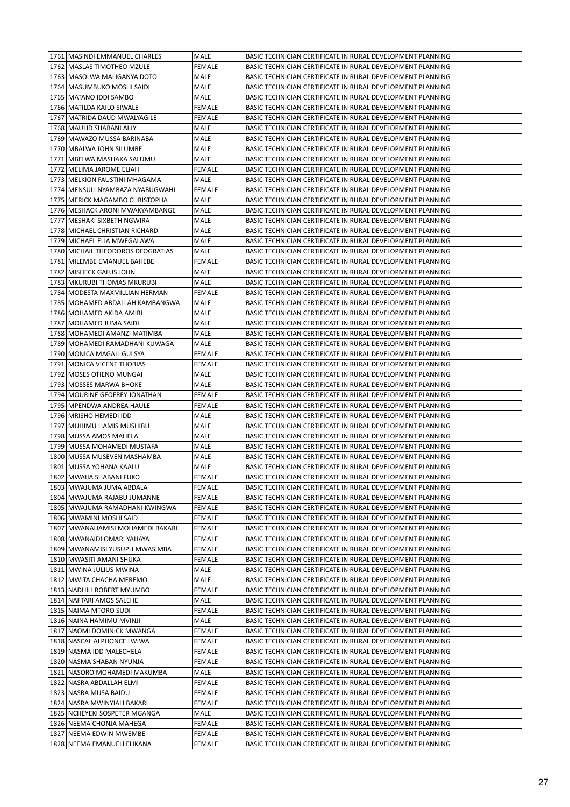| 1761   MASINDI EMMANUEL CHARLES    | MALE          | BASIC TECHNICIAN CERTIFICATE IN RURAL DEVELOPMENT PLANNING |
|------------------------------------|---------------|------------------------------------------------------------|
| 1762   MASLAS TIMOTHEO MZULE       | <b>FEMALE</b> | BASIC TECHNICIAN CERTIFICATE IN RURAL DEVELOPMENT PLANNING |
| 1763   MASOLWA MALIGANYA DOTO      | MALE          | BASIC TECHNICIAN CERTIFICATE IN RURAL DEVELOPMENT PLANNING |
| 1764   MASUMBUKO MOSHI SAIDI       | MALE          | BASIC TECHNICIAN CERTIFICATE IN RURAL DEVELOPMENT PLANNING |
| 1765   MATANO IDDI SAMBO           | MALE          | BASIC TECHNICIAN CERTIFICATE IN RURAL DEVELOPMENT PLANNING |
| 1766   MATILDA KAILO SIWALE        | <b>FEMALE</b> | BASIC TECHNICIAN CERTIFICATE IN RURAL DEVELOPMENT PLANNING |
| 1767 MATRIDA DAUD MWALYAGILE       | FEMALE        | BASIC TECHNICIAN CERTIFICATE IN RURAL DEVELOPMENT PLANNING |
| 1768   MAULID SHABANI ALLY         | MALE          | BASIC TECHNICIAN CERTIFICATE IN RURAL DEVELOPMENT PLANNING |
| 1769   MAWAZO MUSSA BARINABA       | MALE          | BASIC TECHNICIAN CERTIFICATE IN RURAL DEVELOPMENT PLANNING |
| 1770   MBALWA JOHN SILUMBE         | MALE          | BASIC TECHNICIAN CERTIFICATE IN RURAL DEVELOPMENT PLANNING |
| 1771   MBELWA MASHAKA SALUMU       | MALE          | BASIC TECHNICIAN CERTIFICATE IN RURAL DEVELOPMENT PLANNING |
| 1772 MELIMA JAROME ELIAH           | FEMALE        | BASIC TECHNICIAN CERTIFICATE IN RURAL DEVELOPMENT PLANNING |
| 1773 MELKION FAUSTINI MHAGAMA      | MALE          | BASIC TECHNICIAN CERTIFICATE IN RURAL DEVELOPMENT PLANNING |
| 1774   MENSULI NYAMBAZA NYABUGWAHI | FEMALE        | BASIC TECHNICIAN CERTIFICATE IN RURAL DEVELOPMENT PLANNING |
| 1775   MERICK MAGAMBO CHRISTOPHA   | MALE          | BASIC TECHNICIAN CERTIFICATE IN RURAL DEVELOPMENT PLANNING |
| 1776   MESHACK ARONI MWAKYAMBANGE  | MALE          | BASIC TECHNICIAN CERTIFICATE IN RURAL DEVELOPMENT PLANNING |
| 1777   MESHAKI SIXBETH NGWIRA      | MALE          | BASIC TECHNICIAN CERTIFICATE IN RURAL DEVELOPMENT PLANNING |
| 1778   MICHAEL CHRISTIAN RICHARD   | MALE          | BASIC TECHNICIAN CERTIFICATE IN RURAL DEVELOPMENT PLANNING |
| 1779   MICHAEL ELIA MWEGALAWA      | MALE          | BASIC TECHNICIAN CERTIFICATE IN RURAL DEVELOPMENT PLANNING |
| 1780 MICHAIL THEODOROS DEOGRATIAS  | MALE          | BASIC TECHNICIAN CERTIFICATE IN RURAL DEVELOPMENT PLANNING |
| 1781 MILEMBE EMANUEL BAHEBE        | FEMALE        | BASIC TECHNICIAN CERTIFICATE IN RURAL DEVELOPMENT PLANNING |
| 1782   MISHECK GALUS JOHN          | MALE          | BASIC TECHNICIAN CERTIFICATE IN RURAL DEVELOPMENT PLANNING |
| 1783   MKURUBI THOMAS MKURUBI      | MALE          | BASIC TECHNICIAN CERTIFICATE IN RURAL DEVELOPMENT PLANNING |
| 1784   MODESTA MAXMILLIAN HERMAN   | <b>FEMALE</b> | BASIC TECHNICIAN CERTIFICATE IN RURAL DEVELOPMENT PLANNING |
| 1785   MOHAMED ABDALLAH KAMBANGWA  | MALE          | BASIC TECHNICIAN CERTIFICATE IN RURAL DEVELOPMENT PLANNING |
| 1786   MOHAMED AKIDA AMIRI         | MALE          | BASIC TECHNICIAN CERTIFICATE IN RURAL DEVELOPMENT PLANNING |
| 1787   MOHAMED JUMA SAIDI          | MALE          | BASIC TECHNICIAN CERTIFICATE IN RURAL DEVELOPMENT PLANNING |
| 1788   MOHAMEDI AMANZI MATIMBA     | MALE          | BASIC TECHNICIAN CERTIFICATE IN RURAL DEVELOPMENT PLANNING |
| 1789   MOHAMEDI RAMADHANI KUWAGA   | MALE          | BASIC TECHNICIAN CERTIFICATE IN RURAL DEVELOPMENT PLANNING |
| 1790   MONICA MAGALI GULSYA        | <b>FEMALE</b> | BASIC TECHNICIAN CERTIFICATE IN RURAL DEVELOPMENT PLANNING |
| 1791   MONICA VICENT THOBIAS       | FEMALE        | BASIC TECHNICIAN CERTIFICATE IN RURAL DEVELOPMENT PLANNING |
| 1792   MOSES OTIENO MUNGAI         | MALE          | BASIC TECHNICIAN CERTIFICATE IN RURAL DEVELOPMENT PLANNING |
| 1793   MOSSES MARWA BHOKE          | MALE          | BASIC TECHNICIAN CERTIFICATE IN RURAL DEVELOPMENT PLANNING |
| 1794   MOURINE GEOFREY JONATHAN    | FEMALE        | BASIC TECHNICIAN CERTIFICATE IN RURAL DEVELOPMENT PLANNING |
| 1795   MPENDWA ANDREA HAULE        | FEMALE        | BASIC TECHNICIAN CERTIFICATE IN RURAL DEVELOPMENT PLANNING |
| 1796   MRISHO HEMEDI IDD           | MALE          | BASIC TECHNICIAN CERTIFICATE IN RURAL DEVELOPMENT PLANNING |
| 1797   MUHIMU HAMIS MUSHIBU        | MALE          | BASIC TECHNICIAN CERTIFICATE IN RURAL DEVELOPMENT PLANNING |
| 1798   MUSSA AMOS MAHELA           | MALE          | BASIC TECHNICIAN CERTIFICATE IN RURAL DEVELOPMENT PLANNING |
| 1799   MUSSA MOHAMEDI MUSTAFA      | MALE          | BASIC TECHNICIAN CERTIFICATE IN RURAL DEVELOPMENT PLANNING |
| 1800   MUSSA MUSEVEN MASHAMBA      | MALE          | BASIC TECHNICIAN CERTIFICATE IN RURAL DEVELOPMENT PLANNING |
| 1801 MUSSA YOHANA KAALU            | MALE          | BASIC TECHNICIAN CERTIFICATE IN RURAL DEVELOPMENT PLANNING |
| 1802 MWAIJA SHABANI FUKO           | <b>FEMALE</b> | BASIC TECHNICIAN CERTIFICATE IN RURAL DEVELOPMENT PLANNING |
| 1803 MWAJUMA JUMA ABDALA           | <b>FEMALE</b> | BASIC TECHNICIAN CERTIFICATE IN RURAL DEVELOPMENT PLANNING |
| 1804 MWAJUMA RAJABU JUMANNE        | FEMALE        | BASIC TECHNICIAN CERTIFICATE IN RURAL DEVELOPMENT PLANNING |
| 1805   MWAJUMA RAMADHANI KWINGWA   | FEMALE        | BASIC TECHNICIAN CERTIFICATE IN RURAL DEVELOPMENT PLANNING |
| 1806   MWAMINI MOSHI SAID          | FEMALE        | BASIC TECHNICIAN CERTIFICATE IN RURAL DEVELOPMENT PLANNING |
| 1807   MWANAHAMISI MOHAMEDI BAKARI | FEMALE        | BASIC TECHNICIAN CERTIFICATE IN RURAL DEVELOPMENT PLANNING |
| 1808   MWANAIDI OMARI YAHAYA       | FEMALE        | BASIC TECHNICIAN CERTIFICATE IN RURAL DEVELOPMENT PLANNING |
| 1809   MWANAMISI YUSUPH MWASIMBA   | FEMALE        | BASIC TECHNICIAN CERTIFICATE IN RURAL DEVELOPMENT PLANNING |
| 1810   MWASITI AMANI SHUKA         | FEMALE        | BASIC TECHNICIAN CERTIFICATE IN RURAL DEVELOPMENT PLANNING |
| 1811   MWINA JULIUS MWINA          | MALE          | BASIC TECHNICIAN CERTIFICATE IN RURAL DEVELOPMENT PLANNING |
| 1812 MWITA CHACHA MEREMO           | MALE          | BASIC TECHNICIAN CERTIFICATE IN RURAL DEVELOPMENT PLANNING |
| 1813 NADHILI ROBERT MYUMBO         | FEMALE        | BASIC TECHNICIAN CERTIFICATE IN RURAL DEVELOPMENT PLANNING |
| 1814 NAFTARI AMOS SALEHE           | MALE          | BASIC TECHNICIAN CERTIFICATE IN RURAL DEVELOPMENT PLANNING |
| 1815 NAIMA MTORO SUDI              | FEMALE        | BASIC TECHNICIAN CERTIFICATE IN RURAL DEVELOPMENT PLANNING |
| 1816 NAINA HAMIMU MVINJI           | MALE          | BASIC TECHNICIAN CERTIFICATE IN RURAL DEVELOPMENT PLANNING |
| 1817 NAOMI DOMINICK MWANGA         | FEMALE        | BASIC TECHNICIAN CERTIFICATE IN RURAL DEVELOPMENT PLANNING |
| 1818 NASCAL ALPHONCE LWIWA         | FEMALE        | BASIC TECHNICIAN CERTIFICATE IN RURAL DEVELOPMENT PLANNING |
| 1819 NASMA IDD MALECHELA           | FEMALE        | BASIC TECHNICIAN CERTIFICATE IN RURAL DEVELOPMENT PLANNING |
| 1820 NASMA SHABAN NYUNJA           | FEMALE        | BASIC TECHNICIAN CERTIFICATE IN RURAL DEVELOPMENT PLANNING |
| 1821   NASORO MOHAMEDI MAKUMBA     | MALE          | BASIC TECHNICIAN CERTIFICATE IN RURAL DEVELOPMENT PLANNING |
| 1822 NASRA ABDALLAH ELMI           | FEMALE        | BASIC TECHNICIAN CERTIFICATE IN RURAL DEVELOPMENT PLANNING |
| 1823 NASRA MUSA BAIDU              | FEMALE        | BASIC TECHNICIAN CERTIFICATE IN RURAL DEVELOPMENT PLANNING |
| 1824 NASRA MWINYIALI BAKARI        | FEMALE        | BASIC TECHNICIAN CERTIFICATE IN RURAL DEVELOPMENT PLANNING |
| 1825   NCHEYEKI SOSPETER MGANGA    | MALE          | BASIC TECHNICIAN CERTIFICATE IN RURAL DEVELOPMENT PLANNING |
| 1826 NEEMA CHONJA MAHEGA           |               | BASIC TECHNICIAN CERTIFICATE IN RURAL DEVELOPMENT PLANNING |
| 1827 NEEMA EDWIN MWEMBE            | FEMALE        |                                                            |
|                                    | FEMALE        | BASIC TECHNICIAN CERTIFICATE IN RURAL DEVELOPMENT PLANNING |
| 1828 NEEMA EMANUELI ELIKANA        | FEMALE        | BASIC TECHNICIAN CERTIFICATE IN RURAL DEVELOPMENT PLANNING |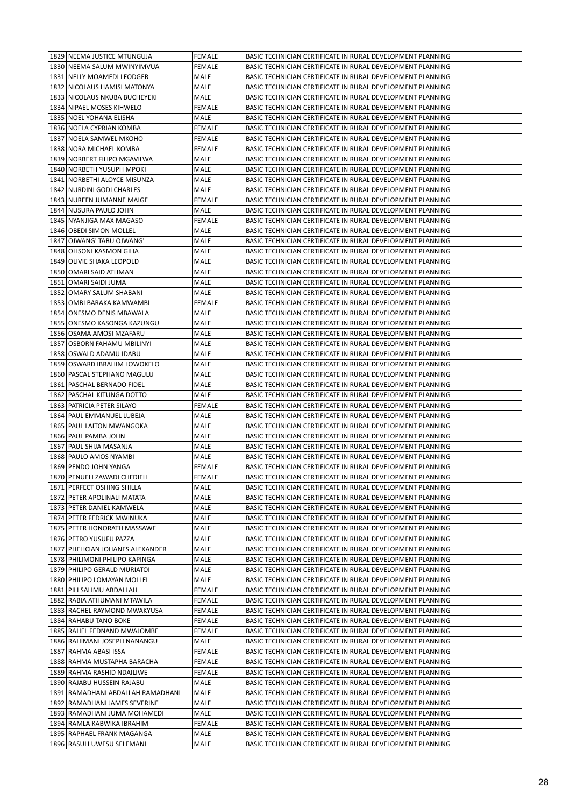| 1829 NEEMA JUSTICE MTUNGUJA         | <b>FEMALE</b> | BASIC TECHNICIAN CERTIFICATE IN RURAL DEVELOPMENT PLANNING |
|-------------------------------------|---------------|------------------------------------------------------------|
| 1830 NEEMA SALUM MWINYIMVUA         | <b>FEMALE</b> | BASIC TECHNICIAN CERTIFICATE IN RURAL DEVELOPMENT PLANNING |
| 1831 NELLY MOAMEDI LEODGER          | MALE          | BASIC TECHNICIAN CERTIFICATE IN RURAL DEVELOPMENT PLANNING |
| 1832 NICOLAUS HAMISI MATONYA        | MALE          | BASIC TECHNICIAN CERTIFICATE IN RURAL DEVELOPMENT PLANNING |
| 1833 NICOLAUS NKUBA BUCHEYEKI       | MALE          | BASIC TECHNICIAN CERTIFICATE IN RURAL DEVELOPMENT PLANNING |
| 1834 NIPAEL MOSES KIHWELO           | <b>FEMALE</b> | BASIC TECHNICIAN CERTIFICATE IN RURAL DEVELOPMENT PLANNING |
| 1835   NOEL YOHANA ELISHA           | MALE          | BASIC TECHNICIAN CERTIFICATE IN RURAL DEVELOPMENT PLANNING |
| 1836 NOELA CYPRIAN KOMBA            | FEMALE        | BASIC TECHNICIAN CERTIFICATE IN RURAL DEVELOPMENT PLANNING |
| 1837 NOELA SAMWEL MKOHO             | FEMALE        | BASIC TECHNICIAN CERTIFICATE IN RURAL DEVELOPMENT PLANNING |
| 1838   NORA MICHAEL KOMBA           | FEMALE        | BASIC TECHNICIAN CERTIFICATE IN RURAL DEVELOPMENT PLANNING |
| 1839 NORBERT FILIPO MGAVILWA        | MALE          | BASIC TECHNICIAN CERTIFICATE IN RURAL DEVELOPMENT PLANNING |
| 1840 NORBETH YUSUPH MPOKI           | MALE          | BASIC TECHNICIAN CERTIFICATE IN RURAL DEVELOPMENT PLANNING |
| 1841   NORBETHI ALOYCE MISUNZA      | MALE          | BASIC TECHNICIAN CERTIFICATE IN RURAL DEVELOPMENT PLANNING |
| 1842 NURDINI GODI CHARLES           | MALE          | BASIC TECHNICIAN CERTIFICATE IN RURAL DEVELOPMENT PLANNING |
| 1843 NUREEN JUMANNE MAIGE           | FEMALE        | BASIC TECHNICIAN CERTIFICATE IN RURAL DEVELOPMENT PLANNING |
| 1844 NUSURA PAULO JOHN              | MALE          | BASIC TECHNICIAN CERTIFICATE IN RURAL DEVELOPMENT PLANNING |
| 1845 NYANJIGA MAX MAGASO            | FEMALE        | BASIC TECHNICIAN CERTIFICATE IN RURAL DEVELOPMENT PLANNING |
| 1846   OBEDI SIMON MOLLEL           | MALE          | BASIC TECHNICIAN CERTIFICATE IN RURAL DEVELOPMENT PLANNING |
| 1847   OJWANG' TABU OJWANG'         | MALE          | BASIC TECHNICIAN CERTIFICATE IN RURAL DEVELOPMENT PLANNING |
| 1848 OLISONI KASMON GIHA            | MALE          | BASIC TECHNICIAN CERTIFICATE IN RURAL DEVELOPMENT PLANNING |
| 1849 OLIVIE SHAKA LEOPOLD           | MALE          | BASIC TECHNICIAN CERTIFICATE IN RURAL DEVELOPMENT PLANNING |
| 1850 OMARI SAID ATHMAN              | MALE          | BASIC TECHNICIAN CERTIFICATE IN RURAL DEVELOPMENT PLANNING |
| 1851 OMARI SAIDI JUMA               | MALE          | BASIC TECHNICIAN CERTIFICATE IN RURAL DEVELOPMENT PLANNING |
| 1852   OMARY SALUM SHABANI          | MALE          | BASIC TECHNICIAN CERTIFICATE IN RURAL DEVELOPMENT PLANNING |
| 1853   OMBI BARAKA KAMWAMBI         | <b>FEMALE</b> | BASIC TECHNICIAN CERTIFICATE IN RURAL DEVELOPMENT PLANNING |
| 1854 ONESMO DENIS MBAWALA           | MALE          | BASIC TECHNICIAN CERTIFICATE IN RURAL DEVELOPMENT PLANNING |
| 1855   ONESMO KASONGA KAZUNGU       | MALE          | BASIC TECHNICIAN CERTIFICATE IN RURAL DEVELOPMENT PLANNING |
| 1856   OSAMA AMOSI MZAFARU          | MALE          | BASIC TECHNICIAN CERTIFICATE IN RURAL DEVELOPMENT PLANNING |
| 1857 OSBORN FAHAMU MBILINYI         | MALE          | BASIC TECHNICIAN CERTIFICATE IN RURAL DEVELOPMENT PLANNING |
| 1858 OSWALD ADAMU IDABU             | MALE          | BASIC TECHNICIAN CERTIFICATE IN RURAL DEVELOPMENT PLANNING |
| 1859 OSWARD IBRAHIM LOWOKELO        | MALE          | BASIC TECHNICIAN CERTIFICATE IN RURAL DEVELOPMENT PLANNING |
| 1860   PASCAL STEPHANO MAGULU       | MALE          | BASIC TECHNICIAN CERTIFICATE IN RURAL DEVELOPMENT PLANNING |
| 1861   PASCHAL BERNADO FIDEL        | MALE          | BASIC TECHNICIAN CERTIFICATE IN RURAL DEVELOPMENT PLANNING |
| 1862   PASCHAL KITUNGA DOTTO        | MALE          | BASIC TECHNICIAN CERTIFICATE IN RURAL DEVELOPMENT PLANNING |
| 1863   PATRICIA PETER SILAYO        | <b>FEMALE</b> | BASIC TECHNICIAN CERTIFICATE IN RURAL DEVELOPMENT PLANNING |
| 1864   PAUL EMMANUEL LUBEJA         | MALE          | BASIC TECHNICIAN CERTIFICATE IN RURAL DEVELOPMENT PLANNING |
| 1865   PAUL LAITON MWANGOKA         | MALE          | BASIC TECHNICIAN CERTIFICATE IN RURAL DEVELOPMENT PLANNING |
| 1866   PAUL PAMBA JOHN              | MALE          | BASIC TECHNICIAN CERTIFICATE IN RURAL DEVELOPMENT PLANNING |
| 1867   PAUL SHIJA MASANJA           | MALE          | BASIC TECHNICIAN CERTIFICATE IN RURAL DEVELOPMENT PLANNING |
| 1868   PAULO AMOS NYAMBI            | MALE          | BASIC TECHNICIAN CERTIFICATE IN RURAL DEVELOPMENT PLANNING |
| 1869 PENDO JOHN YANGA               | FEMALE        | BASIC TECHNICIAN CERTIFICATE IN RURAL DEVELOPMENT PLANNING |
| 1870 PENUELI ZAWADI CHEDIELI        | <b>FEMALE</b> | BASIC TECHNICIAN CERTIFICATE IN RURAL DEVELOPMENT PLANNING |
| 1871 PERFECT OSHING SHILLA          | MALE          | BASIC TECHNICIAN CERTIFICATE IN RURAL DEVELOPMENT PLANNING |
| 1872 PETER APOLINALI MATATA         | MALE          | BASIC TECHNICIAN CERTIFICATE IN RURAL DEVELOPMENT PLANNING |
| 1873   PETER DANIEL KAMWELA         | MALE          | BASIC TECHNICIAN CERTIFICATE IN RURAL DEVELOPMENT PLANNING |
| 1874 PETER FEDRICK MWINUKA          | MALE          | BASIC TECHNICIAN CERTIFICATE IN RURAL DEVELOPMENT PLANNING |
| 1875   PETER HONORATH MASSAWE       | MALE          | BASIC TECHNICIAN CERTIFICATE IN RURAL DEVELOPMENT PLANNING |
| 1876   PETRO YUSUFU PAZZA           | MALE          | BASIC TECHNICIAN CERTIFICATE IN RURAL DEVELOPMENT PLANNING |
| 1877   PHELICIAN JOHANES ALEXANDER  | MALE          | BASIC TECHNICIAN CERTIFICATE IN RURAL DEVELOPMENT PLANNING |
| 1878 PHILIMONI PHILIPO KAPINGA      | MALE          | BASIC TECHNICIAN CERTIFICATE IN RURAL DEVELOPMENT PLANNING |
| 1879 PHILIPO GERALD MURIATOI        | MALE          | BASIC TECHNICIAN CERTIFICATE IN RURAL DEVELOPMENT PLANNING |
| 1880 PHILIPO LOMAYAN MOLLEL         | MALE          | BASIC TECHNICIAN CERTIFICATE IN RURAL DEVELOPMENT PLANNING |
| 1881 PILI SALIMU ABDALLAH           | FEMALE        | BASIC TECHNICIAN CERTIFICATE IN RURAL DEVELOPMENT PLANNING |
| 1882 RABIA ATHUMANI MTAWILA         | FEMALE        | BASIC TECHNICIAN CERTIFICATE IN RURAL DEVELOPMENT PLANNING |
| 1883 RACHEL RAYMOND MWAKYUSA        | FEMALE        | BASIC TECHNICIAN CERTIFICATE IN RURAL DEVELOPMENT PLANNING |
| 1884 RAHABU TANO BOKE               | FEMALE        | BASIC TECHNICIAN CERTIFICATE IN RURAL DEVELOPMENT PLANNING |
| 1885   RAHEL FEDNAND MWAJOMBE       | FEMALE        | BASIC TECHNICIAN CERTIFICATE IN RURAL DEVELOPMENT PLANNING |
| 1886 RAHIMANI JOSEPH NANANGU        | MALE          | BASIC TECHNICIAN CERTIFICATE IN RURAL DEVELOPMENT PLANNING |
| 1887 RAHMA ABASI ISSA               | FEMALE        | BASIC TECHNICIAN CERTIFICATE IN RURAL DEVELOPMENT PLANNING |
| 1888   RAHMA MUSTAPHA BARACHA       | FEMALE        | BASIC TECHNICIAN CERTIFICATE IN RURAL DEVELOPMENT PLANNING |
| 1889 RAHMA RASHID NDAILIWE          | FEMALE        | BASIC TECHNICIAN CERTIFICATE IN RURAL DEVELOPMENT PLANNING |
| 1890 RAJABU HUSSEIN RAJABU          | MALE          | BASIC TECHNICIAN CERTIFICATE IN RURAL DEVELOPMENT PLANNING |
| 1891   RAMADHANI ABDALLAH RAMADHANI | MALE          | BASIC TECHNICIAN CERTIFICATE IN RURAL DEVELOPMENT PLANNING |
| 1892   RAMADHANI JAMES SEVERINE     | MALE          | BASIC TECHNICIAN CERTIFICATE IN RURAL DEVELOPMENT PLANNING |
| 1893   RAMADHANI JUMA MOHAMEDI      | MALE          | BASIC TECHNICIAN CERTIFICATE IN RURAL DEVELOPMENT PLANNING |
| 1894 RAMLA KABWIKA IBRAHIM          | FEMALE        | BASIC TECHNICIAN CERTIFICATE IN RURAL DEVELOPMENT PLANNING |
| 1895   RAPHAEL FRANK MAGANGA        | MALE          | BASIC TECHNICIAN CERTIFICATE IN RURAL DEVELOPMENT PLANNING |
|                                     | MALE          | BASIC TECHNICIAN CERTIFICATE IN RURAL DEVELOPMENT PLANNING |
| 1896 RASULI UWESU SELEMANI          |               |                                                            |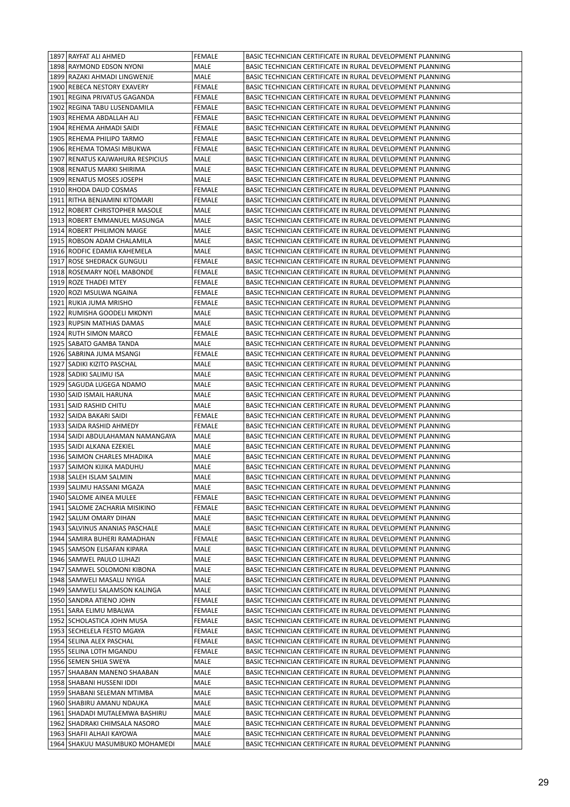| 1897 RAYFAT ALI AHMED                                             | <b>FEMALE</b>  | BASIC TECHNICIAN CERTIFICATE IN RURAL DEVELOPMENT PLANNING                                                               |
|-------------------------------------------------------------------|----------------|--------------------------------------------------------------------------------------------------------------------------|
| 1898 RAYMOND EDSON NYONI                                          | MALE           | BASIC TECHNICIAN CERTIFICATE IN RURAL DEVELOPMENT PLANNING                                                               |
| 1899 RAZAKI AHMADI LINGWENJE                                      | MALE           | BASIC TECHNICIAN CERTIFICATE IN RURAL DEVELOPMENT PLANNING                                                               |
| 1900 REBECA NESTORY EXAVERY                                       | FEMALE         | BASIC TECHNICIAN CERTIFICATE IN RURAL DEVELOPMENT PLANNING                                                               |
| 1901 REGINA PRIVATUS GAGANDA                                      | FEMALE         | BASIC TECHNICIAN CERTIFICATE IN RURAL DEVELOPMENT PLANNING                                                               |
| 1902 REGINA TABU LUSENDAMILA                                      | FEMALE         | BASIC TECHNICIAN CERTIFICATE IN RURAL DEVELOPMENT PLANNING                                                               |
| 1903 REHEMA ABDALLAH ALI                                          | FEMALE         | BASIC TECHNICIAN CERTIFICATE IN RURAL DEVELOPMENT PLANNING                                                               |
| 1904 REHEMA AHMADI SAIDI                                          | FEMALE         | BASIC TECHNICIAN CERTIFICATE IN RURAL DEVELOPMENT PLANNING                                                               |
| 1905 REHEMA PHILIPO TARMO                                         | FEMALE         | BASIC TECHNICIAN CERTIFICATE IN RURAL DEVELOPMENT PLANNING                                                               |
| 1906   REHEMA TOMASI MBUKWA                                       | FEMALE         | BASIC TECHNICIAN CERTIFICATE IN RURAL DEVELOPMENT PLANNING                                                               |
| 1907   RENATUS KAJWAHURA RESPICIUS                                | MALE           | BASIC TECHNICIAN CERTIFICATE IN RURAL DEVELOPMENT PLANNING                                                               |
| 1908 RENATUS MARKI SHIRIMA                                        | MALE           | BASIC TECHNICIAN CERTIFICATE IN RURAL DEVELOPMENT PLANNING                                                               |
| 1909 RENATUS MOSES JOSEPH                                         | MALE           | BASIC TECHNICIAN CERTIFICATE IN RURAL DEVELOPMENT PLANNING                                                               |
| 1910 RHODA DAUD COSMAS                                            |                | BASIC TECHNICIAN CERTIFICATE IN RURAL DEVELOPMENT PLANNING                                                               |
|                                                                   | FEMALE         |                                                                                                                          |
| 1911   RITHA BENJAMINI KITOMARI                                   | FEMALE         | BASIC TECHNICIAN CERTIFICATE IN RURAL DEVELOPMENT PLANNING                                                               |
| 1912   ROBERT CHRISTOPHER MASOLE                                  | MALE           | BASIC TECHNICIAN CERTIFICATE IN RURAL DEVELOPMENT PLANNING                                                               |
| 1913 ROBERT EMMANUEL MASUNGA                                      | MALE           | BASIC TECHNICIAN CERTIFICATE IN RURAL DEVELOPMENT PLANNING                                                               |
| 1914 ROBERT PHILIMON MAIGE                                        | MALE           | BASIC TECHNICIAN CERTIFICATE IN RURAL DEVELOPMENT PLANNING                                                               |
| 1915 ROBSON ADAM CHALAMILA                                        | MALE           | BASIC TECHNICIAN CERTIFICATE IN RURAL DEVELOPMENT PLANNING                                                               |
| 1916 RODFIC EDAMIA KAHEMELA                                       | MALE           | BASIC TECHNICIAN CERTIFICATE IN RURAL DEVELOPMENT PLANNING                                                               |
| 1917 ROSE SHEDRACK GUNGULI                                        | <b>FEMALE</b>  | BASIC TECHNICIAN CERTIFICATE IN RURAL DEVELOPMENT PLANNING                                                               |
| 1918 ROSEMARY NOEL MABONDE                                        | FEMALE         | BASIC TECHNICIAN CERTIFICATE IN RURAL DEVELOPMENT PLANNING                                                               |
| 1919 ROZE THADEI MTEY                                             | <b>FEMALE</b>  | BASIC TECHNICIAN CERTIFICATE IN RURAL DEVELOPMENT PLANNING                                                               |
| 1920 ROZI MSULWA NGAINA                                           | FEMALE         | BASIC TECHNICIAN CERTIFICATE IN RURAL DEVELOPMENT PLANNING                                                               |
| 1921 RUKIA JUMA MRISHO                                            | FEMALE         | BASIC TECHNICIAN CERTIFICATE IN RURAL DEVELOPMENT PLANNING                                                               |
| 1922 RUMISHA GOODELI MKONYI                                       | MALE           | BASIC TECHNICIAN CERTIFICATE IN RURAL DEVELOPMENT PLANNING                                                               |
| 1923 RUPSIN MATHIAS DAMAS                                         | MALE           | BASIC TECHNICIAN CERTIFICATE IN RURAL DEVELOPMENT PLANNING                                                               |
| 1924 RUTH SIMON MARCO                                             | FEMALE         | BASIC TECHNICIAN CERTIFICATE IN RURAL DEVELOPMENT PLANNING                                                               |
| 1925   SABATO GAMBA TANDA                                         | MALE           | BASIC TECHNICIAN CERTIFICATE IN RURAL DEVELOPMENT PLANNING                                                               |
| 1926   SABRINA JUMA MSANGI                                        | FEMALE         | BASIC TECHNICIAN CERTIFICATE IN RURAL DEVELOPMENT PLANNING                                                               |
| 1927   SADIKI KIZITO PASCHAL                                      | MALE           | BASIC TECHNICIAN CERTIFICATE IN RURAL DEVELOPMENT PLANNING                                                               |
| 1928   SADIKI SALIMU ISA                                          | MALE           | BASIC TECHNICIAN CERTIFICATE IN RURAL DEVELOPMENT PLANNING                                                               |
| 1929   SAGUDA LUGEGA NDAMO                                        | MALE           | BASIC TECHNICIAN CERTIFICATE IN RURAL DEVELOPMENT PLANNING                                                               |
| 1930   SAID ISMAIL HARUNA                                         | MALE           | BASIC TECHNICIAN CERTIFICATE IN RURAL DEVELOPMENT PLANNING                                                               |
| 1931   SAID RASHID CHITU                                          | MALE           | BASIC TECHNICIAN CERTIFICATE IN RURAL DEVELOPMENT PLANNING                                                               |
|                                                                   |                |                                                                                                                          |
| 1932   SAIDA BAKARI SAIDI                                         | FEMALE         | BASIC TECHNICIAN CERTIFICATE IN RURAL DEVELOPMENT PLANNING                                                               |
| 1933   SAIDA RASHID AHMEDY                                        | FEMALE         | BASIC TECHNICIAN CERTIFICATE IN RURAL DEVELOPMENT PLANNING                                                               |
| 1934   SAIDI ABDULAHAMAN NAMANGAYA                                | MALE           | BASIC TECHNICIAN CERTIFICATE IN RURAL DEVELOPMENT PLANNING                                                               |
| 1935   SAIDI ALKANA EZEKIEL                                       | MALE           | BASIC TECHNICIAN CERTIFICATE IN RURAL DEVELOPMENT PLANNING                                                               |
| 1936 SAIMON CHARLES MHADIKA                                       | MALE           | BASIC TECHNICIAN CERTIFICATE IN RURAL DEVELOPMENT PLANNING                                                               |
| 1937 SAIMON KIJIKA MADUHU                                         | MALE           | BASIC TECHNICIAN CERTIFICATE IN RURAL DEVELOPMENT PLANNING                                                               |
| 1938   SALEH ISLAM SALMIN                                         | <b>MALE</b>    | BASIC TECHNICIAN CERTIFICATE IN RURAL DEVELOPMENT PLANNING                                                               |
|                                                                   |                |                                                                                                                          |
| 1939 SALIMU HASSANI MGAZA                                         | MALE           | BASIC TECHNICIAN CERTIFICATE IN RURAL DEVELOPMENT PLANNING                                                               |
| 1940 SALOME AINEA MULEE                                           | FEMALE         | BASIC TECHNICIAN CERTIFICATE IN RURAL DEVELOPMENT PLANNING                                                               |
| 1941   SALOME ZACHARIA MISIKINO                                   | FEMALE         | BASIC TECHNICIAN CERTIFICATE IN RURAL DEVELOPMENT PLANNING                                                               |
| 1942 SALUM OMARY DIHAN                                            | MALE           | BASIC TECHNICIAN CERTIFICATE IN RURAL DEVELOPMENT PLANNING                                                               |
| 1943   SALVINUS ANANIAS PASCHALE<br>1944   SAMIRA BUHERI RAMADHAN | MALE<br>FEMALE | BASIC TECHNICIAN CERTIFICATE IN RURAL DEVELOPMENT PLANNING<br>BASIC TECHNICIAN CERTIFICATE IN RURAL DEVELOPMENT PLANNING |
|                                                                   |                |                                                                                                                          |
| 1945   SAMSON ELISAFAN KIPARA                                     | MALE           | BASIC TECHNICIAN CERTIFICATE IN RURAL DEVELOPMENT PLANNING                                                               |
| 1946   SAMWEL PAULO LUHAZI                                        | MALE           | BASIC TECHNICIAN CERTIFICATE IN RURAL DEVELOPMENT PLANNING<br>BASIC TECHNICIAN CERTIFICATE IN RURAL DEVELOPMENT PLANNING |
| 1947   SAMWEL SOLOMONI KIBONA                                     | MALE           |                                                                                                                          |
| 1948   SAMWELI MASALU NYIGA                                       | MALE           | BASIC TECHNICIAN CERTIFICATE IN RURAL DEVELOPMENT PLANNING                                                               |
| 1949 SAMWELI SALAMSON KALINGA                                     | MALE           | BASIC TECHNICIAN CERTIFICATE IN RURAL DEVELOPMENT PLANNING                                                               |
| 1950   SANDRA ATIENO JOHN                                         | FEMALE         | BASIC TECHNICIAN CERTIFICATE IN RURAL DEVELOPMENT PLANNING                                                               |
| 1951   SARA ELIMU MBALWA                                          | FEMALE         | BASIC TECHNICIAN CERTIFICATE IN RURAL DEVELOPMENT PLANNING                                                               |
| 1952   SCHOLASTICA JOHN MUSA                                      | FEMALE         | BASIC TECHNICIAN CERTIFICATE IN RURAL DEVELOPMENT PLANNING                                                               |
| 1953   SECHELELA FESTO MGAYA                                      | FEMALE         | BASIC TECHNICIAN CERTIFICATE IN RURAL DEVELOPMENT PLANNING                                                               |
| 1954   SELINA ALEX PASCHAL                                        | FEMALE         | BASIC TECHNICIAN CERTIFICATE IN RURAL DEVELOPMENT PLANNING                                                               |
| 1955   SELINA LOTH MGANDU                                         | FEMALE         | BASIC TECHNICIAN CERTIFICATE IN RURAL DEVELOPMENT PLANNING                                                               |
| 1956 SEMEN SHIJA SWEYA                                            | MALE           | BASIC TECHNICIAN CERTIFICATE IN RURAL DEVELOPMENT PLANNING                                                               |
| 1957   SHAABAN MANENO SHAABAN                                     | MALE           | BASIC TECHNICIAN CERTIFICATE IN RURAL DEVELOPMENT PLANNING                                                               |
| 1958 SHABANI HUSSENI IDDI                                         | MALE           | BASIC TECHNICIAN CERTIFICATE IN RURAL DEVELOPMENT PLANNING                                                               |
| 1959 SHABANI SELEMAN MTIMBA                                       | MALE           | BASIC TECHNICIAN CERTIFICATE IN RURAL DEVELOPMENT PLANNING                                                               |
| 1960   SHABIRU AMANU NDAUKA                                       | MALE           | BASIC TECHNICIAN CERTIFICATE IN RURAL DEVELOPMENT PLANNING                                                               |
| 1961   SHADADI MUTALEMWA BASHIRU                                  | MALE           | BASIC TECHNICIAN CERTIFICATE IN RURAL DEVELOPMENT PLANNING                                                               |
| 1962   SHADRAKI CHIMSALA NASORO                                   | MALE           | BASIC TECHNICIAN CERTIFICATE IN RURAL DEVELOPMENT PLANNING                                                               |
| 1963   SHAFII ALHAJI KAYOWA<br>1964   SHAKUU MASUMBUKO MOHAMEDI   | MALE<br>MALE   | BASIC TECHNICIAN CERTIFICATE IN RURAL DEVELOPMENT PLANNING<br>BASIC TECHNICIAN CERTIFICATE IN RURAL DEVELOPMENT PLANNING |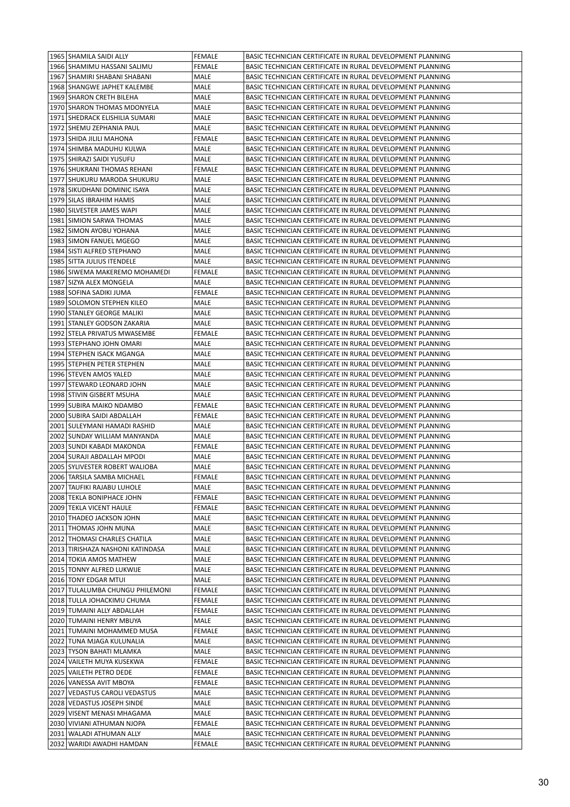| 1965   SHAMILA SAIDI ALLY        | <b>FEMALE</b> | BASIC TECHNICIAN CERTIFICATE IN RURAL DEVELOPMENT PLANNING |
|----------------------------------|---------------|------------------------------------------------------------|
| 1966   SHAMIMU HASSANI SALIMU    | FEMALE        | BASIC TECHNICIAN CERTIFICATE IN RURAL DEVELOPMENT PLANNING |
| 1967   SHAMIRI SHABANI SHABANI   | MALE          | BASIC TECHNICIAN CERTIFICATE IN RURAL DEVELOPMENT PLANNING |
| 1968 SHANGWE JAPHET KALEMBE      | MALE          | BASIC TECHNICIAN CERTIFICATE IN RURAL DEVELOPMENT PLANNING |
| 1969   SHARON CRETH BILEHA       | MALE          | BASIC TECHNICIAN CERTIFICATE IN RURAL DEVELOPMENT PLANNING |
| 1970 SHARON THOMAS MDONYELA      | MALE          | BASIC TECHNICIAN CERTIFICATE IN RURAL DEVELOPMENT PLANNING |
| 1971 SHEDRACK ELISHILIA SUMARI   | MALE          | BASIC TECHNICIAN CERTIFICATE IN RURAL DEVELOPMENT PLANNING |
| 1972   SHEMU ZEPHANIA PAUL       | MALE          | BASIC TECHNICIAN CERTIFICATE IN RURAL DEVELOPMENT PLANNING |
| 1973   SHIDA JILILI MAHONA       | FEMALE        | BASIC TECHNICIAN CERTIFICATE IN RURAL DEVELOPMENT PLANNING |
| 1974   SHIMBA MADUHU KULWA       | MALE          | BASIC TECHNICIAN CERTIFICATE IN RURAL DEVELOPMENT PLANNING |
| 1975   SHIRAZI SAIDI YUSUFU      | MALE          | BASIC TECHNICIAN CERTIFICATE IN RURAL DEVELOPMENT PLANNING |
| 1976   SHUKRANI THOMAS REHANI    | <b>FEMALE</b> | BASIC TECHNICIAN CERTIFICATE IN RURAL DEVELOPMENT PLANNING |
| 1977 SHUKURU MARODA SHUKURU      | MALE          | BASIC TECHNICIAN CERTIFICATE IN RURAL DEVELOPMENT PLANNING |
| 1978 SIKUDHANI DOMINIC ISAYA     | MALE          | BASIC TECHNICIAN CERTIFICATE IN RURAL DEVELOPMENT PLANNING |
| 1979   SILAS IBRAHIM HAMIS       | MALE          | BASIC TECHNICIAN CERTIFICATE IN RURAL DEVELOPMENT PLANNING |
| 1980 SILVESTER JAMES WAPI        | MALE          | BASIC TECHNICIAN CERTIFICATE IN RURAL DEVELOPMENT PLANNING |
| 1981   SIMION SARWA THOMAS       | MALE          | BASIC TECHNICIAN CERTIFICATE IN RURAL DEVELOPMENT PLANNING |
| 1982   SIMON AYOBU YOHANA        | MALE          | BASIC TECHNICIAN CERTIFICATE IN RURAL DEVELOPMENT PLANNING |
| 1983 SIMON FANUEL MGEGO          | MALE          | BASIC TECHNICIAN CERTIFICATE IN RURAL DEVELOPMENT PLANNING |
| 1984 SISTI ALFRED STEPHANO       | MALE          | BASIC TECHNICIAN CERTIFICATE IN RURAL DEVELOPMENT PLANNING |
| 1985 SITTA JULIUS ITENDELE       | MALE          | BASIC TECHNICIAN CERTIFICATE IN RURAL DEVELOPMENT PLANNING |
| 1986 SIWEMA MAKEREMO MOHAMEDI    | <b>FEMALE</b> | BASIC TECHNICIAN CERTIFICATE IN RURAL DEVELOPMENT PLANNING |
| 1987 SIZYA ALEX MONGELA          | MALE          | BASIC TECHNICIAN CERTIFICATE IN RURAL DEVELOPMENT PLANNING |
| 1988 SOFINA SADIKI JUMA          | FEMALE        | BASIC TECHNICIAN CERTIFICATE IN RURAL DEVELOPMENT PLANNING |
| 1989 SOLOMON STEPHEN KILEO       | MALE          | BASIC TECHNICIAN CERTIFICATE IN RURAL DEVELOPMENT PLANNING |
| 1990 STANLEY GEORGE MALIKI       | MALE          | BASIC TECHNICIAN CERTIFICATE IN RURAL DEVELOPMENT PLANNING |
| 1991 STANLEY GODSON ZAKARIA      | MALE          | BASIC TECHNICIAN CERTIFICATE IN RURAL DEVELOPMENT PLANNING |
| 1992   STELA PRIVATUS MWASEMBE   | FEMALE        | BASIC TECHNICIAN CERTIFICATE IN RURAL DEVELOPMENT PLANNING |
| 1993   STEPHANO JOHN OMARI       | MALE          | BASIC TECHNICIAN CERTIFICATE IN RURAL DEVELOPMENT PLANNING |
| 1994 STEPHEN ISACK MGANGA        | MALE          | BASIC TECHNICIAN CERTIFICATE IN RURAL DEVELOPMENT PLANNING |
| 1995 STEPHEN PETER STEPHEN       | MALE          | BASIC TECHNICIAN CERTIFICATE IN RURAL DEVELOPMENT PLANNING |
| 1996 STEVEN AMOS YALED           | MALE          | BASIC TECHNICIAN CERTIFICATE IN RURAL DEVELOPMENT PLANNING |
| 1997 STEWARD LEONARD JOHN        | MALE          | BASIC TECHNICIAN CERTIFICATE IN RURAL DEVELOPMENT PLANNING |
| 1998 STIVIN GISBERT MSUHA        | MALE          | BASIC TECHNICIAN CERTIFICATE IN RURAL DEVELOPMENT PLANNING |
|                                  |               |                                                            |
| 1999 SUBIRA MAIKO NDAMBO         | FEMALE        | BASIC TECHNICIAN CERTIFICATE IN RURAL DEVELOPMENT PLANNING |
| 2000   SUBIRA SAIDI ABDALLAH     | FEMALE        | BASIC TECHNICIAN CERTIFICATE IN RURAL DEVELOPMENT PLANNING |
| 2001   SULEYMANI HAMADI RASHID   | MALE          | BASIC TECHNICIAN CERTIFICATE IN RURAL DEVELOPMENT PLANNING |
| 2002 SUNDAY WILLIAM MANYANDA     | MALE          | BASIC TECHNICIAN CERTIFICATE IN RURAL DEVELOPMENT PLANNING |
| 2003 SUNDI KABADI MAKONDA        | <b>FEMALE</b> | BASIC TECHNICIAN CERTIFICATE IN RURAL DEVELOPMENT PLANNING |
| 2004 SURAJI ABDALLAH MPODI       | MALE          | BASIC TECHNICIAN CERTIFICATE IN RURAL DEVELOPMENT PLANNING |
| 2005 SYLIVESTER ROBERT WALIOBA   | MALE          | BASIC TECHNICIAN CERTIFICATE IN RURAL DEVELOPMENT PLANNING |
| 2006 TARSILA SAMBA MICHAEL       | <b>FEMALE</b> | BASIC TECHNICIAN CERTIFICATE IN RURAL DEVELOPMENT PLANNING |
| 2007 TAUFIKI RAJABU LUHOLE       | MALE          | BASIC TECHNICIAN CERTIFICATE IN RURAL DEVELOPMENT PLANNING |
| 2008 TEKLA BONIPHACE JOHN        | FEMALE        | BASIC TECHNICIAN CERTIFICATE IN RURAL DEVELOPMENT PLANNING |
| 2009 TEKLA VICENT HAULE          | FEMALE        | BASIC TECHNICIAN CERTIFICATE IN RURAL DEVELOPMENT PLANNING |
| 2010 THADEO JACKSON JOHN         | MALE          | BASIC TECHNICIAN CERTIFICATE IN RURAL DEVELOPMENT PLANNING |
| 2011 THOMAS JOHN MUNA            | MALE          | BASIC TECHNICIAN CERTIFICATE IN RURAL DEVELOPMENT PLANNING |
| 2012 THOMASI CHARLES CHATILA     | MALE          | BASIC TECHNICIAN CERTIFICATE IN RURAL DEVELOPMENT PLANNING |
| 2013 TIRISHAZA NASHONI KATINDASA | MALE          | BASIC TECHNICIAN CERTIFICATE IN RURAL DEVELOPMENT PLANNING |
| 2014 TOKIA AMOS MATHEW           | MALE          | BASIC TECHNICIAN CERTIFICATE IN RURAL DEVELOPMENT PLANNING |
| 2015   TONNY ALFRED LUKWIJE      | MALE          | BASIC TECHNICIAN CERTIFICATE IN RURAL DEVELOPMENT PLANNING |
| 2016   TONY EDGAR MTUI           | MALE          | BASIC TECHNICIAN CERTIFICATE IN RURAL DEVELOPMENT PLANNING |
| 2017 TULALUMBA CHUNGU PHILEMONI  | <b>FEMALE</b> | BASIC TECHNICIAN CERTIFICATE IN RURAL DEVELOPMENT PLANNING |
| 2018 TULLA JOHACKIMU CHUMA       | <b>FEMALE</b> | BASIC TECHNICIAN CERTIFICATE IN RURAL DEVELOPMENT PLANNING |
| 2019   TUMAINI ALLY ABDALLAH     | FEMALE        | BASIC TECHNICIAN CERTIFICATE IN RURAL DEVELOPMENT PLANNING |
| 2020 TUMAINI HENRY MBUYA         | MALE          | BASIC TECHNICIAN CERTIFICATE IN RURAL DEVELOPMENT PLANNING |
| 2021   TUMAINI MOHAMMED MUSA     | FEMALE        | BASIC TECHNICIAN CERTIFICATE IN RURAL DEVELOPMENT PLANNING |
| 2022 TUNA MJAGA KULUNALIA        | MALE          | BASIC TECHNICIAN CERTIFICATE IN RURAL DEVELOPMENT PLANNING |
| 2023 TYSON BAHATI MLAMKA         | MALE          | BASIC TECHNICIAN CERTIFICATE IN RURAL DEVELOPMENT PLANNING |
| 2024 VAILETH MUYA KUSEKWA        | FEMALE        | BASIC TECHNICIAN CERTIFICATE IN RURAL DEVELOPMENT PLANNING |
| 2025   VAILETH PETRO DEDE        | FEMALE        | BASIC TECHNICIAN CERTIFICATE IN RURAL DEVELOPMENT PLANNING |
| 2026 VANESSA AVIT MBOYA          | FEMALE        | BASIC TECHNICIAN CERTIFICATE IN RURAL DEVELOPMENT PLANNING |
| 2027   VEDASTUS CAROLI VEDASTUS  | MALE          | BASIC TECHNICIAN CERTIFICATE IN RURAL DEVELOPMENT PLANNING |
| 2028   VEDASTUS JOSEPH SINDE     | MALE          | BASIC TECHNICIAN CERTIFICATE IN RURAL DEVELOPMENT PLANNING |
| 2029 VISENT MENASI MHAGAMA       | MALE          | BASIC TECHNICIAN CERTIFICATE IN RURAL DEVELOPMENT PLANNING |
| 2030 VIVIANI ATHUMAN NJOPA       | FEMALE        | BASIC TECHNICIAN CERTIFICATE IN RURAL DEVELOPMENT PLANNING |
| 2031 WALADI ATHUMAN ALLY         | MALE          | BASIC TECHNICIAN CERTIFICATE IN RURAL DEVELOPMENT PLANNING |